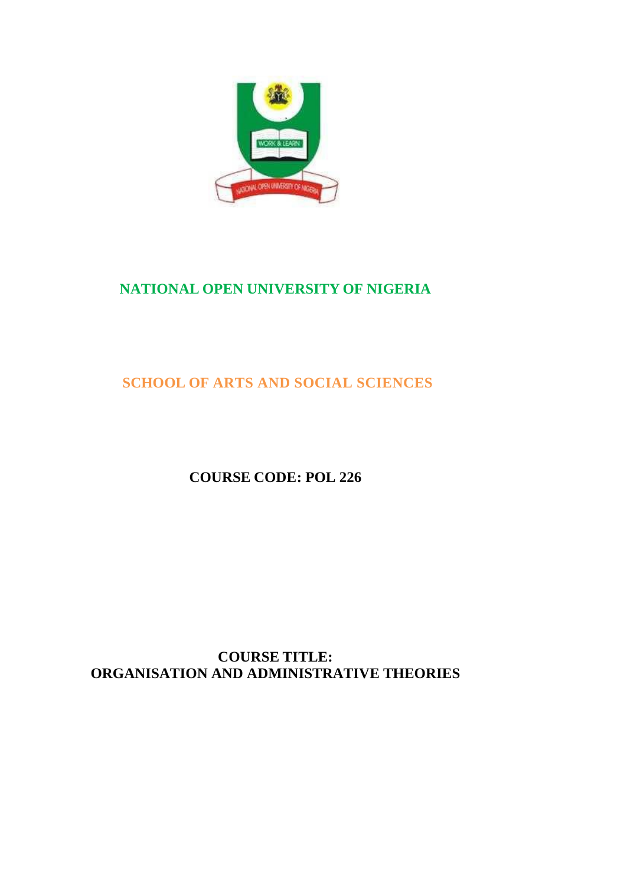

# **NATIONAL OPEN UNIVERSITY OF NIGERIA**

# **SCHOOL OF ARTS AND SOCIAL SCIENCES**

**COURSE CODE: POL 226**

**COURSE TITLE: ORGANISATION AND ADMINISTRATIVE THEORIES**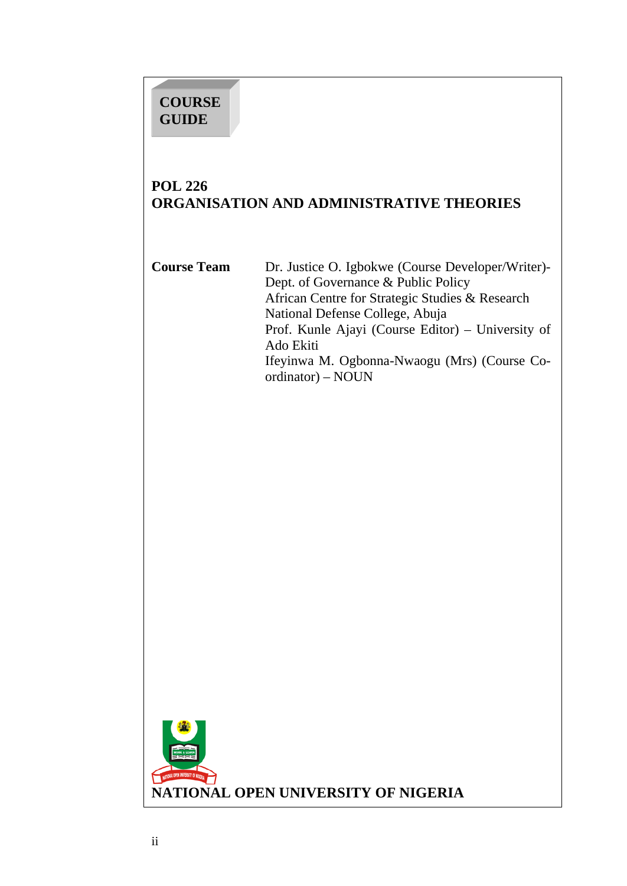# **COURSE GUIDE**

# **POL 226 ORGANISATION AND ADMINISTRATIVE THEORIES**

**Course Team** Dr. Justice O. Igbokwe (Course Developer/Writer)- Dept. of Governance & Public Policy African Centre for Strategic Studies & Research National Defense College, Abuja Prof. Kunle Ajayi (Course Editor) – University of Ado Ekiti Ifeyinwa M. Ogbonna-Nwaogu (Mrs) (Course Coordinator) – NOUN

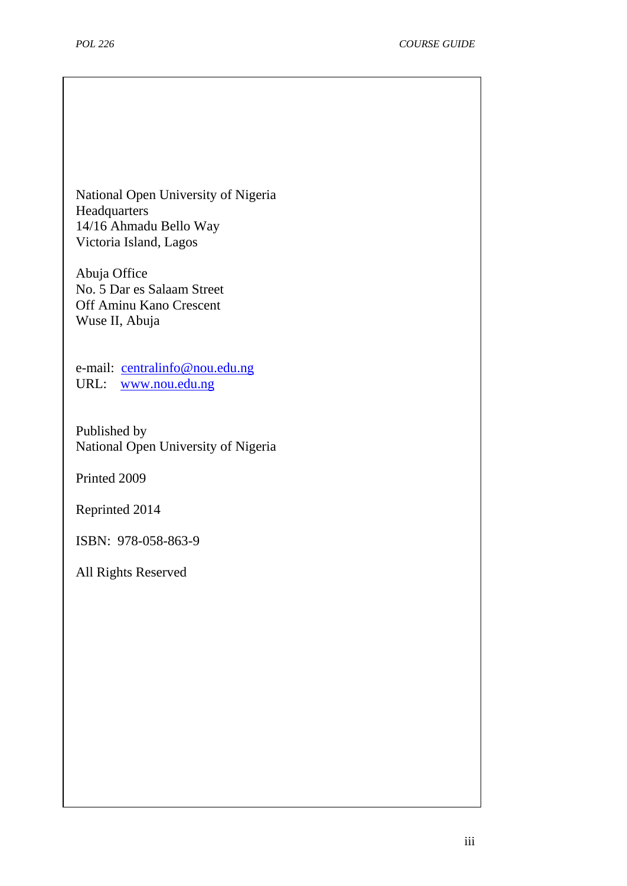National Open University of Nigeria Headquarters 14/16 Ahmadu Bello Way Victoria Island, Lagos

Abuja Office No. 5 Dar es Salaam Street Off Aminu Kano Crescent Wuse II, Abuja

e-mail: [centralinfo@nou.edu.ng](mailto:centralinfo@nou.edu.ng) URL: [www.nou.edu.ng](http://www.nou.edu.ng/)

Published by National Open University of Nigeria

Printed 2009

Reprinted 2014

ISBN: 978-058-863-9

All Rights Reserved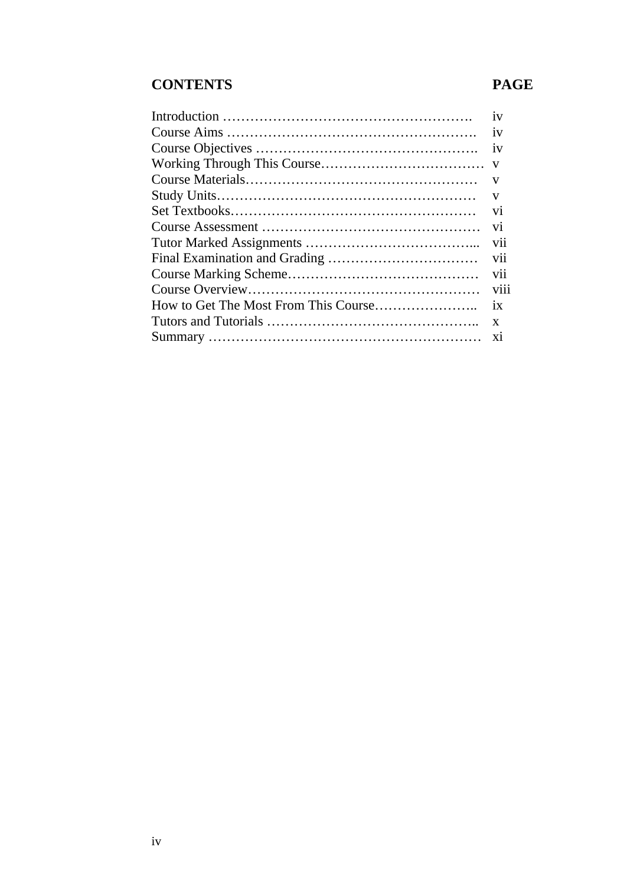# **CONTENTS PAGE**

| 1V              |
|-----------------|
| 1V              |
| 1V              |
| V               |
| V               |
| V               |
| V <sub>1</sub>  |
| V1              |
| vii             |
| V <sub>1</sub>  |
| <b>V11</b>      |
| V <sub>ii</sub> |
| 1X              |
| X               |
|                 |
|                 |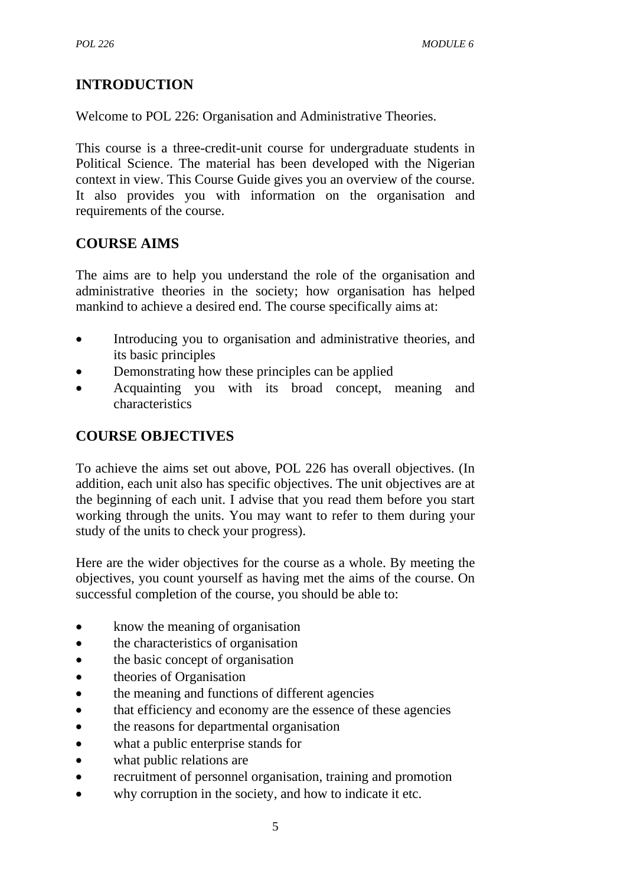# **INTRODUCTION**

Welcome to POL 226: Organisation and Administrative Theories.

This course is a three-credit-unit course for undergraduate students in Political Science. The material has been developed with the Nigerian context in view. This Course Guide gives you an overview of the course. It also provides you with information on the organisation and requirements of the course.

# **COURSE AIMS**

The aims are to help you understand the role of the organisation and administrative theories in the society; how organisation has helped mankind to achieve a desired end. The course specifically aims at:

- Introducing you to organisation and administrative theories, and its basic principles
- Demonstrating how these principles can be applied
- Acquainting you with its broad concept, meaning and characteristics

# **COURSE OBJECTIVES**

To achieve the aims set out above, POL 226 has overall objectives. (In addition, each unit also has specific objectives. The unit objectives are at the beginning of each unit. I advise that you read them before you start working through the units. You may want to refer to them during your study of the units to check your progress).

Here are the wider objectives for the course as a whole. By meeting the objectives, you count yourself as having met the aims of the course. On successful completion of the course, you should be able to:

- know the meaning of organisation
- the characteristics of organisation
- the basic concept of organisation
- theories of Organisation
- the meaning and functions of different agencies
- that efficiency and economy are the essence of these agencies
- the reasons for departmental organisation
- what a public enterprise stands for
- what public relations are
- recruitment of personnel organisation, training and promotion
- why corruption in the society, and how to indicate it etc.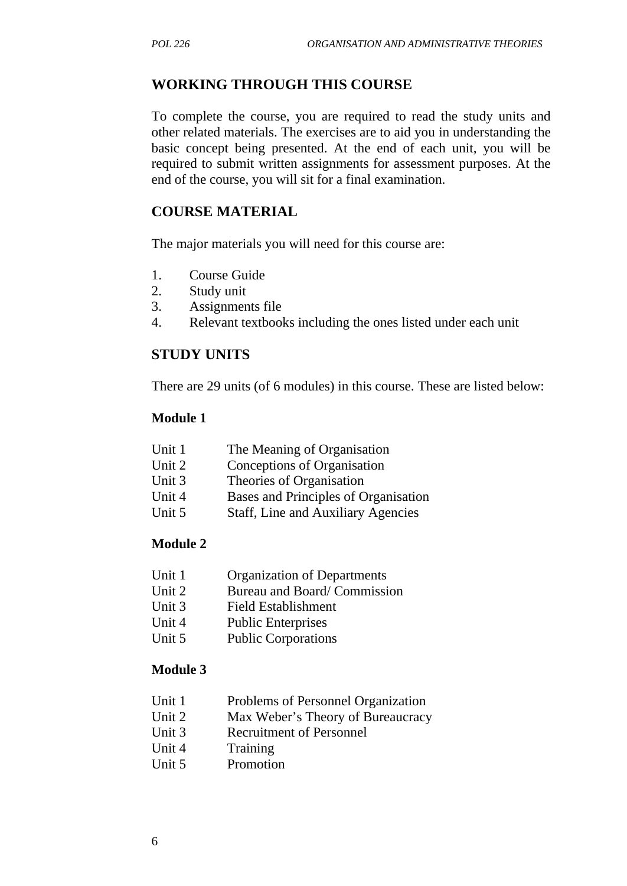#### **WORKING THROUGH THIS COURSE**

To complete the course, you are required to read the study units and other related materials. The exercises are to aid you in understanding the basic concept being presented. At the end of each unit, you will be required to submit written assignments for assessment purposes. At the end of the course, you will sit for a final examination.

#### **COURSE MATERIAL**

The major materials you will need for this course are:

- 1. Course Guide
- 2. Study unit
- 3. Assignments file
- 4. Relevant textbooks including the ones listed under each unit

#### **STUDY UNITS**

There are 29 units (of 6 modules) in this course. These are listed below:

#### **Module 1**

| Unit 1 | The Meaning of Organisation          |
|--------|--------------------------------------|
| Unit 2 | Conceptions of Organisation          |
| Unit 3 | Theories of Organisation             |
| Unit 4 | Bases and Principles of Organisation |
| Unit 5 | Staff, Line and Auxiliary Agencies   |

#### **Module 2**

- Unit 1 Organization of Departments
- Unit 2 Bureau and Board/ Commission
- Unit 3 Field Establishment
- Unit 4 Public Enterprises
- Unit 5 Public Corporations

#### **Module 3**

- Unit 1 Problems of Personnel Organization
- Unit 2 Max Weber's Theory of Bureaucracy
- Unit 3 Recruitment of Personnel
- Unit 4 Training
- Unit 5 Promotion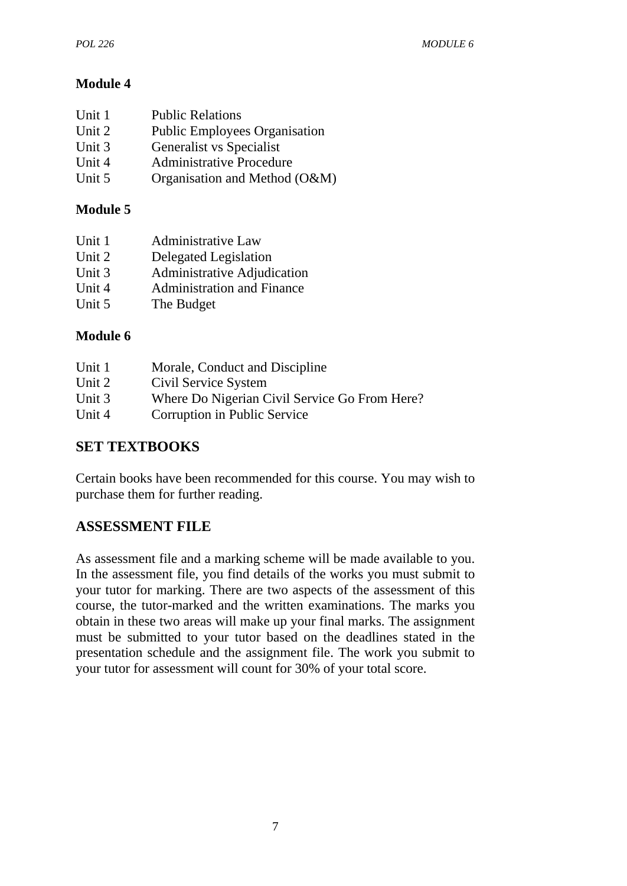# **Module 4**

| Unit 1 | <b>Public Relations</b>              |
|--------|--------------------------------------|
| Unit 2 | <b>Public Employees Organisation</b> |
| Unit 3 | Generalist vs Specialist             |
| Unit 4 | <b>Administrative Procedure</b>      |
| Unit 5 | Organisation and Method (O&M)        |
|        |                                      |

# **Module 5**

| Unit 1 | <b>Administrative Law</b>         |
|--------|-----------------------------------|
| Unit 2 | Delegated Legislation             |
| Unit 3 | Administrative Adjudication       |
| Unit 4 | <b>Administration and Finance</b> |
| Unit 5 | The Budget                        |

# **Module 6**

| Unit 1 | Morale, Conduct and Discipline                |
|--------|-----------------------------------------------|
| Unit 2 | Civil Service System                          |
| Unit 3 | Where Do Nigerian Civil Service Go From Here? |
| Unit 4 | Corruption in Public Service                  |

# **SET TEXTBOOKS**

Certain books have been recommended for this course. You may wish to purchase them for further reading.

# **ASSESSMENT FILE**

As assessment file and a marking scheme will be made available to you. In the assessment file, you find details of the works you must submit to your tutor for marking. There are two aspects of the assessment of this course, the tutor-marked and the written examinations. The marks you obtain in these two areas will make up your final marks. The assignment must be submitted to your tutor based on the deadlines stated in the presentation schedule and the assignment file. The work you submit to your tutor for assessment will count for 30% of your total score.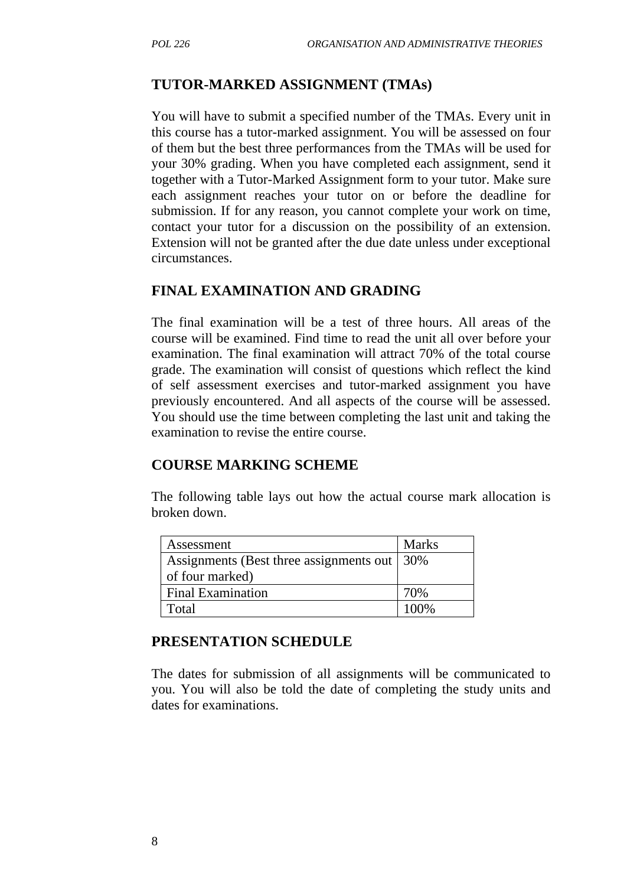#### **TUTOR-MARKED ASSIGNMENT (TMAs)**

You will have to submit a specified number of the TMAs. Every unit in this course has a tutor-marked assignment. You will be assessed on four of them but the best three performances from the TMAs will be used for your 30% grading. When you have completed each assignment, send it together with a Tutor-Marked Assignment form to your tutor. Make sure each assignment reaches your tutor on or before the deadline for submission. If for any reason, you cannot complete your work on time, contact your tutor for a discussion on the possibility of an extension. Extension will not be granted after the due date unless under exceptional circumstances.

#### **FINAL EXAMINATION AND GRADING**

The final examination will be a test of three hours. All areas of the course will be examined. Find time to read the unit all over before your examination. The final examination will attract 70% of the total course grade. The examination will consist of questions which reflect the kind of self assessment exercises and tutor-marked assignment you have previously encountered. And all aspects of the course will be assessed. You should use the time between completing the last unit and taking the examination to revise the entire course.

#### **COURSE MARKING SCHEME**

The following table lays out how the actual course mark allocation is broken down.

| Assessment                                    | <b>Marks</b> |
|-----------------------------------------------|--------------|
| Assignments (Best three assignments out   30% |              |
| of four marked)                               |              |
| <b>Final Examination</b>                      | 70%          |
| Total                                         | 100%         |

#### **PRESENTATION SCHEDULE**

The dates for submission of all assignments will be communicated to you. You will also be told the date of completing the study units and dates for examinations.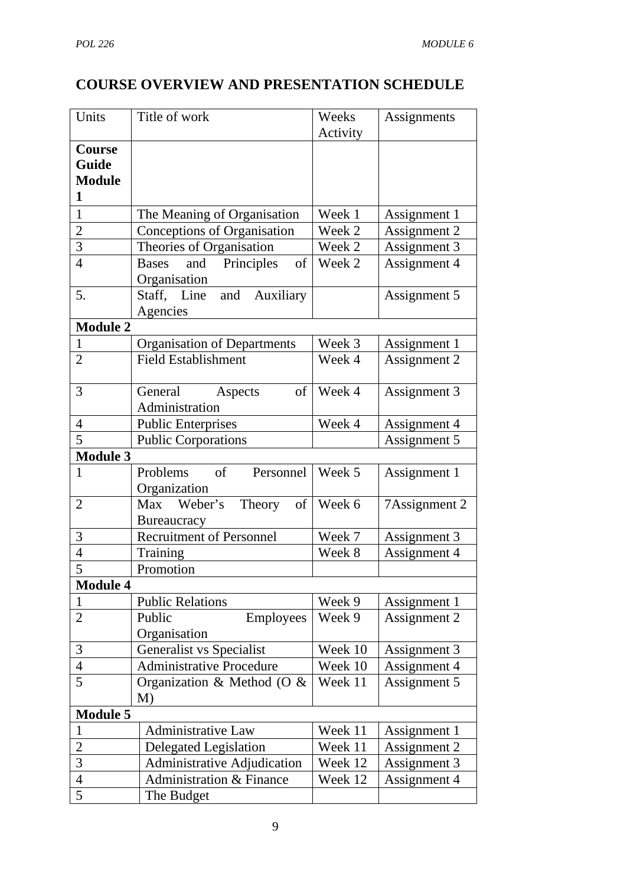# **COURSE OVERVIEW AND PRESENTATION SCHEDULE**

| Units           | Title of work                                           | Weeks<br>Activity | Assignments   |
|-----------------|---------------------------------------------------------|-------------------|---------------|
| Course          |                                                         |                   |               |
| Guide           |                                                         |                   |               |
| <b>Module</b>   |                                                         |                   |               |
| 1               |                                                         |                   |               |
| $\mathbf{1}$    | The Meaning of Organisation                             | Week 1            | Assignment 1  |
| $\overline{2}$  | Conceptions of Organisation                             | Week 2            | Assignment 2  |
| 3               | Theories of Organisation                                | Week 2            | Assignment 3  |
| $\overline{4}$  | Principles<br>of<br><b>Bases</b><br>and<br>Organisation | Week 2            | Assignment 4  |
| 5.              | Auxiliary<br>Staff, Line<br>and<br>Agencies             |                   | Assignment 5  |
| <b>Module 2</b> |                                                         |                   |               |
| $\mathbf{1}$    | <b>Organisation of Departments</b>                      | Week 3            | Assignment 1  |
| $\overline{2}$  | <b>Field Establishment</b>                              | Week 4            | Assignment 2  |
| 3               | General<br>of<br>Aspects<br>Administration              | Week 4            | Assignment 3  |
| $\overline{4}$  | <b>Public Enterprises</b>                               | Week 4            | Assignment 4  |
| 5               | <b>Public Corporations</b>                              |                   | Assignment 5  |
| <b>Module 3</b> |                                                         |                   |               |
| $\mathbf{1}$    | $\sigma$<br>Personnel<br>Problems<br>Organization       | Week 5            | Assignment 1  |
| $\overline{2}$  | Max Weber's<br>Theory<br>of<br>Bureaucracy              | Week 6            | 7Assignment 2 |
| 3               | <b>Recruitment of Personnel</b>                         | Week 7            | Assignment 3  |
| $\overline{4}$  | Training                                                | Week 8            | Assignment 4  |
| 5               | Promotion                                               |                   |               |
| <b>Module 4</b> |                                                         |                   |               |
|                 | <b>Public Relations</b>                                 | Week 9            | Assignment 1  |
| $\overline{2}$  | Employees<br>Public<br>Organisation                     | Week 9            | Assignment 2  |
| 3               | <b>Generalist vs Specialist</b>                         | Week 10           | Assignment 3  |
| $\overline{4}$  | <b>Administrative Procedure</b>                         | Week 10           | Assignment 4  |
| 5               | Organization & Method (O &<br>M)                        | Week 11           | Assignment 5  |
| <b>Module 5</b> |                                                         |                   |               |
| 1               | <b>Administrative Law</b>                               | Week 11           | Assignment 1  |
| $\overline{2}$  | <b>Delegated Legislation</b>                            | Week 11           | Assignment 2  |
| $\mathfrak{Z}$  | <b>Administrative Adjudication</b>                      | Week 12           | Assignment 3  |
| $\overline{4}$  | Administration & Finance                                | Week 12           | Assignment 4  |
| 5               | The Budget                                              |                   |               |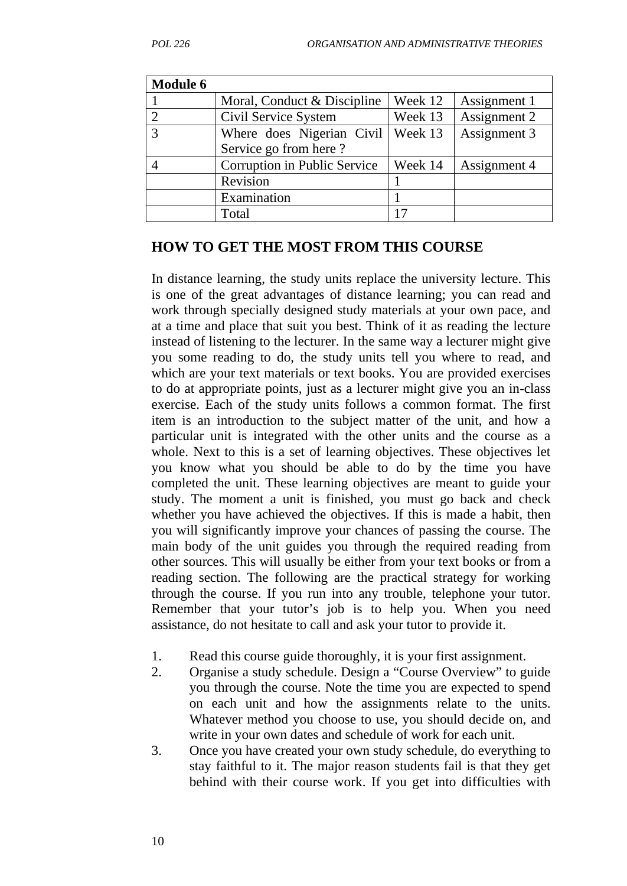| <b>Module 6</b> |                              |         |              |
|-----------------|------------------------------|---------|--------------|
|                 | Moral, Conduct & Discipline  | Week 12 | Assignment 1 |
|                 | Civil Service System         | Week 13 | Assignment 2 |
| $\mathbf{z}$    | Where does Nigerian Civil    | Week 13 | Assignment 3 |
|                 | Service go from here?        |         |              |
|                 | Corruption in Public Service | Week 14 | Assignment 4 |
|                 | Revision                     |         |              |
|                 | Examination                  |         |              |
|                 | Total                        |         |              |

#### **HOW TO GET THE MOST FROM THIS COURSE**

In distance learning, the study units replace the university lecture. This is one of the great advantages of distance learning; you can read and work through specially designed study materials at your own pace, and at a time and place that suit you best. Think of it as reading the lecture instead of listening to the lecturer. In the same way a lecturer might give you some reading to do, the study units tell you where to read, and which are your text materials or text books. You are provided exercises to do at appropriate points, just as a lecturer might give you an in-class exercise. Each of the study units follows a common format. The first item is an introduction to the subject matter of the unit, and how a particular unit is integrated with the other units and the course as a whole. Next to this is a set of learning objectives. These objectives let you know what you should be able to do by the time you have completed the unit. These learning objectives are meant to guide your study. The moment a unit is finished, you must go back and check whether you have achieved the objectives. If this is made a habit, then you will significantly improve your chances of passing the course. The main body of the unit guides you through the required reading from other sources. This will usually be either from your text books or from a reading section. The following are the practical strategy for working through the course. If you run into any trouble, telephone your tutor. Remember that your tutor's job is to help you. When you need assistance, do not hesitate to call and ask your tutor to provide it.

- 1. Read this course guide thoroughly, it is your first assignment.
- 2. Organise a study schedule. Design a "Course Overview" to guide you through the course. Note the time you are expected to spend on each unit and how the assignments relate to the units. Whatever method you choose to use, you should decide on, and write in your own dates and schedule of work for each unit.
- 3. Once you have created your own study schedule, do everything to stay faithful to it. The major reason students fail is that they get behind with their course work. If you get into difficulties with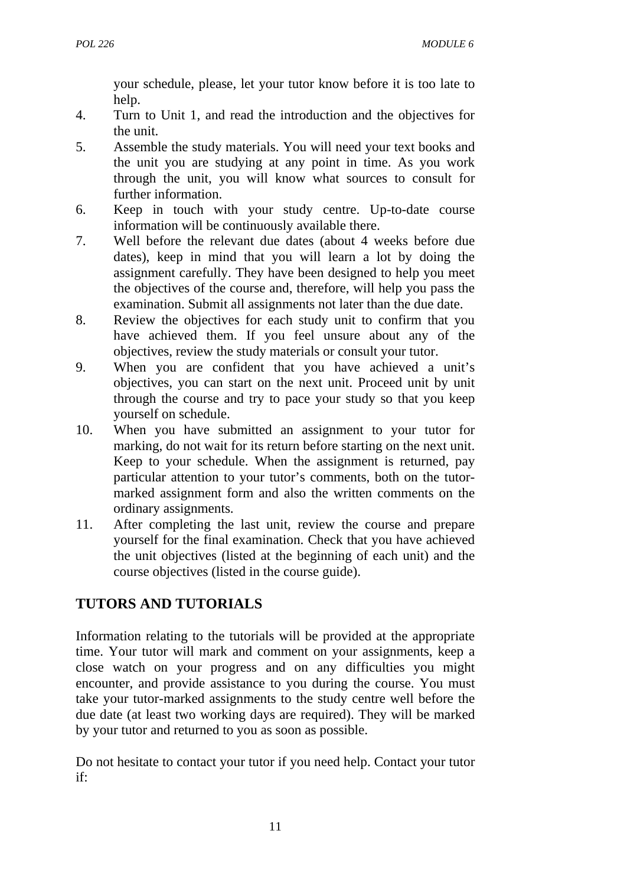your schedule, please, let your tutor know before it is too late to help.

- 4. Turn to Unit 1, and read the introduction and the objectives for the unit.
- 5. Assemble the study materials. You will need your text books and the unit you are studying at any point in time. As you work through the unit, you will know what sources to consult for further information.
- 6. Keep in touch with your study centre. Up-to-date course information will be continuously available there.
- 7. Well before the relevant due dates (about 4 weeks before due dates), keep in mind that you will learn a lot by doing the assignment carefully. They have been designed to help you meet the objectives of the course and, therefore, will help you pass the examination. Submit all assignments not later than the due date.
- 8. Review the objectives for each study unit to confirm that you have achieved them. If you feel unsure about any of the objectives, review the study materials or consult your tutor.
- 9. When you are confident that you have achieved a unit's objectives, you can start on the next unit. Proceed unit by unit through the course and try to pace your study so that you keep yourself on schedule.
- 10. When you have submitted an assignment to your tutor for marking, do not wait for its return before starting on the next unit. Keep to your schedule. When the assignment is returned, pay particular attention to your tutor's comments, both on the tutormarked assignment form and also the written comments on the ordinary assignments.
- 11. After completing the last unit, review the course and prepare yourself for the final examination. Check that you have achieved the unit objectives (listed at the beginning of each unit) and the course objectives (listed in the course guide).

# **TUTORS AND TUTORIALS**

Information relating to the tutorials will be provided at the appropriate time. Your tutor will mark and comment on your assignments, keep a close watch on your progress and on any difficulties you might encounter, and provide assistance to you during the course. You must take your tutor-marked assignments to the study centre well before the due date (at least two working days are required). They will be marked by your tutor and returned to you as soon as possible.

Do not hesitate to contact your tutor if you need help. Contact your tutor if: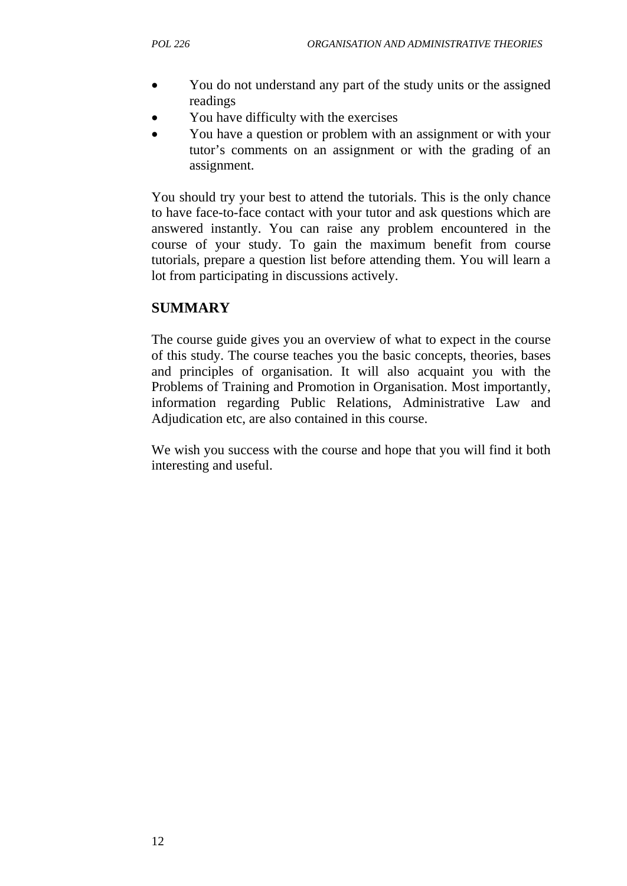- You do not understand any part of the study units or the assigned readings
- You have difficulty with the exercises
- You have a question or problem with an assignment or with your tutor's comments on an assignment or with the grading of an assignment.

You should try your best to attend the tutorials. This is the only chance to have face-to-face contact with your tutor and ask questions which are answered instantly. You can raise any problem encountered in the course of your study. To gain the maximum benefit from course tutorials, prepare a question list before attending them. You will learn a lot from participating in discussions actively.

# **SUMMARY**

The course guide gives you an overview of what to expect in the course of this study. The course teaches you the basic concepts, theories, bases and principles of organisation. It will also acquaint you with the Problems of Training and Promotion in Organisation. Most importantly, information regarding Public Relations, Administrative Law and Adjudication etc, are also contained in this course.

We wish you success with the course and hope that you will find it both interesting and useful.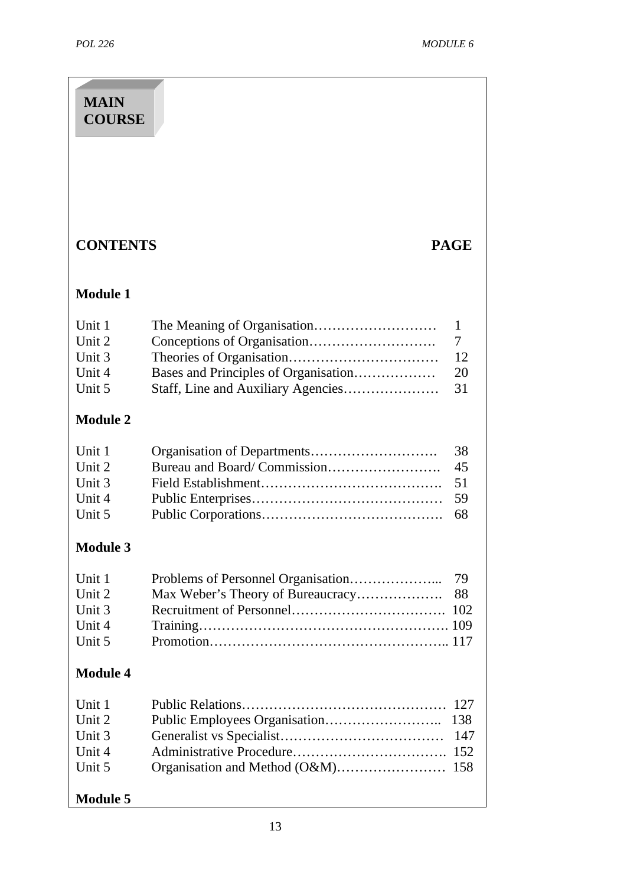| <b>MAIN</b><br><b>COURSE</b>                                      |                                                                                                        |  |
|-------------------------------------------------------------------|--------------------------------------------------------------------------------------------------------|--|
|                                                                   |                                                                                                        |  |
| <b>CONTENTS</b>                                                   | <b>PAGE</b>                                                                                            |  |
| <b>Module 1</b>                                                   |                                                                                                        |  |
| Unit 1<br>Unit 2<br>Unit 3<br>Unit 4<br>Unit 5                    | 1<br>7<br>12<br>Bases and Principles of Organisation<br>20<br>Staff, Line and Auxiliary Agencies<br>31 |  |
| <b>Module 2</b>                                                   |                                                                                                        |  |
| Unit 1<br>Unit 2<br>Unit 3<br>Unit 4<br>Unit 5                    | 38<br>45<br>51<br>59<br>68                                                                             |  |
| <b>Module 3</b>                                                   |                                                                                                        |  |
| Unit 1<br>Unit 2<br>Unit 3<br>Unit 4<br>Unit 5                    | 79<br>Max Weber's Theory of Bureaucracy<br>88<br>102                                                   |  |
| <b>Module 4</b>                                                   |                                                                                                        |  |
| Unit 1<br>Unit 2<br>Unit 3<br>Unit 4<br>Unit 5<br><b>Module 5</b> | 127<br>138<br>147<br>152<br>158                                                                        |  |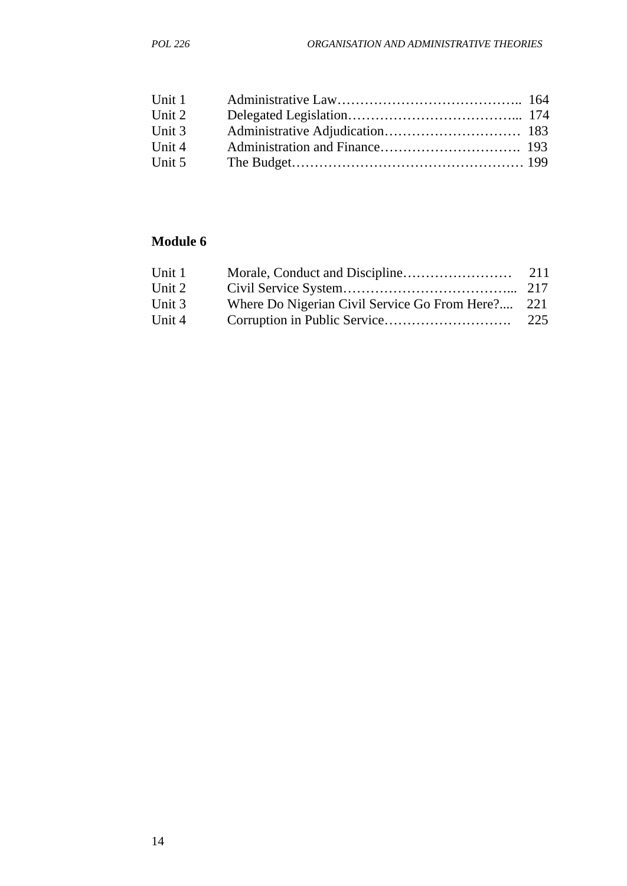| Unit 1 |  |
|--------|--|
| Unit 2 |  |
| Unit 3 |  |
| Unit 4 |  |
| Unit 5 |  |
|        |  |

# **Module 6**

| Unit 1 |                                                   | 211 |
|--------|---------------------------------------------------|-----|
| Unit 2 |                                                   |     |
| Unit 3 | Where Do Nigerian Civil Service Go From Here? 221 |     |
| Unit 4 |                                                   | 225 |
|        |                                                   |     |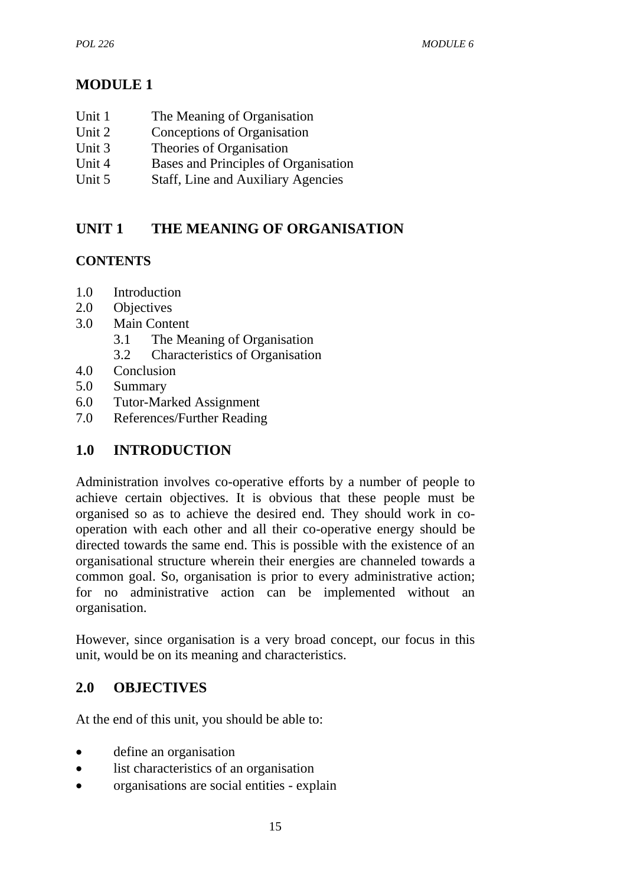# **MODULE 1**

- Unit 1 The Meaning of Organisation
- Unit 2 Conceptions of Organisation
- Unit 3 Theories of Organisation
- Unit 4 Bases and Principles of Organisation
- Unit 5 Staff, Line and Auxiliary Agencies

# **UNIT 1 THE MEANING OF ORGANISATION**

# **CONTENTS**

- 1.0 Introduction
- 2.0 Objectives
- 3.0 Main Content
	- 3.1 The Meaning of Organisation
	- 3.2 Characteristics of Organisation
- 4.0 Conclusion
- 5.0 Summary
- 6.0 Tutor-Marked Assignment
- 7.0 References/Further Reading

# **1.0 INTRODUCTION**

Administration involves co-operative efforts by a number of people to achieve certain objectives. It is obvious that these people must be organised so as to achieve the desired end. They should work in cooperation with each other and all their co-operative energy should be directed towards the same end. This is possible with the existence of an organisational structure wherein their energies are channeled towards a common goal. So, organisation is prior to every administrative action; for no administrative action can be implemented without an organisation.

However, since organisation is a very broad concept, our focus in this unit, would be on its meaning and characteristics.

# **2.0 OBJECTIVES**

At the end of this unit, you should be able to:

- define an organisation
- list characteristics of an organisation
- organisations are social entities explain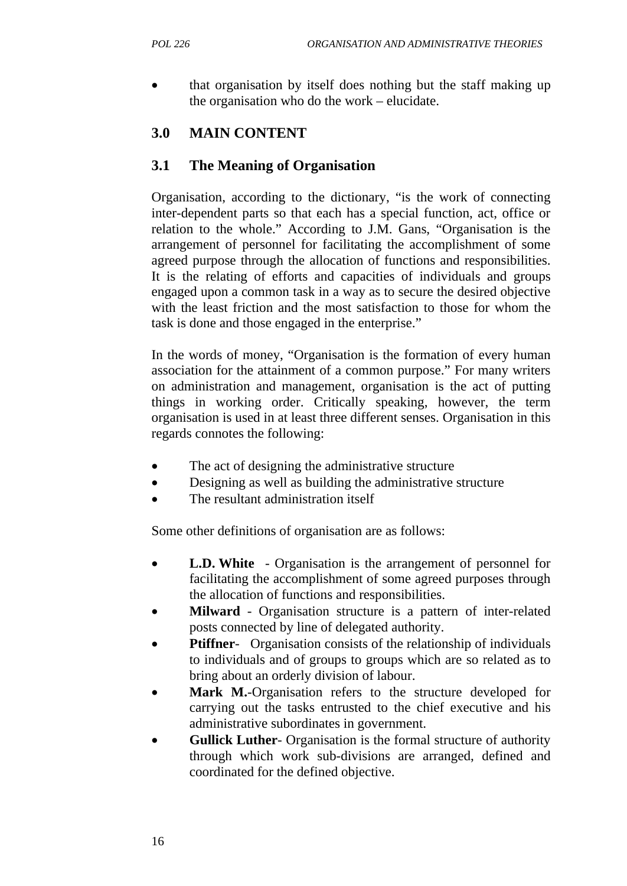• that organisation by itself does nothing but the staff making up the organisation who do the work – elucidate.

# **3.0 MAIN CONTENT**

# **3.1 The Meaning of Organisation**

Organisation, according to the dictionary, "is the work of connecting inter-dependent parts so that each has a special function, act, office or relation to the whole." According to J.M. Gans, "Organisation is the arrangement of personnel for facilitating the accomplishment of some agreed purpose through the allocation of functions and responsibilities. It is the relating of efforts and capacities of individuals and groups engaged upon a common task in a way as to secure the desired objective with the least friction and the most satisfaction to those for whom the task is done and those engaged in the enterprise."

In the words of money, "Organisation is the formation of every human association for the attainment of a common purpose." For many writers on administration and management, organisation is the act of putting things in working order. Critically speaking, however, the term organisation is used in at least three different senses. Organisation in this regards connotes the following:

- The act of designing the administrative structure
- Designing as well as building the administrative structure
- The resultant administration itself

Some other definitions of organisation are as follows:

- **L.D. White** Organisation is the arrangement of personnel for facilitating the accomplishment of some agreed purposes through the allocation of functions and responsibilities.
- **Milward** Organisation structure is a pattern of inter-related posts connected by line of delegated authority.
- **Ptiffner-** Organisation consists of the relationship of individuals to individuals and of groups to groups which are so related as to bring about an orderly division of labour.
- Mark M.-Organisation refers to the structure developed for carrying out the tasks entrusted to the chief executive and his administrative subordinates in government.
- **Gullick Luther-** Organisation is the formal structure of authority through which work sub-divisions are arranged, defined and coordinated for the defined objective.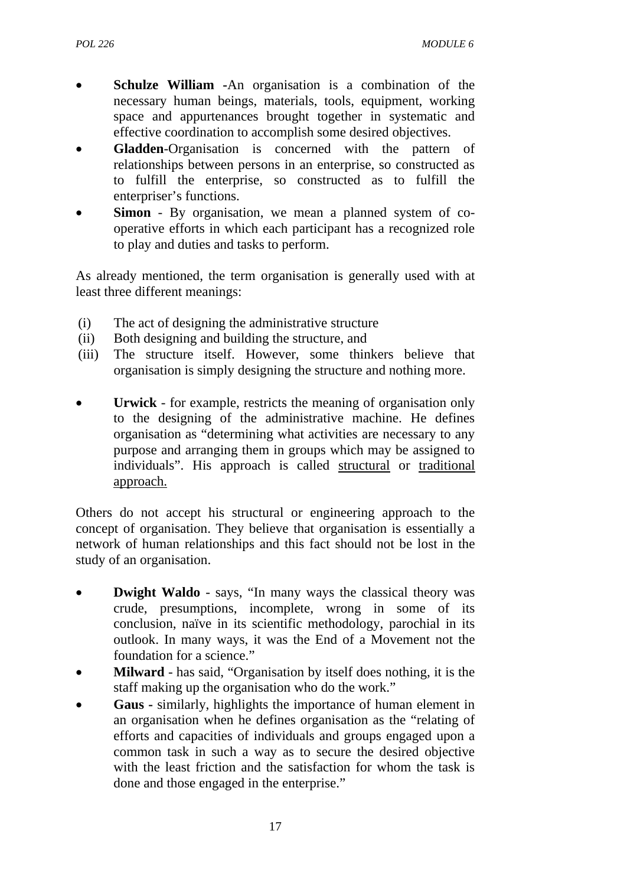- **Schulze William -**An organisation is a combination of the necessary human beings, materials, tools, equipment, working space and appurtenances brought together in systematic and effective coordination to accomplish some desired objectives.
- **Gladden-Organisation** is concerned with the pattern of relationships between persons in an enterprise, so constructed as to fulfill the enterprise, so constructed as to fulfill the enterpriser's functions.
- **Simon** By organisation, we mean a planned system of cooperative efforts in which each participant has a recognized role to play and duties and tasks to perform.

As already mentioned, the term organisation is generally used with at least three different meanings:

- (i) The act of designing the administrative structure
- (ii) Both designing and building the structure, and
- (iii) The structure itself. However, some thinkers believe that organisation is simply designing the structure and nothing more.
- **Urwick** for example, restricts the meaning of organisation only to the designing of the administrative machine. He defines organisation as "determining what activities are necessary to any purpose and arranging them in groups which may be assigned to individuals". His approach is called structural or traditional approach.

Others do not accept his structural or engineering approach to the concept of organisation. They believe that organisation is essentially a network of human relationships and this fact should not be lost in the study of an organisation.

- **Dwight Waldo** says, "In many ways the classical theory was crude, presumptions, incomplete, wrong in some of its conclusion, naïve in its scientific methodology, parochial in its outlook. In many ways, it was the End of a Movement not the foundation for a science."
- **Milward** has said, "Organisation by itself does nothing, it is the staff making up the organisation who do the work."
- **Gaus -** similarly, highlights the importance of human element in an organisation when he defines organisation as the "relating of efforts and capacities of individuals and groups engaged upon a common task in such a way as to secure the desired objective with the least friction and the satisfaction for whom the task is done and those engaged in the enterprise."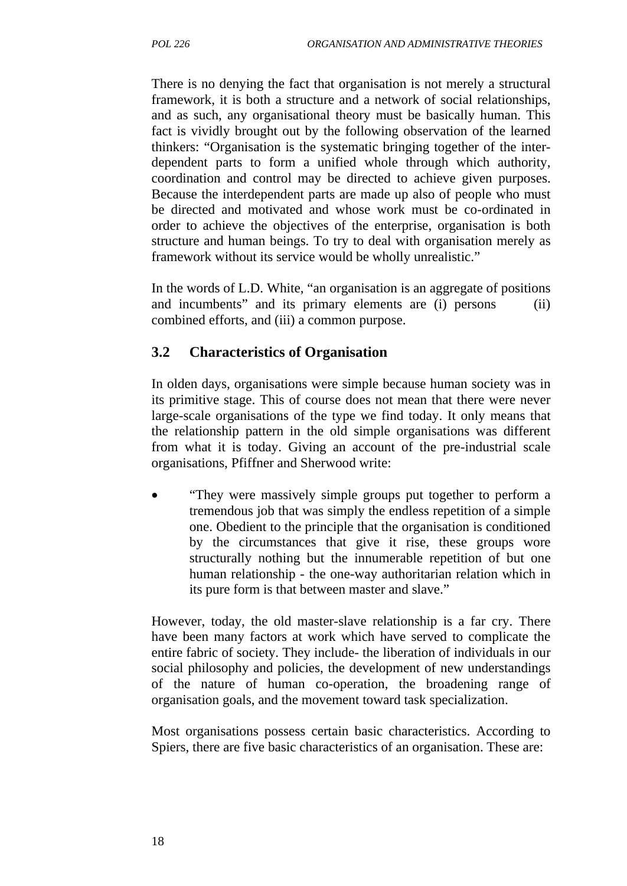There is no denying the fact that organisation is not merely a structural framework, it is both a structure and a network of social relationships, and as such, any organisational theory must be basically human. This fact is vividly brought out by the following observation of the learned thinkers: "Organisation is the systematic bringing together of the interdependent parts to form a unified whole through which authority, coordination and control may be directed to achieve given purposes. Because the interdependent parts are made up also of people who must be directed and motivated and whose work must be co-ordinated in order to achieve the objectives of the enterprise, organisation is both structure and human beings. To try to deal with organisation merely as framework without its service would be wholly unrealistic."

In the words of L.D. White, "an organisation is an aggregate of positions and incumbents" and its primary elements are (i) persons (ii) combined efforts, and (iii) a common purpose.

# **3.2 Characteristics of Organisation**

In olden days, organisations were simple because human society was in its primitive stage. This of course does not mean that there were never large-scale organisations of the type we find today. It only means that the relationship pattern in the old simple organisations was different from what it is today. Giving an account of the pre-industrial scale organisations, Pfiffner and Sherwood write:

• "They were massively simple groups put together to perform a tremendous job that was simply the endless repetition of a simple one. Obedient to the principle that the organisation is conditioned by the circumstances that give it rise, these groups wore structurally nothing but the innumerable repetition of but one human relationship - the one-way authoritarian relation which in its pure form is that between master and slave."

However, today, the old master-slave relationship is a far cry. There have been many factors at work which have served to complicate the entire fabric of society. They include- the liberation of individuals in our social philosophy and policies, the development of new understandings of the nature of human co-operation, the broadening range of organisation goals, and the movement toward task specialization.

Most organisations possess certain basic characteristics. According to Spiers, there are five basic characteristics of an organisation. These are: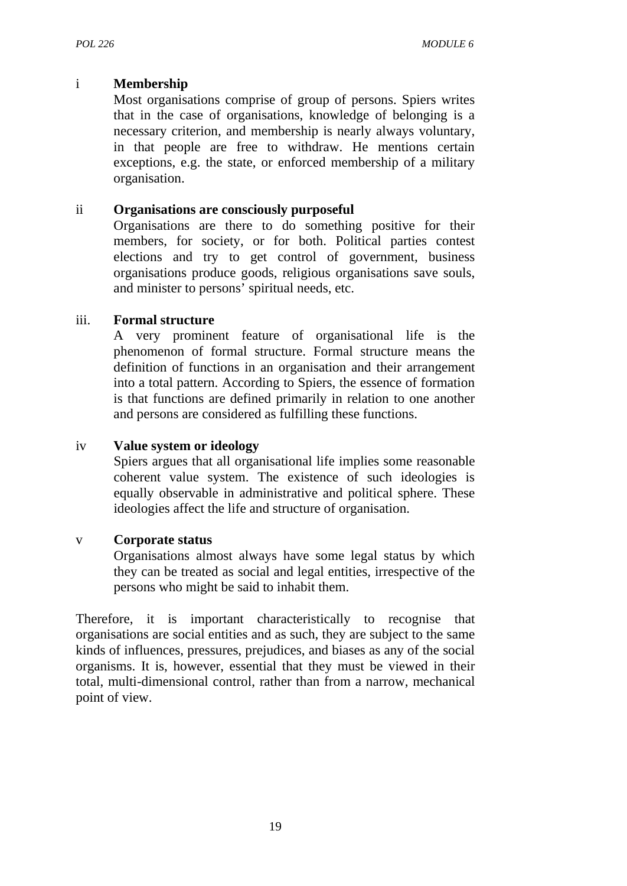#### i **Membership**

Most organisations comprise of group of persons. Spiers writes that in the case of organisations, knowledge of belonging is a necessary criterion, and membership is nearly always voluntary, in that people are free to withdraw. He mentions certain exceptions, e.g. the state, or enforced membership of a military organisation.

#### ii **Organisations are consciously purposeful**

Organisations are there to do something positive for their members, for society, or for both. Political parties contest elections and try to get control of government, business organisations produce goods, religious organisations save souls, and minister to persons' spiritual needs, etc.

#### iii. **Formal structure**

A very prominent feature of organisational life is the phenomenon of formal structure. Formal structure means the definition of functions in an organisation and their arrangement into a total pattern. According to Spiers, the essence of formation is that functions are defined primarily in relation to one another and persons are considered as fulfilling these functions.

#### iv **Value system or ideology**

Spiers argues that all organisational life implies some reasonable coherent value system. The existence of such ideologies is equally observable in administrative and political sphere. These ideologies affect the life and structure of organisation.

# v **Corporate status**

Organisations almost always have some legal status by which they can be treated as social and legal entities, irrespective of the persons who might be said to inhabit them.

Therefore, it is important characteristically to recognise that organisations are social entities and as such, they are subject to the same kinds of influences, pressures, prejudices, and biases as any of the social organisms. It is, however, essential that they must be viewed in their total, multi-dimensional control, rather than from a narrow, mechanical point of view.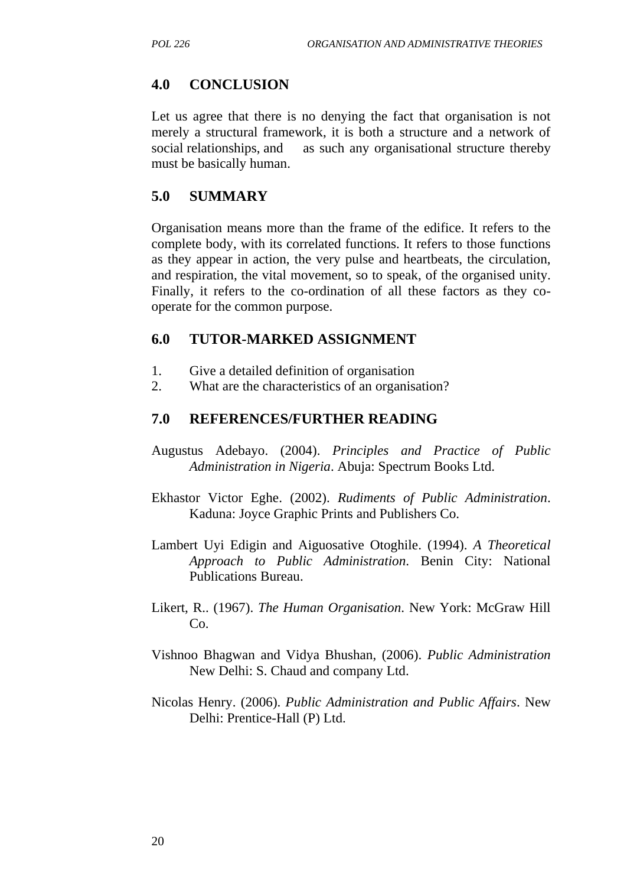#### **4.0 CONCLUSION**

Let us agree that there is no denying the fact that organisation is not merely a structural framework, it is both a structure and a network of social relationships, and as such any organisational structure thereby must be basically human.

#### **5.0 SUMMARY**

Organisation means more than the frame of the edifice. It refers to the complete body, with its correlated functions. It refers to those functions as they appear in action, the very pulse and heartbeats, the circulation, and respiration, the vital movement, so to speak, of the organised unity. Finally, it refers to the co-ordination of all these factors as they cooperate for the common purpose.

#### **6.0 TUTOR-MARKED ASSIGNMENT**

- 1. Give a detailed definition of organisation
- 2. What are the characteristics of an organisation?

#### **7.0 REFERENCES/FURTHER READING**

- Augustus Adebayo. (2004). *Principles and Practice of Public Administration in Nigeria*. Abuja: Spectrum Books Ltd.
- Ekhastor Victor Eghe. (2002). *Rudiments of Public Administration*. Kaduna: Joyce Graphic Prints and Publishers Co.
- Lambert Uyi Edigin and Aiguosative Otoghile. (1994). *A Theoretical Approach to Public Administration*. Benin City: National Publications Bureau.
- Likert, R.. (1967). *The Human Organisation*. New York: McGraw Hill Co.
- Vishnoo Bhagwan and Vidya Bhushan, (2006). *Public Administration* New Delhi: S. Chaud and company Ltd.
- Nicolas Henry. (2006). *Public Administration and Public Affairs*. New Delhi: Prentice-Hall (P) Ltd.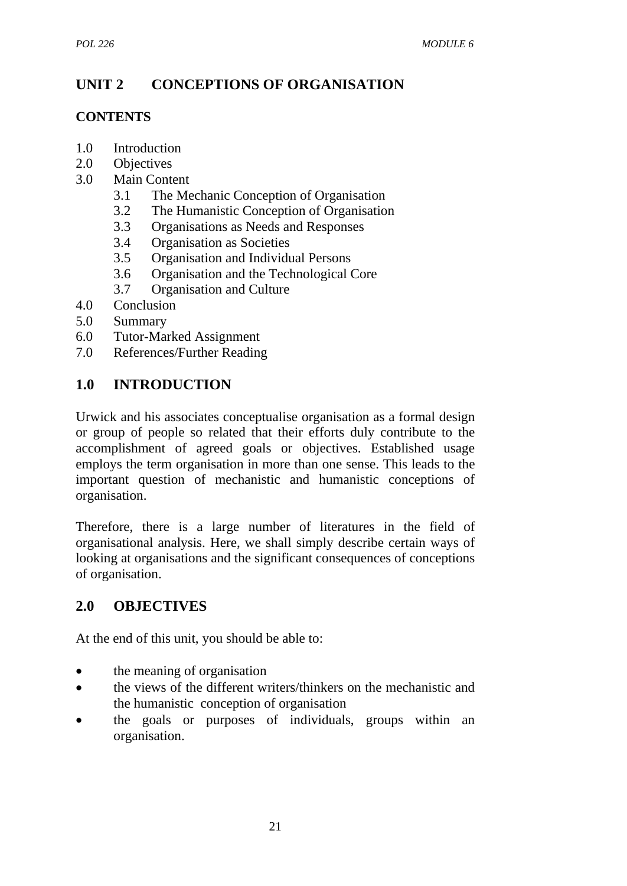# **UNIT 2 CONCEPTIONS OF ORGANISATION**

#### **CONTENTS**

- 1.0 Introduction
- 2.0 Objectives
- 3.0 Main Content
	- 3.1 The Mechanic Conception of Organisation
	- 3.2 The Humanistic Conception of Organisation
	- 3.3 Organisations as Needs and Responses
	- 3.4 Organisation as Societies
	- 3.5 Organisation and Individual Persons
	- 3.6 Organisation and the Technological Core
	- 3.7 Organisation and Culture
- 4.0 Conclusion
- 5.0 Summary
- 6.0 Tutor-Marked Assignment
- 7.0 References/Further Reading

# **1.0 INTRODUCTION**

Urwick and his associates conceptualise organisation as a formal design or group of people so related that their efforts duly contribute to the accomplishment of agreed goals or objectives. Established usage employs the term organisation in more than one sense. This leads to the important question of mechanistic and humanistic conceptions of organisation.

Therefore, there is a large number of literatures in the field of organisational analysis. Here, we shall simply describe certain ways of looking at organisations and the significant consequences of conceptions of organisation.

# **2.0 OBJECTIVES**

At the end of this unit, you should be able to:

- the meaning of organisation
- the views of the different writers/thinkers on the mechanistic and the humanistic conception of organisation
- the goals or purposes of individuals, groups within an organisation.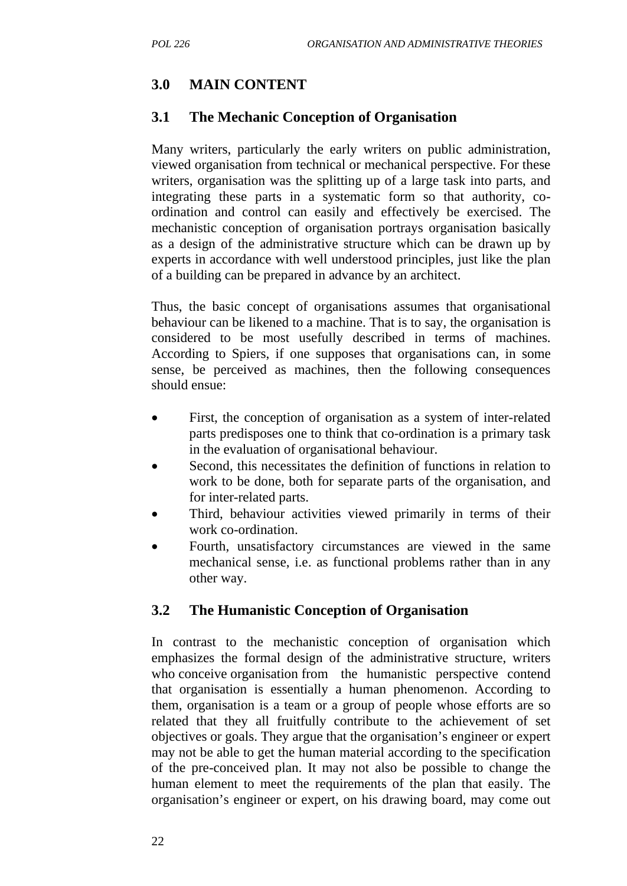# **3.0 MAIN CONTENT**

#### **3.1 The Mechanic Conception of Organisation**

Many writers, particularly the early writers on public administration, viewed organisation from technical or mechanical perspective. For these writers, organisation was the splitting up of a large task into parts, and integrating these parts in a systematic form so that authority, coordination and control can easily and effectively be exercised. The mechanistic conception of organisation portrays organisation basically as a design of the administrative structure which can be drawn up by experts in accordance with well understood principles, just like the plan of a building can be prepared in advance by an architect.

Thus, the basic concept of organisations assumes that organisational behaviour can be likened to a machine. That is to say, the organisation is considered to be most usefully described in terms of machines. According to Spiers, if one supposes that organisations can, in some sense, be perceived as machines, then the following consequences should ensue:

- First, the conception of organisation as a system of inter-related parts predisposes one to think that co-ordination is a primary task in the evaluation of organisational behaviour.
- Second, this necessitates the definition of functions in relation to work to be done, both for separate parts of the organisation, and for inter-related parts.
- Third, behaviour activities viewed primarily in terms of their work co-ordination.
- Fourth, unsatisfactory circumstances are viewed in the same mechanical sense, i.e. as functional problems rather than in any other way.

# **3.2 The Humanistic Conception of Organisation**

In contrast to the mechanistic conception of organisation which emphasizes the formal design of the administrative structure, writers who conceive organisation from the humanistic perspective contend that organisation is essentially a human phenomenon. According to them, organisation is a team or a group of people whose efforts are so related that they all fruitfully contribute to the achievement of set objectives or goals. They argue that the organisation's engineer or expert may not be able to get the human material according to the specification of the pre-conceived plan. It may not also be possible to change the human element to meet the requirements of the plan that easily. The organisation's engineer or expert, on his drawing board, may come out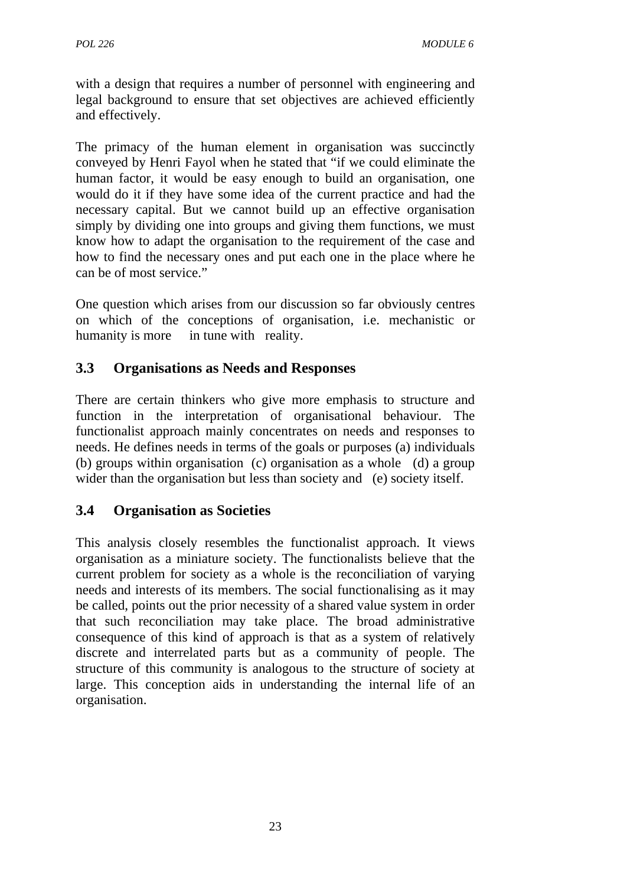with a design that requires a number of personnel with engineering and legal background to ensure that set objectives are achieved efficiently and effectively.

The primacy of the human element in organisation was succinctly conveyed by Henri Fayol when he stated that "if we could eliminate the human factor, it would be easy enough to build an organisation, one would do it if they have some idea of the current practice and had the necessary capital. But we cannot build up an effective organisation simply by dividing one into groups and giving them functions, we must know how to adapt the organisation to the requirement of the case and how to find the necessary ones and put each one in the place where he can be of most service."

One question which arises from our discussion so far obviously centres on which of the conceptions of organisation, i.e. mechanistic or humanity is more in tune with reality.

# **3.3 Organisations as Needs and Responses**

There are certain thinkers who give more emphasis to structure and function in the interpretation of organisational behaviour. The functionalist approach mainly concentrates on needs and responses to needs. He defines needs in terms of the goals or purposes (a) individuals (b) groups within organisation (c) organisation as a whole (d) a group wider than the organisation but less than society and (e) society itself.

# **3.4 Organisation as Societies**

This analysis closely resembles the functionalist approach. It views organisation as a miniature society. The functionalists believe that the current problem for society as a whole is the reconciliation of varying needs and interests of its members. The social functionalising as it may be called, points out the prior necessity of a shared value system in order that such reconciliation may take place. The broad administrative consequence of this kind of approach is that as a system of relatively discrete and interrelated parts but as a community of people. The structure of this community is analogous to the structure of society at large. This conception aids in understanding the internal life of an organisation.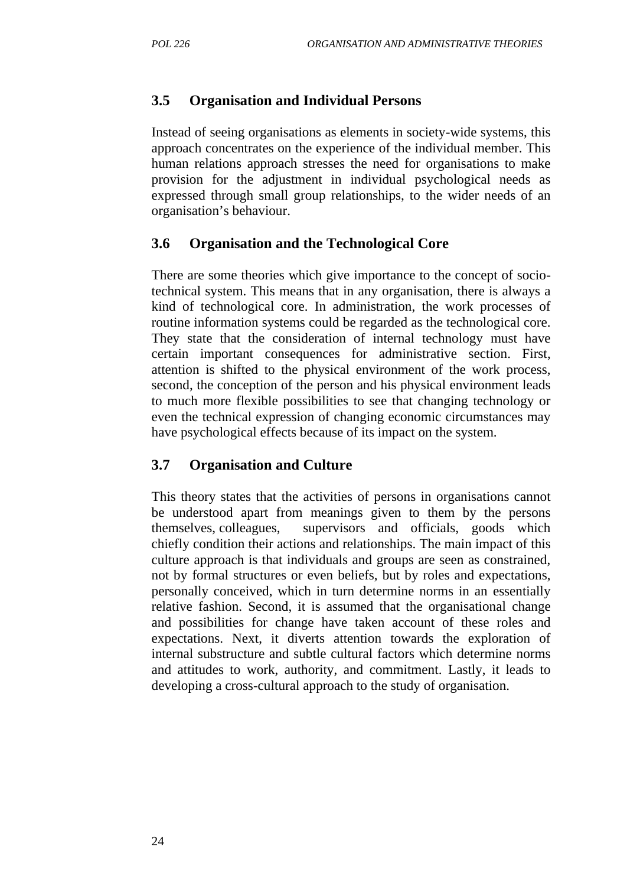#### **3.5 Organisation and Individual Persons**

Instead of seeing organisations as elements in society-wide systems, this approach concentrates on the experience of the individual member. This human relations approach stresses the need for organisations to make provision for the adjustment in individual psychological needs as expressed through small group relationships, to the wider needs of an organisation's behaviour.

#### **3.6 Organisation and the Technological Core**

There are some theories which give importance to the concept of sociotechnical system. This means that in any organisation, there is always a kind of technological core. In administration, the work processes of routine information systems could be regarded as the technological core. They state that the consideration of internal technology must have certain important consequences for administrative section. First, attention is shifted to the physical environment of the work process, second, the conception of the person and his physical environment leads to much more flexible possibilities to see that changing technology or even the technical expression of changing economic circumstances may have psychological effects because of its impact on the system.

#### **3.7 Organisation and Culture**

This theory states that the activities of persons in organisations cannot be understood apart from meanings given to them by the persons themselves, colleagues, supervisors and officials, goods which chiefly condition their actions and relationships. The main impact of this culture approach is that individuals and groups are seen as constrained, not by formal structures or even beliefs, but by roles and expectations, personally conceived, which in turn determine norms in an essentially relative fashion. Second, it is assumed that the organisational change and possibilities for change have taken account of these roles and expectations. Next, it diverts attention towards the exploration of internal substructure and subtle cultural factors which determine norms and attitudes to work, authority, and commitment. Lastly, it leads to developing a cross-cultural approach to the study of organisation.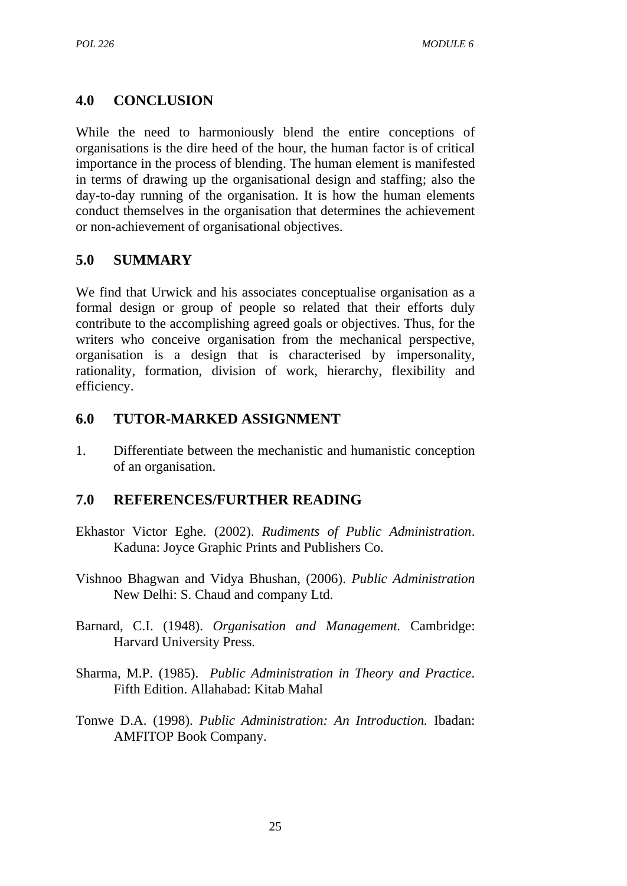# **4.0 CONCLUSION**

While the need to harmoniously blend the entire conceptions of organisations is the dire heed of the hour, the human factor is of critical importance in the process of blending. The human element is manifested in terms of drawing up the organisational design and staffing; also the day-to-day running of the organisation. It is how the human elements conduct themselves in the organisation that determines the achievement or non-achievement of organisational objectives.

#### **5.0 SUMMARY**

We find that Urwick and his associates conceptualise organisation as a formal design or group of people so related that their efforts duly contribute to the accomplishing agreed goals or objectives. Thus, for the writers who conceive organisation from the mechanical perspective, organisation is a design that is characterised by impersonality, rationality, formation, division of work, hierarchy, flexibility and efficiency.

#### **6.0 TUTOR-MARKED ASSIGNMENT**

1. Differentiate between the mechanistic and humanistic conception of an organisation.

# **7.0 REFERENCES/FURTHER READING**

- Ekhastor Victor Eghe. (2002). *Rudiments of Public Administration*. Kaduna: Joyce Graphic Prints and Publishers Co.
- Vishnoo Bhagwan and Vidya Bhushan, (2006). *Public Administration* New Delhi: S. Chaud and company Ltd.
- Barnard, C.I. (1948). *Organisation and Management.* Cambridge: Harvard University Press.
- Sharma, M.P. (1985). *Public Administration in Theory and Practice*. Fifth Edition. Allahabad: Kitab Mahal
- Tonwe D.A. (1998). *Public Administration: An Introduction.* Ibadan: AMFITOP Book Company.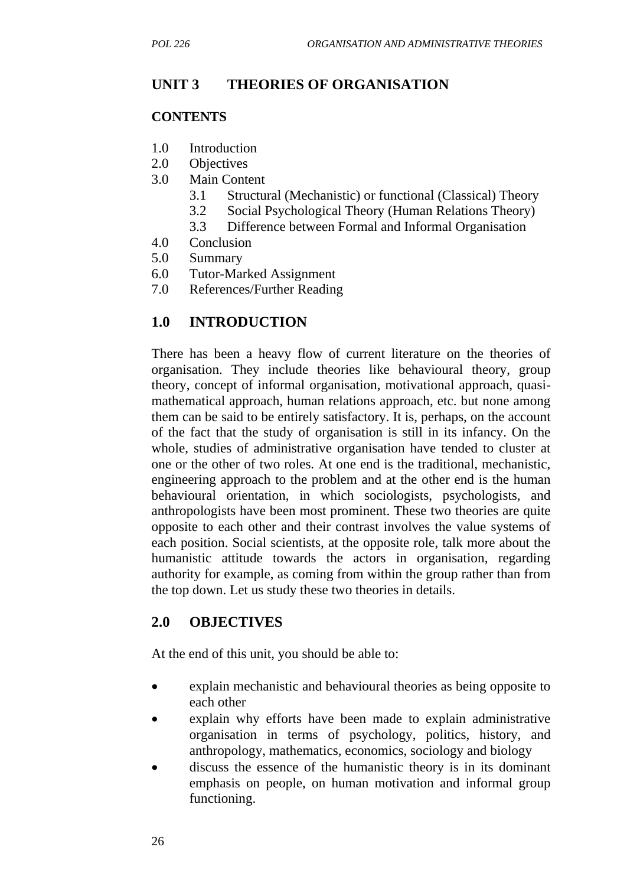# **UNIT 3 THEORIES OF ORGANISATION**

#### **CONTENTS**

- 1.0 Introduction
- 2.0 Objectives
- 3.0 Main Content
	- 3.1 Structural (Mechanistic) or functional (Classical) Theory
	- 3.2 Social Psychological Theory (Human Relations Theory)
	- 3.3 Difference between Formal and Informal Organisation
- 4.0 Conclusion
- 5.0 Summary
- 6.0 Tutor-Marked Assignment
- 7.0 References/Further Reading

# **1.0 INTRODUCTION**

There has been a heavy flow of current literature on the theories of organisation. They include theories like behavioural theory, group theory, concept of informal organisation, motivational approach, quasimathematical approach, human relations approach, etc. but none among them can be said to be entirely satisfactory. It is, perhaps, on the account of the fact that the study of organisation is still in its infancy. On the whole, studies of administrative organisation have tended to cluster at one or the other of two roles. At one end is the traditional, mechanistic, engineering approach to the problem and at the other end is the human behavioural orientation, in which sociologists, psychologists, and anthropologists have been most prominent. These two theories are quite opposite to each other and their contrast involves the value systems of each position. Social scientists, at the opposite role, talk more about the humanistic attitude towards the actors in organisation, regarding authority for example, as coming from within the group rather than from the top down. Let us study these two theories in details.

# **2.0 OBJECTIVES**

At the end of this unit, you should be able to:

- explain mechanistic and behavioural theories as being opposite to each other
- explain why efforts have been made to explain administrative organisation in terms of psychology, politics, history, and anthropology, mathematics, economics, sociology and biology
- discuss the essence of the humanistic theory is in its dominant emphasis on people, on human motivation and informal group functioning.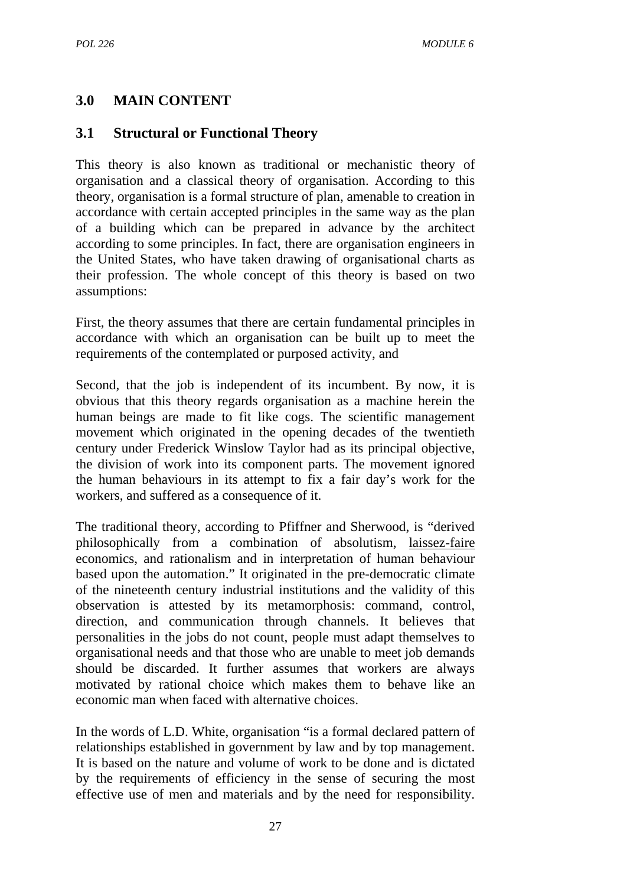# **3.0 MAIN CONTENT**

#### **3.1 Structural or Functional Theory**

This theory is also known as traditional or mechanistic theory of organisation and a classical theory of organisation. According to this theory, organisation is a formal structure of plan, amenable to creation in accordance with certain accepted principles in the same way as the plan of a building which can be prepared in advance by the architect according to some principles. In fact, there are organisation engineers in the United States, who have taken drawing of organisational charts as their profession. The whole concept of this theory is based on two assumptions:

First, the theory assumes that there are certain fundamental principles in accordance with which an organisation can be built up to meet the requirements of the contemplated or purposed activity, and

Second, that the job is independent of its incumbent. By now, it is obvious that this theory regards organisation as a machine herein the human beings are made to fit like cogs. The scientific management movement which originated in the opening decades of the twentieth century under Frederick Winslow Taylor had as its principal objective, the division of work into its component parts. The movement ignored the human behaviours in its attempt to fix a fair day's work for the workers, and suffered as a consequence of it.

The traditional theory, according to Pfiffner and Sherwood, is "derived philosophically from a combination of absolutism, laissez-faire economics, and rationalism and in interpretation of human behaviour based upon the automation." It originated in the pre-democratic climate of the nineteenth century industrial institutions and the validity of this observation is attested by its metamorphosis: command, control, direction, and communication through channels. It believes that personalities in the jobs do not count, people must adapt themselves to organisational needs and that those who are unable to meet job demands should be discarded. It further assumes that workers are always motivated by rational choice which makes them to behave like an economic man when faced with alternative choices.

In the words of L.D. White, organisation "is a formal declared pattern of relationships established in government by law and by top management. It is based on the nature and volume of work to be done and is dictated by the requirements of efficiency in the sense of securing the most effective use of men and materials and by the need for responsibility.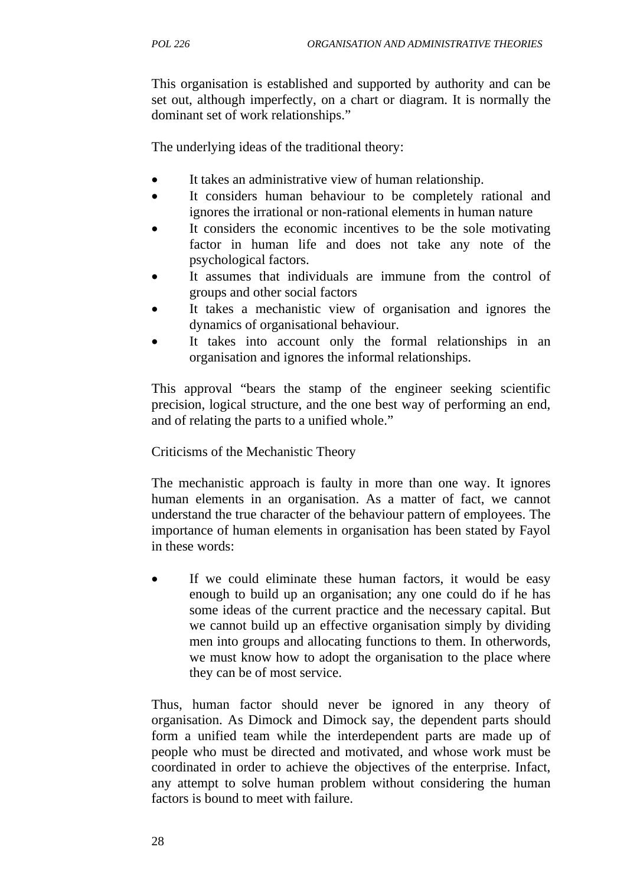This organisation is established and supported by authority and can be set out, although imperfectly, on a chart or diagram. It is normally the dominant set of work relationships."

The underlying ideas of the traditional theory:

- It takes an administrative view of human relationship.
- It considers human behaviour to be completely rational and ignores the irrational or non-rational elements in human nature
- It considers the economic incentives to be the sole motivating factor in human life and does not take any note of the psychological factors.
- It assumes that individuals are immune from the control of groups and other social factors
- It takes a mechanistic view of organisation and ignores the dynamics of organisational behaviour.
- It takes into account only the formal relationships in an organisation and ignores the informal relationships.

This approval "bears the stamp of the engineer seeking scientific precision, logical structure, and the one best way of performing an end, and of relating the parts to a unified whole."

# Criticisms of the Mechanistic Theory

The mechanistic approach is faulty in more than one way. It ignores human elements in an organisation. As a matter of fact, we cannot understand the true character of the behaviour pattern of employees. The importance of human elements in organisation has been stated by Fayol in these words:

If we could eliminate these human factors, it would be easy enough to build up an organisation; any one could do if he has some ideas of the current practice and the necessary capital. But we cannot build up an effective organisation simply by dividing men into groups and allocating functions to them. In otherwords, we must know how to adopt the organisation to the place where they can be of most service.

Thus, human factor should never be ignored in any theory of organisation. As Dimock and Dimock say, the dependent parts should form a unified team while the interdependent parts are made up of people who must be directed and motivated, and whose work must be coordinated in order to achieve the objectives of the enterprise. Infact, any attempt to solve human problem without considering the human factors is bound to meet with failure.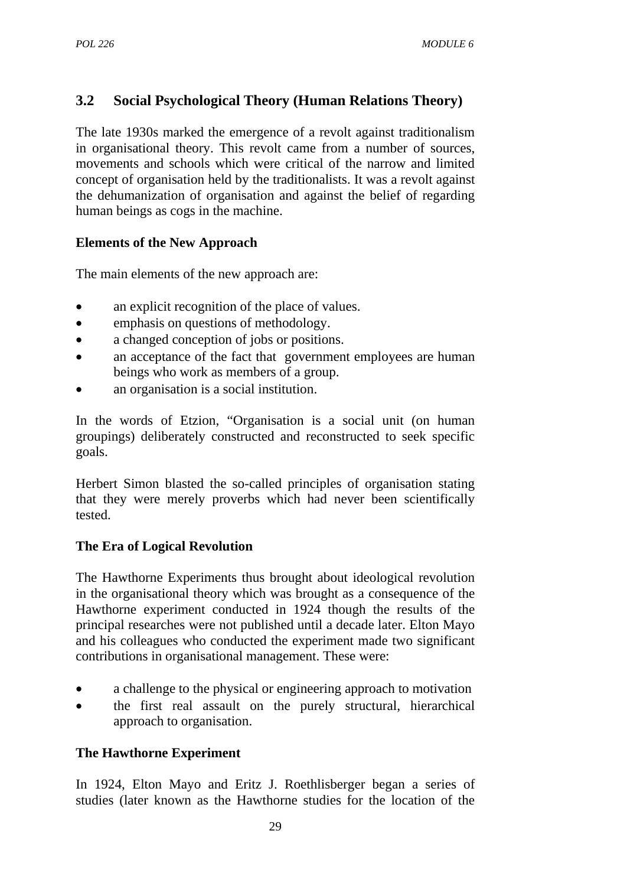# **3.2 Social Psychological Theory (Human Relations Theory)**

The late 1930s marked the emergence of a revolt against traditionalism in organisational theory. This revolt came from a number of sources, movements and schools which were critical of the narrow and limited concept of organisation held by the traditionalists. It was a revolt against the dehumanization of organisation and against the belief of regarding human beings as cogs in the machine.

# **Elements of the New Approach**

The main elements of the new approach are:

- an explicit recognition of the place of values.
- emphasis on questions of methodology.
- a changed conception of jobs or positions.
- an acceptance of the fact that government employees are human beings who work as members of a group.
- an organisation is a social institution.

In the words of Etzion, "Organisation is a social unit (on human groupings) deliberately constructed and reconstructed to seek specific goals.

Herbert Simon blasted the so-called principles of organisation stating that they were merely proverbs which had never been scientifically tested.

# **The Era of Logical Revolution**

The Hawthorne Experiments thus brought about ideological revolution in the organisational theory which was brought as a consequence of the Hawthorne experiment conducted in 1924 though the results of the principal researches were not published until a decade later. Elton Mayo and his colleagues who conducted the experiment made two significant contributions in organisational management. These were:

- a challenge to the physical or engineering approach to motivation
- the first real assault on the purely structural, hierarchical approach to organisation.

# **The Hawthorne Experiment**

In 1924, Elton Mayo and Eritz J. Roethlisberger began a series of studies (later known as the Hawthorne studies for the location of the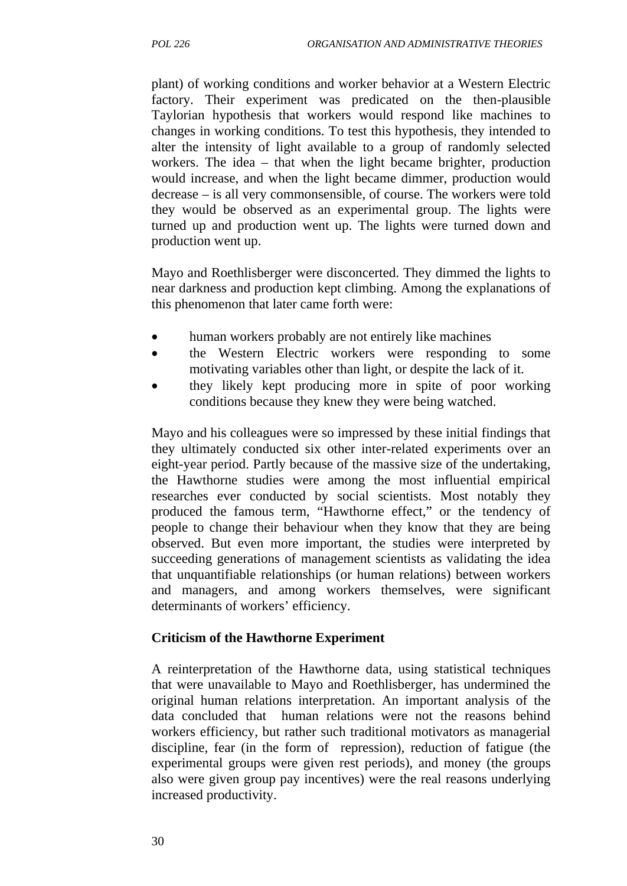plant) of working conditions and worker behavior at a Western Electric factory. Their experiment was predicated on the then-plausible Taylorian hypothesis that workers would respond like machines to changes in working conditions. To test this hypothesis, they intended to alter the intensity of light available to a group of randomly selected workers. The idea – that when the light became brighter, production would increase, and when the light became dimmer, production would decrease – is all very commonsensible, of course. The workers were told they would be observed as an experimental group. The lights were turned up and production went up. The lights were turned down and production went up.

Mayo and Roethlisberger were disconcerted. They dimmed the lights to near darkness and production kept climbing. Among the explanations of this phenomenon that later came forth were:

- human workers probably are not entirely like machines
- the Western Electric workers were responding to some motivating variables other than light, or despite the lack of it.
- they likely kept producing more in spite of poor working conditions because they knew they were being watched.

Mayo and his colleagues were so impressed by these initial findings that they ultimately conducted six other inter-related experiments over an eight-year period. Partly because of the massive size of the undertaking, the Hawthorne studies were among the most influential empirical researches ever conducted by social scientists. Most notably they produced the famous term, "Hawthorne effect," or the tendency of people to change their behaviour when they know that they are being observed. But even more important, the studies were interpreted by succeeding generations of management scientists as validating the idea that unquantifiable relationships (or human relations) between workers and managers, and among workers themselves, were significant determinants of workers' efficiency.

#### **Criticism of the Hawthorne Experiment**

A reinterpretation of the Hawthorne data, using statistical techniques that were unavailable to Mayo and Roethlisberger, has undermined the original human relations interpretation. An important analysis of the data concluded that human relations were not the reasons behind workers efficiency, but rather such traditional motivators as managerial discipline, fear (in the form of repression), reduction of fatigue (the experimental groups were given rest periods), and money (the groups also were given group pay incentives) were the real reasons underlying increased productivity.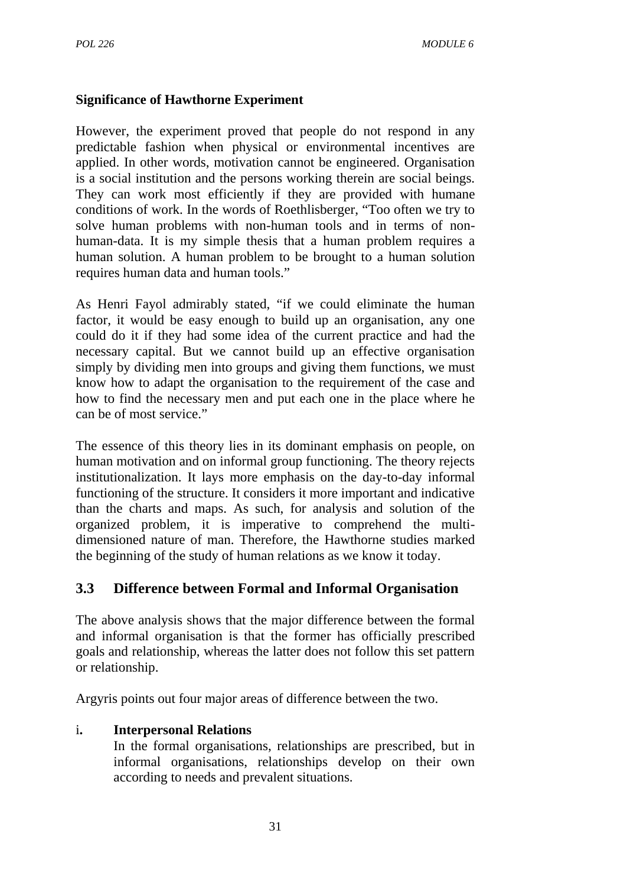#### **Significance of Hawthorne Experiment**

However, the experiment proved that people do not respond in any predictable fashion when physical or environmental incentives are applied. In other words, motivation cannot be engineered. Organisation is a social institution and the persons working therein are social beings. They can work most efficiently if they are provided with humane conditions of work. In the words of Roethlisberger, "Too often we try to solve human problems with non-human tools and in terms of nonhuman-data. It is my simple thesis that a human problem requires a human solution. A human problem to be brought to a human solution requires human data and human tools."

As Henri Fayol admirably stated, "if we could eliminate the human factor, it would be easy enough to build up an organisation, any one could do it if they had some idea of the current practice and had the necessary capital. But we cannot build up an effective organisation simply by dividing men into groups and giving them functions, we must know how to adapt the organisation to the requirement of the case and how to find the necessary men and put each one in the place where he can be of most service."

The essence of this theory lies in its dominant emphasis on people, on human motivation and on informal group functioning. The theory rejects institutionalization. It lays more emphasis on the day-to-day informal functioning of the structure. It considers it more important and indicative than the charts and maps. As such, for analysis and solution of the organized problem, it is imperative to comprehend the multidimensioned nature of man. Therefore, the Hawthorne studies marked the beginning of the study of human relations as we know it today.

# **3.3 Difference between Formal and Informal Organisation**

The above analysis shows that the major difference between the formal and informal organisation is that the former has officially prescribed goals and relationship, whereas the latter does not follow this set pattern or relationship.

Argyris points out four major areas of difference between the two.

#### i**. Interpersonal Relations**

In the formal organisations, relationships are prescribed, but in informal organisations, relationships develop on their own according to needs and prevalent situations.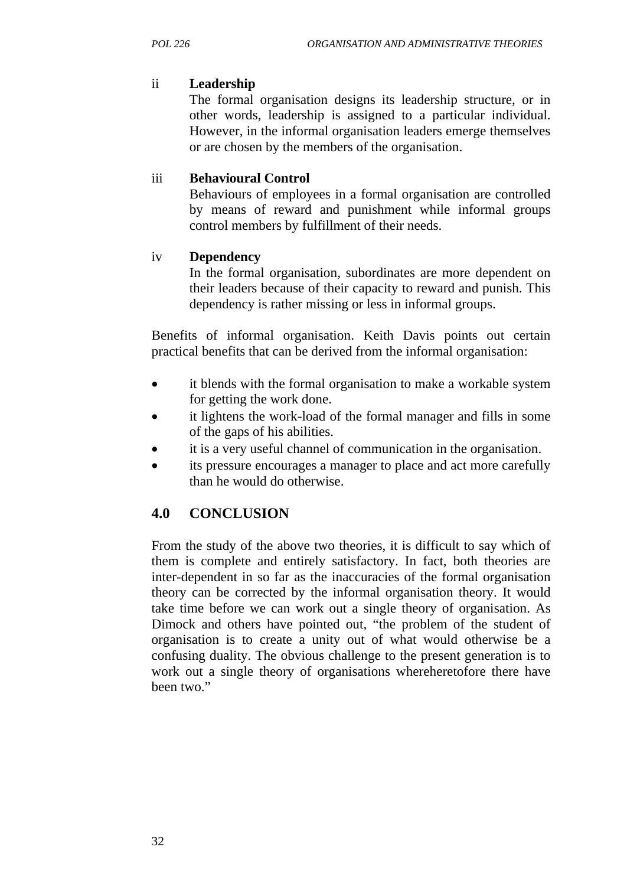#### ii **Leadership**

The formal organisation designs its leadership structure, or in other words, leadership is assigned to a particular individual. However, in the informal organisation leaders emerge themselves or are chosen by the members of the organisation.

#### iii **Behavioural Control**

Behaviours of employees in a formal organisation are controlled by means of reward and punishment while informal groups control members by fulfillment of their needs.

#### iv **Dependency**

In the formal organisation, subordinates are more dependent on their leaders because of their capacity to reward and punish. This dependency is rather missing or less in informal groups.

Benefits of informal organisation. Keith Davis points out certain practical benefits that can be derived from the informal organisation:

- it blends with the formal organisation to make a workable system for getting the work done.
- it lightens the work-load of the formal manager and fills in some of the gaps of his abilities.
- it is a very useful channel of communication in the organisation.
- its pressure encourages a manager to place and act more carefully than he would do otherwise.

# **4.0 CONCLUSION**

From the study of the above two theories, it is difficult to say which of them is complete and entirely satisfactory. In fact, both theories are inter-dependent in so far as the inaccuracies of the formal organisation theory can be corrected by the informal organisation theory. It would take time before we can work out a single theory of organisation. As Dimock and others have pointed out, "the problem of the student of organisation is to create a unity out of what would otherwise be a confusing duality. The obvious challenge to the present generation is to work out a single theory of organisations whereheretofore there have been two."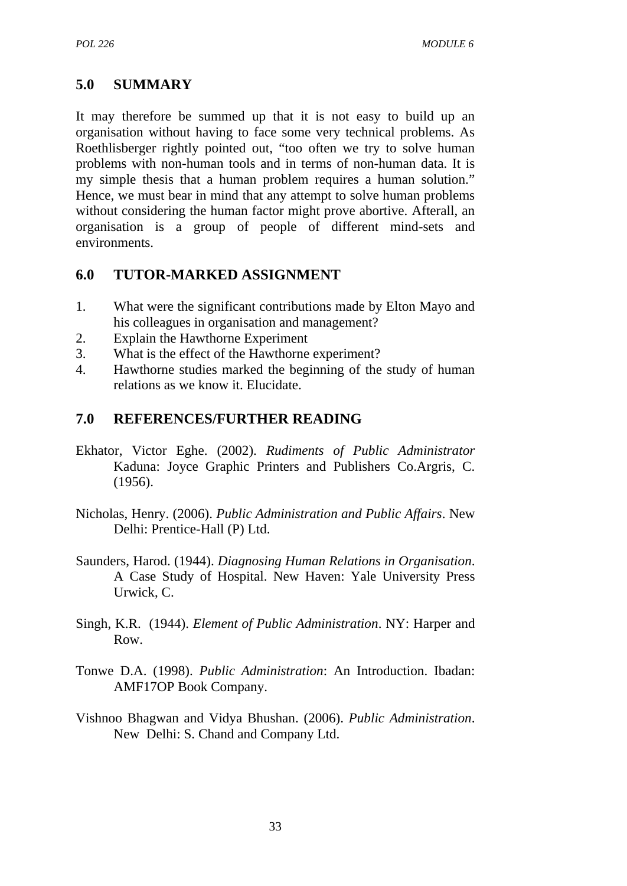# **5.0 SUMMARY**

It may therefore be summed up that it is not easy to build up an organisation without having to face some very technical problems. As Roethlisberger rightly pointed out, "too often we try to solve human problems with non-human tools and in terms of non-human data. It is my simple thesis that a human problem requires a human solution." Hence, we must bear in mind that any attempt to solve human problems without considering the human factor might prove abortive. Afterall, an organisation is a group of people of different mind-sets and environments.

# **6.0 TUTOR-MARKED ASSIGNMENT**

- 1. What were the significant contributions made by Elton Mayo and his colleagues in organisation and management?
- 2. Explain the Hawthorne Experiment
- 3. What is the effect of the Hawthorne experiment?
- 4. Hawthorne studies marked the beginning of the study of human relations as we know it. Elucidate.

# **7.0 REFERENCES/FURTHER READING**

- Ekhator, Victor Eghe. (2002). *Rudiments of Public Administrator* Kaduna: Joyce Graphic Printers and Publishers Co.Argris, C. (1956).
- Nicholas, Henry. (2006). *Public Administration and Public Affairs*. New Delhi: Prentice-Hall (P) Ltd.
- Saunders, Harod. (1944). *Diagnosing Human Relations in Organisation*. A Case Study of Hospital. New Haven: Yale University Press Urwick, C.
- Singh, K.R. (1944). *Element of Public Administration*. NY: Harper and Row.
- Tonwe D.A. (1998). *Public Administration*: An Introduction. Ibadan: AMF17OP Book Company.
- Vishnoo Bhagwan and Vidya Bhushan. (2006). *Public Administration*. New Delhi: S. Chand and Company Ltd.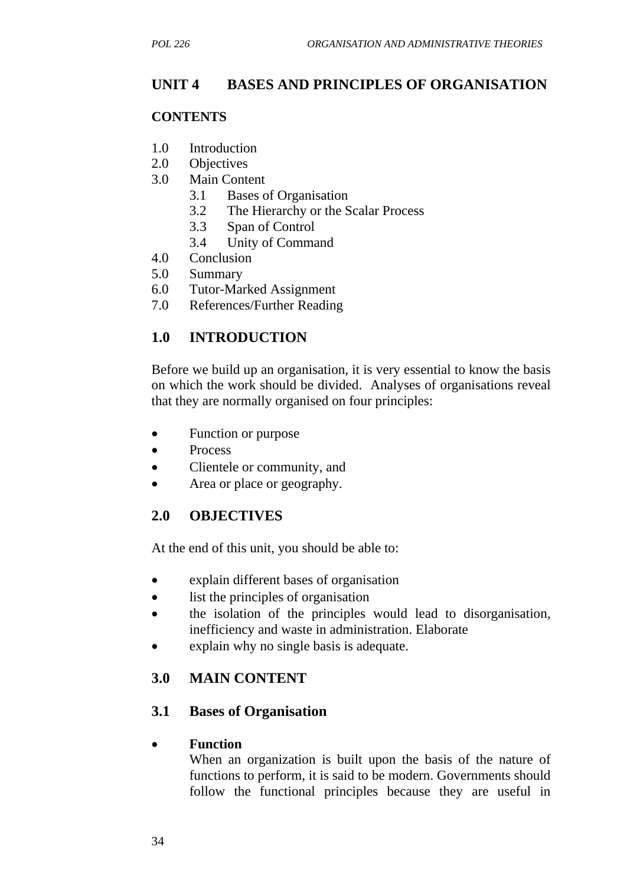# **UNIT 4 BASES AND PRINCIPLES OF ORGANISATION**

#### **CONTENTS**

- 1.0 Introduction
- 2.0 Objectives
- 3.0 Main Content
	- 3.1 Bases of Organisation
	- 3.2 The Hierarchy or the Scalar Process
	- 3.3 Span of Control
	- 3.4 Unity of Command
- 4.0 Conclusion
- 5.0 Summary
- 6.0 Tutor-Marked Assignment
- 7.0 References/Further Reading

# **1.0 INTRODUCTION**

Before we build up an organisation, it is very essential to know the basis on which the work should be divided. Analyses of organisations reveal that they are normally organised on four principles:

- Function or purpose
- Process
- Clientele or community, and
- Area or place or geography.

#### **2.0 OBJECTIVES**

At the end of this unit, you should be able to:

- explain different bases of organisation
- list the principles of organisation
- the isolation of the principles would lead to disorganisation, inefficiency and waste in administration. Elaborate
- explain why no single basis is adequate.

# **3.0 MAIN CONTENT**

#### **3.1 Bases of Organisation**

#### • **Function**

When an organization is built upon the basis of the nature of functions to perform, it is said to be modern. Governments should follow the functional principles because they are useful in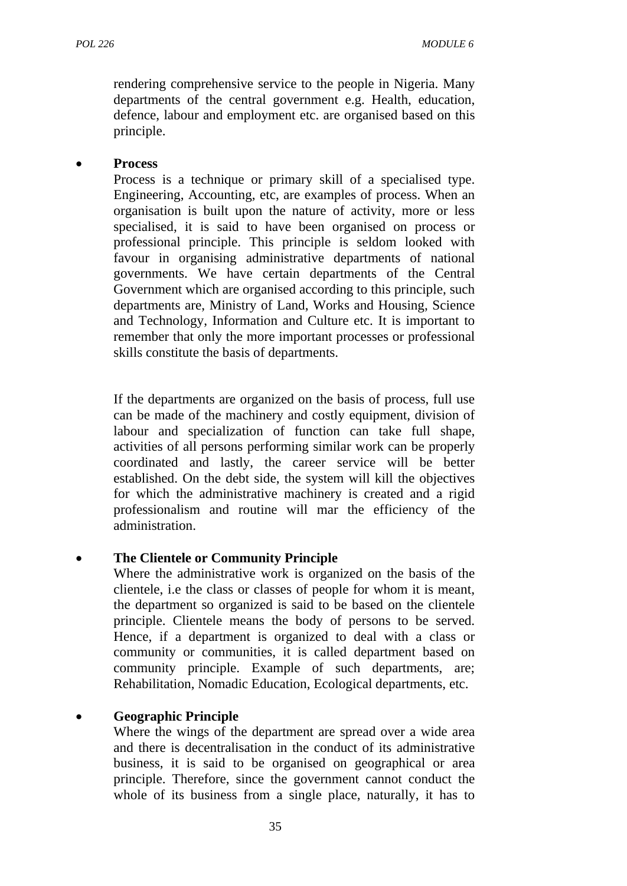rendering comprehensive service to the people in Nigeria. Many departments of the central government e.g. Health, education, defence, labour and employment etc. are organised based on this principle.

#### • **Process**

Process is a technique or primary skill of a specialised type. Engineering, Accounting, etc, are examples of process. When an organisation is built upon the nature of activity, more or less specialised, it is said to have been organised on process or professional principle. This principle is seldom looked with favour in organising administrative departments of national governments. We have certain departments of the Central Government which are organised according to this principle, such departments are, Ministry of Land, Works and Housing, Science and Technology, Information and Culture etc. It is important to remember that only the more important processes or professional skills constitute the basis of departments.

If the departments are organized on the basis of process, full use can be made of the machinery and costly equipment, division of labour and specialization of function can take full shape, activities of all persons performing similar work can be properly coordinated and lastly, the career service will be better established. On the debt side, the system will kill the objectives for which the administrative machinery is created and a rigid professionalism and routine will mar the efficiency of the administration.

#### • **The Clientele or Community Principle**

Where the administrative work is organized on the basis of the clientele, i.e the class or classes of people for whom it is meant, the department so organized is said to be based on the clientele principle. Clientele means the body of persons to be served. Hence, if a department is organized to deal with a class or community or communities, it is called department based on community principle. Example of such departments, are; Rehabilitation, Nomadic Education, Ecological departments, etc.

#### • **Geographic Principle**

Where the wings of the department are spread over a wide area and there is decentralisation in the conduct of its administrative business, it is said to be organised on geographical or area principle. Therefore, since the government cannot conduct the whole of its business from a single place, naturally, it has to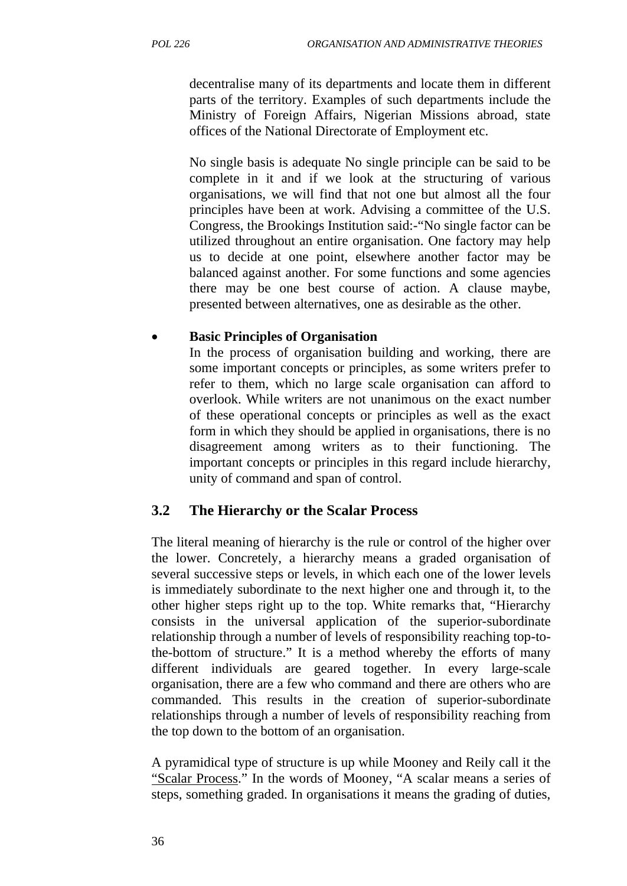decentralise many of its departments and locate them in different parts of the territory. Examples of such departments include the Ministry of Foreign Affairs, Nigerian Missions abroad, state offices of the National Directorate of Employment etc.

No single basis is adequate No single principle can be said to be complete in it and if we look at the structuring of various organisations, we will find that not one but almost all the four principles have been at work. Advising a committee of the U.S. Congress, the Brookings Institution said:-"No single factor can be utilized throughout an entire organisation. One factory may help us to decide at one point, elsewhere another factor may be balanced against another. For some functions and some agencies there may be one best course of action. A clause maybe, presented between alternatives, one as desirable as the other.

#### • **Basic Principles of Organisation**

In the process of organisation building and working, there are some important concepts or principles, as some writers prefer to refer to them, which no large scale organisation can afford to overlook. While writers are not unanimous on the exact number of these operational concepts or principles as well as the exact form in which they should be applied in organisations, there is no disagreement among writers as to their functioning. The important concepts or principles in this regard include hierarchy, unity of command and span of control.

# **3.2 The Hierarchy or the Scalar Process**

The literal meaning of hierarchy is the rule or control of the higher over the lower. Concretely, a hierarchy means a graded organisation of several successive steps or levels, in which each one of the lower levels is immediately subordinate to the next higher one and through it, to the other higher steps right up to the top. White remarks that, "Hierarchy consists in the universal application of the superior-subordinate relationship through a number of levels of responsibility reaching top-tothe-bottom of structure." It is a method whereby the efforts of many different individuals are geared together. In every large-scale organisation, there are a few who command and there are others who are commanded. This results in the creation of superior-subordinate relationships through a number of levels of responsibility reaching from the top down to the bottom of an organisation.

A pyramidical type of structure is up while Mooney and Reily call it the "Scalar Process." In the words of Mooney, "A scalar means a series of steps, something graded. In organisations it means the grading of duties,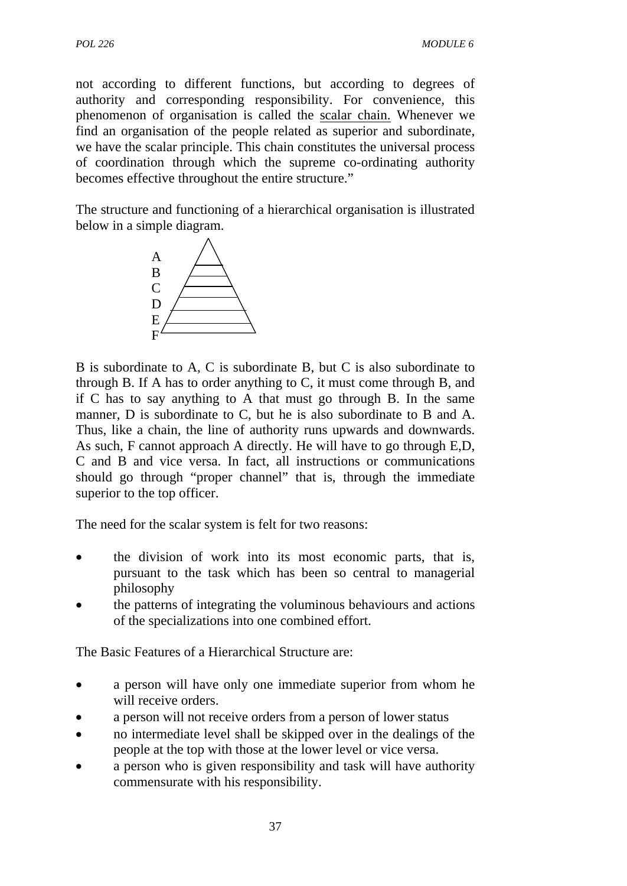not according to different functions, but according to degrees of authority and corresponding responsibility. For convenience, this phenomenon of organisation is called the scalar chain. Whenever we find an organisation of the people related as superior and subordinate, we have the scalar principle. This chain constitutes the universal process of coordination through which the supreme co-ordinating authority becomes effective throughout the entire structure."

The structure and functioning of a hierarchical organisation is illustrated below in a simple diagram.



B is subordinate to A, C is subordinate B, but C is also subordinate to through B. If A has to order anything to C, it must come through B, and if C has to say anything to A that must go through B. In the same manner, D is subordinate to C, but he is also subordinate to B and A. Thus, like a chain, the line of authority runs upwards and downwards. As such, F cannot approach A directly. He will have to go through E,D, C and B and vice versa. In fact, all instructions or communications should go through "proper channel" that is, through the immediate superior to the top officer.

The need for the scalar system is felt for two reasons:

- the division of work into its most economic parts, that is, pursuant to the task which has been so central to managerial philosophy
- the patterns of integrating the voluminous behaviours and actions of the specializations into one combined effort.

The Basic Features of a Hierarchical Structure are:

- a person will have only one immediate superior from whom he will receive orders.
- a person will not receive orders from a person of lower status
- no intermediate level shall be skipped over in the dealings of the people at the top with those at the lower level or vice versa.
- a person who is given responsibility and task will have authority commensurate with his responsibility.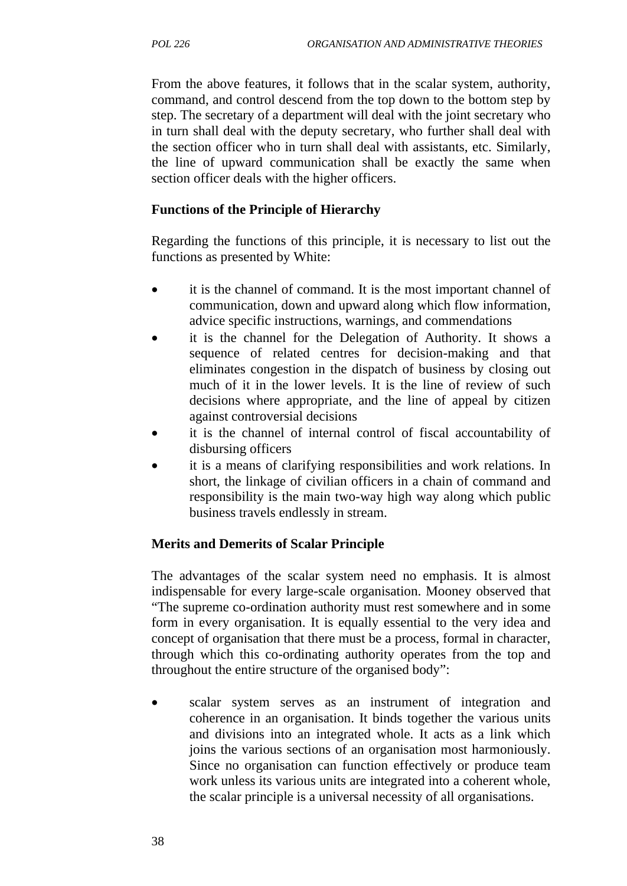From the above features, it follows that in the scalar system, authority, command, and control descend from the top down to the bottom step by step. The secretary of a department will deal with the joint secretary who in turn shall deal with the deputy secretary, who further shall deal with the section officer who in turn shall deal with assistants, etc. Similarly, the line of upward communication shall be exactly the same when section officer deals with the higher officers.

### **Functions of the Principle of Hierarchy**

Regarding the functions of this principle, it is necessary to list out the functions as presented by White:

- it is the channel of command. It is the most important channel of communication, down and upward along which flow information, advice specific instructions, warnings, and commendations
- it is the channel for the Delegation of Authority. It shows a sequence of related centres for decision-making and that eliminates congestion in the dispatch of business by closing out much of it in the lower levels. It is the line of review of such decisions where appropriate, and the line of appeal by citizen against controversial decisions
- it is the channel of internal control of fiscal accountability of disbursing officers
- it is a means of clarifying responsibilities and work relations. In short, the linkage of civilian officers in a chain of command and responsibility is the main two-way high way along which public business travels endlessly in stream.

### **Merits and Demerits of Scalar Principle**

The advantages of the scalar system need no emphasis. It is almost indispensable for every large-scale organisation. Mooney observed that "The supreme co-ordination authority must rest somewhere and in some form in every organisation. It is equally essential to the very idea and concept of organisation that there must be a process, formal in character, through which this co-ordinating authority operates from the top and throughout the entire structure of the organised body":

scalar system serves as an instrument of integration and coherence in an organisation. It binds together the various units and divisions into an integrated whole. It acts as a link which joins the various sections of an organisation most harmoniously. Since no organisation can function effectively or produce team work unless its various units are integrated into a coherent whole, the scalar principle is a universal necessity of all organisations.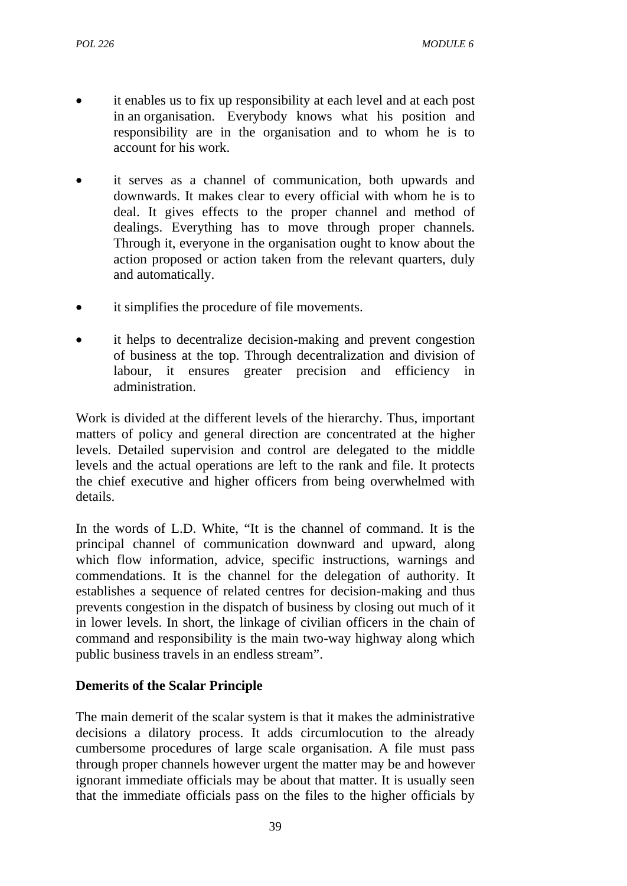- it enables us to fix up responsibility at each level and at each post in an organisation. Everybody knows what his position and responsibility are in the organisation and to whom he is to account for his work.
- it serves as a channel of communication, both upwards and downwards. It makes clear to every official with whom he is to deal. It gives effects to the proper channel and method of dealings. Everything has to move through proper channels. Through it, everyone in the organisation ought to know about the action proposed or action taken from the relevant quarters, duly and automatically.
- it simplifies the procedure of file movements.
- it helps to decentralize decision-making and prevent congestion of business at the top. Through decentralization and division of labour, it ensures greater precision and efficiency in administration.

Work is divided at the different levels of the hierarchy. Thus, important matters of policy and general direction are concentrated at the higher levels. Detailed supervision and control are delegated to the middle levels and the actual operations are left to the rank and file. It protects the chief executive and higher officers from being overwhelmed with details.

In the words of L.D. White, "It is the channel of command. It is the principal channel of communication downward and upward, along which flow information, advice, specific instructions, warnings and commendations. It is the channel for the delegation of authority. It establishes a sequence of related centres for decision-making and thus prevents congestion in the dispatch of business by closing out much of it in lower levels. In short, the linkage of civilian officers in the chain of command and responsibility is the main two-way highway along which public business travels in an endless stream".

### **Demerits of the Scalar Principle**

The main demerit of the scalar system is that it makes the administrative decisions a dilatory process. It adds circumlocution to the already cumbersome procedures of large scale organisation. A file must pass through proper channels however urgent the matter may be and however ignorant immediate officials may be about that matter. It is usually seen that the immediate officials pass on the files to the higher officials by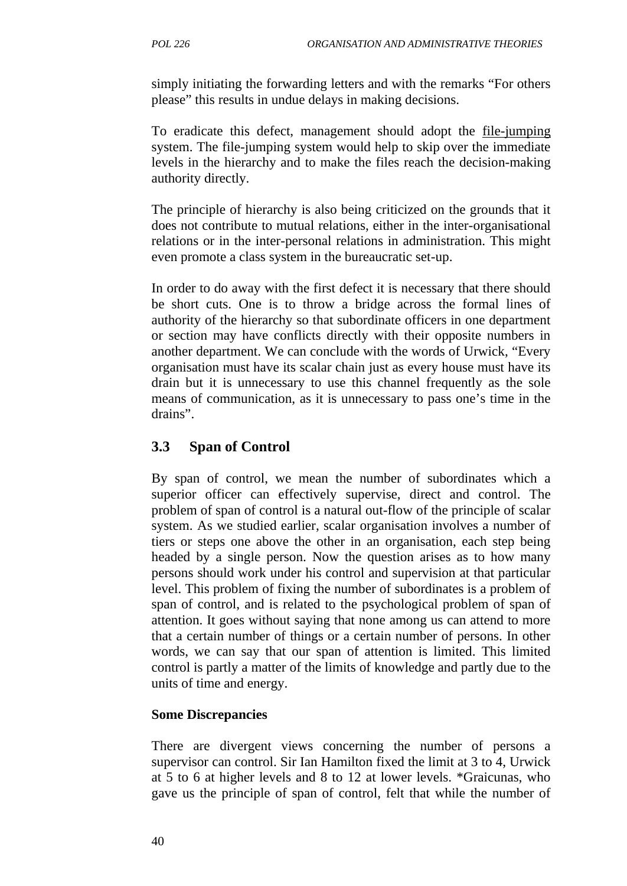simply initiating the forwarding letters and with the remarks "For others please" this results in undue delays in making decisions.

To eradicate this defect, management should adopt the file-jumping system. The file-jumping system would help to skip over the immediate levels in the hierarchy and to make the files reach the decision-making authority directly.

The principle of hierarchy is also being criticized on the grounds that it does not contribute to mutual relations, either in the inter-organisational relations or in the inter-personal relations in administration. This might even promote a class system in the bureaucratic set-up.

In order to do away with the first defect it is necessary that there should be short cuts. One is to throw a bridge across the formal lines of authority of the hierarchy so that subordinate officers in one department or section may have conflicts directly with their opposite numbers in another department. We can conclude with the words of Urwick, "Every organisation must have its scalar chain just as every house must have its drain but it is unnecessary to use this channel frequently as the sole means of communication, as it is unnecessary to pass one's time in the drains".

## **3.3 Span of Control**

By span of control, we mean the number of subordinates which a superior officer can effectively supervise, direct and control. The problem of span of control is a natural out-flow of the principle of scalar system. As we studied earlier, scalar organisation involves a number of tiers or steps one above the other in an organisation, each step being headed by a single person. Now the question arises as to how many persons should work under his control and supervision at that particular level. This problem of fixing the number of subordinates is a problem of span of control, and is related to the psychological problem of span of attention. It goes without saying that none among us can attend to more that a certain number of things or a certain number of persons. In other words, we can say that our span of attention is limited. This limited control is partly a matter of the limits of knowledge and partly due to the units of time and energy.

### **Some Discrepancies**

There are divergent views concerning the number of persons a supervisor can control. Sir Ian Hamilton fixed the limit at 3 to 4, Urwick at 5 to 6 at higher levels and 8 to 12 at lower levels. \*Graicunas, who gave us the principle of span of control, felt that while the number of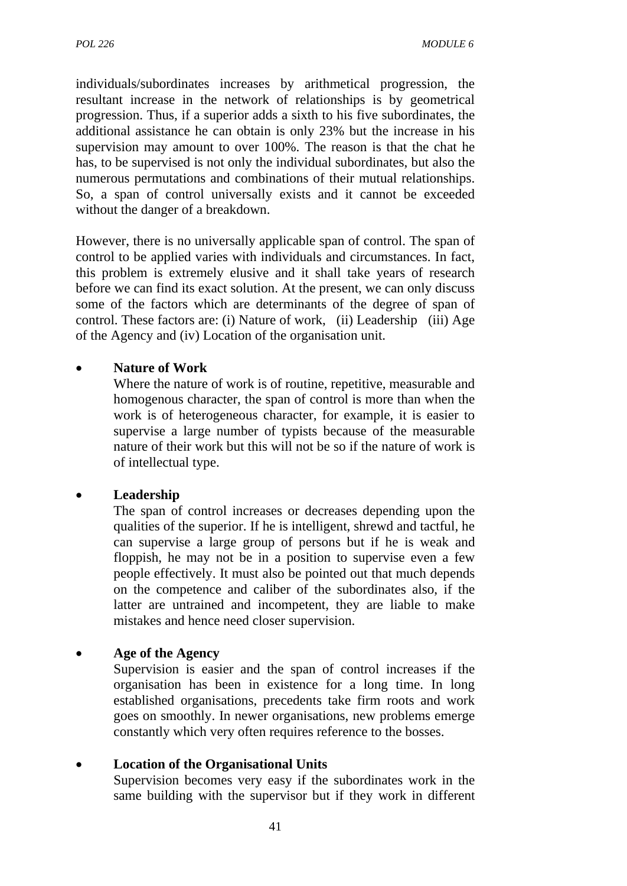individuals/subordinates increases by arithmetical progression, the resultant increase in the network of relationships is by geometrical progression. Thus, if a superior adds a sixth to his five subordinates, the additional assistance he can obtain is only 23% but the increase in his supervision may amount to over 100%. The reason is that the chat he has, to be supervised is not only the individual subordinates, but also the numerous permutations and combinations of their mutual relationships. So, a span of control universally exists and it cannot be exceeded without the danger of a breakdown.

However, there is no universally applicable span of control. The span of control to be applied varies with individuals and circumstances. In fact, this problem is extremely elusive and it shall take years of research before we can find its exact solution. At the present, we can only discuss some of the factors which are determinants of the degree of span of control. These factors are: (i) Nature of work, (ii) Leadership (iii) Age of the Agency and (iv) Location of the organisation unit.

## • **Nature of Work**

Where the nature of work is of routine, repetitive, measurable and homogenous character, the span of control is more than when the work is of heterogeneous character, for example, it is easier to supervise a large number of typists because of the measurable nature of their work but this will not be so if the nature of work is of intellectual type.

### • **Leadership**

The span of control increases or decreases depending upon the qualities of the superior. If he is intelligent, shrewd and tactful, he can supervise a large group of persons but if he is weak and floppish, he may not be in a position to supervise even a few people effectively. It must also be pointed out that much depends on the competence and caliber of the subordinates also, if the latter are untrained and incompetent, they are liable to make mistakes and hence need closer supervision.

#### • **Age of the Agency**

Supervision is easier and the span of control increases if the organisation has been in existence for a long time. In long established organisations, precedents take firm roots and work goes on smoothly. In newer organisations, new problems emerge constantly which very often requires reference to the bosses.

### • **Location of the Organisational Units**

Supervision becomes very easy if the subordinates work in the same building with the supervisor but if they work in different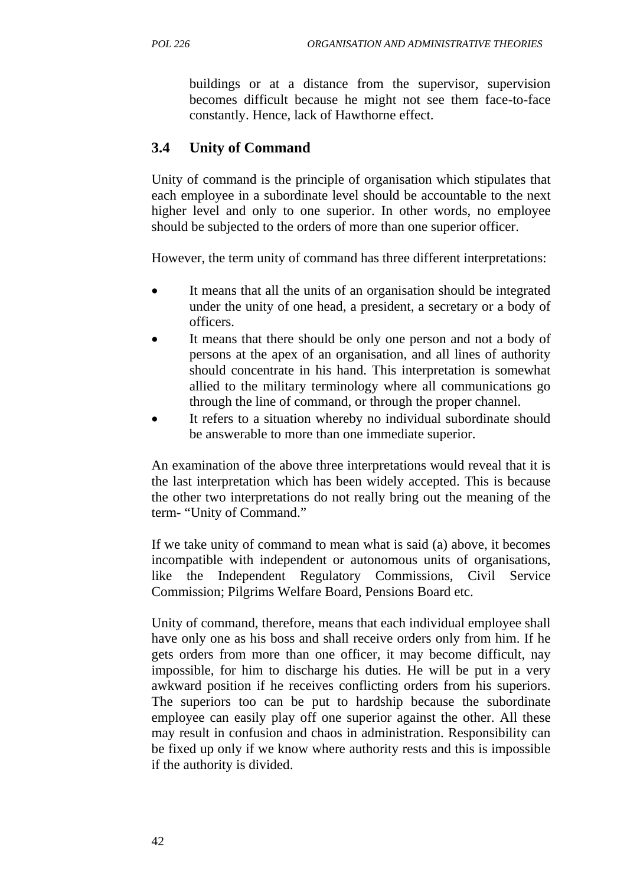buildings or at a distance from the supervisor, supervision becomes difficult because he might not see them face-to-face constantly. Hence, lack of Hawthorne effect.

## **3.4 Unity of Command**

Unity of command is the principle of organisation which stipulates that each employee in a subordinate level should be accountable to the next higher level and only to one superior. In other words, no employee should be subjected to the orders of more than one superior officer.

However, the term unity of command has three different interpretations:

- It means that all the units of an organisation should be integrated under the unity of one head, a president, a secretary or a body of officers.
- It means that there should be only one person and not a body of persons at the apex of an organisation, and all lines of authority should concentrate in his hand. This interpretation is somewhat allied to the military terminology where all communications go through the line of command, or through the proper channel.
- It refers to a situation whereby no individual subordinate should be answerable to more than one immediate superior.

An examination of the above three interpretations would reveal that it is the last interpretation which has been widely accepted. This is because the other two interpretations do not really bring out the meaning of the term- "Unity of Command."

If we take unity of command to mean what is said (a) above, it becomes incompatible with independent or autonomous units of organisations, like the Independent Regulatory Commissions, Civil Service Commission; Pilgrims Welfare Board, Pensions Board etc.

Unity of command, therefore, means that each individual employee shall have only one as his boss and shall receive orders only from him. If he gets orders from more than one officer, it may become difficult, nay impossible, for him to discharge his duties. He will be put in a very awkward position if he receives conflicting orders from his superiors. The superiors too can be put to hardship because the subordinate employee can easily play off one superior against the other. All these may result in confusion and chaos in administration. Responsibility can be fixed up only if we know where authority rests and this is impossible if the authority is divided.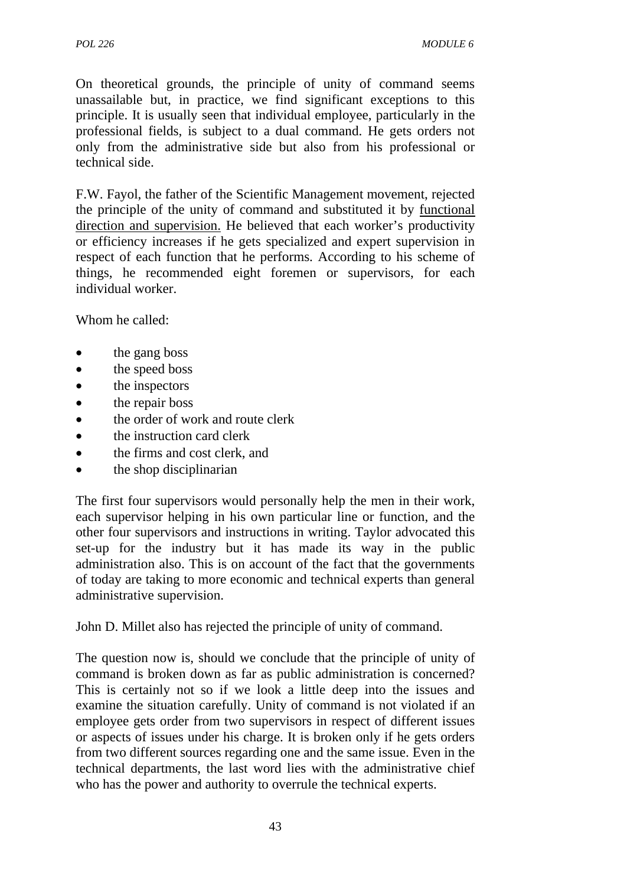On theoretical grounds, the principle of unity of command seems unassailable but, in practice, we find significant exceptions to this principle. It is usually seen that individual employee, particularly in the professional fields, is subject to a dual command. He gets orders not only from the administrative side but also from his professional or technical side.

F.W. Fayol, the father of the Scientific Management movement, rejected the principle of the unity of command and substituted it by functional direction and supervision. He believed that each worker's productivity or efficiency increases if he gets specialized and expert supervision in respect of each function that he performs. According to his scheme of things, he recommended eight foremen or supervisors, for each individual worker.

Whom he called:

- the gang boss
- the speed boss
- the inspectors
- the repair boss
- the order of work and route clerk
- the instruction card clerk
- the firms and cost clerk, and
- the shop disciplinarian

The first four supervisors would personally help the men in their work, each supervisor helping in his own particular line or function, and the other four supervisors and instructions in writing. Taylor advocated this set-up for the industry but it has made its way in the public administration also. This is on account of the fact that the governments of today are taking to more economic and technical experts than general administrative supervision.

John D. Millet also has rejected the principle of unity of command.

The question now is, should we conclude that the principle of unity of command is broken down as far as public administration is concerned? This is certainly not so if we look a little deep into the issues and examine the situation carefully. Unity of command is not violated if an employee gets order from two supervisors in respect of different issues or aspects of issues under his charge. It is broken only if he gets orders from two different sources regarding one and the same issue. Even in the technical departments, the last word lies with the administrative chief who has the power and authority to overrule the technical experts.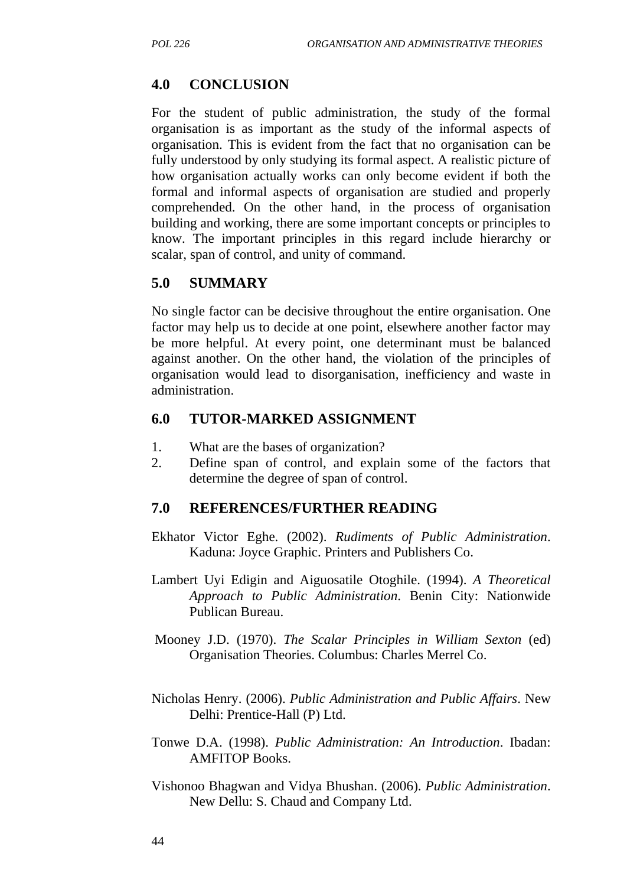## **4.0 CONCLUSION**

For the student of public administration, the study of the formal organisation is as important as the study of the informal aspects of organisation. This is evident from the fact that no organisation can be fully understood by only studying its formal aspect. A realistic picture of how organisation actually works can only become evident if both the formal and informal aspects of organisation are studied and properly comprehended. On the other hand, in the process of organisation building and working, there are some important concepts or principles to know. The important principles in this regard include hierarchy or scalar, span of control, and unity of command.

## **5.0 SUMMARY**

No single factor can be decisive throughout the entire organisation. One factor may help us to decide at one point, elsewhere another factor may be more helpful. At every point, one determinant must be balanced against another. On the other hand, the violation of the principles of organisation would lead to disorganisation, inefficiency and waste in administration.

#### **6.0 TUTOR-MARKED ASSIGNMENT**

- 1. What are the bases of organization?
- 2. Define span of control, and explain some of the factors that determine the degree of span of control.

### **7.0 REFERENCES/FURTHER READING**

- Ekhator Victor Eghe. (2002). *Rudiments of Public Administration*. Kaduna: Joyce Graphic. Printers and Publishers Co.
- Lambert Uyi Edigin and Aiguosatile Otoghile. (1994). *A Theoretical Approach to Public Administration*. Benin City: Nationwide Publican Bureau.
- Mooney J.D. (1970). *The Scalar Principles in William Sexton* (ed) Organisation Theories. Columbus: Charles Merrel Co.
- Nicholas Henry. (2006). *Public Administration and Public Affairs*. New Delhi: Prentice-Hall (P) Ltd.
- Tonwe D.A. (1998). *Public Administration: An Introduction*. Ibadan: AMFITOP Books.
- Vishonoo Bhagwan and Vidya Bhushan. (2006). *Public Administration*. New Dellu: S. Chaud and Company Ltd.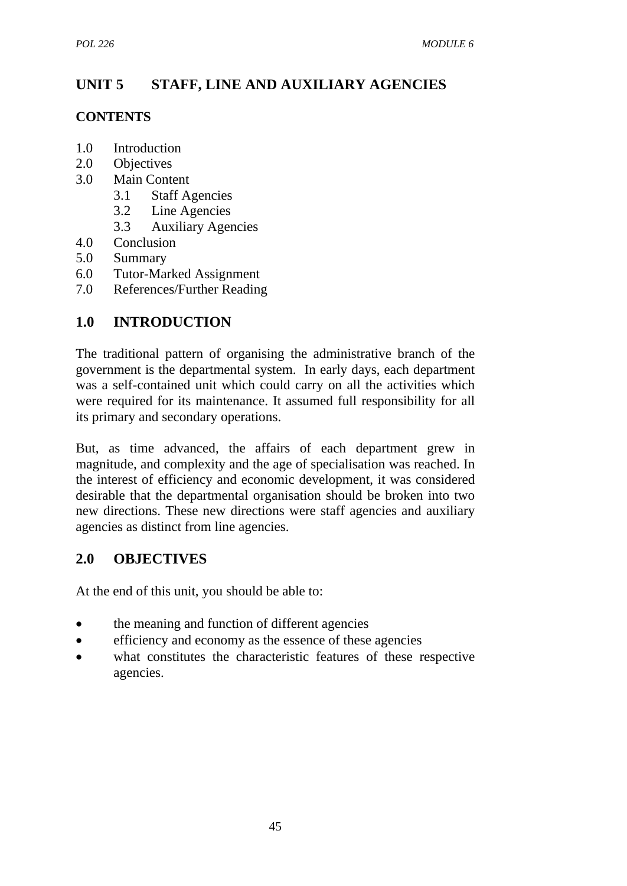# **UNIT 5 STAFF, LINE AND AUXILIARY AGENCIES**

## **CONTENTS**

- 1.0 Introduction
- 2.0 Objectives
- 3.0 Main Content
	- 3.1 Staff Agencies
	- 3.2 Line Agencies
	- 3.3 Auxiliary Agencies
- 4.0 Conclusion
- 5.0 Summary
- 6.0 Tutor-Marked Assignment
- 7.0 References/Further Reading

## **1.0 INTRODUCTION**

The traditional pattern of organising the administrative branch of the government is the departmental system. In early days, each department was a self-contained unit which could carry on all the activities which were required for its maintenance. It assumed full responsibility for all its primary and secondary operations.

But, as time advanced, the affairs of each department grew in magnitude, and complexity and the age of specialisation was reached. In the interest of efficiency and economic development, it was considered desirable that the departmental organisation should be broken into two new directions. These new directions were staff agencies and auxiliary agencies as distinct from line agencies.

## **2.0 OBJECTIVES**

At the end of this unit, you should be able to:

- the meaning and function of different agencies
- efficiency and economy as the essence of these agencies
- what constitutes the characteristic features of these respective agencies.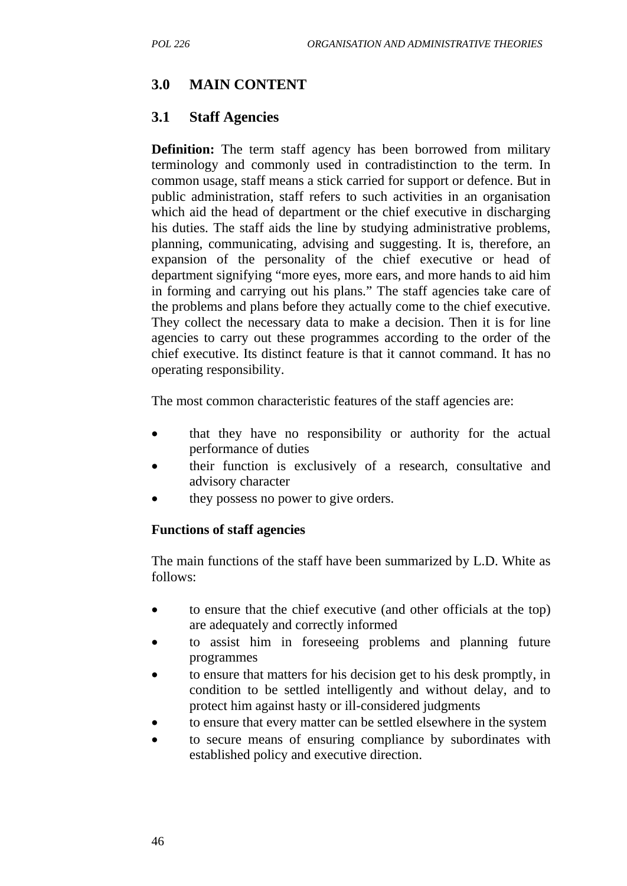## **3.0 MAIN CONTENT**

## **3.1 Staff Agencies**

**Definition:** The term staff agency has been borrowed from military terminology and commonly used in contradistinction to the term. In common usage, staff means a stick carried for support or defence. But in public administration, staff refers to such activities in an organisation which aid the head of department or the chief executive in discharging his duties. The staff aids the line by studying administrative problems, planning, communicating, advising and suggesting. It is, therefore, an expansion of the personality of the chief executive or head of department signifying "more eyes, more ears, and more hands to aid him in forming and carrying out his plans." The staff agencies take care of the problems and plans before they actually come to the chief executive. They collect the necessary data to make a decision. Then it is for line agencies to carry out these programmes according to the order of the chief executive. Its distinct feature is that it cannot command. It has no operating responsibility.

The most common characteristic features of the staff agencies are:

- that they have no responsibility or authority for the actual performance of duties
- their function is exclusively of a research, consultative and advisory character
- they possess no power to give orders.

### **Functions of staff agencies**

The main functions of the staff have been summarized by L.D. White as follows:

- to ensure that the chief executive (and other officials at the top) are adequately and correctly informed
- to assist him in foreseeing problems and planning future programmes
- to ensure that matters for his decision get to his desk promptly, in condition to be settled intelligently and without delay, and to protect him against hasty or ill-considered judgments
- to ensure that every matter can be settled elsewhere in the system
- to secure means of ensuring compliance by subordinates with established policy and executive direction.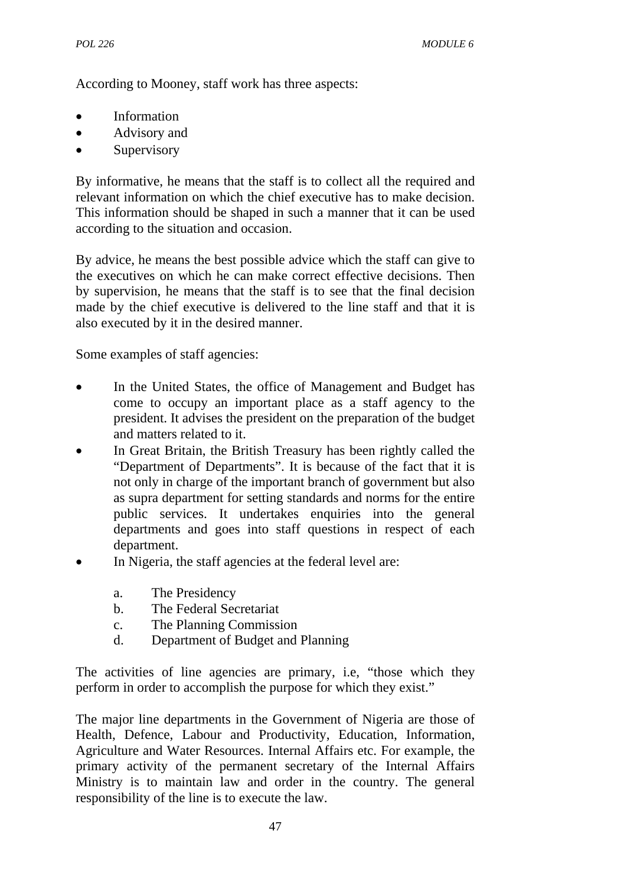According to Mooney, staff work has three aspects:

- **Information**
- Advisory and
- Supervisory

By informative, he means that the staff is to collect all the required and relevant information on which the chief executive has to make decision. This information should be shaped in such a manner that it can be used according to the situation and occasion.

By advice, he means the best possible advice which the staff can give to the executives on which he can make correct effective decisions. Then by supervision, he means that the staff is to see that the final decision made by the chief executive is delivered to the line staff and that it is also executed by it in the desired manner.

Some examples of staff agencies:

- In the United States, the office of Management and Budget has come to occupy an important place as a staff agency to the president. It advises the president on the preparation of the budget and matters related to it.
- In Great Britain, the British Treasury has been rightly called the "Department of Departments". It is because of the fact that it is not only in charge of the important branch of government but also as supra department for setting standards and norms for the entire public services. It undertakes enquiries into the general departments and goes into staff questions in respect of each department.
- In Nigeria, the staff agencies at the federal level are:
	- a. The Presidency
	- b. The Federal Secretariat
	- c. The Planning Commission
	- d. Department of Budget and Planning

The activities of line agencies are primary, i.e, "those which they perform in order to accomplish the purpose for which they exist."

The major line departments in the Government of Nigeria are those of Health, Defence, Labour and Productivity, Education, Information, Agriculture and Water Resources. Internal Affairs etc. For example, the primary activity of the permanent secretary of the Internal Affairs Ministry is to maintain law and order in the country. The general responsibility of the line is to execute the law.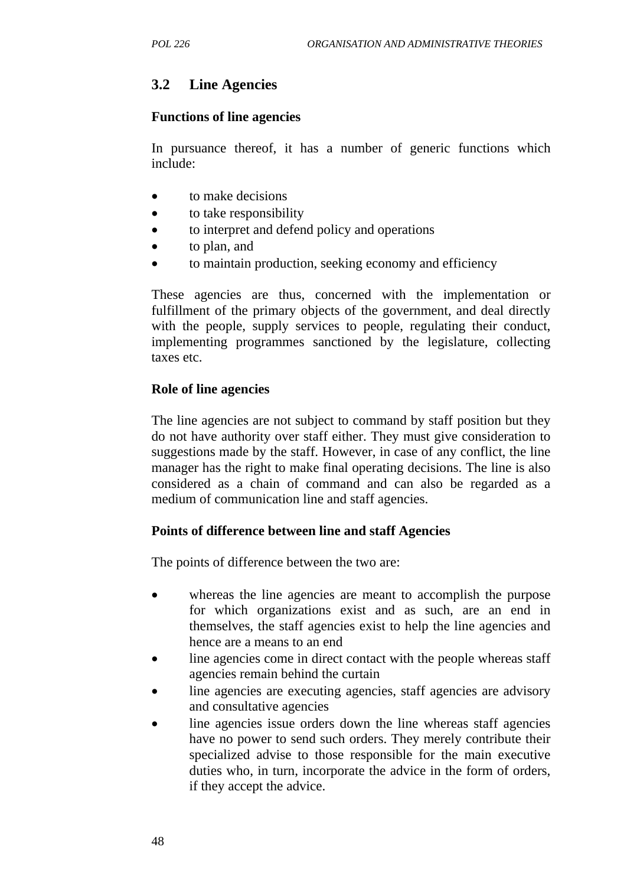## **3.2 Line Agencies**

#### **Functions of line agencies**

In pursuance thereof, it has a number of generic functions which include:

- to make decisions
- to take responsibility
- to interpret and defend policy and operations
- to plan, and
- to maintain production, seeking economy and efficiency

These agencies are thus, concerned with the implementation or fulfillment of the primary objects of the government, and deal directly with the people, supply services to people, regulating their conduct, implementing programmes sanctioned by the legislature, collecting taxes etc.

#### **Role of line agencies**

The line agencies are not subject to command by staff position but they do not have authority over staff either. They must give consideration to suggestions made by the staff. However, in case of any conflict, the line manager has the right to make final operating decisions. The line is also considered as a chain of command and can also be regarded as a medium of communication line and staff agencies.

### **Points of difference between line and staff Agencies**

The points of difference between the two are:

- whereas the line agencies are meant to accomplish the purpose for which organizations exist and as such, are an end in themselves, the staff agencies exist to help the line agencies and hence are a means to an end
- line agencies come in direct contact with the people whereas staff agencies remain behind the curtain
- line agencies are executing agencies, staff agencies are advisory and consultative agencies
- line agencies issue orders down the line whereas staff agencies have no power to send such orders. They merely contribute their specialized advise to those responsible for the main executive duties who, in turn, incorporate the advice in the form of orders, if they accept the advice.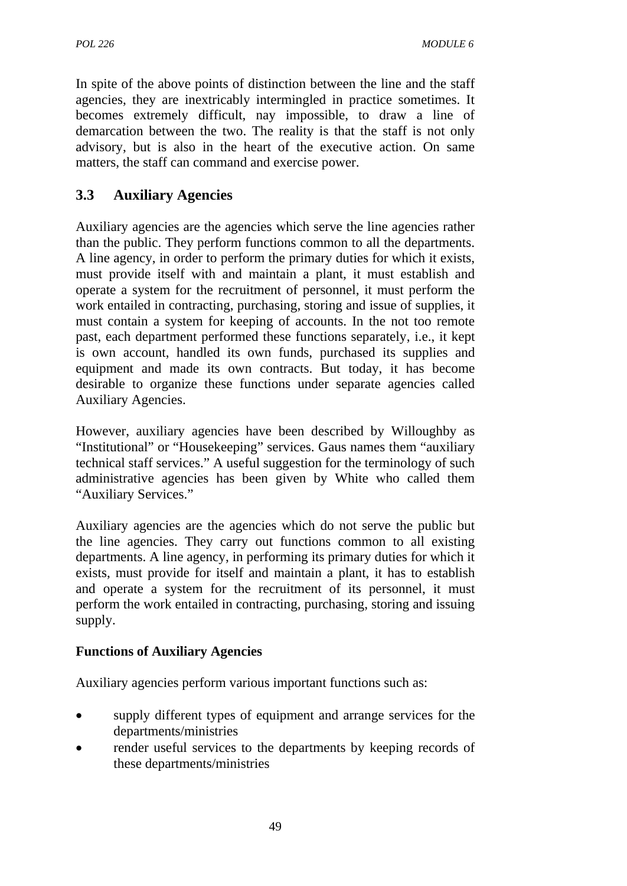In spite of the above points of distinction between the line and the staff agencies, they are inextricably intermingled in practice sometimes. It becomes extremely difficult, nay impossible, to draw a line of demarcation between the two. The reality is that the staff is not only advisory, but is also in the heart of the executive action. On same matters, the staff can command and exercise power.

# **3.3 Auxiliary Agencies**

Auxiliary agencies are the agencies which serve the line agencies rather than the public. They perform functions common to all the departments. A line agency, in order to perform the primary duties for which it exists, must provide itself with and maintain a plant, it must establish and operate a system for the recruitment of personnel, it must perform the work entailed in contracting, purchasing, storing and issue of supplies, it must contain a system for keeping of accounts. In the not too remote past, each department performed these functions separately, i.e., it kept is own account, handled its own funds, purchased its supplies and equipment and made its own contracts. But today, it has become desirable to organize these functions under separate agencies called Auxiliary Agencies.

However, auxiliary agencies have been described by Willoughby as "Institutional" or "Housekeeping" services. Gaus names them "auxiliary technical staff services." A useful suggestion for the terminology of such administrative agencies has been given by White who called them "Auxiliary Services."

Auxiliary agencies are the agencies which do not serve the public but the line agencies. They carry out functions common to all existing departments. A line agency, in performing its primary duties for which it exists, must provide for itself and maintain a plant, it has to establish and operate a system for the recruitment of its personnel, it must perform the work entailed in contracting, purchasing, storing and issuing supply.

## **Functions of Auxiliary Agencies**

Auxiliary agencies perform various important functions such as:

- supply different types of equipment and arrange services for the departments/ministries
- render useful services to the departments by keeping records of these departments/ministries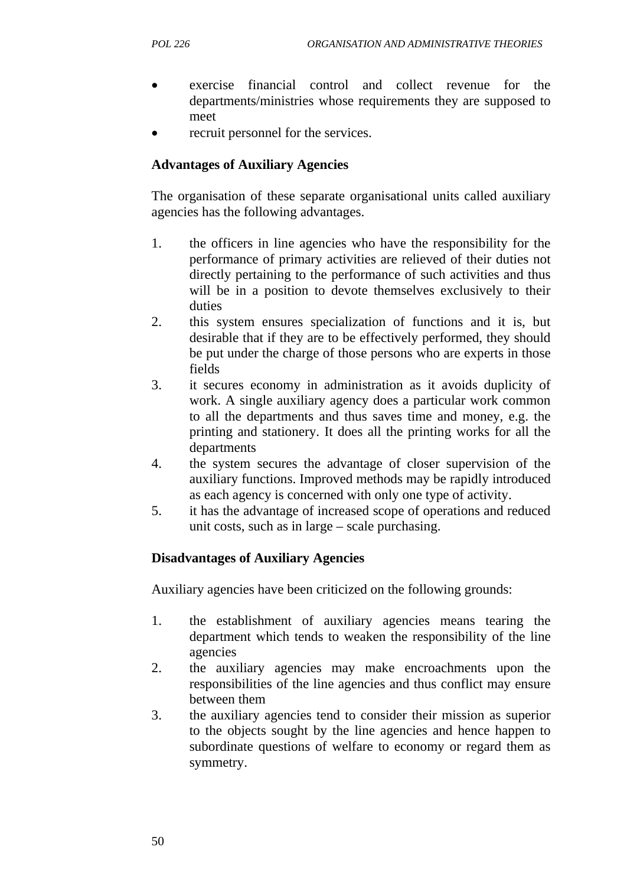- exercise financial control and collect revenue for the departments/ministries whose requirements they are supposed to meet
- recruit personnel for the services.

## **Advantages of Auxiliary Agencies**

The organisation of these separate organisational units called auxiliary agencies has the following advantages.

- 1. the officers in line agencies who have the responsibility for the performance of primary activities are relieved of their duties not directly pertaining to the performance of such activities and thus will be in a position to devote themselves exclusively to their duties
- 2. this system ensures specialization of functions and it is, but desirable that if they are to be effectively performed, they should be put under the charge of those persons who are experts in those fields
- 3. it secures economy in administration as it avoids duplicity of work. A single auxiliary agency does a particular work common to all the departments and thus saves time and money, e.g. the printing and stationery. It does all the printing works for all the departments
- 4. the system secures the advantage of closer supervision of the auxiliary functions. Improved methods may be rapidly introduced as each agency is concerned with only one type of activity.
- 5. it has the advantage of increased scope of operations and reduced unit costs, such as in large – scale purchasing.

### **Disadvantages of Auxiliary Agencies**

Auxiliary agencies have been criticized on the following grounds:

- 1. the establishment of auxiliary agencies means tearing the department which tends to weaken the responsibility of the line agencies
- 2. the auxiliary agencies may make encroachments upon the responsibilities of the line agencies and thus conflict may ensure between them
- 3. the auxiliary agencies tend to consider their mission as superior to the objects sought by the line agencies and hence happen to subordinate questions of welfare to economy or regard them as symmetry.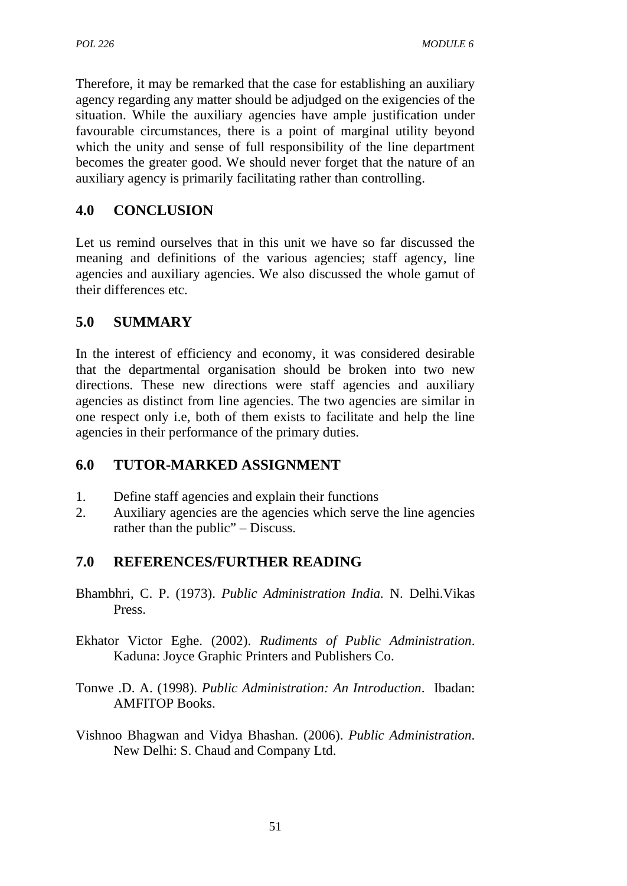Therefore, it may be remarked that the case for establishing an auxiliary agency regarding any matter should be adjudged on the exigencies of the situation. While the auxiliary agencies have ample justification under favourable circumstances, there is a point of marginal utility beyond which the unity and sense of full responsibility of the line department becomes the greater good. We should never forget that the nature of an auxiliary agency is primarily facilitating rather than controlling.

## **4.0 CONCLUSION**

Let us remind ourselves that in this unit we have so far discussed the meaning and definitions of the various agencies; staff agency, line agencies and auxiliary agencies. We also discussed the whole gamut of their differences etc.

## **5.0 SUMMARY**

In the interest of efficiency and economy, it was considered desirable that the departmental organisation should be broken into two new directions. These new directions were staff agencies and auxiliary agencies as distinct from line agencies. The two agencies are similar in one respect only i.e, both of them exists to facilitate and help the line agencies in their performance of the primary duties.

## **6.0 TUTOR-MARKED ASSIGNMENT**

- 1. Define staff agencies and explain their functions
- 2. Auxiliary agencies are the agencies which serve the line agencies rather than the public" – Discuss.

## **7.0 REFERENCES/FURTHER READING**

- Bhambhri, C. P. (1973). *Public Administration India.* N. Delhi.Vikas Press.
- Ekhator Victor Eghe. (2002). *Rudiments of Public Administration*. Kaduna: Joyce Graphic Printers and Publishers Co.
- Tonwe .D. A. (1998). *Public Administration: An Introduction*. Ibadan: AMFITOP Books.
- Vishnoo Bhagwan and Vidya Bhashan. (2006). *Public Administration*. New Delhi: S. Chaud and Company Ltd.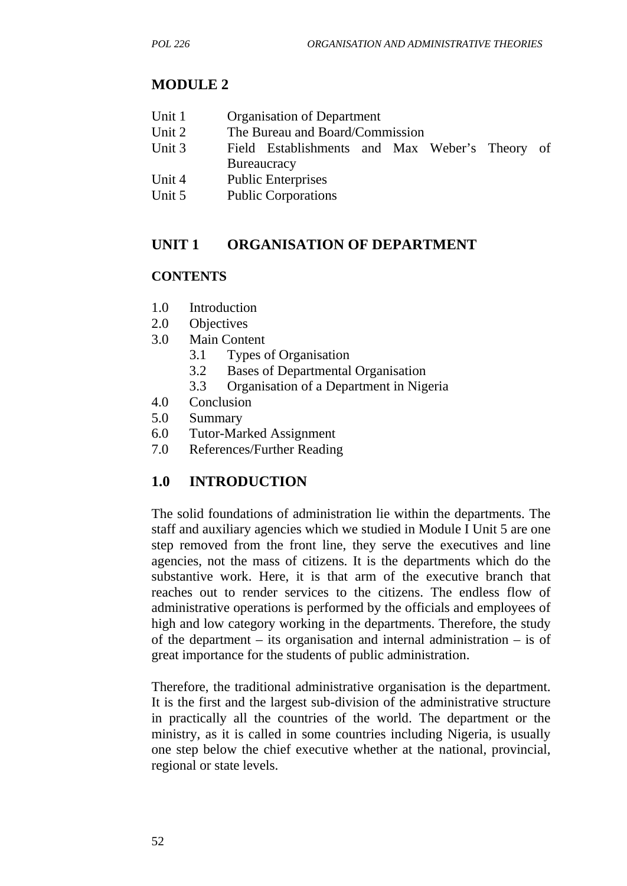## **MODULE 2**

| Unit 1 |  | <b>Organisation of Department</b> |
|--------|--|-----------------------------------|
|--------|--|-----------------------------------|

- Unit 2 The Bureau and Board/Commission
- Unit 3 Field Establishments and Max Weber's Theory of **Bureaucracy**
- Unit 4 Public Enterprises
- Unit 5 Public Corporations

## **UNIT 1 ORGANISATION OF DEPARTMENT**

### **CONTENTS**

- 1.0 Introduction
- 2.0 Objectives
- 3.0 Main Content
	- 3.1 Types of Organisation
	- 3.2 Bases of Departmental Organisation
	- 3.3 Organisation of a Department in Nigeria
- 4.0 Conclusion
- 5.0 Summary
- 6.0 Tutor-Marked Assignment
- 7.0 References/Further Reading

## **1.0 INTRODUCTION**

The solid foundations of administration lie within the departments. The staff and auxiliary agencies which we studied in Module I Unit 5 are one step removed from the front line, they serve the executives and line agencies, not the mass of citizens. It is the departments which do the substantive work. Here, it is that arm of the executive branch that reaches out to render services to the citizens. The endless flow of administrative operations is performed by the officials and employees of high and low category working in the departments. Therefore, the study of the department – its organisation and internal administration – is of great importance for the students of public administration.

Therefore, the traditional administrative organisation is the department. It is the first and the largest sub-division of the administrative structure in practically all the countries of the world. The department or the ministry, as it is called in some countries including Nigeria, is usually one step below the chief executive whether at the national, provincial, regional or state levels.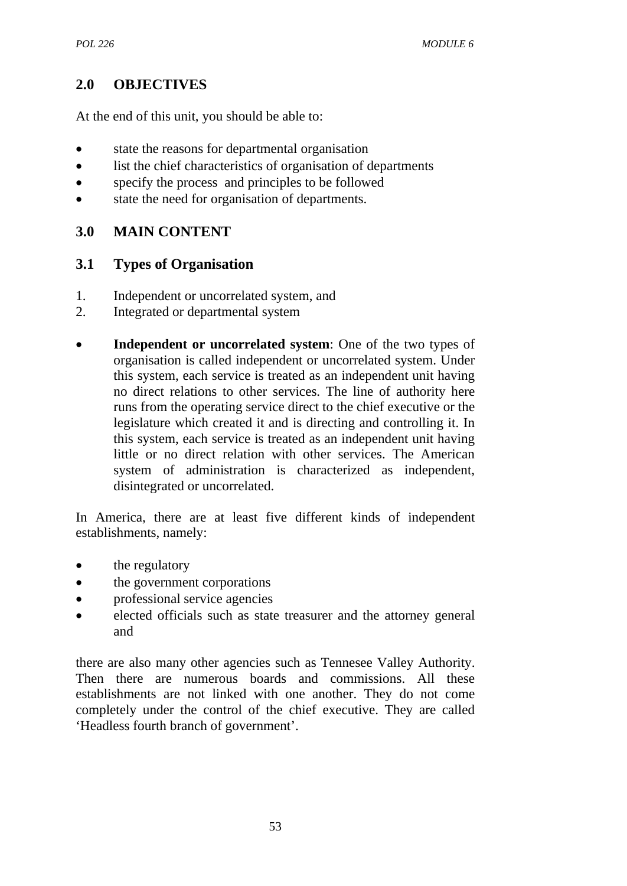## **2.0 OBJECTIVES**

At the end of this unit, you should be able to:

- state the reasons for departmental organisation
- list the chief characteristics of organisation of departments
- specify the process and principles to be followed
- state the need for organisation of departments.

## **3.0 MAIN CONTENT**

## **3.1 Types of Organisation**

- 1. Independent or uncorrelated system, and
- 2. Integrated or departmental system
- **Independent or uncorrelated system:** One of the two types of organisation is called independent or uncorrelated system. Under this system, each service is treated as an independent unit having no direct relations to other services. The line of authority here runs from the operating service direct to the chief executive or the legislature which created it and is directing and controlling it. In this system, each service is treated as an independent unit having little or no direct relation with other services. The American system of administration is characterized as independent, disintegrated or uncorrelated.

In America, there are at least five different kinds of independent establishments, namely:

- the regulatory
- the government corporations
- professional service agencies
- elected officials such as state treasurer and the attorney general and

there are also many other agencies such as Tennesee Valley Authority. Then there are numerous boards and commissions. All these establishments are not linked with one another. They do not come completely under the control of the chief executive. They are called 'Headless fourth branch of government'.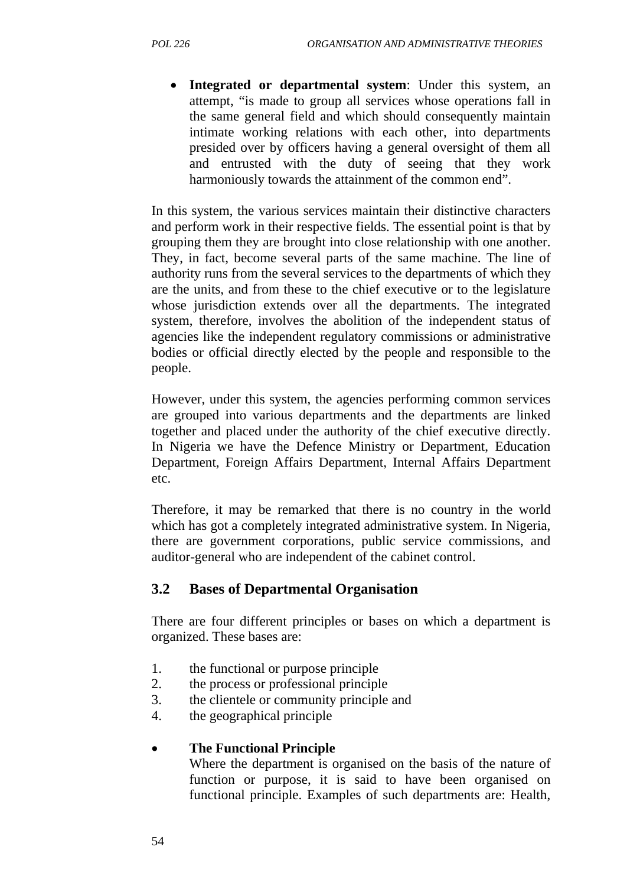• **Integrated or departmental system**: Under this system, an attempt, "is made to group all services whose operations fall in the same general field and which should consequently maintain intimate working relations with each other, into departments presided over by officers having a general oversight of them all and entrusted with the duty of seeing that they work harmoniously towards the attainment of the common end".

In this system, the various services maintain their distinctive characters and perform work in their respective fields. The essential point is that by grouping them they are brought into close relationship with one another. They, in fact, become several parts of the same machine. The line of authority runs from the several services to the departments of which they are the units, and from these to the chief executive or to the legislature whose jurisdiction extends over all the departments. The integrated system, therefore, involves the abolition of the independent status of agencies like the independent regulatory commissions or administrative bodies or official directly elected by the people and responsible to the people.

However, under this system, the agencies performing common services are grouped into various departments and the departments are linked together and placed under the authority of the chief executive directly. In Nigeria we have the Defence Ministry or Department, Education Department, Foreign Affairs Department, Internal Affairs Department etc.

Therefore, it may be remarked that there is no country in the world which has got a completely integrated administrative system. In Nigeria, there are government corporations, public service commissions, and auditor-general who are independent of the cabinet control.

## **3.2 Bases of Departmental Organisation**

There are four different principles or bases on which a department is organized. These bases are:

- 1. the functional or purpose principle
- 2. the process or professional principle
- 3. the clientele or community principle and
- 4. the geographical principle

### • **The Functional Principle**

Where the department is organised on the basis of the nature of function or purpose, it is said to have been organised on functional principle. Examples of such departments are: Health,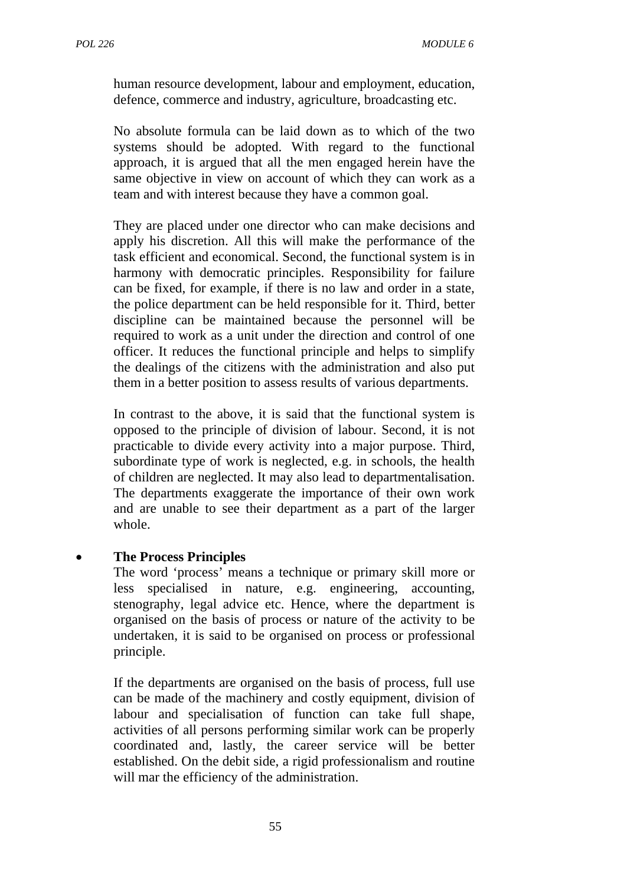human resource development, labour and employment, education, defence, commerce and industry, agriculture, broadcasting etc.

No absolute formula can be laid down as to which of the two systems should be adopted. With regard to the functional approach, it is argued that all the men engaged herein have the same objective in view on account of which they can work as a team and with interest because they have a common goal.

They are placed under one director who can make decisions and apply his discretion. All this will make the performance of the task efficient and economical. Second, the functional system is in harmony with democratic principles. Responsibility for failure can be fixed, for example, if there is no law and order in a state, the police department can be held responsible for it. Third, better discipline can be maintained because the personnel will be required to work as a unit under the direction and control of one officer. It reduces the functional principle and helps to simplify the dealings of the citizens with the administration and also put them in a better position to assess results of various departments.

In contrast to the above, it is said that the functional system is opposed to the principle of division of labour. Second, it is not practicable to divide every activity into a major purpose. Third, subordinate type of work is neglected, e.g. in schools, the health of children are neglected. It may also lead to departmentalisation. The departments exaggerate the importance of their own work and are unable to see their department as a part of the larger whole.

#### • **The Process Principles**

The word 'process' means a technique or primary skill more or less specialised in nature, e.g. engineering, accounting, stenography, legal advice etc. Hence, where the department is organised on the basis of process or nature of the activity to be undertaken, it is said to be organised on process or professional principle.

If the departments are organised on the basis of process, full use can be made of the machinery and costly equipment, division of labour and specialisation of function can take full shape, activities of all persons performing similar work can be properly coordinated and, lastly, the career service will be better established. On the debit side, a rigid professionalism and routine will mar the efficiency of the administration.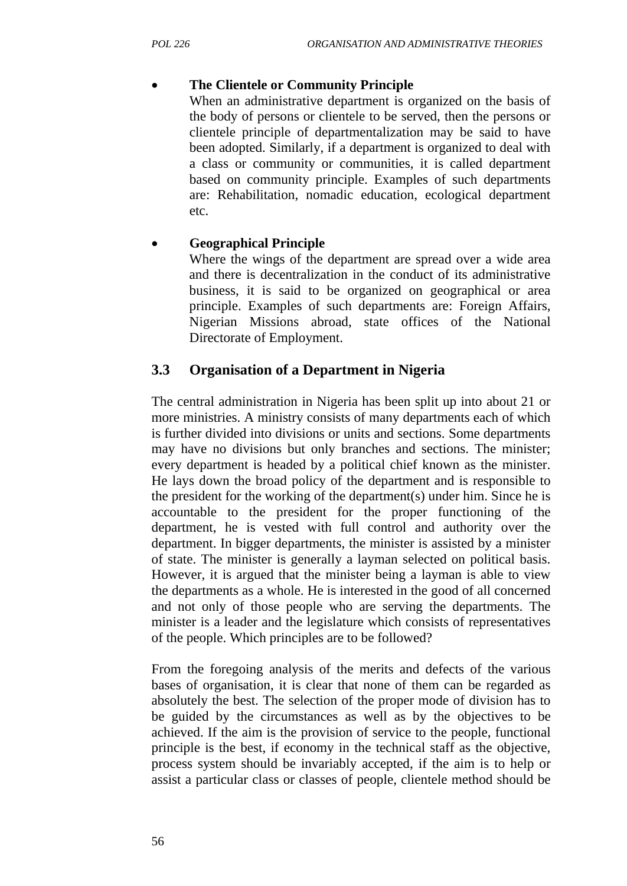## • **The Clientele or Community Principle**

When an administrative department is organized on the basis of the body of persons or clientele to be served, then the persons or clientele principle of departmentalization may be said to have been adopted. Similarly, if a department is organized to deal with a class or community or communities, it is called department based on community principle. Examples of such departments are: Rehabilitation, nomadic education, ecological department etc.

## • **Geographical Principle**

Where the wings of the department are spread over a wide area and there is decentralization in the conduct of its administrative business, it is said to be organized on geographical or area principle. Examples of such departments are: Foreign Affairs, Nigerian Missions abroad, state offices of the National Directorate of Employment.

## **3.3 Organisation of a Department in Nigeria**

The central administration in Nigeria has been split up into about 21 or more ministries. A ministry consists of many departments each of which is further divided into divisions or units and sections. Some departments may have no divisions but only branches and sections. The minister; every department is headed by a political chief known as the minister. He lays down the broad policy of the department and is responsible to the president for the working of the department(s) under him. Since he is accountable to the president for the proper functioning of the department, he is vested with full control and authority over the department. In bigger departments, the minister is assisted by a minister of state. The minister is generally a layman selected on political basis. However, it is argued that the minister being a layman is able to view the departments as a whole. He is interested in the good of all concerned and not only of those people who are serving the departments. The minister is a leader and the legislature which consists of representatives of the people. Which principles are to be followed?

From the foregoing analysis of the merits and defects of the various bases of organisation, it is clear that none of them can be regarded as absolutely the best. The selection of the proper mode of division has to be guided by the circumstances as well as by the objectives to be achieved. If the aim is the provision of service to the people, functional principle is the best, if economy in the technical staff as the objective, process system should be invariably accepted, if the aim is to help or assist a particular class or classes of people, clientele method should be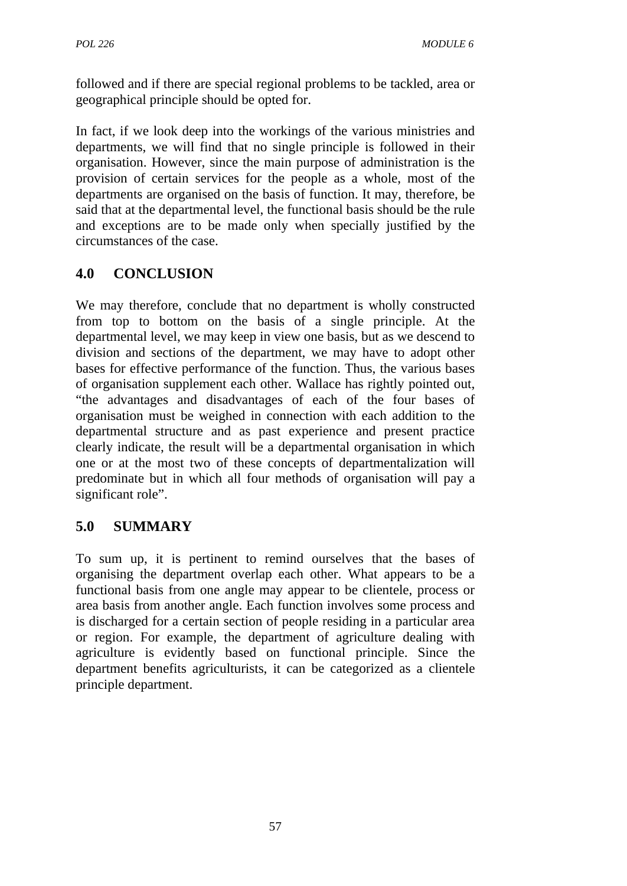followed and if there are special regional problems to be tackled, area or geographical principle should be opted for.

In fact, if we look deep into the workings of the various ministries and departments, we will find that no single principle is followed in their organisation. However, since the main purpose of administration is the provision of certain services for the people as a whole, most of the departments are organised on the basis of function. It may, therefore, be said that at the departmental level, the functional basis should be the rule and exceptions are to be made only when specially justified by the circumstances of the case.

# **4.0 CONCLUSION**

We may therefore, conclude that no department is wholly constructed from top to bottom on the basis of a single principle. At the departmental level, we may keep in view one basis, but as we descend to division and sections of the department, we may have to adopt other bases for effective performance of the function. Thus, the various bases of organisation supplement each other. Wallace has rightly pointed out, "the advantages and disadvantages of each of the four bases of organisation must be weighed in connection with each addition to the departmental structure and as past experience and present practice clearly indicate, the result will be a departmental organisation in which one or at the most two of these concepts of departmentalization will predominate but in which all four methods of organisation will pay a significant role".

## **5.0 SUMMARY**

To sum up, it is pertinent to remind ourselves that the bases of organising the department overlap each other. What appears to be a functional basis from one angle may appear to be clientele, process or area basis from another angle. Each function involves some process and is discharged for a certain section of people residing in a particular area or region. For example, the department of agriculture dealing with agriculture is evidently based on functional principle. Since the department benefits agriculturists, it can be categorized as a clientele principle department.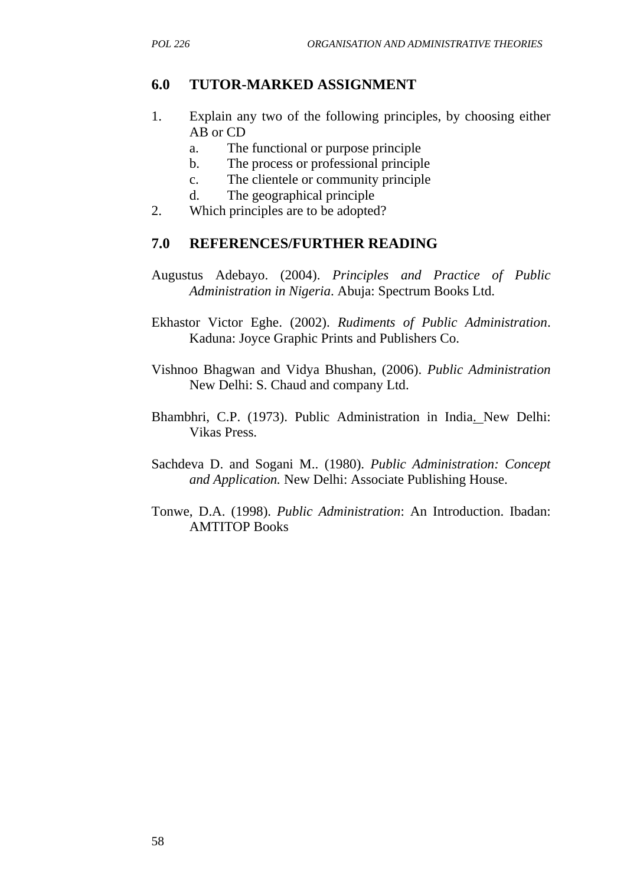### **6.0 TUTOR-MARKED ASSIGNMENT**

- 1. Explain any two of the following principles, by choosing either AB or CD
	- a. The functional or purpose principle
	- b. The process or professional principle
	- c. The clientele or community principle
	- d. The geographical principle
- 2. Which principles are to be adopted?

#### **7.0 REFERENCES/FURTHER READING**

- Augustus Adebayo. (2004). *Principles and Practice of Public Administration in Nigeria*. Abuja: Spectrum Books Ltd.
- Ekhastor Victor Eghe. (2002). *Rudiments of Public Administration*. Kaduna: Joyce Graphic Prints and Publishers Co.
- Vishnoo Bhagwan and Vidya Bhushan, (2006). *Public Administration* New Delhi: S. Chaud and company Ltd.
- Bhambhri, C.P. (1973). Public Administration in India. New Delhi: Vikas Press.
- Sachdeva D. and Sogani M.. (1980). *Public Administration: Concept and Application.* New Delhi: Associate Publishing House.
- Tonwe, D.A. (1998). *Public Administration*: An Introduction. Ibadan: AMTITOP Books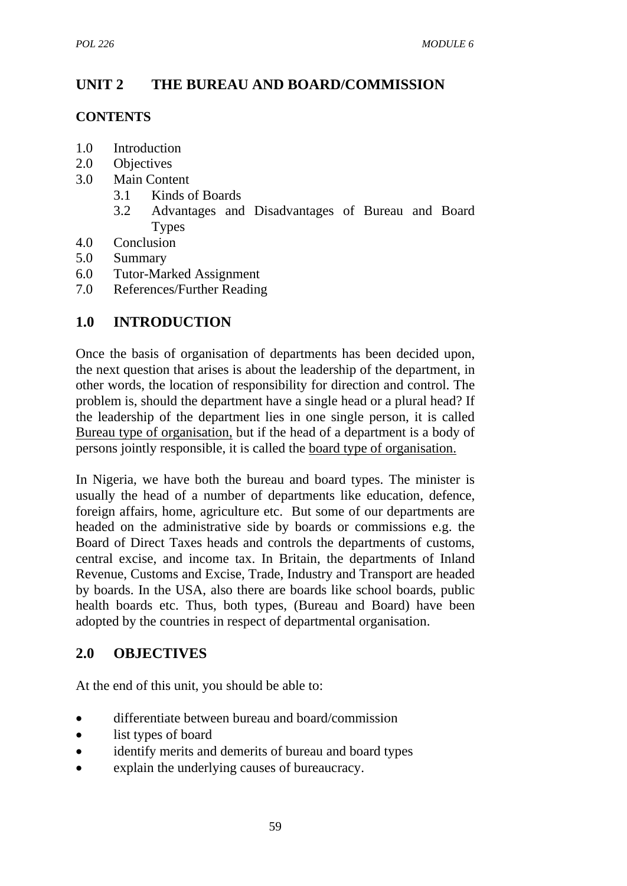# **UNIT 2 THE BUREAU AND BOARD/COMMISSION**

## **CONTENTS**

- 1.0 Introduction
- 2.0 Objectives
- 3.0 Main Content
	- 3.1 Kinds of Boards
	- 3.2 Advantages and Disadvantages of Bureau and Board **Types**
- 4.0 Conclusion
- 5.0 Summary
- 6.0 Tutor-Marked Assignment
- 7.0 References/Further Reading

## **1.0 INTRODUCTION**

Once the basis of organisation of departments has been decided upon, the next question that arises is about the leadership of the department, in other words, the location of responsibility for direction and control. The problem is, should the department have a single head or a plural head? If the leadership of the department lies in one single person, it is called Bureau type of organisation, but if the head of a department is a body of persons jointly responsible, it is called the board type of organisation.

In Nigeria, we have both the bureau and board types. The minister is usually the head of a number of departments like education, defence, foreign affairs, home, agriculture etc. But some of our departments are headed on the administrative side by boards or commissions e.g. the Board of Direct Taxes heads and controls the departments of customs, central excise, and income tax. In Britain, the departments of Inland Revenue, Customs and Excise, Trade, Industry and Transport are headed by boards. In the USA, also there are boards like school boards, public health boards etc. Thus, both types, (Bureau and Board) have been adopted by the countries in respect of departmental organisation.

## **2.0 OBJECTIVES**

At the end of this unit, you should be able to:

- differentiate between bureau and board/commission
- list types of board
- identify merits and demerits of bureau and board types
- explain the underlying causes of bureaucracy.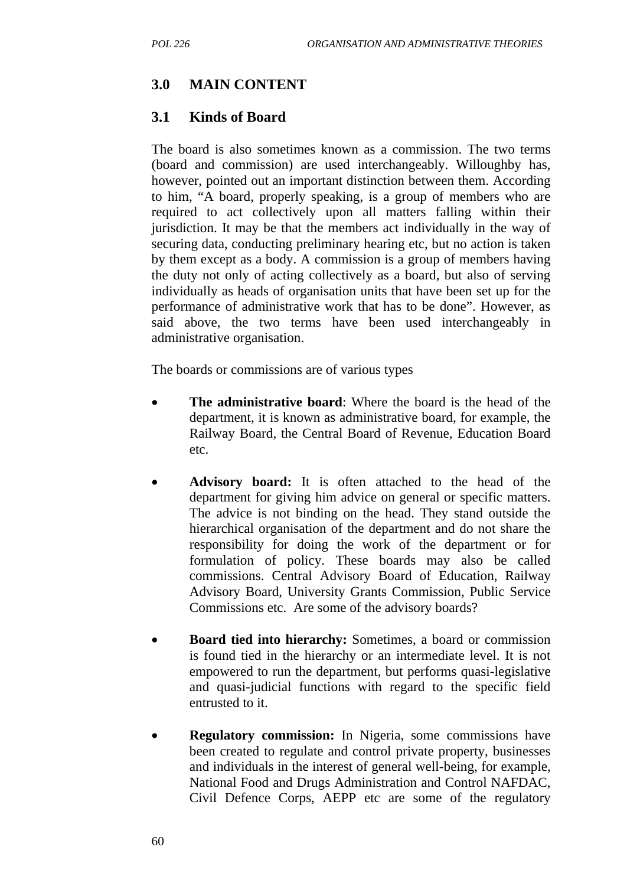## **3.0 MAIN CONTENT**

## **3.1 Kinds of Board**

The board is also sometimes known as a commission. The two terms (board and commission) are used interchangeably. Willoughby has, however, pointed out an important distinction between them. According to him, "A board, properly speaking, is a group of members who are required to act collectively upon all matters falling within their jurisdiction. It may be that the members act individually in the way of securing data, conducting preliminary hearing etc, but no action is taken by them except as a body. A commission is a group of members having the duty not only of acting collectively as a board, but also of serving individually as heads of organisation units that have been set up for the performance of administrative work that has to be done". However, as said above, the two terms have been used interchangeably in administrative organisation.

The boards or commissions are of various types

- **The administrative board:** Where the board is the head of the department, it is known as administrative board, for example, the Railway Board, the Central Board of Revenue, Education Board etc.
- **Advisory board:** It is often attached to the head of the department for giving him advice on general or specific matters. The advice is not binding on the head. They stand outside the hierarchical organisation of the department and do not share the responsibility for doing the work of the department or for formulation of policy. These boards may also be called commissions. Central Advisory Board of Education, Railway Advisory Board, University Grants Commission, Public Service Commissions etc. Are some of the advisory boards?
- **Board tied into hierarchy:** Sometimes, a board or commission is found tied in the hierarchy or an intermediate level. It is not empowered to run the department, but performs quasi-legislative and quasi-judicial functions with regard to the specific field entrusted to it.
- **Regulatory commission:** In Nigeria, some commissions have been created to regulate and control private property, businesses and individuals in the interest of general well-being, for example, National Food and Drugs Administration and Control NAFDAC, Civil Defence Corps, AEPP etc are some of the regulatory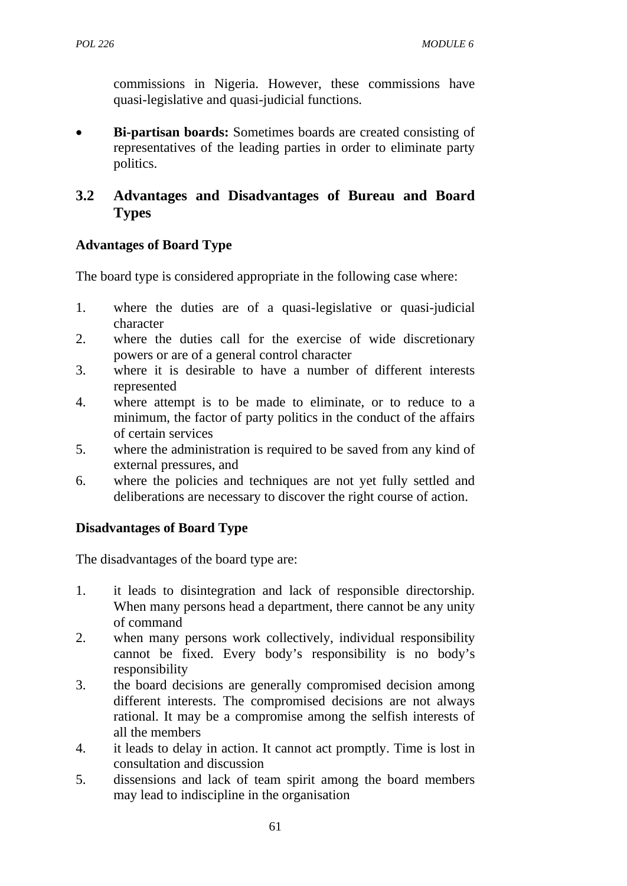commissions in Nigeria. However, these commissions have quasi-legislative and quasi-judicial functions.

• **Bi-partisan boards:** Sometimes boards are created consisting of representatives of the leading parties in order to eliminate party politics.

# **3.2 Advantages and Disadvantages of Bureau and Board Types**

## **Advantages of Board Type**

The board type is considered appropriate in the following case where:

- 1. where the duties are of a quasi-legislative or quasi-judicial character
- 2. where the duties call for the exercise of wide discretionary powers or are of a general control character
- 3. where it is desirable to have a number of different interests represented
- 4. where attempt is to be made to eliminate, or to reduce to a minimum, the factor of party politics in the conduct of the affairs of certain services
- 5. where the administration is required to be saved from any kind of external pressures, and
- 6. where the policies and techniques are not yet fully settled and deliberations are necessary to discover the right course of action.

## **Disadvantages of Board Type**

The disadvantages of the board type are:

- 1. it leads to disintegration and lack of responsible directorship. When many persons head a department, there cannot be any unity of command
- 2. when many persons work collectively, individual responsibility cannot be fixed. Every body's responsibility is no body's responsibility
- 3. the board decisions are generally compromised decision among different interests. The compromised decisions are not always rational. It may be a compromise among the selfish interests of all the members
- 4. it leads to delay in action. It cannot act promptly. Time is lost in consultation and discussion
- 5. dissensions and lack of team spirit among the board members may lead to indiscipline in the organisation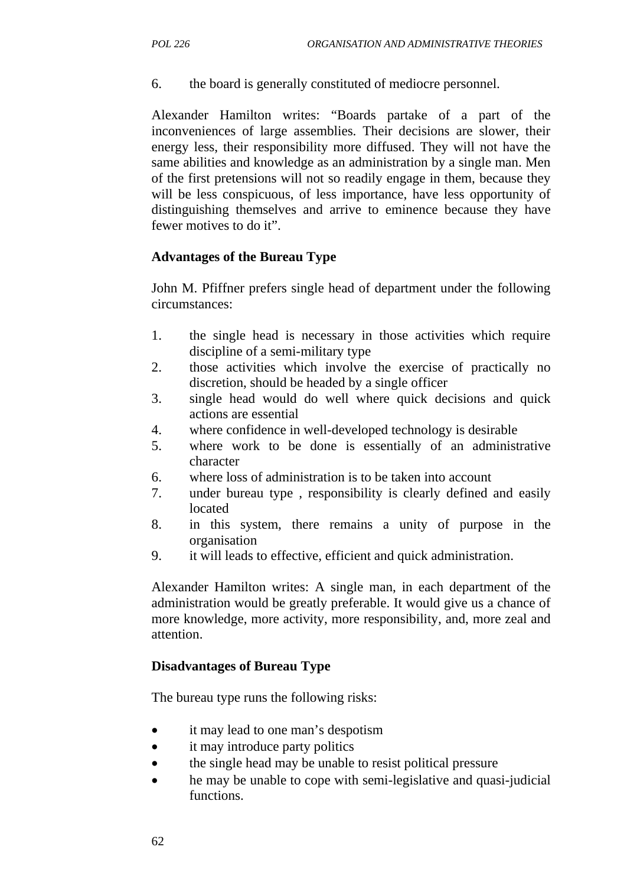6. the board is generally constituted of mediocre personnel.

Alexander Hamilton writes: "Boards partake of a part of the inconveniences of large assemblies. Their decisions are slower, their energy less, their responsibility more diffused. They will not have the same abilities and knowledge as an administration by a single man. Men of the first pretensions will not so readily engage in them, because they will be less conspicuous, of less importance, have less opportunity of distinguishing themselves and arrive to eminence because they have fewer motives to do it".

#### **Advantages of the Bureau Type**

John M. Pfiffner prefers single head of department under the following circumstances:

- 1. the single head is necessary in those activities which require discipline of a semi-military type
- 2. those activities which involve the exercise of practically no discretion, should be headed by a single officer
- 3. single head would do well where quick decisions and quick actions are essential
- 4. where confidence in well-developed technology is desirable
- 5. where work to be done is essentially of an administrative character
- 6. where loss of administration is to be taken into account
- 7. under bureau type , responsibility is clearly defined and easily located
- 8. in this system, there remains a unity of purpose in the organisation
- 9. it will leads to effective, efficient and quick administration.

Alexander Hamilton writes: A single man, in each department of the administration would be greatly preferable. It would give us a chance of more knowledge, more activity, more responsibility, and, more zeal and attention.

#### **Disadvantages of Bureau Type**

The bureau type runs the following risks:

- it may lead to one man's despotism
- it may introduce party politics
- the single head may be unable to resist political pressure
- he may be unable to cope with semi-legislative and quasi-judicial functions.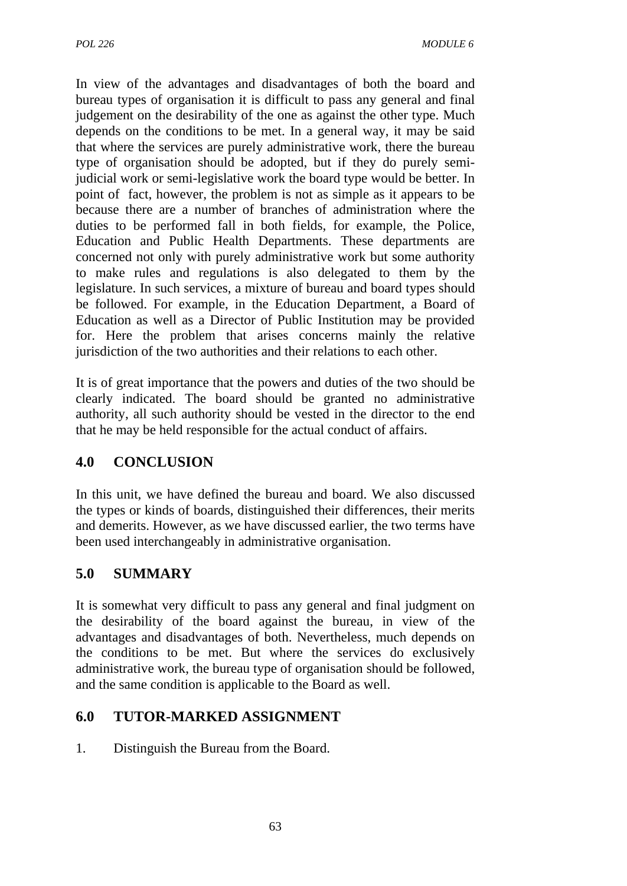In view of the advantages and disadvantages of both the board and bureau types of organisation it is difficult to pass any general and final judgement on the desirability of the one as against the other type. Much depends on the conditions to be met. In a general way, it may be said that where the services are purely administrative work, there the bureau type of organisation should be adopted, but if they do purely semijudicial work or semi-legislative work the board type would be better. In point of fact, however, the problem is not as simple as it appears to be because there are a number of branches of administration where the duties to be performed fall in both fields, for example, the Police, Education and Public Health Departments. These departments are concerned not only with purely administrative work but some authority to make rules and regulations is also delegated to them by the legislature. In such services, a mixture of bureau and board types should be followed. For example, in the Education Department, a Board of Education as well as a Director of Public Institution may be provided for. Here the problem that arises concerns mainly the relative jurisdiction of the two authorities and their relations to each other.

It is of great importance that the powers and duties of the two should be clearly indicated. The board should be granted no administrative authority, all such authority should be vested in the director to the end that he may be held responsible for the actual conduct of affairs.

## **4.0 CONCLUSION**

In this unit, we have defined the bureau and board. We also discussed the types or kinds of boards, distinguished their differences, their merits and demerits. However, as we have discussed earlier, the two terms have been used interchangeably in administrative organisation.

## **5.0 SUMMARY**

It is somewhat very difficult to pass any general and final judgment on the desirability of the board against the bureau, in view of the advantages and disadvantages of both. Nevertheless, much depends on the conditions to be met. But where the services do exclusively administrative work, the bureau type of organisation should be followed, and the same condition is applicable to the Board as well.

## **6.0 TUTOR-MARKED ASSIGNMENT**

1. Distinguish the Bureau from the Board.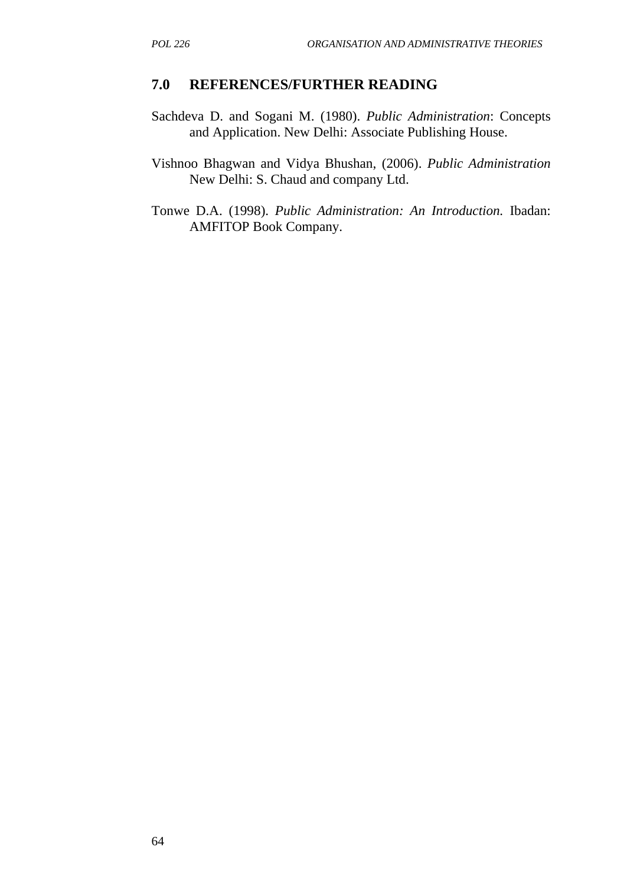## **7.0 REFERENCES/FURTHER READING**

- Sachdeva D. and Sogani M. (1980). *Public Administration*: Concepts and Application. New Delhi: Associate Publishing House.
- Vishnoo Bhagwan and Vidya Bhushan, (2006). *Public Administration* New Delhi: S. Chaud and company Ltd.
- Tonwe D.A. (1998). *Public Administration: An Introduction.* Ibadan: AMFITOP Book Company.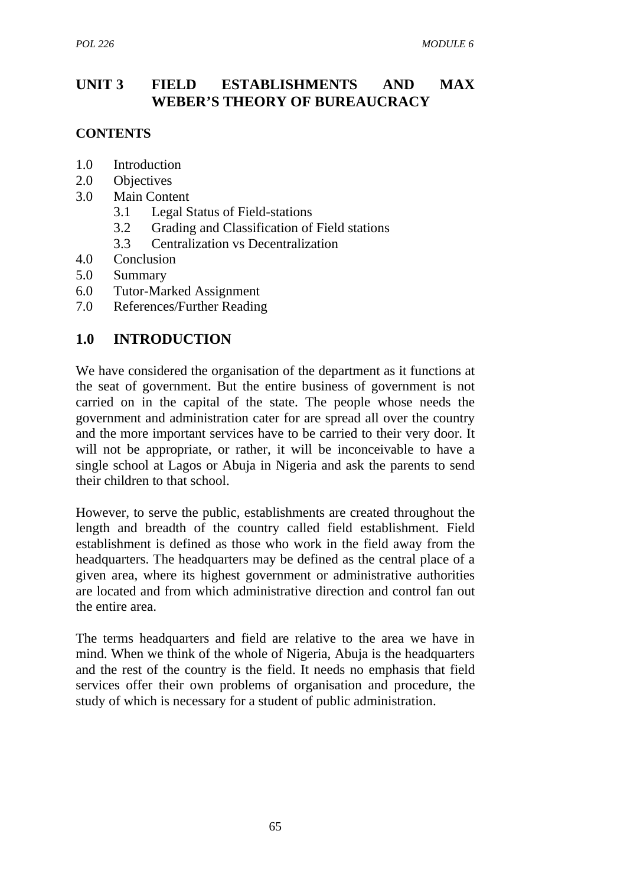## **UNIT 3 FIELD ESTABLISHMENTS AND MAX WEBER'S THEORY OF BUREAUCRACY**

## **CONTENTS**

- 1.0 Introduction
- 2.0 Objectives
- 3.0 Main Content
	- 3.1 Legal Status of Field-stations
	- 3.2 Grading and Classification of Field stations
	- 3.3 Centralization vs Decentralization
- 4.0 Conclusion
- 5.0 Summary
- 6.0 Tutor-Marked Assignment
- 7.0 References/Further Reading

## **1.0 INTRODUCTION**

We have considered the organisation of the department as it functions at the seat of government. But the entire business of government is not carried on in the capital of the state. The people whose needs the government and administration cater for are spread all over the country and the more important services have to be carried to their very door. It will not be appropriate, or rather, it will be inconceivable to have a single school at Lagos or Abuja in Nigeria and ask the parents to send their children to that school.

However, to serve the public, establishments are created throughout the length and breadth of the country called field establishment. Field establishment is defined as those who work in the field away from the headquarters. The headquarters may be defined as the central place of a given area, where its highest government or administrative authorities are located and from which administrative direction and control fan out the entire area.

The terms headquarters and field are relative to the area we have in mind. When we think of the whole of Nigeria, Abuja is the headquarters and the rest of the country is the field. It needs no emphasis that field services offer their own problems of organisation and procedure, the study of which is necessary for a student of public administration.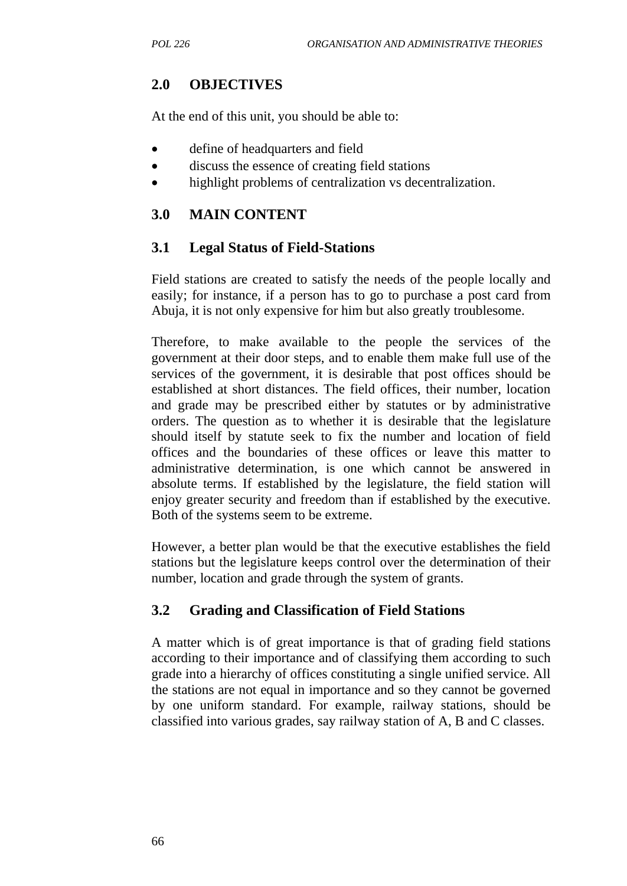## **2.0 OBJECTIVES**

At the end of this unit, you should be able to:

- define of headquarters and field
- discuss the essence of creating field stations
- highlight problems of centralization vs decentralization.

## **3.0 MAIN CONTENT**

## **3.1 Legal Status of Field-Stations**

Field stations are created to satisfy the needs of the people locally and easily; for instance, if a person has to go to purchase a post card from Abuja, it is not only expensive for him but also greatly troublesome.

Therefore, to make available to the people the services of the government at their door steps, and to enable them make full use of the services of the government, it is desirable that post offices should be established at short distances. The field offices, their number, location and grade may be prescribed either by statutes or by administrative orders. The question as to whether it is desirable that the legislature should itself by statute seek to fix the number and location of field offices and the boundaries of these offices or leave this matter to administrative determination, is one which cannot be answered in absolute terms. If established by the legislature, the field station will enjoy greater security and freedom than if established by the executive. Both of the systems seem to be extreme.

However, a better plan would be that the executive establishes the field stations but the legislature keeps control over the determination of their number, location and grade through the system of grants.

## **3.2 Grading and Classification of Field Stations**

A matter which is of great importance is that of grading field stations according to their importance and of classifying them according to such grade into a hierarchy of offices constituting a single unified service. All the stations are not equal in importance and so they cannot be governed by one uniform standard. For example, railway stations, should be classified into various grades, say railway station of A, B and C classes.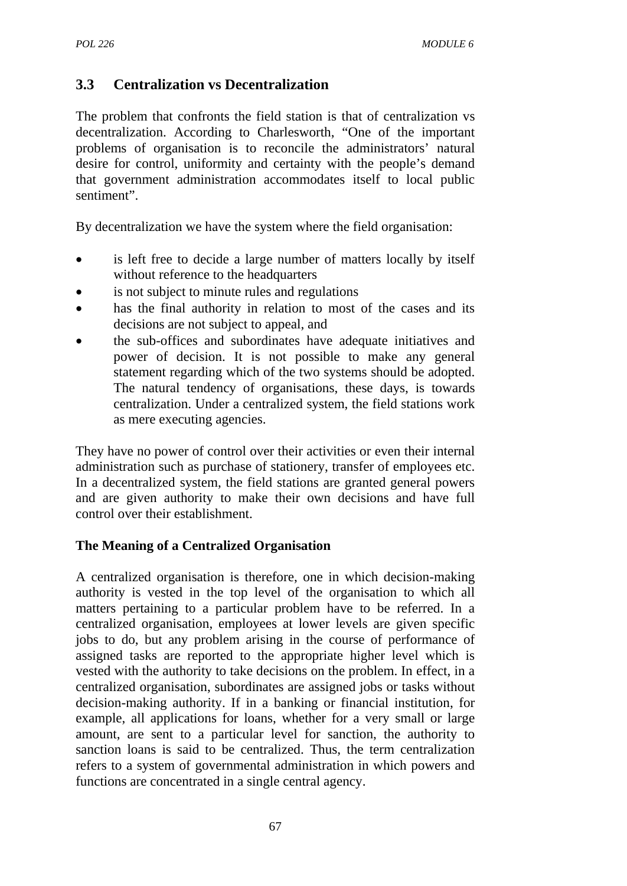## **3.3 Centralization vs Decentralization**

The problem that confronts the field station is that of centralization vs decentralization. According to Charlesworth, "One of the important problems of organisation is to reconcile the administrators' natural desire for control, uniformity and certainty with the people's demand that government administration accommodates itself to local public sentiment".

By decentralization we have the system where the field organisation:

- is left free to decide a large number of matters locally by itself without reference to the headquarters
- is not subject to minute rules and regulations
- has the final authority in relation to most of the cases and its decisions are not subject to appeal, and
- the sub-offices and subordinates have adequate initiatives and power of decision. It is not possible to make any general statement regarding which of the two systems should be adopted. The natural tendency of organisations, these days, is towards centralization. Under a centralized system, the field stations work as mere executing agencies.

They have no power of control over their activities or even their internal administration such as purchase of stationery, transfer of employees etc. In a decentralized system, the field stations are granted general powers and are given authority to make their own decisions and have full control over their establishment.

## **The Meaning of a Centralized Organisation**

A centralized organisation is therefore, one in which decision-making authority is vested in the top level of the organisation to which all matters pertaining to a particular problem have to be referred. In a centralized organisation, employees at lower levels are given specific jobs to do, but any problem arising in the course of performance of assigned tasks are reported to the appropriate higher level which is vested with the authority to take decisions on the problem. In effect, in a centralized organisation, subordinates are assigned jobs or tasks without decision-making authority. If in a banking or financial institution, for example, all applications for loans, whether for a very small or large amount, are sent to a particular level for sanction, the authority to sanction loans is said to be centralized. Thus, the term centralization refers to a system of governmental administration in which powers and functions are concentrated in a single central agency.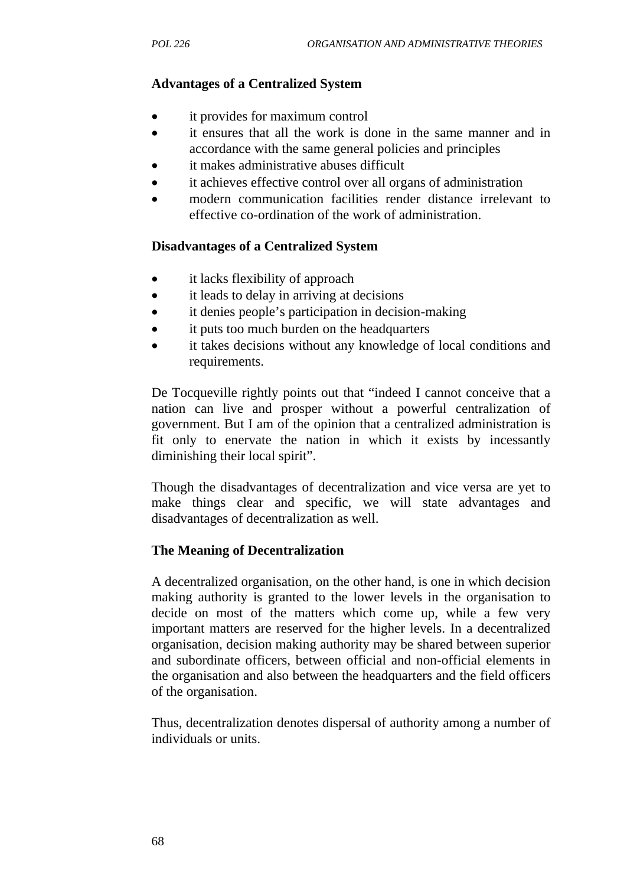## **Advantages of a Centralized System**

- it provides for maximum control
- it ensures that all the work is done in the same manner and in accordance with the same general policies and principles
- it makes administrative abuses difficult
- it achieves effective control over all organs of administration
- modern communication facilities render distance irrelevant to effective co-ordination of the work of administration.

### **Disadvantages of a Centralized System**

- it lacks flexibility of approach
- it leads to delay in arriving at decisions
- it denies people's participation in decision-making
- it puts too much burden on the headquarters
- it takes decisions without any knowledge of local conditions and requirements.

De Tocqueville rightly points out that "indeed I cannot conceive that a nation can live and prosper without a powerful centralization of government. But I am of the opinion that a centralized administration is fit only to enervate the nation in which it exists by incessantly diminishing their local spirit".

Though the disadvantages of decentralization and vice versa are yet to make things clear and specific, we will state advantages and disadvantages of decentralization as well.

### **The Meaning of Decentralization**

A decentralized organisation, on the other hand, is one in which decision making authority is granted to the lower levels in the organisation to decide on most of the matters which come up, while a few very important matters are reserved for the higher levels. In a decentralized organisation, decision making authority may be shared between superior and subordinate officers, between official and non-official elements in the organisation and also between the headquarters and the field officers of the organisation.

Thus, decentralization denotes dispersal of authority among a number of individuals or units.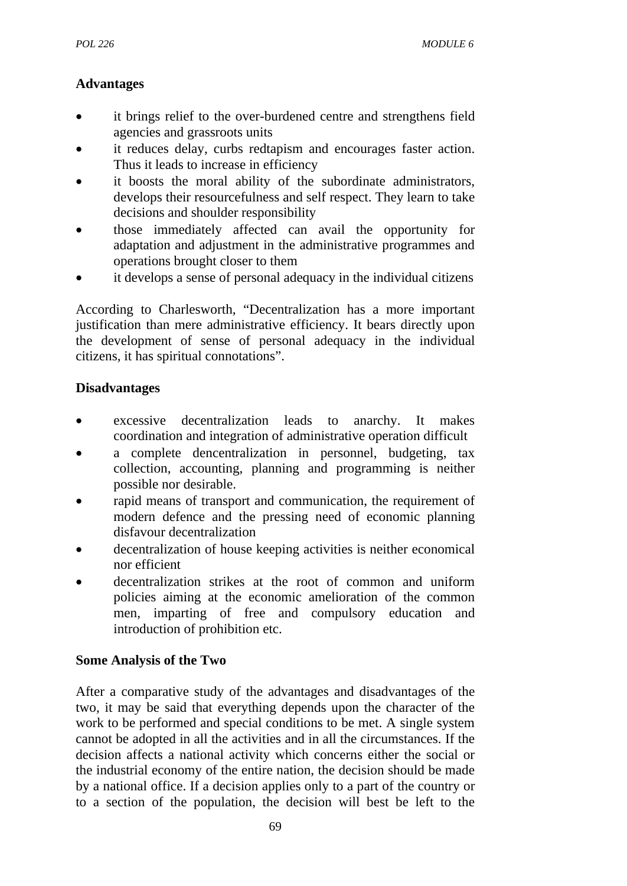## **Advantages**

- it brings relief to the over-burdened centre and strengthens field agencies and grassroots units
- it reduces delay, curbs redtapism and encourages faster action. Thus it leads to increase in efficiency
- it boosts the moral ability of the subordinate administrators, develops their resourcefulness and self respect. They learn to take decisions and shoulder responsibility
- those immediately affected can avail the opportunity for adaptation and adjustment in the administrative programmes and operations brought closer to them
- it develops a sense of personal adequacy in the individual citizens

According to Charlesworth, "Decentralization has a more important justification than mere administrative efficiency. It bears directly upon the development of sense of personal adequacy in the individual citizens, it has spiritual connotations".

## **Disadvantages**

- excessive decentralization leads to anarchy. It makes coordination and integration of administrative operation difficult
- a complete dencentralization in personnel, budgeting, tax collection, accounting, planning and programming is neither possible nor desirable.
- rapid means of transport and communication, the requirement of modern defence and the pressing need of economic planning disfavour decentralization
- decentralization of house keeping activities is neither economical nor efficient
- decentralization strikes at the root of common and uniform policies aiming at the economic amelioration of the common men, imparting of free and compulsory education and introduction of prohibition etc.

## **Some Analysis of the Two**

After a comparative study of the advantages and disadvantages of the two, it may be said that everything depends upon the character of the work to be performed and special conditions to be met. A single system cannot be adopted in all the activities and in all the circumstances. If the decision affects a national activity which concerns either the social or the industrial economy of the entire nation, the decision should be made by a national office. If a decision applies only to a part of the country or to a section of the population, the decision will best be left to the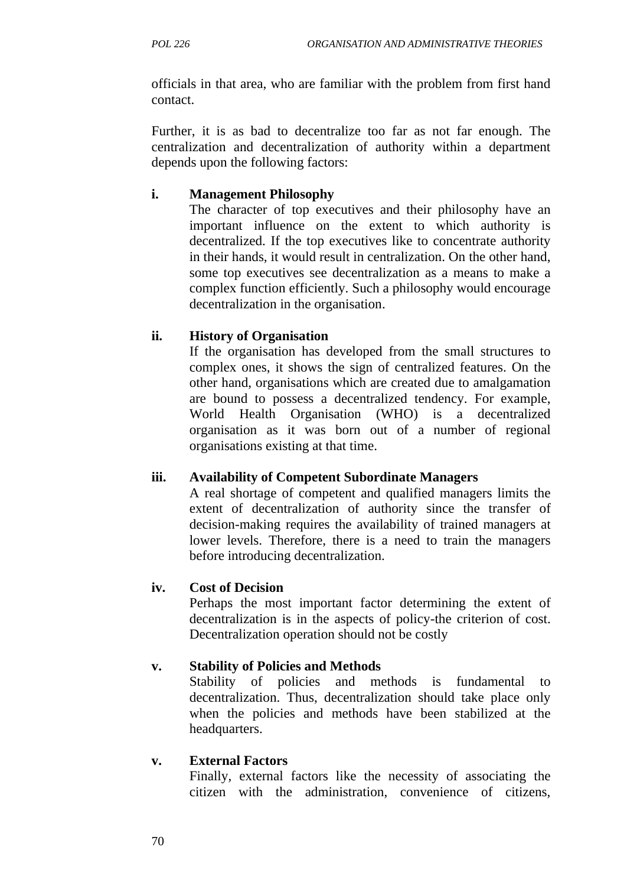officials in that area, who are familiar with the problem from first hand contact.

Further, it is as bad to decentralize too far as not far enough. The centralization and decentralization of authority within a department depends upon the following factors:

## **i. Management Philosophy**

The character of top executives and their philosophy have an important influence on the extent to which authority is decentralized. If the top executives like to concentrate authority in their hands, it would result in centralization. On the other hand, some top executives see decentralization as a means to make a complex function efficiently. Such a philosophy would encourage decentralization in the organisation.

## **ii. History of Organisation**

If the organisation has developed from the small structures to complex ones, it shows the sign of centralized features. On the other hand, organisations which are created due to amalgamation are bound to possess a decentralized tendency. For example, World Health Organisation (WHO) is a decentralized organisation as it was born out of a number of regional organisations existing at that time.

## **iii. Availability of Competent Subordinate Managers**

A real shortage of competent and qualified managers limits the extent of decentralization of authority since the transfer of decision-making requires the availability of trained managers at lower levels. Therefore, there is a need to train the managers before introducing decentralization.

## **iv. Cost of Decision**

Perhaps the most important factor determining the extent of decentralization is in the aspects of policy-the criterion of cost. Decentralization operation should not be costly

## **v. Stability of Policies and Methods**

Stability of policies and methods is fundamental decentralization. Thus, decentralization should take place only when the policies and methods have been stabilized at the headquarters.

### **v. External Factors**

Finally, external factors like the necessity of associating the citizen with the administration, convenience of citizens,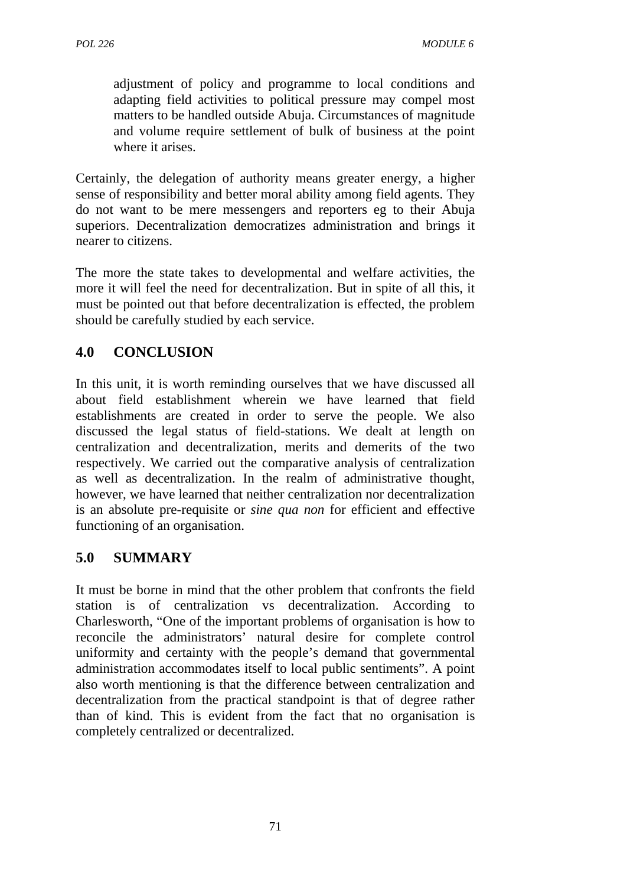adjustment of policy and programme to local conditions and adapting field activities to political pressure may compel most matters to be handled outside Abuja. Circumstances of magnitude and volume require settlement of bulk of business at the point where it arises.

Certainly, the delegation of authority means greater energy, a higher sense of responsibility and better moral ability among field agents. They do not want to be mere messengers and reporters eg to their Abuja superiors. Decentralization democratizes administration and brings it nearer to citizens.

The more the state takes to developmental and welfare activities, the more it will feel the need for decentralization. But in spite of all this, it must be pointed out that before decentralization is effected, the problem should be carefully studied by each service.

# **4.0 CONCLUSION**

In this unit, it is worth reminding ourselves that we have discussed all about field establishment wherein we have learned that field establishments are created in order to serve the people. We also discussed the legal status of field-stations. We dealt at length on centralization and decentralization, merits and demerits of the two respectively. We carried out the comparative analysis of centralization as well as decentralization. In the realm of administrative thought, however, we have learned that neither centralization nor decentralization is an absolute pre-requisite or *sine qua non* for efficient and effective functioning of an organisation.

## **5.0 SUMMARY**

It must be borne in mind that the other problem that confronts the field station is of centralization vs decentralization. According to Charlesworth, "One of the important problems of organisation is how to reconcile the administrators' natural desire for complete control uniformity and certainty with the people's demand that governmental administration accommodates itself to local public sentiments". A point also worth mentioning is that the difference between centralization and decentralization from the practical standpoint is that of degree rather than of kind. This is evident from the fact that no organisation is completely centralized or decentralized.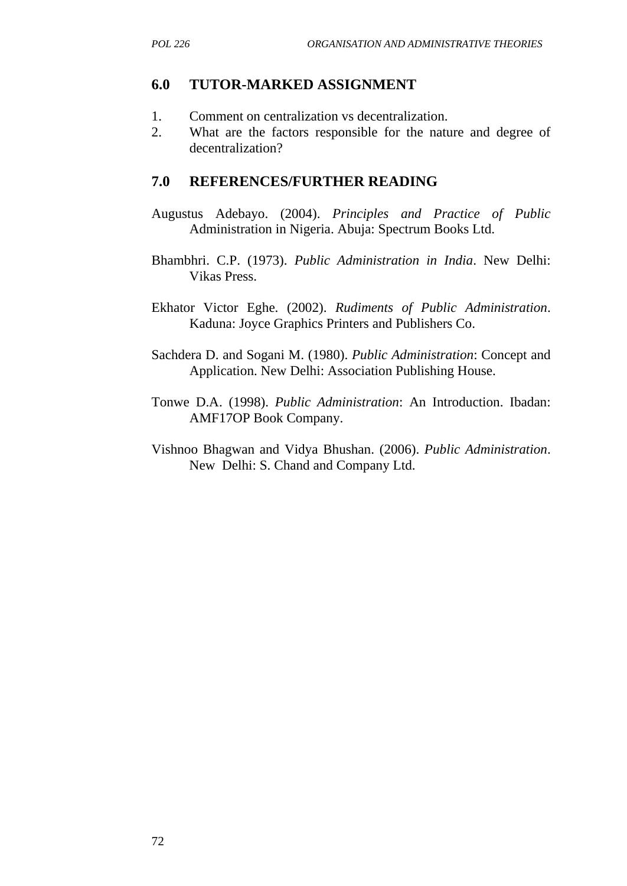#### **6.0 TUTOR-MARKED ASSIGNMENT**

- 1. Comment on centralization vs decentralization.
- 2. What are the factors responsible for the nature and degree of decentralization?

#### **7.0 REFERENCES/FURTHER READING**

- Augustus Adebayo. (2004). *Principles and Practice of Public* Administration in Nigeria. Abuja: Spectrum Books Ltd.
- Bhambhri. C.P. (1973). *Public Administration in India*. New Delhi: Vikas Press.
- Ekhator Victor Eghe. (2002). *Rudiments of Public Administration*. Kaduna: Joyce Graphics Printers and Publishers Co.
- Sachdera D. and Sogani M. (1980). *Public Administration*: Concept and Application. New Delhi: Association Publishing House.
- Tonwe D.A. (1998). *Public Administration*: An Introduction. Ibadan: AMF17OP Book Company.
- Vishnoo Bhagwan and Vidya Bhushan. (2006). *Public Administration*. New Delhi: S. Chand and Company Ltd.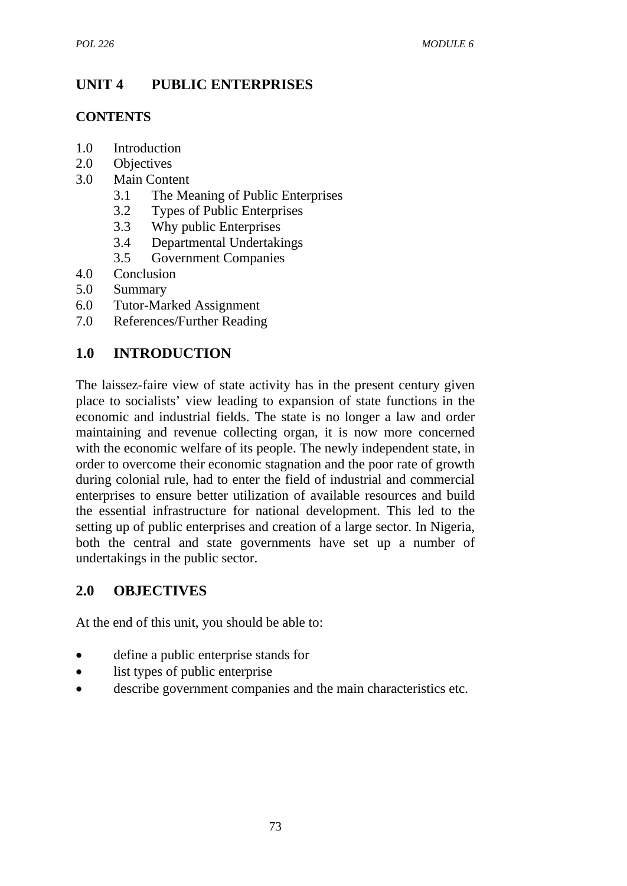# **UNIT 4 PUBLIC ENTERPRISES**

# **CONTENTS**

- 1.0 Introduction
- 2.0 Objectives
- 3.0 Main Content
	- 3.1 The Meaning of Public Enterprises
	- 3.2 Types of Public Enterprises
	- 3.3 Why public Enterprises
	- 3.4 Departmental Undertakings
	- 3.5 Government Companies
- 4.0 Conclusion
- 5.0 Summary
- 6.0 Tutor-Marked Assignment
- 7.0 References/Further Reading

# **1.0 INTRODUCTION**

The laissez-faire view of state activity has in the present century given place to socialists' view leading to expansion of state functions in the economic and industrial fields. The state is no longer a law and order maintaining and revenue collecting organ, it is now more concerned with the economic welfare of its people. The newly independent state, in order to overcome their economic stagnation and the poor rate of growth during colonial rule, had to enter the field of industrial and commercial enterprises to ensure better utilization of available resources and build the essential infrastructure for national development. This led to the setting up of public enterprises and creation of a large sector. In Nigeria, both the central and state governments have set up a number of undertakings in the public sector.

# **2.0 OBJECTIVES**

At the end of this unit, you should be able to:

- define a public enterprise stands for
- list types of public enterprise
- describe government companies and the main characteristics etc.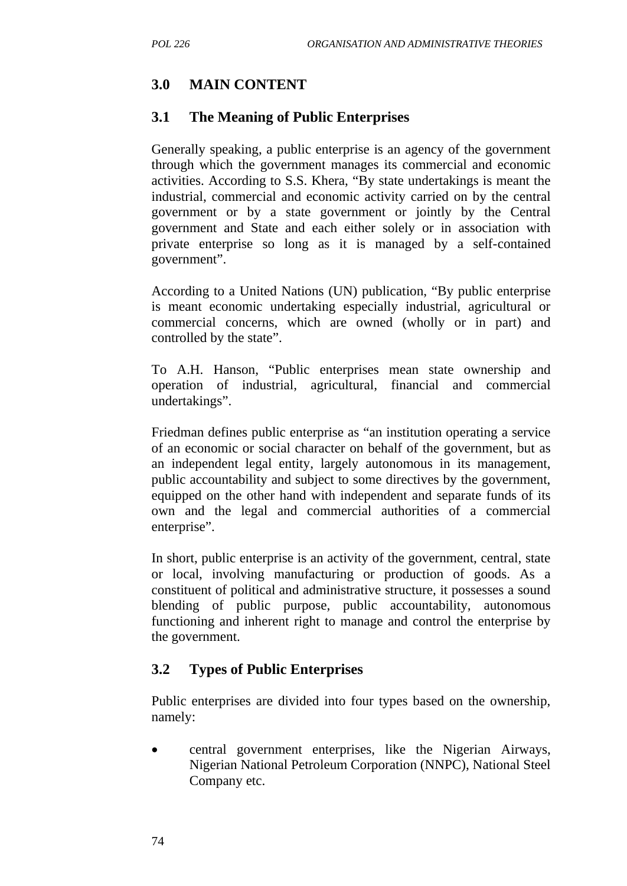# **3.0 MAIN CONTENT**

### **3.1 The Meaning of Public Enterprises**

Generally speaking, a public enterprise is an agency of the government through which the government manages its commercial and economic activities. According to S.S. Khera, "By state undertakings is meant the industrial, commercial and economic activity carried on by the central government or by a state government or jointly by the Central government and State and each either solely or in association with private enterprise so long as it is managed by a self-contained government".

According to a United Nations (UN) publication, "By public enterprise is meant economic undertaking especially industrial, agricultural or commercial concerns, which are owned (wholly or in part) and controlled by the state".

To A.H. Hanson, "Public enterprises mean state ownership and operation of industrial, agricultural, financial and commercial undertakings".

Friedman defines public enterprise as "an institution operating a service of an economic or social character on behalf of the government, but as an independent legal entity, largely autonomous in its management, public accountability and subject to some directives by the government, equipped on the other hand with independent and separate funds of its own and the legal and commercial authorities of a commercial enterprise".

In short, public enterprise is an activity of the government, central, state or local, involving manufacturing or production of goods. As a constituent of political and administrative structure, it possesses a sound blending of public purpose, public accountability, autonomous functioning and inherent right to manage and control the enterprise by the government.

# **3.2 Types of Public Enterprises**

Public enterprises are divided into four types based on the ownership, namely:

• central government enterprises, like the Nigerian Airways, Nigerian National Petroleum Corporation (NNPC), National Steel Company etc.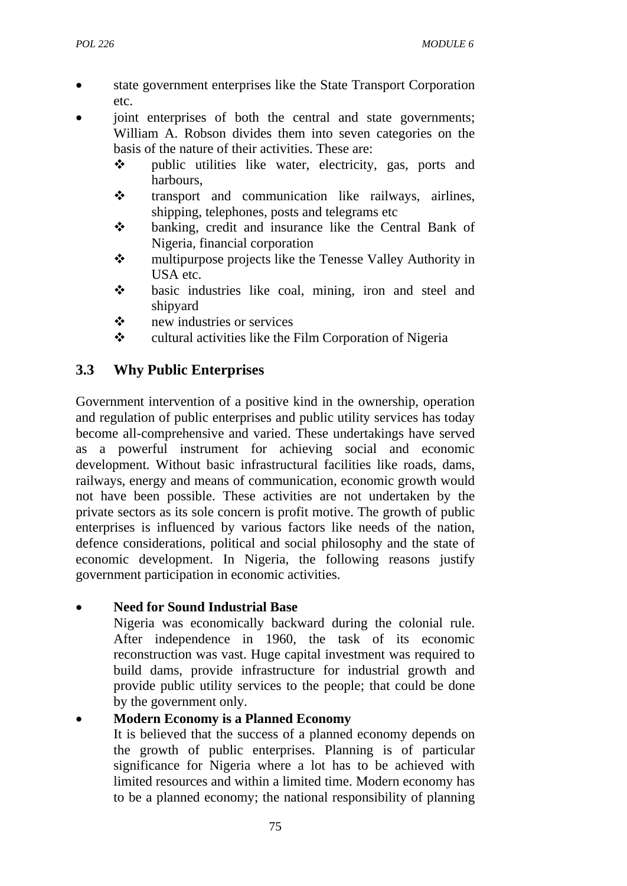- state government enterprises like the State Transport Corporation etc.
- joint enterprises of both the central and state governments; William A. Robson divides them into seven categories on the basis of the nature of their activities. These are:
	- public utilities like water, electricity, gas, ports and harbours,
	- $\cdot$  transport and communication like railways, airlines, shipping, telephones, posts and telegrams etc
	- banking, credit and insurance like the Central Bank of Nigeria, financial corporation
	- multipurpose projects like the Tenesse Valley Authority in USA etc.
	- $\cdot \cdot$  basic industries like coal, mining, iron and steel and shipyard
	- new industries or services
	- $\mathbf{\hat{P}}$  cultural activities like the Film Corporation of Nigeria

# **3.3 Why Public Enterprises**

Government intervention of a positive kind in the ownership, operation and regulation of public enterprises and public utility services has today become all-comprehensive and varied. These undertakings have served as a powerful instrument for achieving social and economic development. Without basic infrastructural facilities like roads, dams, railways, energy and means of communication, economic growth would not have been possible. These activities are not undertaken by the private sectors as its sole concern is profit motive. The growth of public enterprises is influenced by various factors like needs of the nation, defence considerations, political and social philosophy and the state of economic development. In Nigeria, the following reasons justify government participation in economic activities.

# • **Need for Sound Industrial Base**

Nigeria was economically backward during the colonial rule. After independence in 1960, the task of its economic reconstruction was vast. Huge capital investment was required to build dams, provide infrastructure for industrial growth and provide public utility services to the people; that could be done by the government only.

# • **Modern Economy is a Planned Economy**

It is believed that the success of a planned economy depends on the growth of public enterprises. Planning is of particular significance for Nigeria where a lot has to be achieved with limited resources and within a limited time. Modern economy has to be a planned economy; the national responsibility of planning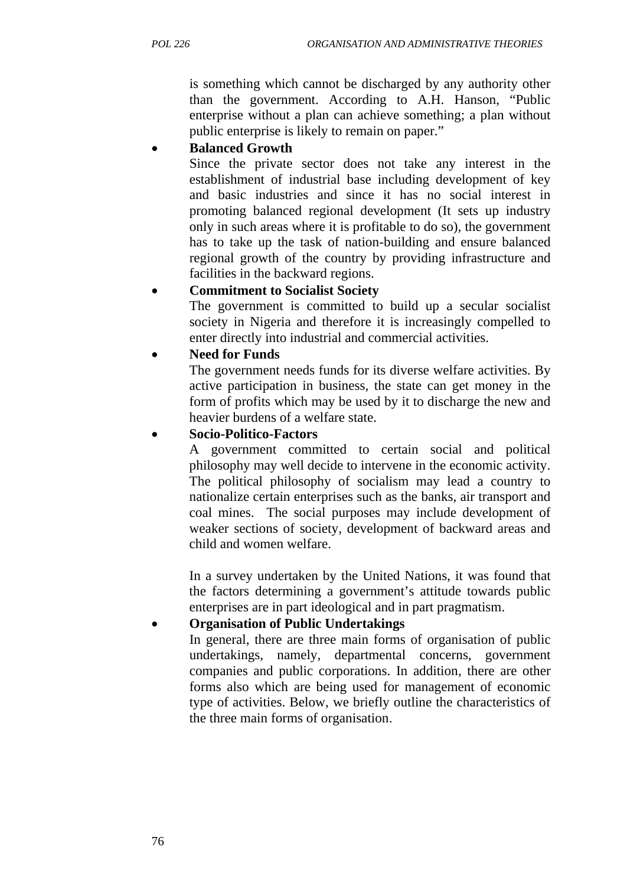is something which cannot be discharged by any authority other than the government. According to A.H. Hanson, "Public enterprise without a plan can achieve something; a plan without public enterprise is likely to remain on paper."

# • **Balanced Growth**

Since the private sector does not take any interest in the establishment of industrial base including development of key and basic industries and since it has no social interest in promoting balanced regional development (It sets up industry only in such areas where it is profitable to do so), the government has to take up the task of nation-building and ensure balanced regional growth of the country by providing infrastructure and facilities in the backward regions.

# • **Commitment to Socialist Society**

The government is committed to build up a secular socialist society in Nigeria and therefore it is increasingly compelled to enter directly into industrial and commercial activities.

# • **Need for Funds**

The government needs funds for its diverse welfare activities. By active participation in business, the state can get money in the form of profits which may be used by it to discharge the new and heavier burdens of a welfare state.

### • **Socio-Politico-Factors**

A government committed to certain social and political philosophy may well decide to intervene in the economic activity. The political philosophy of socialism may lead a country to nationalize certain enterprises such as the banks, air transport and coal mines. The social purposes may include development of weaker sections of society, development of backward areas and child and women welfare.

In a survey undertaken by the United Nations, it was found that the factors determining a government's attitude towards public enterprises are in part ideological and in part pragmatism.

# • **Organisation of Public Undertakings**

In general, there are three main forms of organisation of public undertakings, namely, departmental concerns, government companies and public corporations. In addition, there are other forms also which are being used for management of economic type of activities. Below, we briefly outline the characteristics of the three main forms of organisation.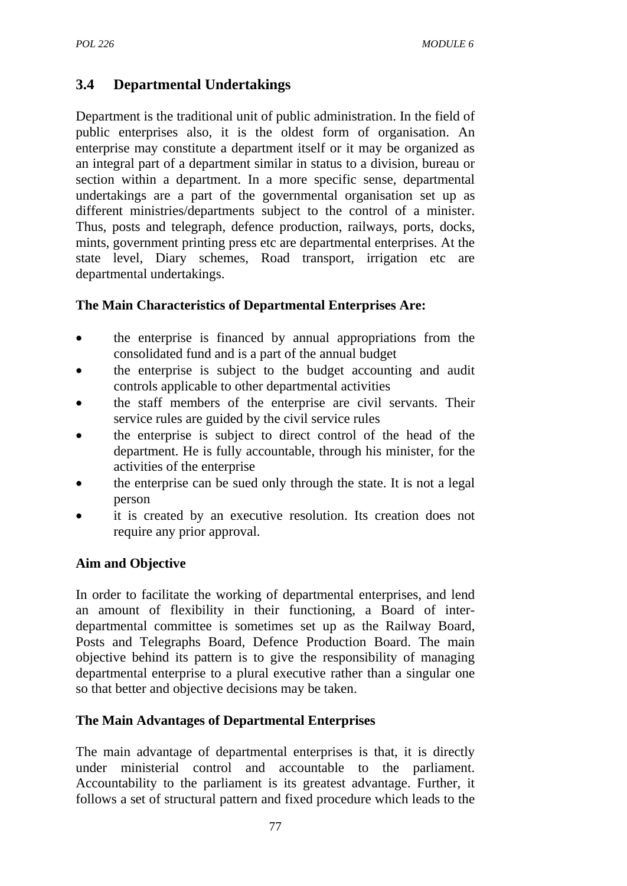# **3.4 Departmental Undertakings**

Department is the traditional unit of public administration. In the field of public enterprises also, it is the oldest form of organisation. An enterprise may constitute a department itself or it may be organized as an integral part of a department similar in status to a division, bureau or section within a department. In a more specific sense, departmental undertakings are a part of the governmental organisation set up as different ministries/departments subject to the control of a minister. Thus, posts and telegraph, defence production, railways, ports, docks, mints, government printing press etc are departmental enterprises. At the state level, Diary schemes, Road transport, irrigation etc are departmental undertakings.

# **The Main Characteristics of Departmental Enterprises Are:**

- the enterprise is financed by annual appropriations from the consolidated fund and is a part of the annual budget
- the enterprise is subject to the budget accounting and audit controls applicable to other departmental activities
- the staff members of the enterprise are civil servants. Their service rules are guided by the civil service rules
- the enterprise is subject to direct control of the head of the department. He is fully accountable, through his minister, for the activities of the enterprise
- the enterprise can be sued only through the state. It is not a legal person
- it is created by an executive resolution. Its creation does not require any prior approval.

# **Aim and Objective**

In order to facilitate the working of departmental enterprises, and lend an amount of flexibility in their functioning, a Board of interdepartmental committee is sometimes set up as the Railway Board, Posts and Telegraphs Board, Defence Production Board. The main objective behind its pattern is to give the responsibility of managing departmental enterprise to a plural executive rather than a singular one so that better and objective decisions may be taken.

#### **The Main Advantages of Departmental Enterprises**

The main advantage of departmental enterprises is that, it is directly under ministerial control and accountable to the parliament. Accountability to the parliament is its greatest advantage. Further, it follows a set of structural pattern and fixed procedure which leads to the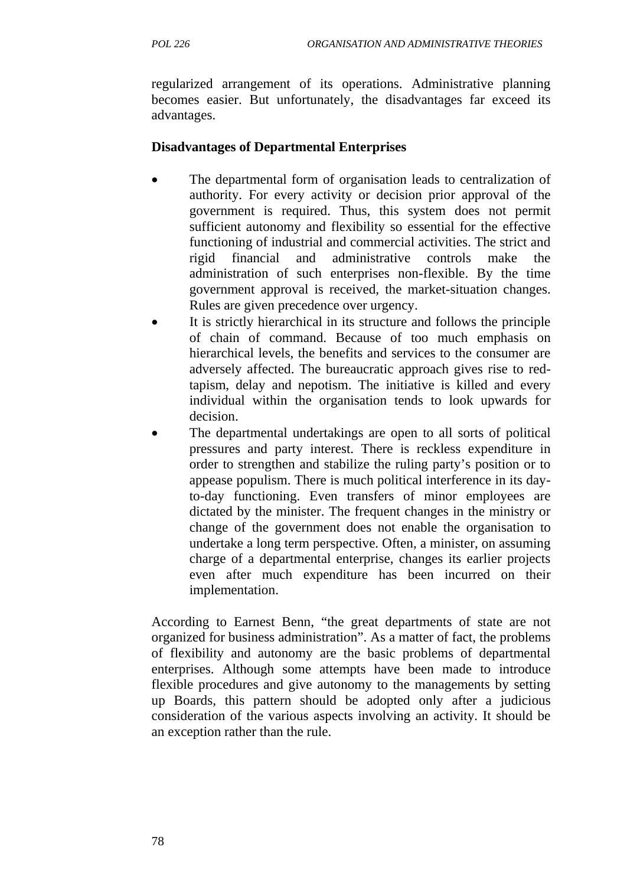regularized arrangement of its operations. Administrative planning becomes easier. But unfortunately, the disadvantages far exceed its advantages.

### **Disadvantages of Departmental Enterprises**

- The departmental form of organisation leads to centralization of authority. For every activity or decision prior approval of the government is required. Thus, this system does not permit sufficient autonomy and flexibility so essential for the effective functioning of industrial and commercial activities. The strict and rigid financial and administrative controls make the administration of such enterprises non-flexible. By the time government approval is received, the market-situation changes. Rules are given precedence over urgency.
- It is strictly hierarchical in its structure and follows the principle of chain of command. Because of too much emphasis on hierarchical levels, the benefits and services to the consumer are adversely affected. The bureaucratic approach gives rise to redtapism, delay and nepotism. The initiative is killed and every individual within the organisation tends to look upwards for decision.
- The departmental undertakings are open to all sorts of political pressures and party interest. There is reckless expenditure in order to strengthen and stabilize the ruling party's position or to appease populism. There is much political interference in its dayto-day functioning. Even transfers of minor employees are dictated by the minister. The frequent changes in the ministry or change of the government does not enable the organisation to undertake a long term perspective. Often, a minister, on assuming charge of a departmental enterprise, changes its earlier projects even after much expenditure has been incurred on their implementation.

According to Earnest Benn, "the great departments of state are not organized for business administration". As a matter of fact, the problems of flexibility and autonomy are the basic problems of departmental enterprises. Although some attempts have been made to introduce flexible procedures and give autonomy to the managements by setting up Boards, this pattern should be adopted only after a judicious consideration of the various aspects involving an activity. It should be an exception rather than the rule.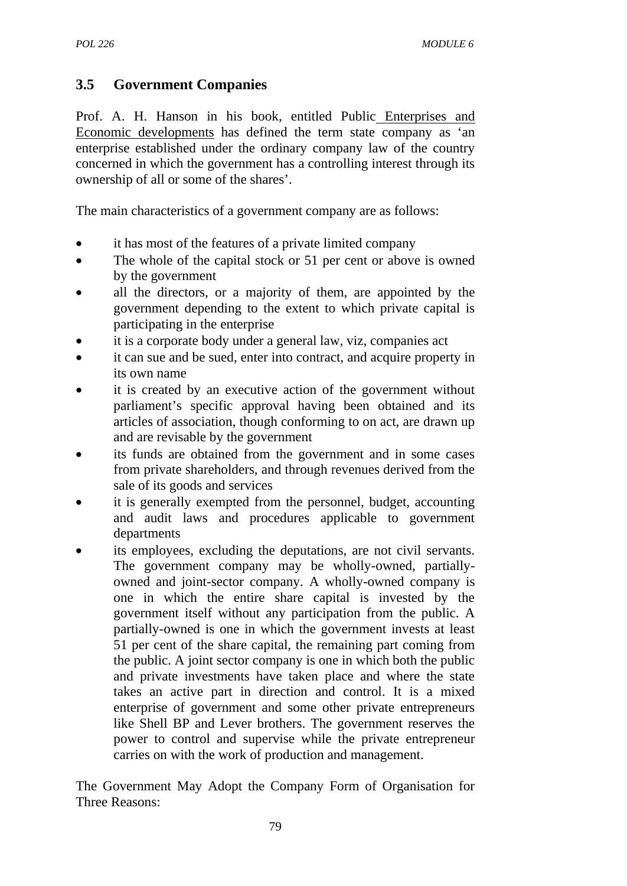# **3.5 Government Companies**

Prof. A. H. Hanson in his book, entitled Public Enterprises and Economic developments has defined the term state company as 'an enterprise established under the ordinary company law of the country concerned in which the government has a controlling interest through its ownership of all or some of the shares'.

The main characteristics of a government company are as follows:

- it has most of the features of a private limited company
- The whole of the capital stock or 51 per cent or above is owned by the government
- all the directors, or a majority of them, are appointed by the government depending to the extent to which private capital is participating in the enterprise
- it is a corporate body under a general law, viz, companies act
- it can sue and be sued, enter into contract, and acquire property in its own name
- it is created by an executive action of the government without parliament's specific approval having been obtained and its articles of association, though conforming to on act, are drawn up and are revisable by the government
- its funds are obtained from the government and in some cases from private shareholders, and through revenues derived from the sale of its goods and services
- it is generally exempted from the personnel, budget, accounting and audit laws and procedures applicable to government departments
- its employees, excluding the deputations, are not civil servants. The government company may be wholly-owned, partiallyowned and joint-sector company. A wholly-owned company is one in which the entire share capital is invested by the government itself without any participation from the public. A partially-owned is one in which the government invests at least 51 per cent of the share capital, the remaining part coming from the public. A joint sector company is one in which both the public and private investments have taken place and where the state takes an active part in direction and control. It is a mixed enterprise of government and some other private entrepreneurs like Shell BP and Lever brothers. The government reserves the power to control and supervise while the private entrepreneur carries on with the work of production and management.

The Government May Adopt the Company Form of Organisation for Three Reasons: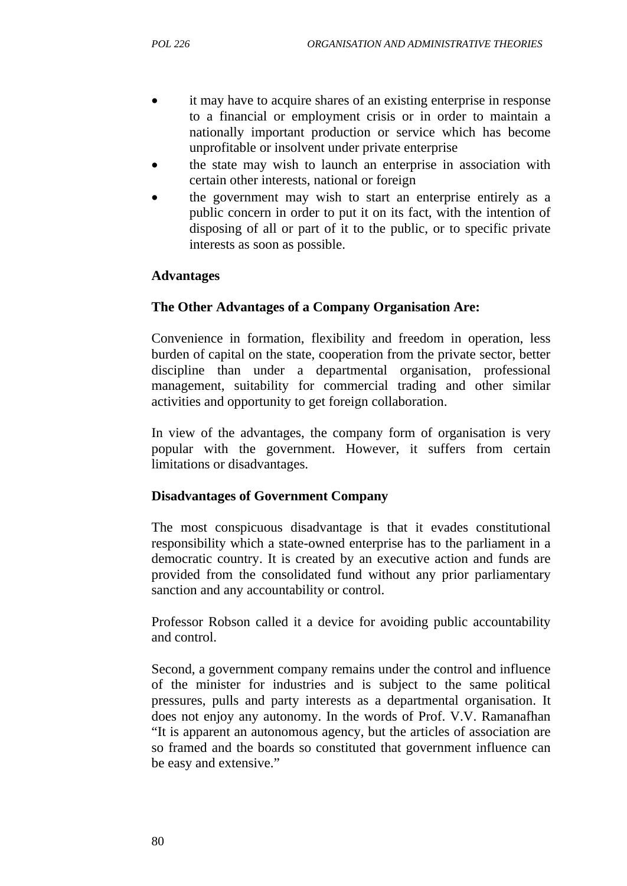- it may have to acquire shares of an existing enterprise in response to a financial or employment crisis or in order to maintain a nationally important production or service which has become unprofitable or insolvent under private enterprise
- the state may wish to launch an enterprise in association with certain other interests, national or foreign
- the government may wish to start an enterprise entirely as a public concern in order to put it on its fact, with the intention of disposing of all or part of it to the public, or to specific private interests as soon as possible.

### **Advantages**

#### **The Other Advantages of a Company Organisation Are:**

Convenience in formation, flexibility and freedom in operation, less burden of capital on the state, cooperation from the private sector, better discipline than under a departmental organisation, professional management, suitability for commercial trading and other similar activities and opportunity to get foreign collaboration.

In view of the advantages, the company form of organisation is very popular with the government. However, it suffers from certain limitations or disadvantages.

#### **Disadvantages of Government Company**

The most conspicuous disadvantage is that it evades constitutional responsibility which a state-owned enterprise has to the parliament in a democratic country. It is created by an executive action and funds are provided from the consolidated fund without any prior parliamentary sanction and any accountability or control.

Professor Robson called it a device for avoiding public accountability and control.

Second, a government company remains under the control and influence of the minister for industries and is subject to the same political pressures, pulls and party interests as a departmental organisation. It does not enjoy any autonomy. In the words of Prof. V.V. Ramanafhan "It is apparent an autonomous agency, but the articles of association are so framed and the boards so constituted that government influence can be easy and extensive."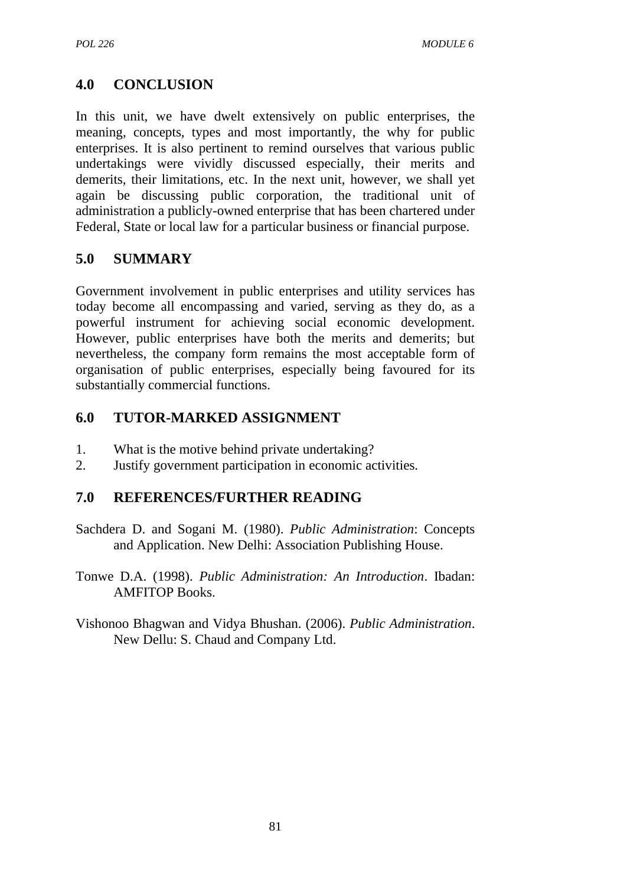# **4.0 CONCLUSION**

In this unit, we have dwelt extensively on public enterprises, the meaning, concepts, types and most importantly, the why for public enterprises. It is also pertinent to remind ourselves that various public undertakings were vividly discussed especially, their merits and demerits, their limitations, etc. In the next unit, however, we shall yet again be discussing public corporation, the traditional unit of administration a publicly-owned enterprise that has been chartered under Federal, State or local law for a particular business or financial purpose.

# **5.0 SUMMARY**

Government involvement in public enterprises and utility services has today become all encompassing and varied, serving as they do, as a powerful instrument for achieving social economic development. However, public enterprises have both the merits and demerits; but nevertheless, the company form remains the most acceptable form of organisation of public enterprises, especially being favoured for its substantially commercial functions.

# **6.0 TUTOR-MARKED ASSIGNMENT**

- 1. What is the motive behind private undertaking?
- 2. Justify government participation in economic activities.

# **7.0 REFERENCES/FURTHER READING**

- Sachdera D. and Sogani M. (1980). *Public Administration*: Concepts and Application. New Delhi: Association Publishing House.
- Tonwe D.A. (1998). *Public Administration: An Introduction*. Ibadan: AMFITOP Books.
- Vishonoo Bhagwan and Vidya Bhushan. (2006). *Public Administration*. New Dellu: S. Chaud and Company Ltd.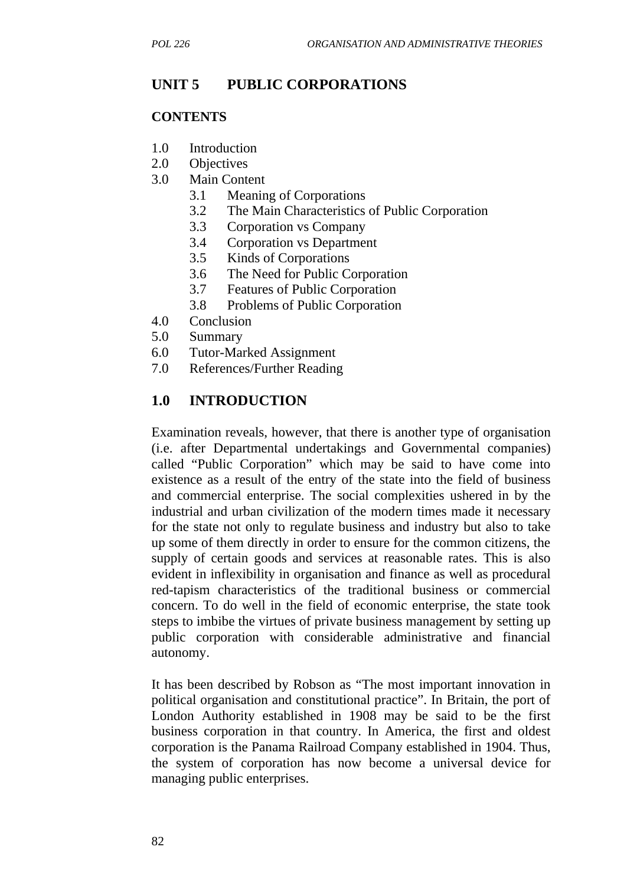# **UNIT 5 PUBLIC CORPORATIONS**

#### **CONTENTS**

- 1.0 Introduction
- 2.0 Objectives
- 3.0 Main Content
	- 3.1 Meaning of Corporations
	- 3.2 The Main Characteristics of Public Corporation
	- 3.3 Corporation vs Company
	- 3.4 Corporation vs Department
	- 3.5 Kinds of Corporations
	- 3.6 The Need for Public Corporation
	- 3.7 Features of Public Corporation
	- 3.8 Problems of Public Corporation
- 4.0 Conclusion
- 5.0 Summary
- 6.0 Tutor-Marked Assignment
- 7.0 References/Further Reading

### **1.0 INTRODUCTION**

Examination reveals, however, that there is another type of organisation (i.e. after Departmental undertakings and Governmental companies) called "Public Corporation" which may be said to have come into existence as a result of the entry of the state into the field of business and commercial enterprise. The social complexities ushered in by the industrial and urban civilization of the modern times made it necessary for the state not only to regulate business and industry but also to take up some of them directly in order to ensure for the common citizens, the supply of certain goods and services at reasonable rates. This is also evident in inflexibility in organisation and finance as well as procedural red-tapism characteristics of the traditional business or commercial concern. To do well in the field of economic enterprise, the state took steps to imbibe the virtues of private business management by setting up public corporation with considerable administrative and financial autonomy.

It has been described by Robson as "The most important innovation in political organisation and constitutional practice". In Britain, the port of London Authority established in 1908 may be said to be the first business corporation in that country. In America, the first and oldest corporation is the Panama Railroad Company established in 1904. Thus, the system of corporation has now become a universal device for managing public enterprises.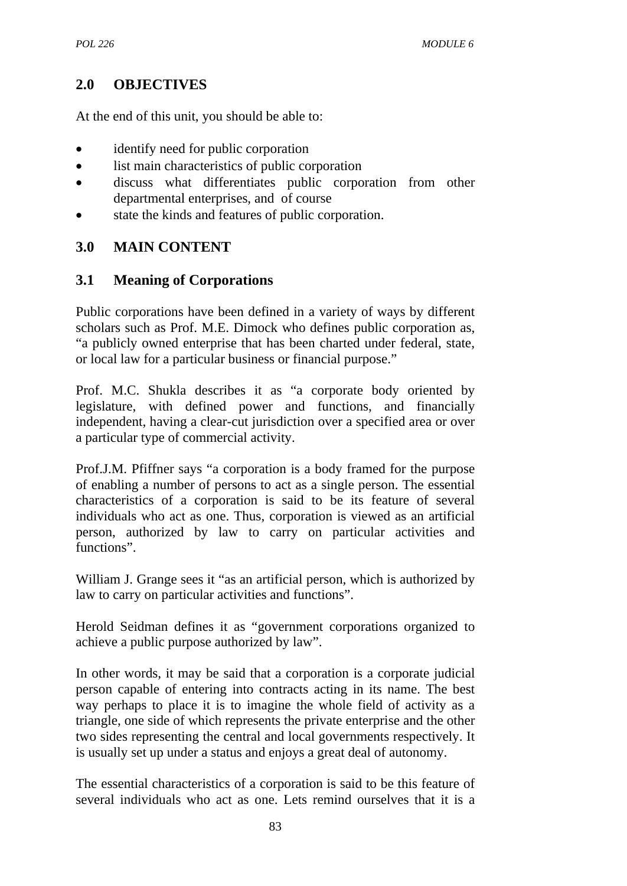# **2.0 OBJECTIVES**

At the end of this unit, you should be able to:

- identify need for public corporation
- list main characteristics of public corporation
- discuss what differentiates public corporation from other departmental enterprises, and of course
- state the kinds and features of public corporation.

# **3.0 MAIN CONTENT**

# **3.1 Meaning of Corporations**

Public corporations have been defined in a variety of ways by different scholars such as Prof. M.E. Dimock who defines public corporation as, "a publicly owned enterprise that has been charted under federal, state, or local law for a particular business or financial purpose."

Prof. M.C. Shukla describes it as "a corporate body oriented by legislature, with defined power and functions, and financially independent, having a clear-cut jurisdiction over a specified area or over a particular type of commercial activity.

Prof.J.M. Pfiffner says "a corporation is a body framed for the purpose of enabling a number of persons to act as a single person. The essential characteristics of a corporation is said to be its feature of several individuals who act as one. Thus, corporation is viewed as an artificial person, authorized by law to carry on particular activities and functions".

William J. Grange sees it "as an artificial person, which is authorized by law to carry on particular activities and functions".

Herold Seidman defines it as "government corporations organized to achieve a public purpose authorized by law".

In other words, it may be said that a corporation is a corporate judicial person capable of entering into contracts acting in its name. The best way perhaps to place it is to imagine the whole field of activity as a triangle, one side of which represents the private enterprise and the other two sides representing the central and local governments respectively. It is usually set up under a status and enjoys a great deal of autonomy.

The essential characteristics of a corporation is said to be this feature of several individuals who act as one. Lets remind ourselves that it is a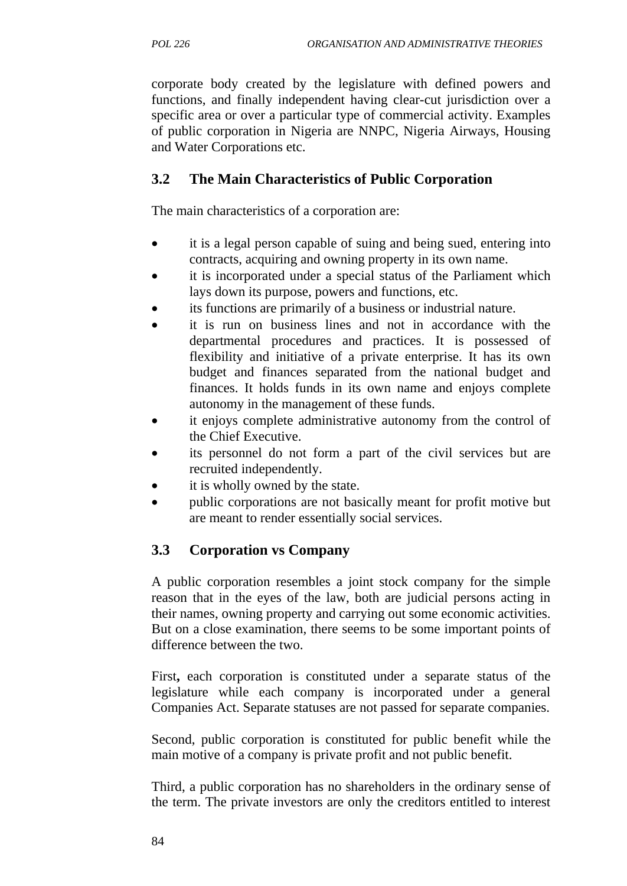corporate body created by the legislature with defined powers and functions, and finally independent having clear-cut jurisdiction over a specific area or over a particular type of commercial activity. Examples of public corporation in Nigeria are NNPC, Nigeria Airways, Housing and Water Corporations etc.

# **3.2 The Main Characteristics of Public Corporation**

The main characteristics of a corporation are:

- it is a legal person capable of suing and being sued, entering into contracts, acquiring and owning property in its own name.
- it is incorporated under a special status of the Parliament which lays down its purpose, powers and functions, etc.
- its functions are primarily of a business or industrial nature.
- it is run on business lines and not in accordance with the departmental procedures and practices. It is possessed of flexibility and initiative of a private enterprise. It has its own budget and finances separated from the national budget and finances. It holds funds in its own name and enjoys complete autonomy in the management of these funds.
- it enjoys complete administrative autonomy from the control of the Chief Executive.
- its personnel do not form a part of the civil services but are recruited independently.
- it is wholly owned by the state.
- public corporations are not basically meant for profit motive but are meant to render essentially social services.

# **3.3 Corporation vs Company**

A public corporation resembles a joint stock company for the simple reason that in the eyes of the law, both are judicial persons acting in their names, owning property and carrying out some economic activities. But on a close examination, there seems to be some important points of difference between the two.

First**,** each corporation is constituted under a separate status of the legislature while each company is incorporated under a general Companies Act. Separate statuses are not passed for separate companies.

Second, public corporation is constituted for public benefit while the main motive of a company is private profit and not public benefit.

Third, a public corporation has no shareholders in the ordinary sense of the term. The private investors are only the creditors entitled to interest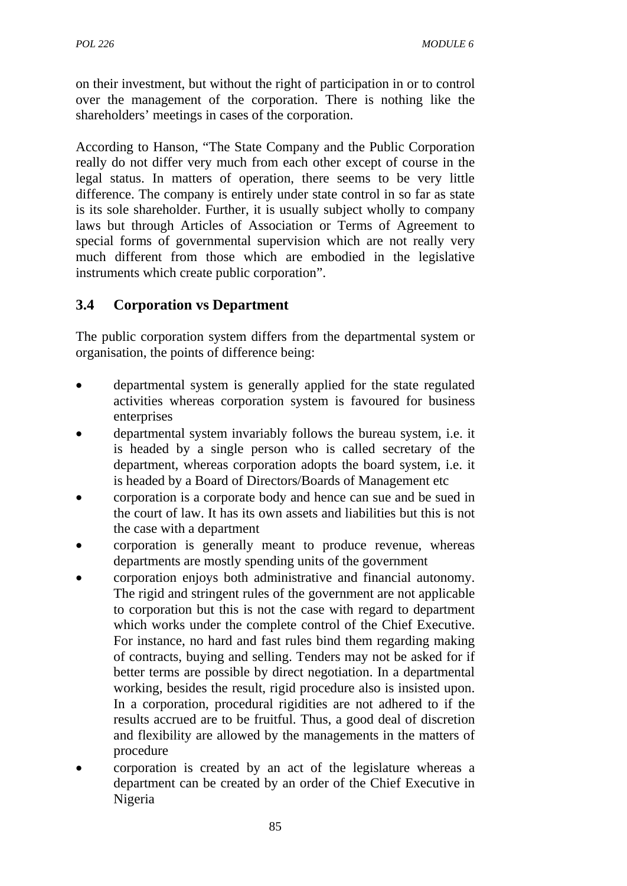on their investment, but without the right of participation in or to control over the management of the corporation. There is nothing like the shareholders' meetings in cases of the corporation.

According to Hanson, "The State Company and the Public Corporation really do not differ very much from each other except of course in the legal status. In matters of operation, there seems to be very little difference. The company is entirely under state control in so far as state is its sole shareholder. Further, it is usually subject wholly to company laws but through Articles of Association or Terms of Agreement to special forms of governmental supervision which are not really very much different from those which are embodied in the legislative instruments which create public corporation".

# **3.4 Corporation vs Department**

The public corporation system differs from the departmental system or organisation, the points of difference being:

- departmental system is generally applied for the state regulated activities whereas corporation system is favoured for business enterprises
- departmental system invariably follows the bureau system, i.e. it is headed by a single person who is called secretary of the department, whereas corporation adopts the board system, i.e. it is headed by a Board of Directors/Boards of Management etc
- corporation is a corporate body and hence can sue and be sued in the court of law. It has its own assets and liabilities but this is not the case with a department
- corporation is generally meant to produce revenue, whereas departments are mostly spending units of the government
- corporation enjoys both administrative and financial autonomy. The rigid and stringent rules of the government are not applicable to corporation but this is not the case with regard to department which works under the complete control of the Chief Executive. For instance, no hard and fast rules bind them regarding making of contracts, buying and selling. Tenders may not be asked for if better terms are possible by direct negotiation. In a departmental working, besides the result, rigid procedure also is insisted upon. In a corporation, procedural rigidities are not adhered to if the results accrued are to be fruitful. Thus, a good deal of discretion and flexibility are allowed by the managements in the matters of procedure
- corporation is created by an act of the legislature whereas a department can be created by an order of the Chief Executive in Nigeria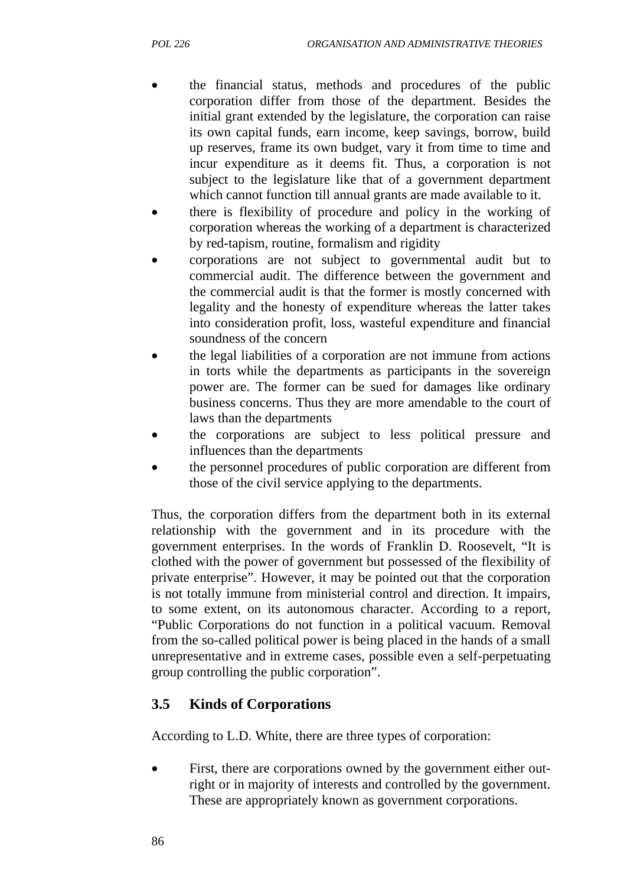- the financial status, methods and procedures of the public corporation differ from those of the department. Besides the initial grant extended by the legislature, the corporation can raise its own capital funds, earn income, keep savings, borrow, build up reserves, frame its own budget, vary it from time to time and incur expenditure as it deems fit. Thus, a corporation is not subject to the legislature like that of a government department which cannot function till annual grants are made available to it.
- there is flexibility of procedure and policy in the working of corporation whereas the working of a department is characterized by red-tapism, routine, formalism and rigidity
- corporations are not subject to governmental audit but to commercial audit. The difference between the government and the commercial audit is that the former is mostly concerned with legality and the honesty of expenditure whereas the latter takes into consideration profit, loss, wasteful expenditure and financial soundness of the concern
- the legal liabilities of a corporation are not immune from actions in torts while the departments as participants in the sovereign power are. The former can be sued for damages like ordinary business concerns. Thus they are more amendable to the court of laws than the departments
- the corporations are subject to less political pressure and influences than the departments
- the personnel procedures of public corporation are different from those of the civil service applying to the departments.

Thus, the corporation differs from the department both in its external relationship with the government and in its procedure with the government enterprises. In the words of Franklin D. Roosevelt, "It is clothed with the power of government but possessed of the flexibility of private enterprise". However, it may be pointed out that the corporation is not totally immune from ministerial control and direction. It impairs, to some extent, on its autonomous character. According to a report, "Public Corporations do not function in a political vacuum. Removal from the so-called political power is being placed in the hands of a small unrepresentative and in extreme cases, possible even a self-perpetuating group controlling the public corporation".

# **3.5 Kinds of Corporations**

According to L.D. White, there are three types of corporation:

First, there are corporations owned by the government either outright or in majority of interests and controlled by the government. These are appropriately known as government corporations.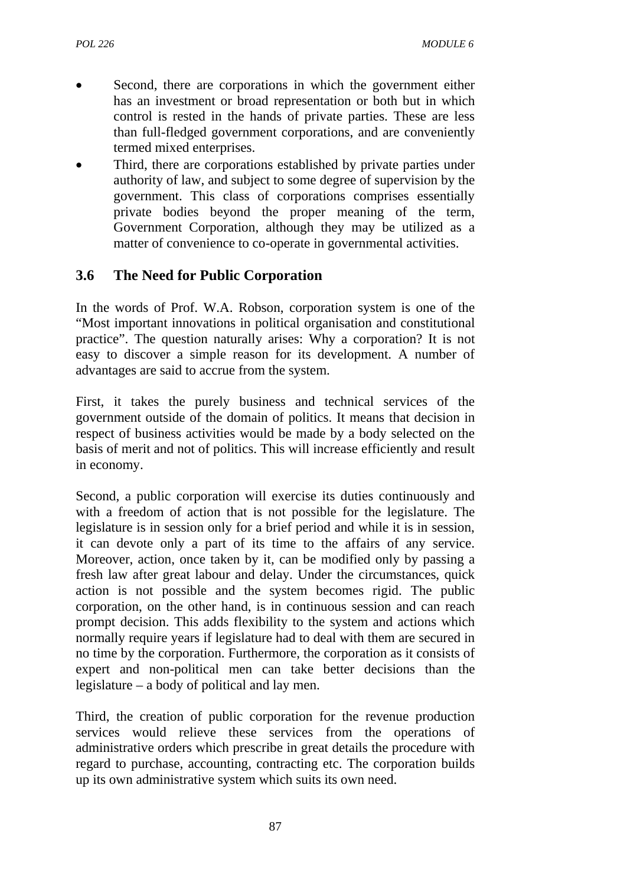- Second, there are corporations in which the government either has an investment or broad representation or both but in which control is rested in the hands of private parties. These are less than full-fledged government corporations, and are conveniently termed mixed enterprises.
- Third, there are corporations established by private parties under authority of law, and subject to some degree of supervision by the government. This class of corporations comprises essentially private bodies beyond the proper meaning of the term, Government Corporation, although they may be utilized as a matter of convenience to co-operate in governmental activities.

# **3.6 The Need for Public Corporation**

In the words of Prof. W.A. Robson, corporation system is one of the "Most important innovations in political organisation and constitutional practice". The question naturally arises: Why a corporation? It is not easy to discover a simple reason for its development. A number of advantages are said to accrue from the system.

First, it takes the purely business and technical services of the government outside of the domain of politics. It means that decision in respect of business activities would be made by a body selected on the basis of merit and not of politics. This will increase efficiently and result in economy.

Second, a public corporation will exercise its duties continuously and with a freedom of action that is not possible for the legislature. The legislature is in session only for a brief period and while it is in session, it can devote only a part of its time to the affairs of any service. Moreover, action, once taken by it, can be modified only by passing a fresh law after great labour and delay. Under the circumstances, quick action is not possible and the system becomes rigid. The public corporation, on the other hand, is in continuous session and can reach prompt decision. This adds flexibility to the system and actions which normally require years if legislature had to deal with them are secured in no time by the corporation. Furthermore, the corporation as it consists of expert and non-political men can take better decisions than the legislature – a body of political and lay men.

Third, the creation of public corporation for the revenue production services would relieve these services from the operations of administrative orders which prescribe in great details the procedure with regard to purchase, accounting, contracting etc. The corporation builds up its own administrative system which suits its own need.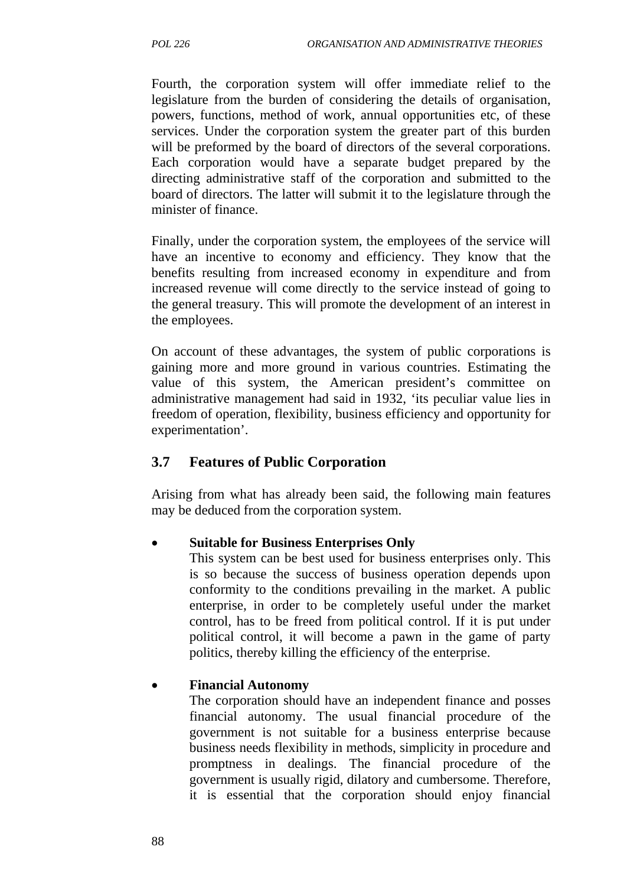Fourth, the corporation system will offer immediate relief to the legislature from the burden of considering the details of organisation, powers, functions, method of work, annual opportunities etc, of these services. Under the corporation system the greater part of this burden will be preformed by the board of directors of the several corporations. Each corporation would have a separate budget prepared by the directing administrative staff of the corporation and submitted to the board of directors. The latter will submit it to the legislature through the minister of finance.

Finally, under the corporation system, the employees of the service will have an incentive to economy and efficiency. They know that the benefits resulting from increased economy in expenditure and from increased revenue will come directly to the service instead of going to the general treasury. This will promote the development of an interest in the employees.

On account of these advantages, the system of public corporations is gaining more and more ground in various countries. Estimating the value of this system, the American president's committee on administrative management had said in 1932, 'its peculiar value lies in freedom of operation, flexibility, business efficiency and opportunity for experimentation'.

# **3.7 Features of Public Corporation**

Arising from what has already been said, the following main features may be deduced from the corporation system.

# • **Suitable for Business Enterprises Only**

This system can be best used for business enterprises only. This is so because the success of business operation depends upon conformity to the conditions prevailing in the market. A public enterprise, in order to be completely useful under the market control, has to be freed from political control. If it is put under political control, it will become a pawn in the game of party politics, thereby killing the efficiency of the enterprise.

# • **Financial Autonomy**

The corporation should have an independent finance and posses financial autonomy. The usual financial procedure of the government is not suitable for a business enterprise because business needs flexibility in methods, simplicity in procedure and promptness in dealings. The financial procedure of the government is usually rigid, dilatory and cumbersome. Therefore, it is essential that the corporation should enjoy financial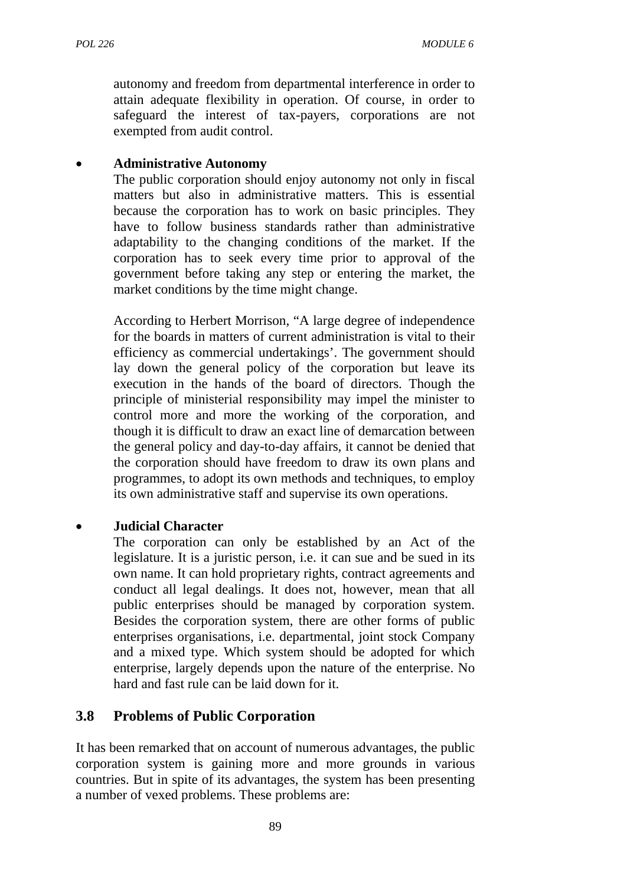autonomy and freedom from departmental interference in order to attain adequate flexibility in operation. Of course, in order to safeguard the interest of tax-payers, corporations are not exempted from audit control.

#### • **Administrative Autonomy**

The public corporation should enjoy autonomy not only in fiscal matters but also in administrative matters. This is essential because the corporation has to work on basic principles. They have to follow business standards rather than administrative adaptability to the changing conditions of the market. If the corporation has to seek every time prior to approval of the government before taking any step or entering the market, the market conditions by the time might change.

According to Herbert Morrison, "A large degree of independence for the boards in matters of current administration is vital to their efficiency as commercial undertakings'. The government should lay down the general policy of the corporation but leave its execution in the hands of the board of directors. Though the principle of ministerial responsibility may impel the minister to control more and more the working of the corporation, and though it is difficult to draw an exact line of demarcation between the general policy and day-to-day affairs, it cannot be denied that the corporation should have freedom to draw its own plans and programmes, to adopt its own methods and techniques, to employ its own administrative staff and supervise its own operations.

#### • **Judicial Character**

The corporation can only be established by an Act of the legislature. It is a juristic person, i.e. it can sue and be sued in its own name. It can hold proprietary rights, contract agreements and conduct all legal dealings. It does not, however, mean that all public enterprises should be managed by corporation system. Besides the corporation system, there are other forms of public enterprises organisations, i.e. departmental, joint stock Company and a mixed type. Which system should be adopted for which enterprise, largely depends upon the nature of the enterprise. No hard and fast rule can be laid down for it.

#### **3.8 Problems of Public Corporation**

It has been remarked that on account of numerous advantages, the public corporation system is gaining more and more grounds in various countries. But in spite of its advantages, the system has been presenting a number of vexed problems. These problems are: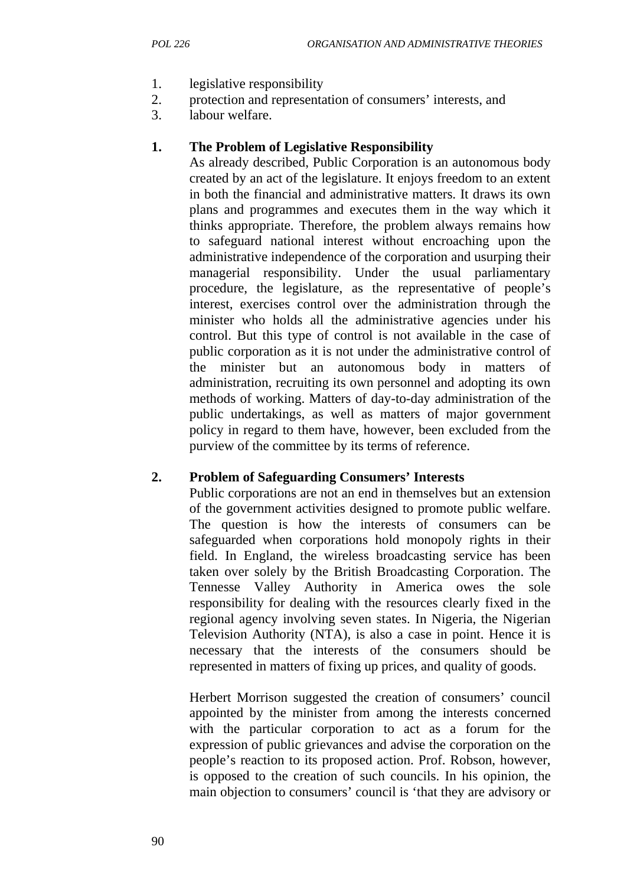- 1. legislative responsibility
- 2. protection and representation of consumers' interests, and
- 3. labour welfare.

### **1. The Problem of Legislative Responsibility**

As already described, Public Corporation is an autonomous body created by an act of the legislature. It enjoys freedom to an extent in both the financial and administrative matters. It draws its own plans and programmes and executes them in the way which it thinks appropriate. Therefore, the problem always remains how to safeguard national interest without encroaching upon the administrative independence of the corporation and usurping their managerial responsibility. Under the usual parliamentary procedure, the legislature, as the representative of people's interest, exercises control over the administration through the minister who holds all the administrative agencies under his control. But this type of control is not available in the case of public corporation as it is not under the administrative control of the minister but an autonomous body in matters of administration, recruiting its own personnel and adopting its own methods of working. Matters of day-to-day administration of the public undertakings, as well as matters of major government policy in regard to them have, however, been excluded from the purview of the committee by its terms of reference.

#### **2. Problem of Safeguarding Consumers' Interests**

Public corporations are not an end in themselves but an extension of the government activities designed to promote public welfare. The question is how the interests of consumers can be safeguarded when corporations hold monopoly rights in their field. In England, the wireless broadcasting service has been taken over solely by the British Broadcasting Corporation. The Tennesse Valley Authority in America owes the sole responsibility for dealing with the resources clearly fixed in the regional agency involving seven states. In Nigeria, the Nigerian Television Authority (NTA), is also a case in point. Hence it is necessary that the interests of the consumers should be represented in matters of fixing up prices, and quality of goods.

Herbert Morrison suggested the creation of consumers' council appointed by the minister from among the interests concerned with the particular corporation to act as a forum for the expression of public grievances and advise the corporation on the people's reaction to its proposed action. Prof. Robson, however, is opposed to the creation of such councils. In his opinion, the main objection to consumers' council is 'that they are advisory or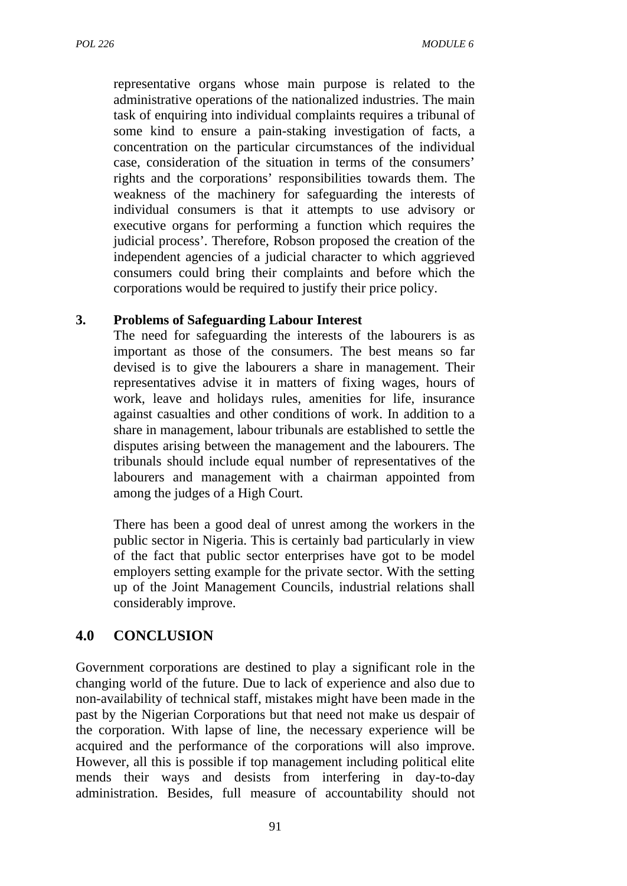representative organs whose main purpose is related to the administrative operations of the nationalized industries. The main task of enquiring into individual complaints requires a tribunal of some kind to ensure a pain-staking investigation of facts, a concentration on the particular circumstances of the individual case, consideration of the situation in terms of the consumers' rights and the corporations' responsibilities towards them. The weakness of the machinery for safeguarding the interests of individual consumers is that it attempts to use advisory or executive organs for performing a function which requires the judicial process'. Therefore, Robson proposed the creation of the independent agencies of a judicial character to which aggrieved consumers could bring their complaints and before which the corporations would be required to justify their price policy.

#### **3. Problems of Safeguarding Labour Interest**

The need for safeguarding the interests of the labourers is as important as those of the consumers. The best means so far devised is to give the labourers a share in management. Their representatives advise it in matters of fixing wages, hours of work, leave and holidays rules, amenities for life, insurance against casualties and other conditions of work. In addition to a share in management, labour tribunals are established to settle the disputes arising between the management and the labourers. The tribunals should include equal number of representatives of the labourers and management with a chairman appointed from among the judges of a High Court.

There has been a good deal of unrest among the workers in the public sector in Nigeria. This is certainly bad particularly in view of the fact that public sector enterprises have got to be model employers setting example for the private sector. With the setting up of the Joint Management Councils, industrial relations shall considerably improve.

# **4.0 CONCLUSION**

Government corporations are destined to play a significant role in the changing world of the future. Due to lack of experience and also due to non-availability of technical staff, mistakes might have been made in the past by the Nigerian Corporations but that need not make us despair of the corporation. With lapse of line, the necessary experience will be acquired and the performance of the corporations will also improve. However, all this is possible if top management including political elite mends their ways and desists from interfering in day-to-day administration. Besides, full measure of accountability should not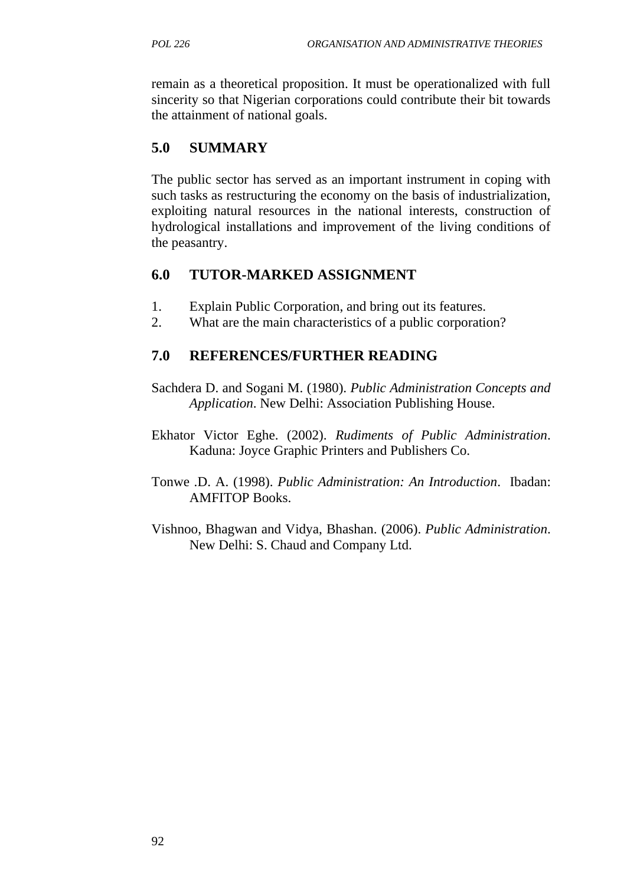remain as a theoretical proposition. It must be operationalized with full sincerity so that Nigerian corporations could contribute their bit towards the attainment of national goals.

# **5.0 SUMMARY**

The public sector has served as an important instrument in coping with such tasks as restructuring the economy on the basis of industrialization, exploiting natural resources in the national interests, construction of hydrological installations and improvement of the living conditions of the peasantry.

#### **6.0 TUTOR-MARKED ASSIGNMENT**

- 1. Explain Public Corporation, and bring out its features.
- 2. What are the main characteristics of a public corporation?

#### **7.0 REFERENCES/FURTHER READING**

- Sachdera D. and Sogani M. (1980). *Public Administration Concepts and Application*. New Delhi: Association Publishing House.
- Ekhator Victor Eghe. (2002). *Rudiments of Public Administration*. Kaduna: Joyce Graphic Printers and Publishers Co.
- Tonwe .D. A. (1998). *Public Administration: An Introduction*. Ibadan: AMFITOP Books.
- Vishnoo, Bhagwan and Vidya, Bhashan. (2006). *Public Administration*. New Delhi: S. Chaud and Company Ltd.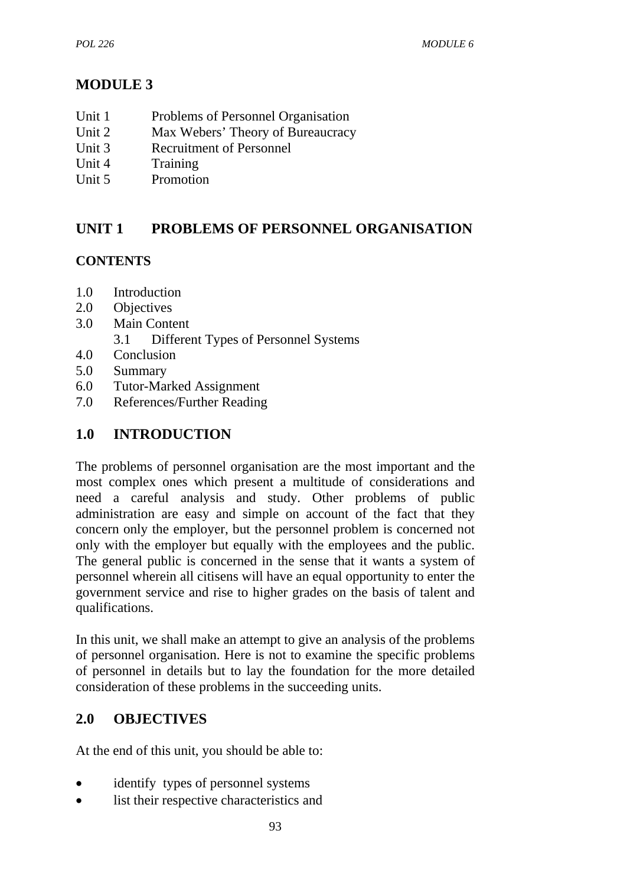# **MODULE 3**

- Unit 1 Problems of Personnel Organisation
- Unit 2 Max Webers' Theory of Bureaucracy
- Unit 3 Recruitment of Personnel
- Unit 4 Training
- Unit 5 Promotion

# **UNIT 1 PROBLEMS OF PERSONNEL ORGANISATION**

# **CONTENTS**

- 1.0 Introduction
- 2.0 Objectives
- 3.0 Main Content
	- 3.1 Different Types of Personnel Systems
- 4.0 Conclusion
- 5.0 Summary
- 6.0 Tutor-Marked Assignment
- 7.0 References/Further Reading

# **1.0 INTRODUCTION**

The problems of personnel organisation are the most important and the most complex ones which present a multitude of considerations and need a careful analysis and study. Other problems of public administration are easy and simple on account of the fact that they concern only the employer, but the personnel problem is concerned not only with the employer but equally with the employees and the public. The general public is concerned in the sense that it wants a system of personnel wherein all citisens will have an equal opportunity to enter the government service and rise to higher grades on the basis of talent and qualifications.

In this unit, we shall make an attempt to give an analysis of the problems of personnel organisation. Here is not to examine the specific problems of personnel in details but to lay the foundation for the more detailed consideration of these problems in the succeeding units.

# **2.0 OBJECTIVES**

At the end of this unit, you should be able to:

- identify types of personnel systems
- list their respective characteristics and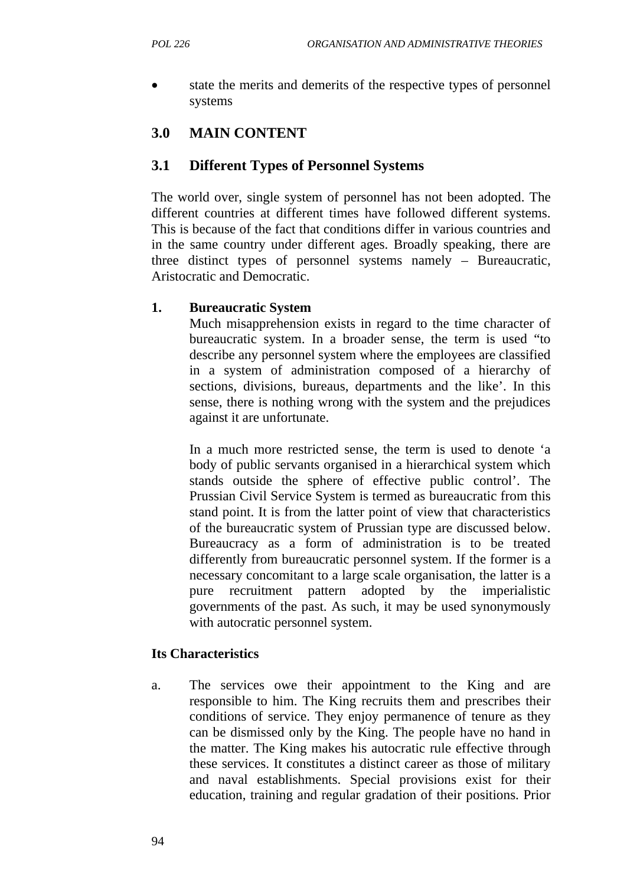state the merits and demerits of the respective types of personnel systems

# **3.0 MAIN CONTENT**

# **3.1 Different Types of Personnel Systems**

The world over, single system of personnel has not been adopted. The different countries at different times have followed different systems. This is because of the fact that conditions differ in various countries and in the same country under different ages. Broadly speaking, there are three distinct types of personnel systems namely – Bureaucratic, Aristocratic and Democratic.

# **1. Bureaucratic System**

Much misapprehension exists in regard to the time character of bureaucratic system. In a broader sense, the term is used "to describe any personnel system where the employees are classified in a system of administration composed of a hierarchy of sections, divisions, bureaus, departments and the like'. In this sense, there is nothing wrong with the system and the prejudices against it are unfortunate.

In a much more restricted sense, the term is used to denote 'a body of public servants organised in a hierarchical system which stands outside the sphere of effective public control'. The Prussian Civil Service System is termed as bureaucratic from this stand point. It is from the latter point of view that characteristics of the bureaucratic system of Prussian type are discussed below. Bureaucracy as a form of administration is to be treated differently from bureaucratic personnel system. If the former is a necessary concomitant to a large scale organisation, the latter is a pure recruitment pattern adopted by the imperialistic governments of the past. As such, it may be used synonymously with autocratic personnel system.

# **Its Characteristics**

a. The services owe their appointment to the King and are responsible to him. The King recruits them and prescribes their conditions of service. They enjoy permanence of tenure as they can be dismissed only by the King. The people have no hand in the matter. The King makes his autocratic rule effective through these services. It constitutes a distinct career as those of military and naval establishments. Special provisions exist for their education, training and regular gradation of their positions. Prior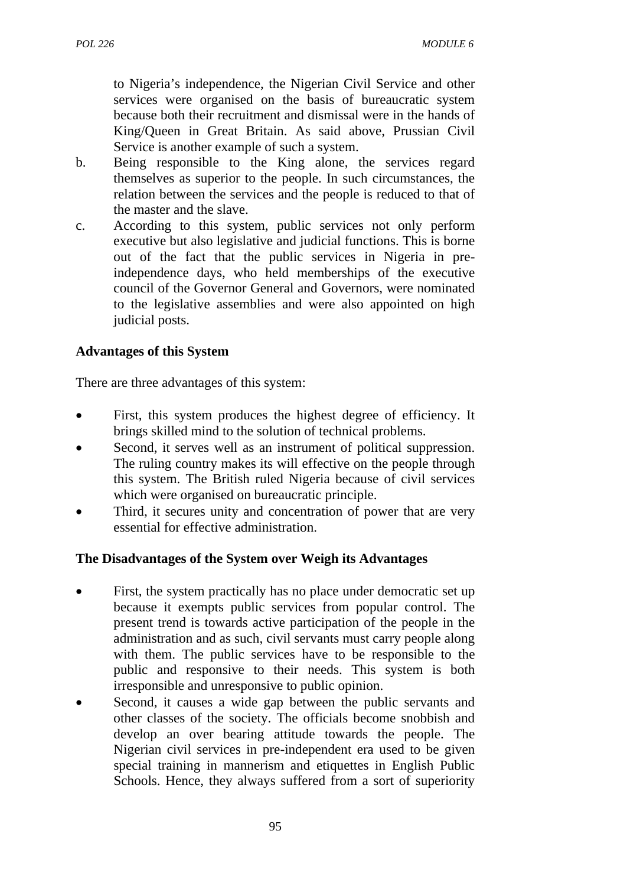to Nigeria's independence, the Nigerian Civil Service and other services were organised on the basis of bureaucratic system because both their recruitment and dismissal were in the hands of King/Queen in Great Britain. As said above, Prussian Civil Service is another example of such a system.

- b. Being responsible to the King alone, the services regard themselves as superior to the people. In such circumstances, the relation between the services and the people is reduced to that of the master and the slave.
- c. According to this system, public services not only perform executive but also legislative and judicial functions. This is borne out of the fact that the public services in Nigeria in preindependence days, who held memberships of the executive council of the Governor General and Governors, were nominated to the legislative assemblies and were also appointed on high judicial posts.

### **Advantages of this System**

There are three advantages of this system:

- First, this system produces the highest degree of efficiency. It brings skilled mind to the solution of technical problems.
- Second, it serves well as an instrument of political suppression. The ruling country makes its will effective on the people through this system. The British ruled Nigeria because of civil services which were organised on bureaucratic principle.
- Third, it secures unity and concentration of power that are very essential for effective administration.

#### **The Disadvantages of the System over Weigh its Advantages**

- First, the system practically has no place under democratic set up because it exempts public services from popular control. The present trend is towards active participation of the people in the administration and as such, civil servants must carry people along with them. The public services have to be responsible to the public and responsive to their needs. This system is both irresponsible and unresponsive to public opinion.
- Second, it causes a wide gap between the public servants and other classes of the society. The officials become snobbish and develop an over bearing attitude towards the people. The Nigerian civil services in pre-independent era used to be given special training in mannerism and etiquettes in English Public Schools. Hence, they always suffered from a sort of superiority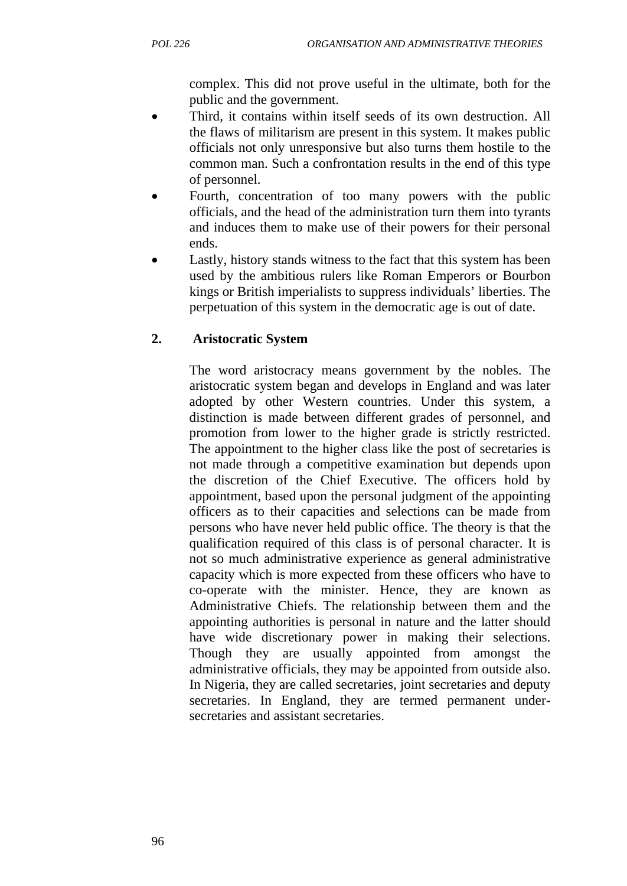complex. This did not prove useful in the ultimate, both for the public and the government.

- Third, it contains within itself seeds of its own destruction. All the flaws of militarism are present in this system. It makes public officials not only unresponsive but also turns them hostile to the common man. Such a confrontation results in the end of this type of personnel.
- Fourth, concentration of too many powers with the public officials, and the head of the administration turn them into tyrants and induces them to make use of their powers for their personal ends.
- Lastly, history stands witness to the fact that this system has been used by the ambitious rulers like Roman Emperors or Bourbon kings or British imperialists to suppress individuals' liberties. The perpetuation of this system in the democratic age is out of date.

# **2. Aristocratic System**

The word aristocracy means government by the nobles. The aristocratic system began and develops in England and was later adopted by other Western countries. Under this system, a distinction is made between different grades of personnel, and promotion from lower to the higher grade is strictly restricted. The appointment to the higher class like the post of secretaries is not made through a competitive examination but depends upon the discretion of the Chief Executive. The officers hold by appointment, based upon the personal judgment of the appointing officers as to their capacities and selections can be made from persons who have never held public office. The theory is that the qualification required of this class is of personal character. It is not so much administrative experience as general administrative capacity which is more expected from these officers who have to co-operate with the minister. Hence, they are known as Administrative Chiefs. The relationship between them and the appointing authorities is personal in nature and the latter should have wide discretionary power in making their selections. Though they are usually appointed from amongst the administrative officials, they may be appointed from outside also. In Nigeria, they are called secretaries, joint secretaries and deputy secretaries. In England, they are termed permanent undersecretaries and assistant secretaries.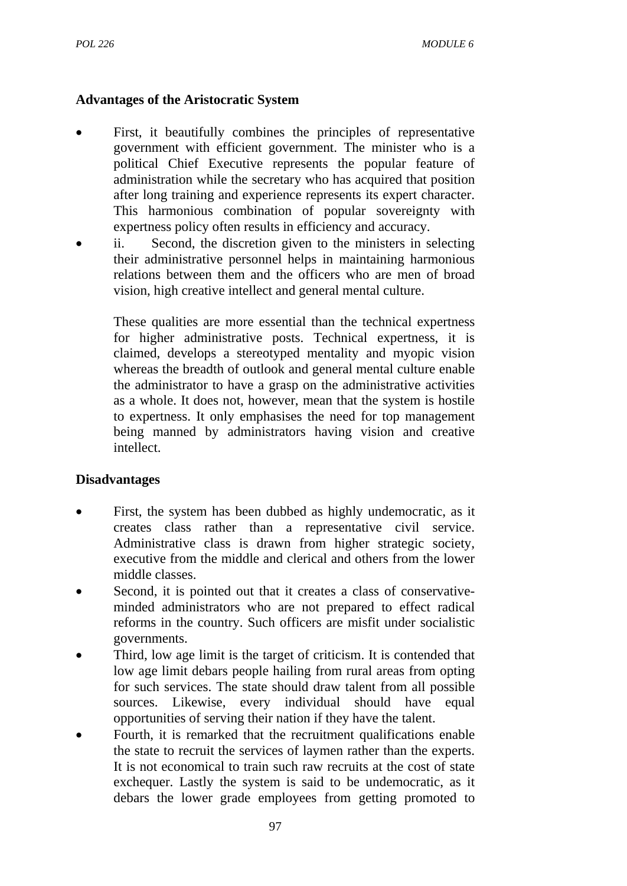### **Advantages of the Aristocratic System**

- First, it beautifully combines the principles of representative government with efficient government. The minister who is a political Chief Executive represents the popular feature of administration while the secretary who has acquired that position after long training and experience represents its expert character. This harmonious combination of popular sovereignty with expertness policy often results in efficiency and accuracy.
- ii. Second, the discretion given to the ministers in selecting their administrative personnel helps in maintaining harmonious relations between them and the officers who are men of broad vision, high creative intellect and general mental culture.

These qualities are more essential than the technical expertness for higher administrative posts. Technical expertness, it is claimed, develops a stereotyped mentality and myopic vision whereas the breadth of outlook and general mental culture enable the administrator to have a grasp on the administrative activities as a whole. It does not, however, mean that the system is hostile to expertness. It only emphasises the need for top management being manned by administrators having vision and creative intellect.

#### **Disadvantages**

- First, the system has been dubbed as highly undemocratic, as it creates class rather than a representative civil service. Administrative class is drawn from higher strategic society, executive from the middle and clerical and others from the lower middle classes.
- Second, it is pointed out that it creates a class of conservativeminded administrators who are not prepared to effect radical reforms in the country. Such officers are misfit under socialistic governments.
- Third, low age limit is the target of criticism. It is contended that low age limit debars people hailing from rural areas from opting for such services. The state should draw talent from all possible sources. Likewise, every individual should have equal opportunities of serving their nation if they have the talent.
- Fourth, it is remarked that the recruitment qualifications enable the state to recruit the services of laymen rather than the experts. It is not economical to train such raw recruits at the cost of state exchequer. Lastly the system is said to be undemocratic, as it debars the lower grade employees from getting promoted to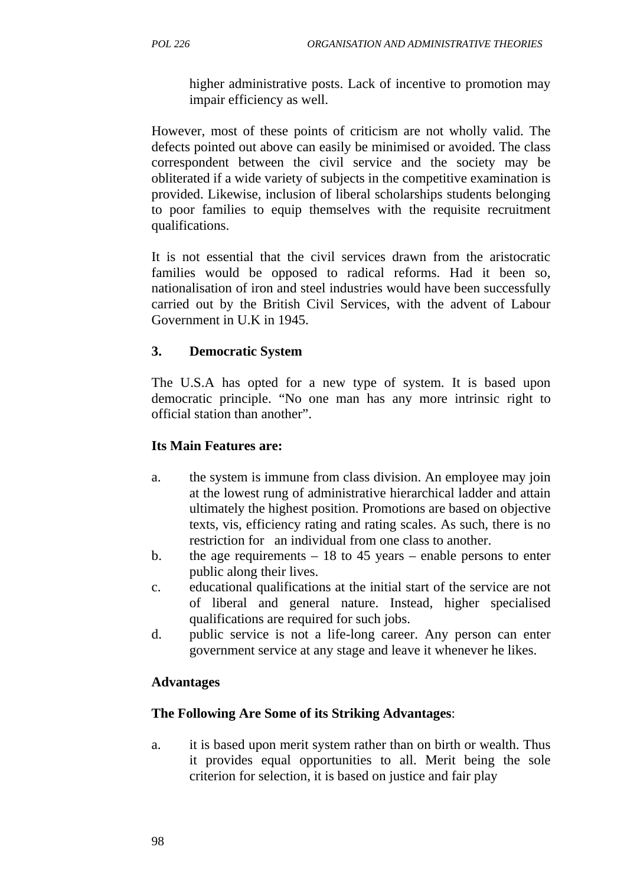higher administrative posts. Lack of incentive to promotion may impair efficiency as well.

However, most of these points of criticism are not wholly valid. The defects pointed out above can easily be minimised or avoided. The class correspondent between the civil service and the society may be obliterated if a wide variety of subjects in the competitive examination is provided. Likewise, inclusion of liberal scholarships students belonging to poor families to equip themselves with the requisite recruitment qualifications.

It is not essential that the civil services drawn from the aristocratic families would be opposed to radical reforms. Had it been so, nationalisation of iron and steel industries would have been successfully carried out by the British Civil Services, with the advent of Labour Government in U.K in 1945.

### **3. Democratic System**

The U.S.A has opted for a new type of system. It is based upon democratic principle. "No one man has any more intrinsic right to official station than another".

### **Its Main Features are:**

- a. the system is immune from class division. An employee may join at the lowest rung of administrative hierarchical ladder and attain ultimately the highest position. Promotions are based on objective texts, vis, efficiency rating and rating scales. As such, there is no restriction for an individual from one class to another.
- b. the age requirements  $-18$  to 45 years enable persons to enter public along their lives.
- c. educational qualifications at the initial start of the service are not of liberal and general nature. Instead, higher specialised qualifications are required for such jobs.
- d. public service is not a life-long career. Any person can enter government service at any stage and leave it whenever he likes.

#### **Advantages**

#### **The Following Are Some of its Striking Advantages**:

a. it is based upon merit system rather than on birth or wealth. Thus it provides equal opportunities to all. Merit being the sole criterion for selection, it is based on justice and fair play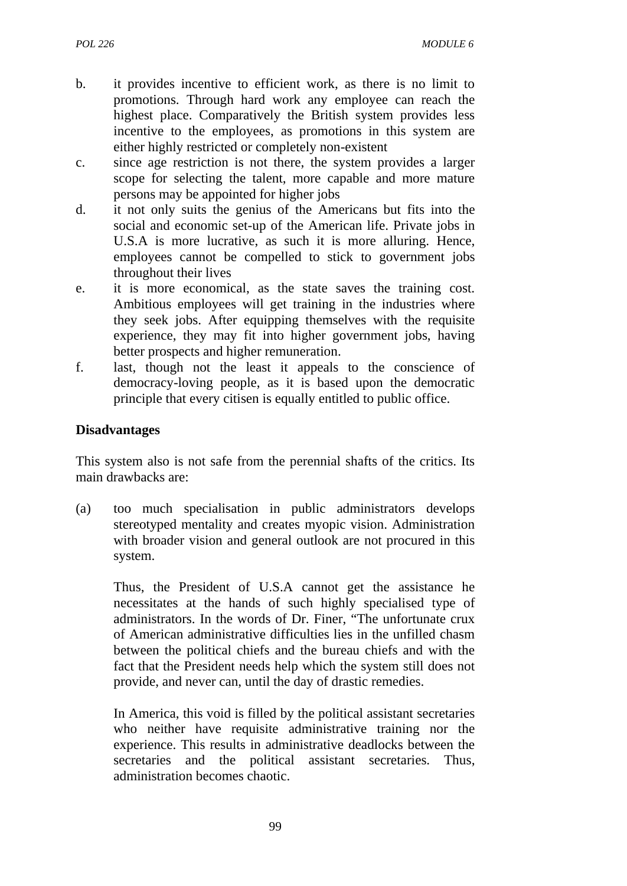- b. it provides incentive to efficient work, as there is no limit to promotions. Through hard work any employee can reach the highest place. Comparatively the British system provides less incentive to the employees, as promotions in this system are either highly restricted or completely non-existent
- c. since age restriction is not there, the system provides a larger scope for selecting the talent, more capable and more mature persons may be appointed for higher jobs
- d. it not only suits the genius of the Americans but fits into the social and economic set-up of the American life. Private jobs in U.S.A is more lucrative, as such it is more alluring. Hence, employees cannot be compelled to stick to government jobs throughout their lives
- e. it is more economical, as the state saves the training cost. Ambitious employees will get training in the industries where they seek jobs. After equipping themselves with the requisite experience, they may fit into higher government jobs, having better prospects and higher remuneration.
- f. last, though not the least it appeals to the conscience of democracy-loving people, as it is based upon the democratic principle that every citisen is equally entitled to public office.

### **Disadvantages**

This system also is not safe from the perennial shafts of the critics. Its main drawbacks are:

(a) too much specialisation in public administrators develops stereotyped mentality and creates myopic vision. Administration with broader vision and general outlook are not procured in this system.

Thus, the President of U.S.A cannot get the assistance he necessitates at the hands of such highly specialised type of administrators. In the words of Dr. Finer, "The unfortunate crux of American administrative difficulties lies in the unfilled chasm between the political chiefs and the bureau chiefs and with the fact that the President needs help which the system still does not provide, and never can, until the day of drastic remedies.

In America, this void is filled by the political assistant secretaries who neither have requisite administrative training nor the experience. This results in administrative deadlocks between the secretaries and the political assistant secretaries. Thus, administration becomes chaotic.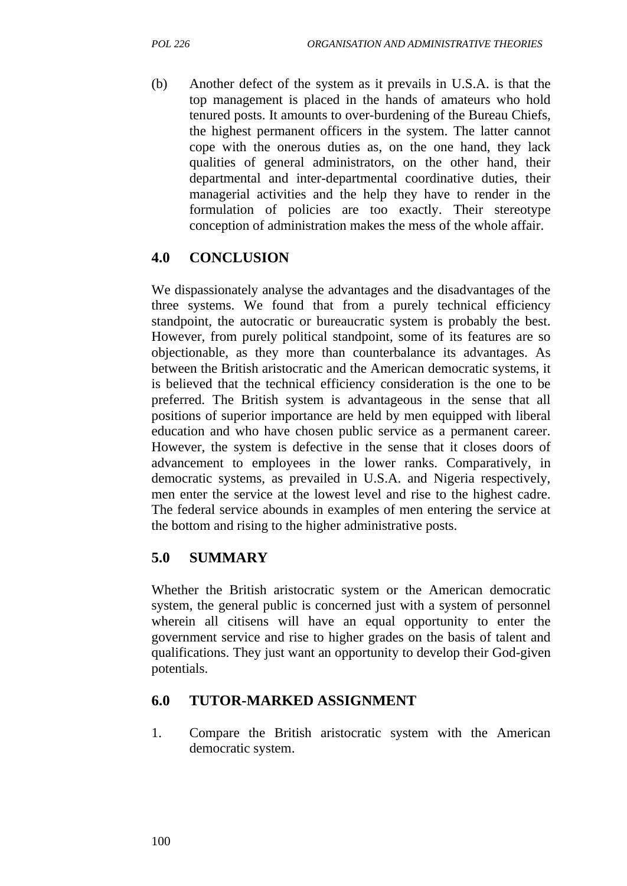(b) Another defect of the system as it prevails in U.S.A. is that the top management is placed in the hands of amateurs who hold tenured posts. It amounts to over-burdening of the Bureau Chiefs, the highest permanent officers in the system. The latter cannot cope with the onerous duties as, on the one hand, they lack qualities of general administrators, on the other hand, their departmental and inter-departmental coordinative duties, their managerial activities and the help they have to render in the formulation of policies are too exactly. Their stereotype conception of administration makes the mess of the whole affair.

# **4.0 CONCLUSION**

We dispassionately analyse the advantages and the disadvantages of the three systems. We found that from a purely technical efficiency standpoint, the autocratic or bureaucratic system is probably the best. However, from purely political standpoint, some of its features are so objectionable, as they more than counterbalance its advantages. As between the British aristocratic and the American democratic systems, it is believed that the technical efficiency consideration is the one to be preferred. The British system is advantageous in the sense that all positions of superior importance are held by men equipped with liberal education and who have chosen public service as a permanent career. However, the system is defective in the sense that it closes doors of advancement to employees in the lower ranks. Comparatively, in democratic systems, as prevailed in U.S.A. and Nigeria respectively, men enter the service at the lowest level and rise to the highest cadre. The federal service abounds in examples of men entering the service at the bottom and rising to the higher administrative posts.

#### **5.0 SUMMARY**

Whether the British aristocratic system or the American democratic system, the general public is concerned just with a system of personnel wherein all citisens will have an equal opportunity to enter the government service and rise to higher grades on the basis of talent and qualifications. They just want an opportunity to develop their God-given potentials.

#### **6.0 TUTOR-MARKED ASSIGNMENT**

1. Compare the British aristocratic system with the American democratic system.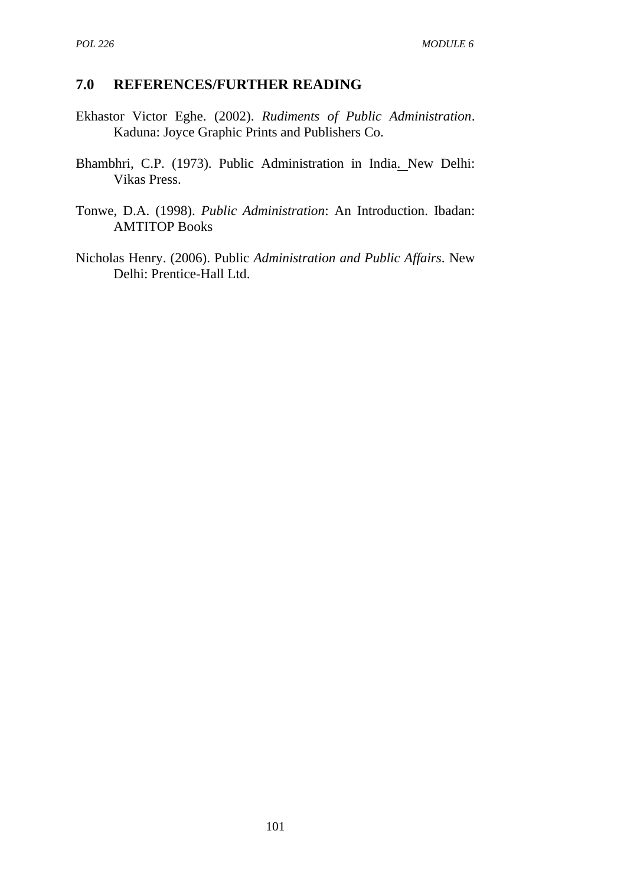### **7.0 REFERENCES/FURTHER READING**

- Ekhastor Victor Eghe. (2002). *Rudiments of Public Administration*. Kaduna: Joyce Graphic Prints and Publishers Co.
- Bhambhri, C.P. (1973). Public Administration in India. New Delhi: Vikas Press.
- Tonwe, D.A. (1998). *Public Administration*: An Introduction. Ibadan: AMTITOP Books
- Nicholas Henry. (2006). Public *Administration and Public Affairs*. New Delhi: Prentice-Hall Ltd.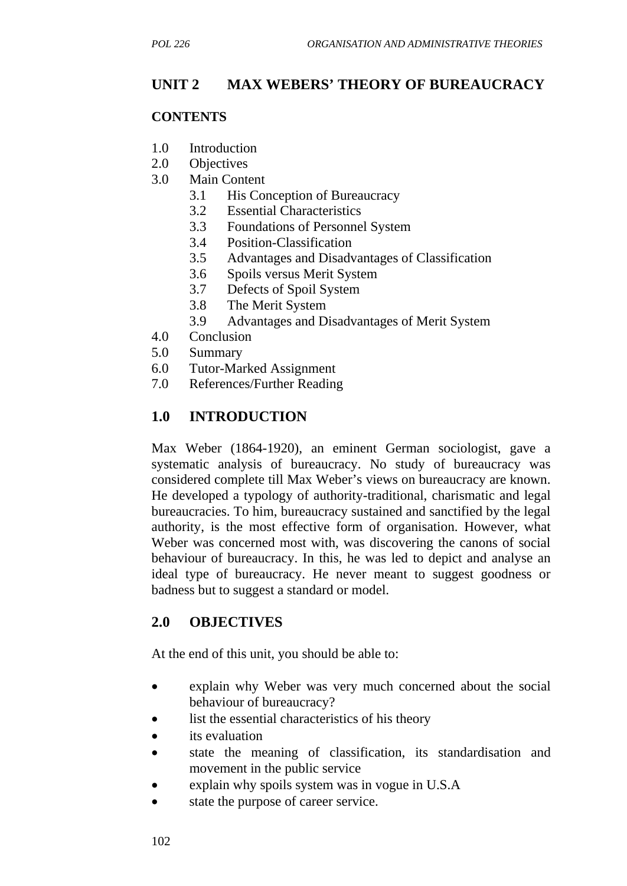# **UNIT 2 MAX WEBERS' THEORY OF BUREAUCRACY**

#### **CONTENTS**

- 1.0 Introduction
- 2.0 Objectives
- 3.0 Main Content
	- 3.1 His Conception of Bureaucracy
	- 3.2 Essential Characteristics
	- 3.3 Foundations of Personnel System
	- 3.4 Position-Classification
	- 3.5 Advantages and Disadvantages of Classification
	- 3.6 Spoils versus Merit System
	- 3.7 Defects of Spoil System
	- 3.8 The Merit System
	- 3.9 Advantages and Disadvantages of Merit System
- 4.0 Conclusion
- 5.0 Summary
- 6.0 Tutor-Marked Assignment
- 7.0 References/Further Reading

# **1.0 INTRODUCTION**

Max Weber (1864-1920), an eminent German sociologist, gave a systematic analysis of bureaucracy. No study of bureaucracy was considered complete till Max Weber's views on bureaucracy are known. He developed a typology of authority-traditional, charismatic and legal bureaucracies. To him, bureaucracy sustained and sanctified by the legal authority, is the most effective form of organisation. However, what Weber was concerned most with, was discovering the canons of social behaviour of bureaucracy. In this, he was led to depict and analyse an ideal type of bureaucracy. He never meant to suggest goodness or badness but to suggest a standard or model.

#### **2.0 OBJECTIVES**

At the end of this unit, you should be able to:

- explain why Weber was very much concerned about the social behaviour of bureaucracy?
- list the essential characteristics of his theory
- its evaluation
- state the meaning of classification, its standardisation and movement in the public service
- explain why spoils system was in vogue in U.S.A
- state the purpose of career service.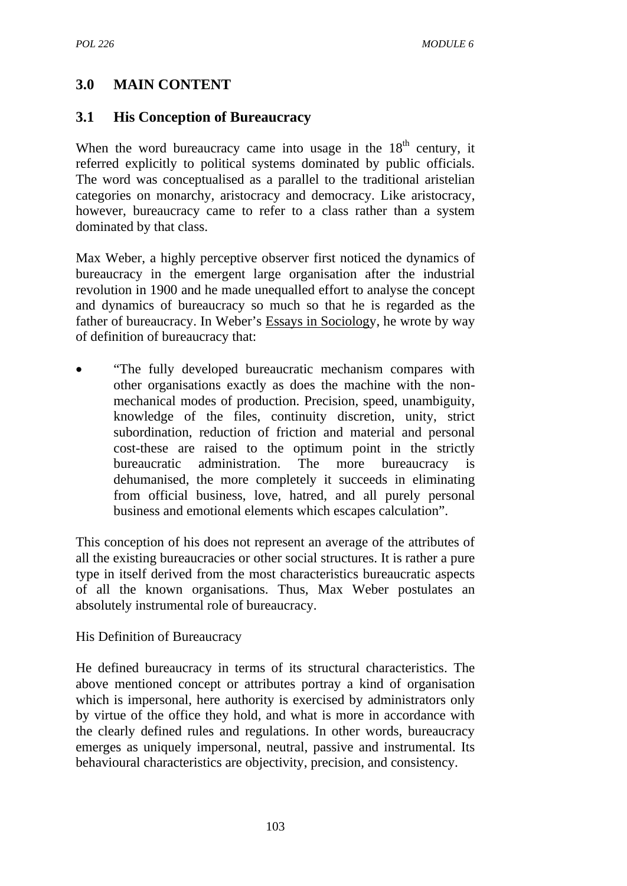# **3.0 MAIN CONTENT**

# **3.1 His Conception of Bureaucracy**

When the word bureaucracy came into usage in the  $18<sup>th</sup>$  century, it referred explicitly to political systems dominated by public officials. The word was conceptualised as a parallel to the traditional aristelian categories on monarchy, aristocracy and democracy. Like aristocracy, however, bureaucracy came to refer to a class rather than a system dominated by that class.

Max Weber, a highly perceptive observer first noticed the dynamics of bureaucracy in the emergent large organisation after the industrial revolution in 1900 and he made unequalled effort to analyse the concept and dynamics of bureaucracy so much so that he is regarded as the father of bureaucracy. In Weber's Essays in Sociology, he wrote by way of definition of bureaucracy that:

• "The fully developed bureaucratic mechanism compares with other organisations exactly as does the machine with the nonmechanical modes of production. Precision, speed, unambiguity, knowledge of the files, continuity discretion, unity, strict subordination, reduction of friction and material and personal cost-these are raised to the optimum point in the strictly bureaucratic administration. The more bureaucracy is dehumanised, the more completely it succeeds in eliminating from official business, love, hatred, and all purely personal business and emotional elements which escapes calculation".

This conception of his does not represent an average of the attributes of all the existing bureaucracies or other social structures. It is rather a pure type in itself derived from the most characteristics bureaucratic aspects of all the known organisations. Thus, Max Weber postulates an absolutely instrumental role of bureaucracy.

#### His Definition of Bureaucracy

He defined bureaucracy in terms of its structural characteristics. The above mentioned concept or attributes portray a kind of organisation which is impersonal, here authority is exercised by administrators only by virtue of the office they hold, and what is more in accordance with the clearly defined rules and regulations. In other words, bureaucracy emerges as uniquely impersonal, neutral, passive and instrumental. Its behavioural characteristics are objectivity, precision, and consistency.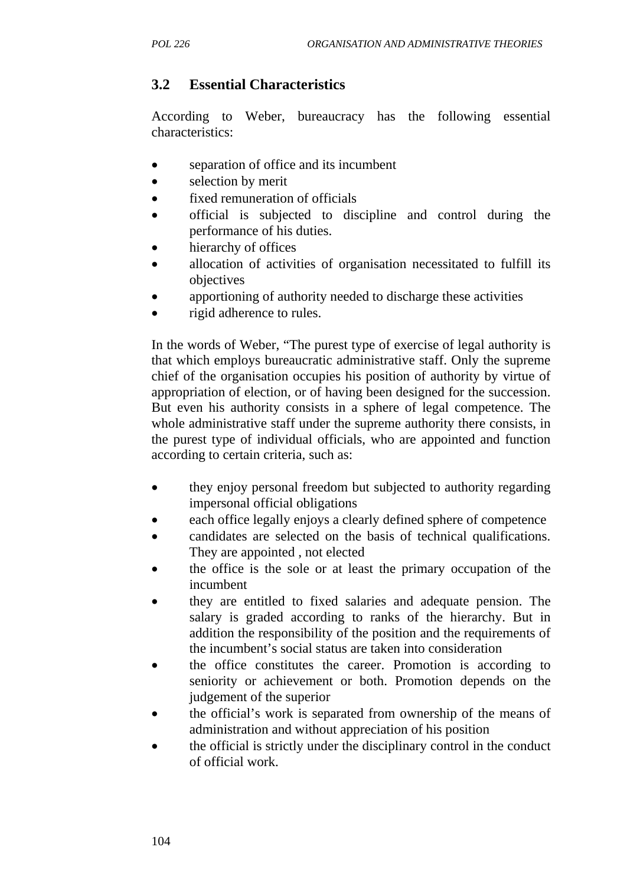# **3.2 Essential Characteristics**

According to Weber, bureaucracy has the following essential characteristics:

- separation of office and its incumbent
- selection by merit
- fixed remuneration of officials
- official is subjected to discipline and control during the performance of his duties.
- hierarchy of offices
- allocation of activities of organisation necessitated to fulfill its objectives
- apportioning of authority needed to discharge these activities
- rigid adherence to rules.

In the words of Weber, "The purest type of exercise of legal authority is that which employs bureaucratic administrative staff. Only the supreme chief of the organisation occupies his position of authority by virtue of appropriation of election, or of having been designed for the succession. But even his authority consists in a sphere of legal competence. The whole administrative staff under the supreme authority there consists, in the purest type of individual officials, who are appointed and function according to certain criteria, such as:

- they enjoy personal freedom but subjected to authority regarding impersonal official obligations
- each office legally enjoys a clearly defined sphere of competence
- candidates are selected on the basis of technical qualifications. They are appointed , not elected
- the office is the sole or at least the primary occupation of the incumbent
- they are entitled to fixed salaries and adequate pension. The salary is graded according to ranks of the hierarchy. But in addition the responsibility of the position and the requirements of the incumbent's social status are taken into consideration
- the office constitutes the career. Promotion is according to seniority or achievement or both. Promotion depends on the judgement of the superior
- the official's work is separated from ownership of the means of administration and without appreciation of his position
- the official is strictly under the disciplinary control in the conduct of official work.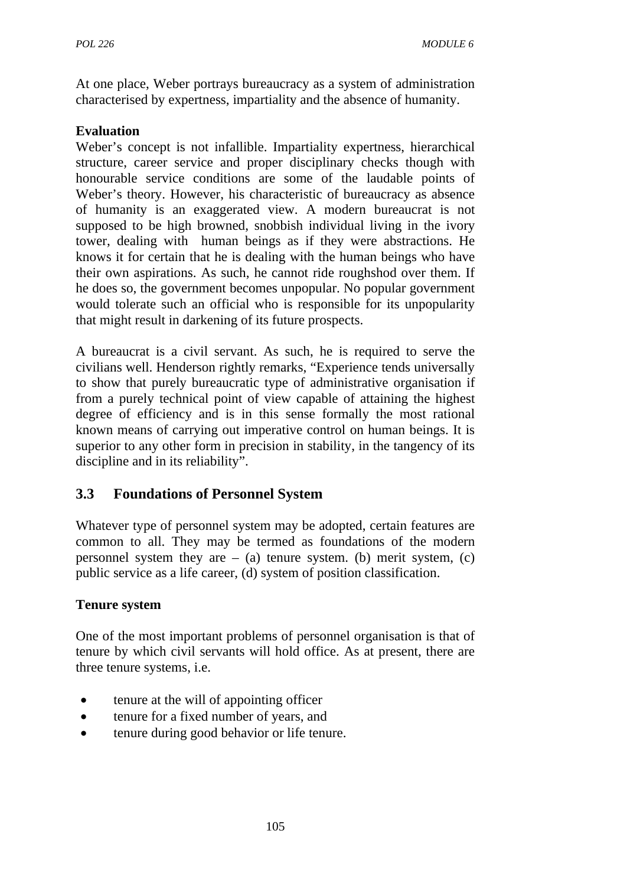At one place, Weber portrays bureaucracy as a system of administration characterised by expertness, impartiality and the absence of humanity.

### **Evaluation**

Weber's concept is not infallible. Impartiality expertness, hierarchical structure, career service and proper disciplinary checks though with honourable service conditions are some of the laudable points of Weber's theory. However, his characteristic of bureaucracy as absence of humanity is an exaggerated view. A modern bureaucrat is not supposed to be high browned, snobbish individual living in the ivory tower, dealing with human beings as if they were abstractions. He knows it for certain that he is dealing with the human beings who have their own aspirations. As such, he cannot ride roughshod over them. If he does so, the government becomes unpopular. No popular government would tolerate such an official who is responsible for its unpopularity that might result in darkening of its future prospects.

A bureaucrat is a civil servant. As such, he is required to serve the civilians well. Henderson rightly remarks, "Experience tends universally to show that purely bureaucratic type of administrative organisation if from a purely technical point of view capable of attaining the highest degree of efficiency and is in this sense formally the most rational known means of carrying out imperative control on human beings. It is superior to any other form in precision in stability, in the tangency of its discipline and in its reliability".

# **3.3 Foundations of Personnel System**

Whatever type of personnel system may be adopted, certain features are common to all. They may be termed as foundations of the modern personnel system they are  $-$  (a) tenure system. (b) merit system, (c) public service as a life career, (d) system of position classification.

#### **Tenure system**

One of the most important problems of personnel organisation is that of tenure by which civil servants will hold office. As at present, there are three tenure systems, i.e.

- tenure at the will of appointing officer
- tenure for a fixed number of years, and
- tenure during good behavior or life tenure.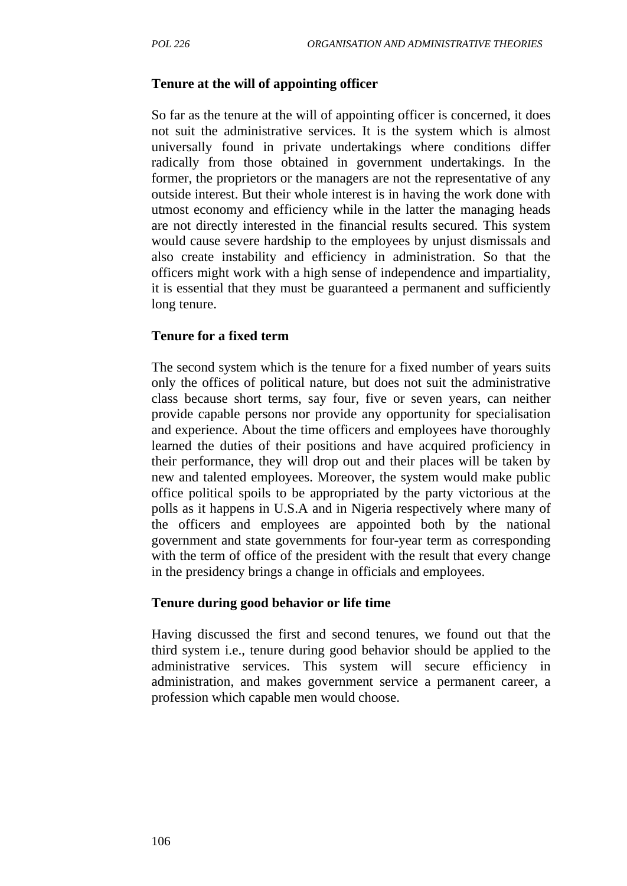#### **Tenure at the will of appointing officer**

So far as the tenure at the will of appointing officer is concerned, it does not suit the administrative services. It is the system which is almost universally found in private undertakings where conditions differ radically from those obtained in government undertakings. In the former, the proprietors or the managers are not the representative of any outside interest. But their whole interest is in having the work done with utmost economy and efficiency while in the latter the managing heads are not directly interested in the financial results secured. This system would cause severe hardship to the employees by unjust dismissals and also create instability and efficiency in administration. So that the officers might work with a high sense of independence and impartiality, it is essential that they must be guaranteed a permanent and sufficiently long tenure.

#### **Tenure for a fixed term**

The second system which is the tenure for a fixed number of years suits only the offices of political nature, but does not suit the administrative class because short terms, say four, five or seven years, can neither provide capable persons nor provide any opportunity for specialisation and experience. About the time officers and employees have thoroughly learned the duties of their positions and have acquired proficiency in their performance, they will drop out and their places will be taken by new and talented employees. Moreover, the system would make public office political spoils to be appropriated by the party victorious at the polls as it happens in U.S.A and in Nigeria respectively where many of the officers and employees are appointed both by the national government and state governments for four-year term as corresponding with the term of office of the president with the result that every change in the presidency brings a change in officials and employees.

#### **Tenure during good behavior or life time**

Having discussed the first and second tenures, we found out that the third system i.e., tenure during good behavior should be applied to the administrative services. This system will secure efficiency in administration, and makes government service a permanent career, a profession which capable men would choose.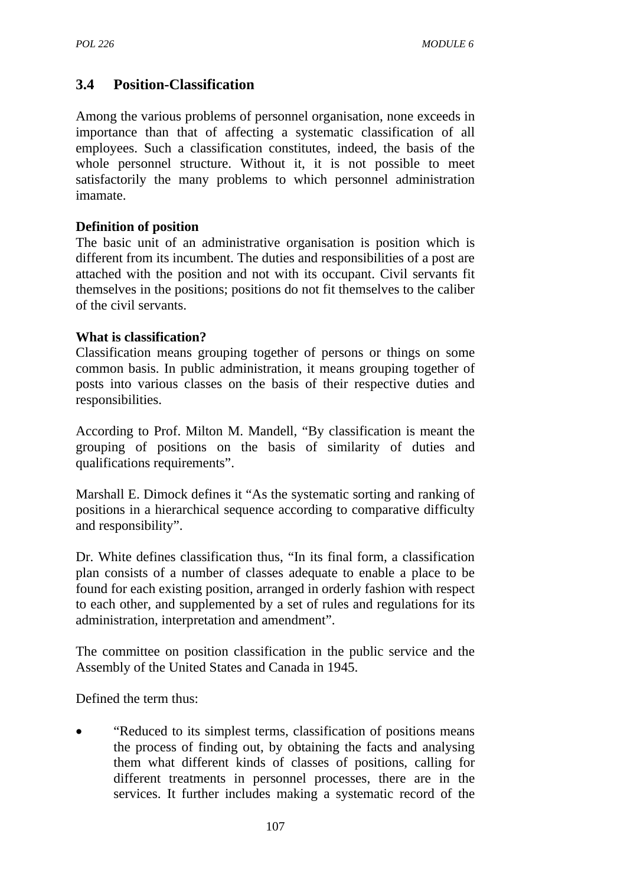# **3.4 Position-Classification**

Among the various problems of personnel organisation, none exceeds in importance than that of affecting a systematic classification of all employees. Such a classification constitutes, indeed, the basis of the whole personnel structure. Without it, it is not possible to meet satisfactorily the many problems to which personnel administration imamate.

### **Definition of position**

The basic unit of an administrative organisation is position which is different from its incumbent. The duties and responsibilities of a post are attached with the position and not with its occupant. Civil servants fit themselves in the positions; positions do not fit themselves to the caliber of the civil servants.

#### **What is classification?**

Classification means grouping together of persons or things on some common basis. In public administration, it means grouping together of posts into various classes on the basis of their respective duties and responsibilities.

According to Prof. Milton M. Mandell, "By classification is meant the grouping of positions on the basis of similarity of duties and qualifications requirements".

Marshall E. Dimock defines it "As the systematic sorting and ranking of positions in a hierarchical sequence according to comparative difficulty and responsibility".

Dr. White defines classification thus, "In its final form, a classification plan consists of a number of classes adequate to enable a place to be found for each existing position, arranged in orderly fashion with respect to each other, and supplemented by a set of rules and regulations for its administration, interpretation and amendment".

The committee on position classification in the public service and the Assembly of the United States and Canada in 1945.

Defined the term thus:

• "Reduced to its simplest terms, classification of positions means the process of finding out, by obtaining the facts and analysing them what different kinds of classes of positions, calling for different treatments in personnel processes, there are in the services. It further includes making a systematic record of the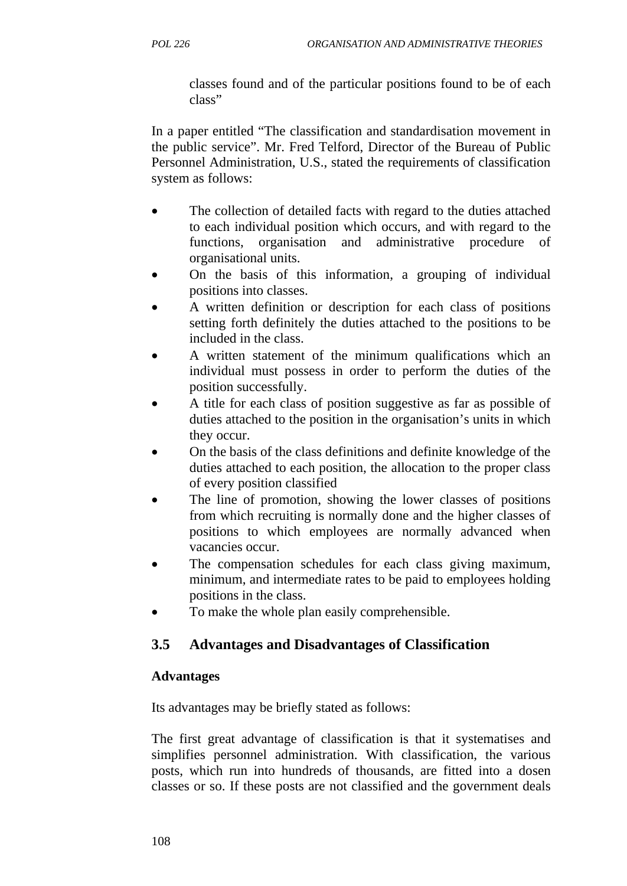classes found and of the particular positions found to be of each class"

In a paper entitled "The classification and standardisation movement in the public service". Mr. Fred Telford, Director of the Bureau of Public Personnel Administration, U.S., stated the requirements of classification system as follows:

- The collection of detailed facts with regard to the duties attached to each individual position which occurs, and with regard to the functions, organisation and administrative procedure of organisational units.
- On the basis of this information, a grouping of individual positions into classes.
- A written definition or description for each class of positions setting forth definitely the duties attached to the positions to be included in the class.
- A written statement of the minimum qualifications which an individual must possess in order to perform the duties of the position successfully.
- A title for each class of position suggestive as far as possible of duties attached to the position in the organisation's units in which they occur.
- On the basis of the class definitions and definite knowledge of the duties attached to each position, the allocation to the proper class of every position classified
- The line of promotion, showing the lower classes of positions from which recruiting is normally done and the higher classes of positions to which employees are normally advanced when vacancies occur.
- The compensation schedules for each class giving maximum, minimum, and intermediate rates to be paid to employees holding positions in the class.
- To make the whole plan easily comprehensible.

# **3.5 Advantages and Disadvantages of Classification**

#### **Advantages**

Its advantages may be briefly stated as follows:

The first great advantage of classification is that it systematises and simplifies personnel administration. With classification, the various posts, which run into hundreds of thousands, are fitted into a dosen classes or so. If these posts are not classified and the government deals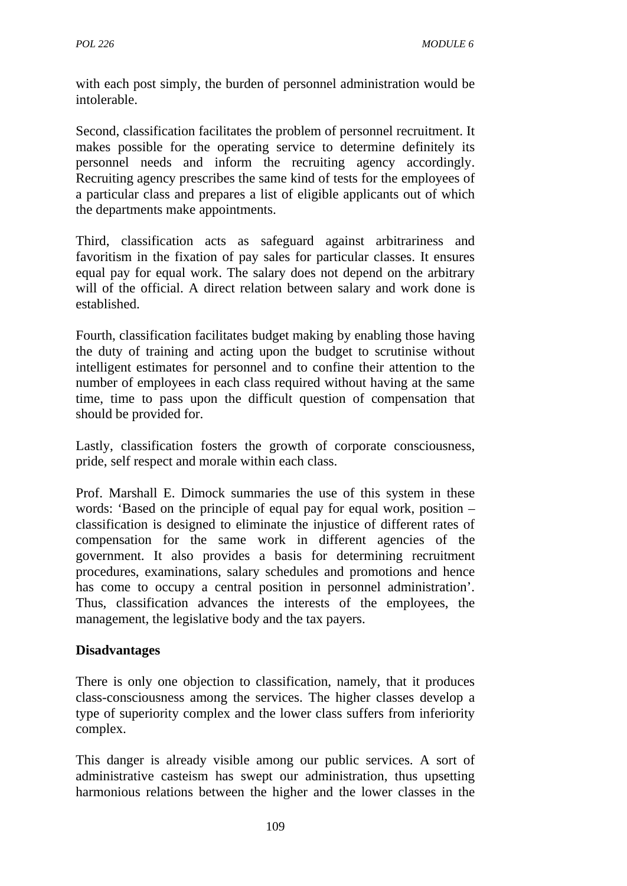with each post simply, the burden of personnel administration would be intolerable.

Second, classification facilitates the problem of personnel recruitment. It makes possible for the operating service to determine definitely its personnel needs and inform the recruiting agency accordingly. Recruiting agency prescribes the same kind of tests for the employees of a particular class and prepares a list of eligible applicants out of which the departments make appointments.

Third, classification acts as safeguard against arbitrariness and favoritism in the fixation of pay sales for particular classes. It ensures equal pay for equal work. The salary does not depend on the arbitrary will of the official. A direct relation between salary and work done is established.

Fourth, classification facilitates budget making by enabling those having the duty of training and acting upon the budget to scrutinise without intelligent estimates for personnel and to confine their attention to the number of employees in each class required without having at the same time, time to pass upon the difficult question of compensation that should be provided for.

Lastly, classification fosters the growth of corporate consciousness, pride, self respect and morale within each class.

Prof. Marshall E. Dimock summaries the use of this system in these words: 'Based on the principle of equal pay for equal work, position – classification is designed to eliminate the injustice of different rates of compensation for the same work in different agencies of the government. It also provides a basis for determining recruitment procedures, examinations, salary schedules and promotions and hence has come to occupy a central position in personnel administration'. Thus, classification advances the interests of the employees, the management, the legislative body and the tax payers.

#### **Disadvantages**

There is only one objection to classification, namely, that it produces class-consciousness among the services. The higher classes develop a type of superiority complex and the lower class suffers from inferiority complex.

This danger is already visible among our public services. A sort of administrative casteism has swept our administration, thus upsetting harmonious relations between the higher and the lower classes in the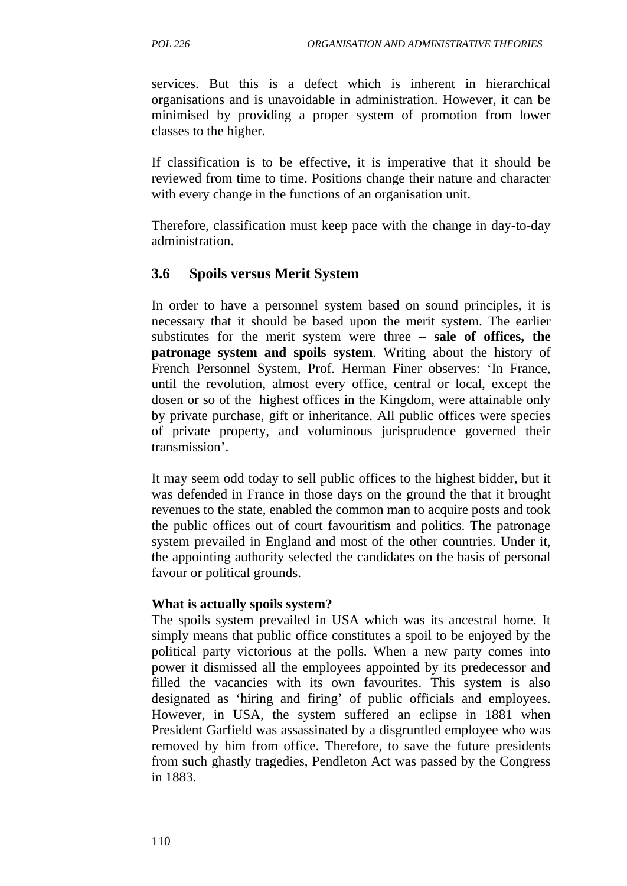services. But this is a defect which is inherent in hierarchical organisations and is unavoidable in administration. However, it can be minimised by providing a proper system of promotion from lower classes to the higher.

If classification is to be effective, it is imperative that it should be reviewed from time to time. Positions change their nature and character with every change in the functions of an organisation unit.

Therefore, classification must keep pace with the change in day-to-day administration.

## **3.6 Spoils versus Merit System**

In order to have a personnel system based on sound principles, it is necessary that it should be based upon the merit system. The earlier substitutes for the merit system were three – **sale of offices, the patronage system and spoils system**. Writing about the history of French Personnel System, Prof. Herman Finer observes: 'In France, until the revolution, almost every office, central or local, except the dosen or so of the highest offices in the Kingdom, were attainable only by private purchase, gift or inheritance. All public offices were species of private property, and voluminous jurisprudence governed their transmission'.

It may seem odd today to sell public offices to the highest bidder, but it was defended in France in those days on the ground the that it brought revenues to the state, enabled the common man to acquire posts and took the public offices out of court favouritism and politics. The patronage system prevailed in England and most of the other countries. Under it, the appointing authority selected the candidates on the basis of personal favour or political grounds.

#### **What is actually spoils system?**

The spoils system prevailed in USA which was its ancestral home. It simply means that public office constitutes a spoil to be enjoyed by the political party victorious at the polls. When a new party comes into power it dismissed all the employees appointed by its predecessor and filled the vacancies with its own favourites. This system is also designated as 'hiring and firing' of public officials and employees. However, in USA, the system suffered an eclipse in 1881 when President Garfield was assassinated by a disgruntled employee who was removed by him from office. Therefore, to save the future presidents from such ghastly tragedies, Pendleton Act was passed by the Congress in 1883.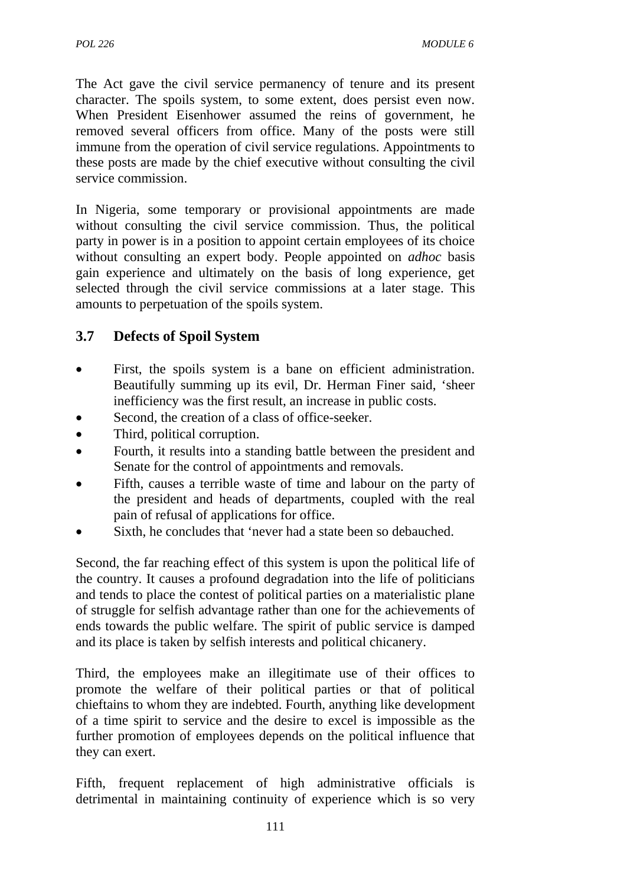The Act gave the civil service permanency of tenure and its present character. The spoils system, to some extent, does persist even now. When President Eisenhower assumed the reins of government, he removed several officers from office. Many of the posts were still immune from the operation of civil service regulations. Appointments to these posts are made by the chief executive without consulting the civil service commission.

In Nigeria, some temporary or provisional appointments are made without consulting the civil service commission. Thus, the political party in power is in a position to appoint certain employees of its choice without consulting an expert body. People appointed on *adhoc* basis gain experience and ultimately on the basis of long experience, get selected through the civil service commissions at a later stage. This amounts to perpetuation of the spoils system.

# **3.7 Defects of Spoil System**

- First, the spoils system is a bane on efficient administration. Beautifully summing up its evil, Dr. Herman Finer said, 'sheer inefficiency was the first result, an increase in public costs.
- Second, the creation of a class of office-seeker.
- Third, political corruption.
- Fourth, it results into a standing battle between the president and Senate for the control of appointments and removals.
- Fifth, causes a terrible waste of time and labour on the party of the president and heads of departments, coupled with the real pain of refusal of applications for office.
- Sixth, he concludes that 'never had a state been so debauched.

Second, the far reaching effect of this system is upon the political life of the country. It causes a profound degradation into the life of politicians and tends to place the contest of political parties on a materialistic plane of struggle for selfish advantage rather than one for the achievements of ends towards the public welfare. The spirit of public service is damped and its place is taken by selfish interests and political chicanery.

Third, the employees make an illegitimate use of their offices to promote the welfare of their political parties or that of political chieftains to whom they are indebted. Fourth, anything like development of a time spirit to service and the desire to excel is impossible as the further promotion of employees depends on the political influence that they can exert.

Fifth, frequent replacement of high administrative officials is detrimental in maintaining continuity of experience which is so very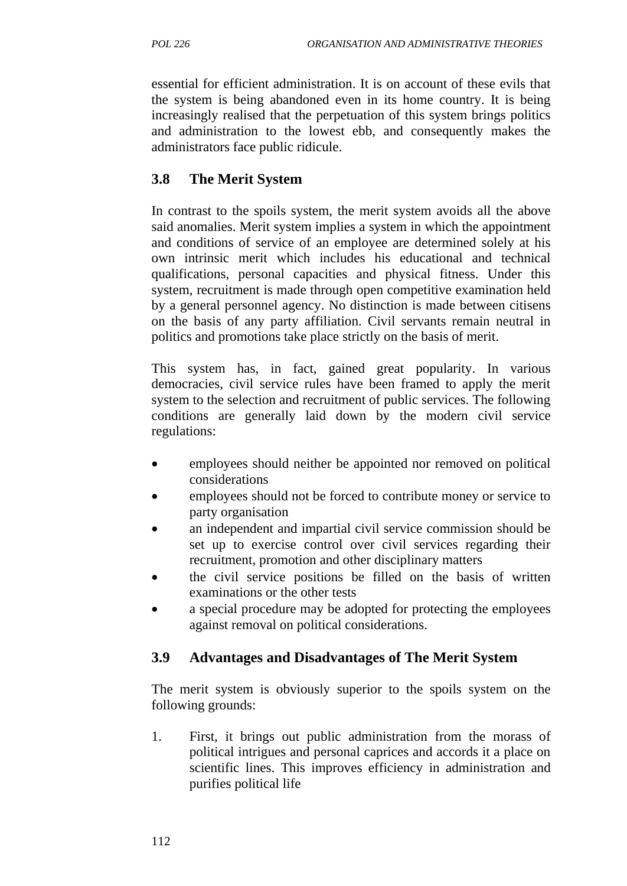essential for efficient administration. It is on account of these evils that the system is being abandoned even in its home country. It is being increasingly realised that the perpetuation of this system brings politics and administration to the lowest ebb, and consequently makes the administrators face public ridicule.

# **3.8 The Merit System**

In contrast to the spoils system, the merit system avoids all the above said anomalies. Merit system implies a system in which the appointment and conditions of service of an employee are determined solely at his own intrinsic merit which includes his educational and technical qualifications, personal capacities and physical fitness. Under this system, recruitment is made through open competitive examination held by a general personnel agency. No distinction is made between citisens on the basis of any party affiliation. Civil servants remain neutral in politics and promotions take place strictly on the basis of merit.

This system has, in fact, gained great popularity. In various democracies, civil service rules have been framed to apply the merit system to the selection and recruitment of public services. The following conditions are generally laid down by the modern civil service regulations:

- employees should neither be appointed nor removed on political considerations
- employees should not be forced to contribute money or service to party organisation
- an independent and impartial civil service commission should be set up to exercise control over civil services regarding their recruitment, promotion and other disciplinary matters
- the civil service positions be filled on the basis of written examinations or the other tests
- a special procedure may be adopted for protecting the employees against removal on political considerations.

# **3.9 Advantages and Disadvantages of The Merit System**

The merit system is obviously superior to the spoils system on the following grounds:

1. First, it brings out public administration from the morass of political intrigues and personal caprices and accords it a place on scientific lines. This improves efficiency in administration and purifies political life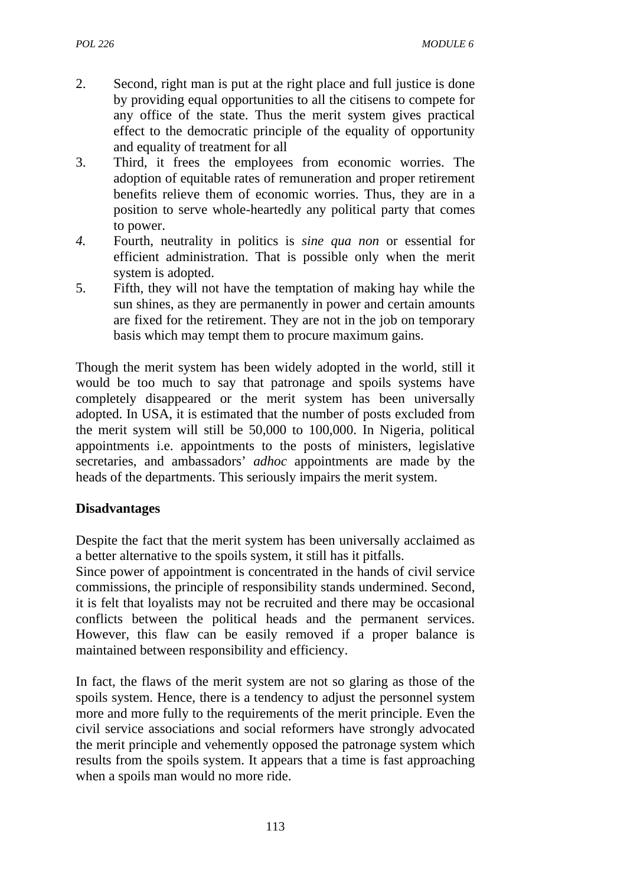- 2. Second, right man is put at the right place and full justice is done by providing equal opportunities to all the citisens to compete for any office of the state. Thus the merit system gives practical effect to the democratic principle of the equality of opportunity and equality of treatment for all
- 3. Third, it frees the employees from economic worries. The adoption of equitable rates of remuneration and proper retirement benefits relieve them of economic worries. Thus, they are in a position to serve whole-heartedly any political party that comes to power.
- *4.* Fourth, neutrality in politics is *sine qua non* or essential for efficient administration. That is possible only when the merit system is adopted.
- 5. Fifth, they will not have the temptation of making hay while the sun shines, as they are permanently in power and certain amounts are fixed for the retirement. They are not in the job on temporary basis which may tempt them to procure maximum gains.

Though the merit system has been widely adopted in the world, still it would be too much to say that patronage and spoils systems have completely disappeared or the merit system has been universally adopted. In USA, it is estimated that the number of posts excluded from the merit system will still be 50,000 to 100,000. In Nigeria, political appointments i.e. appointments to the posts of ministers, legislative secretaries, and ambassadors' *adhoc* appointments are made by the heads of the departments. This seriously impairs the merit system.

#### **Disadvantages**

Despite the fact that the merit system has been universally acclaimed as a better alternative to the spoils system, it still has it pitfalls.

Since power of appointment is concentrated in the hands of civil service commissions, the principle of responsibility stands undermined. Second, it is felt that loyalists may not be recruited and there may be occasional conflicts between the political heads and the permanent services. However, this flaw can be easily removed if a proper balance is maintained between responsibility and efficiency.

In fact, the flaws of the merit system are not so glaring as those of the spoils system. Hence, there is a tendency to adjust the personnel system more and more fully to the requirements of the merit principle. Even the civil service associations and social reformers have strongly advocated the merit principle and vehemently opposed the patronage system which results from the spoils system. It appears that a time is fast approaching when a spoils man would no more ride.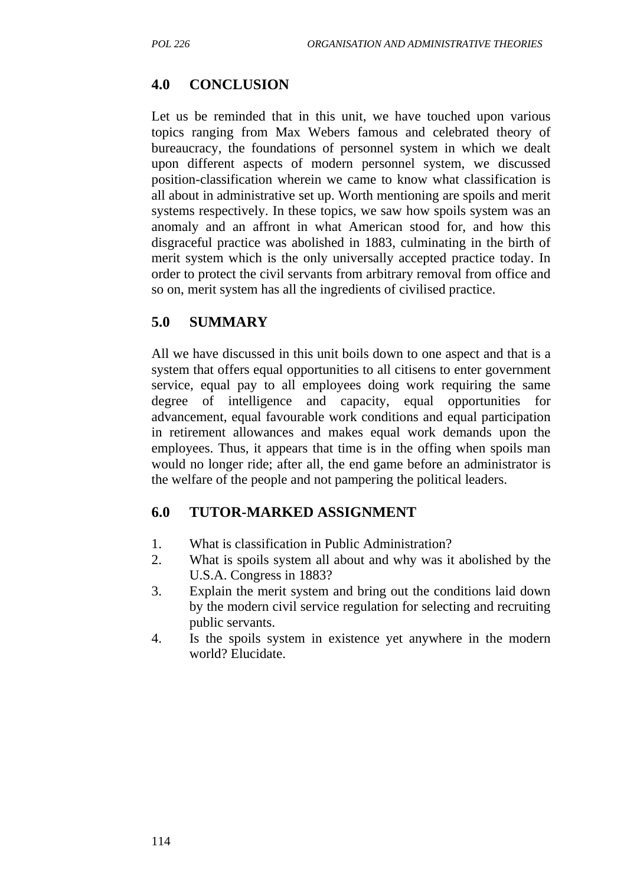## **4.0 CONCLUSION**

Let us be reminded that in this unit, we have touched upon various topics ranging from Max Webers famous and celebrated theory of bureaucracy, the foundations of personnel system in which we dealt upon different aspects of modern personnel system, we discussed position-classification wherein we came to know what classification is all about in administrative set up. Worth mentioning are spoils and merit systems respectively. In these topics, we saw how spoils system was an anomaly and an affront in what American stood for, and how this disgraceful practice was abolished in 1883, culminating in the birth of merit system which is the only universally accepted practice today. In order to protect the civil servants from arbitrary removal from office and so on, merit system has all the ingredients of civilised practice.

#### **5.0 SUMMARY**

All we have discussed in this unit boils down to one aspect and that is a system that offers equal opportunities to all citisens to enter government service, equal pay to all employees doing work requiring the same degree of intelligence and capacity, equal opportunities for advancement, equal favourable work conditions and equal participation in retirement allowances and makes equal work demands upon the employees. Thus, it appears that time is in the offing when spoils man would no longer ride; after all, the end game before an administrator is the welfare of the people and not pampering the political leaders.

## **6.0 TUTOR-MARKED ASSIGNMENT**

- 1. What is classification in Public Administration?
- 2. What is spoils system all about and why was it abolished by the U.S.A. Congress in 1883?
- 3. Explain the merit system and bring out the conditions laid down by the modern civil service regulation for selecting and recruiting public servants.
- 4. Is the spoils system in existence yet anywhere in the modern world? Elucidate.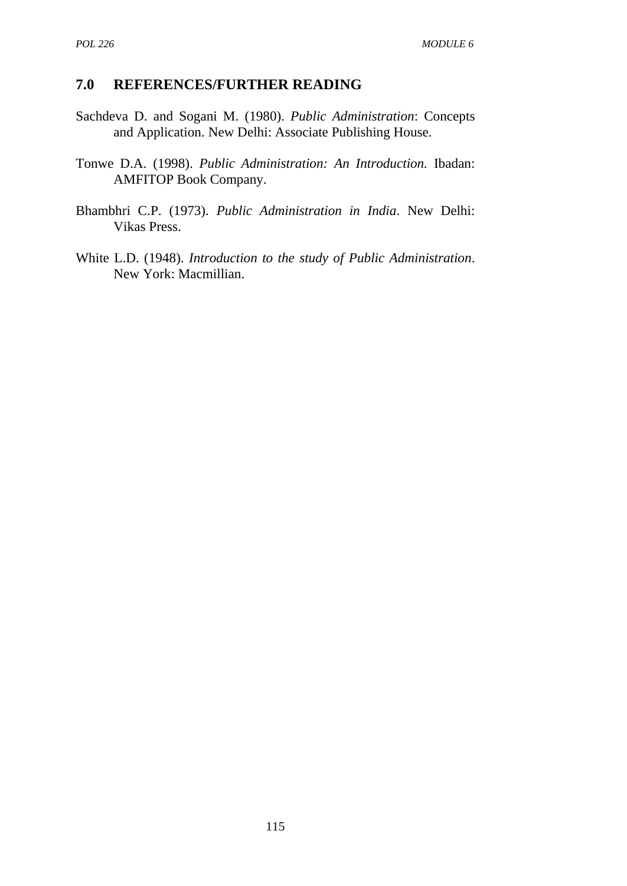#### **7.0 REFERENCES/FURTHER READING**

- Sachdeva D. and Sogani M. (1980). *Public Administration*: Concepts and Application. New Delhi: Associate Publishing House.
- Tonwe D.A. (1998). *Public Administration: An Introduction.* Ibadan: AMFITOP Book Company.
- Bhambhri C.P. (1973). *Public Administration in India*. New Delhi: Vikas Press.
- White L.D. (1948). *Introduction to the study of Public Administration*. New York: Macmillian.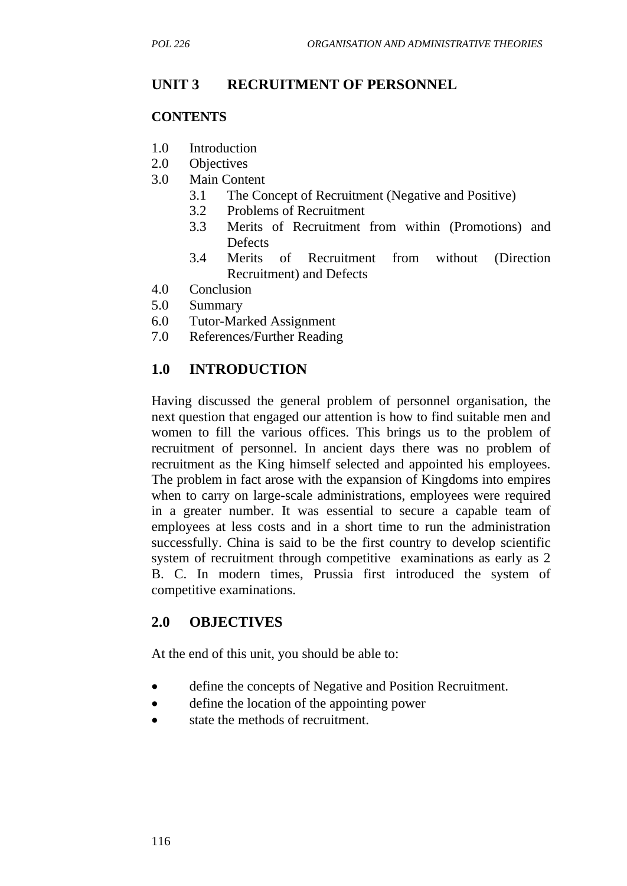## **UNIT 3 RECRUITMENT OF PERSONNEL**

#### **CONTENTS**

- 1.0 Introduction
- 2.0 Objectives
- 3.0 Main Content
	- 3.1 The Concept of Recruitment (Negative and Positive)
	- 3.2 Problems of Recruitment
	- 3.3 Merits of Recruitment from within (Promotions) and **Defects**
	- 3.4 Merits of Recruitment from without (Direction Recruitment) and Defects
- 4.0 Conclusion
- 5.0 Summary
- 6.0 Tutor-Marked Assignment
- 7.0 References/Further Reading

## **1.0 INTRODUCTION**

Having discussed the general problem of personnel organisation, the next question that engaged our attention is how to find suitable men and women to fill the various offices. This brings us to the problem of recruitment of personnel. In ancient days there was no problem of recruitment as the King himself selected and appointed his employees. The problem in fact arose with the expansion of Kingdoms into empires when to carry on large-scale administrations, employees were required in a greater number. It was essential to secure a capable team of employees at less costs and in a short time to run the administration successfully. China is said to be the first country to develop scientific system of recruitment through competitive examinations as early as 2 B. C. In modern times, Prussia first introduced the system of competitive examinations.

## **2.0 OBJECTIVES**

At the end of this unit, you should be able to:

- define the concepts of Negative and Position Recruitment.
- define the location of the appointing power
- state the methods of recruitment.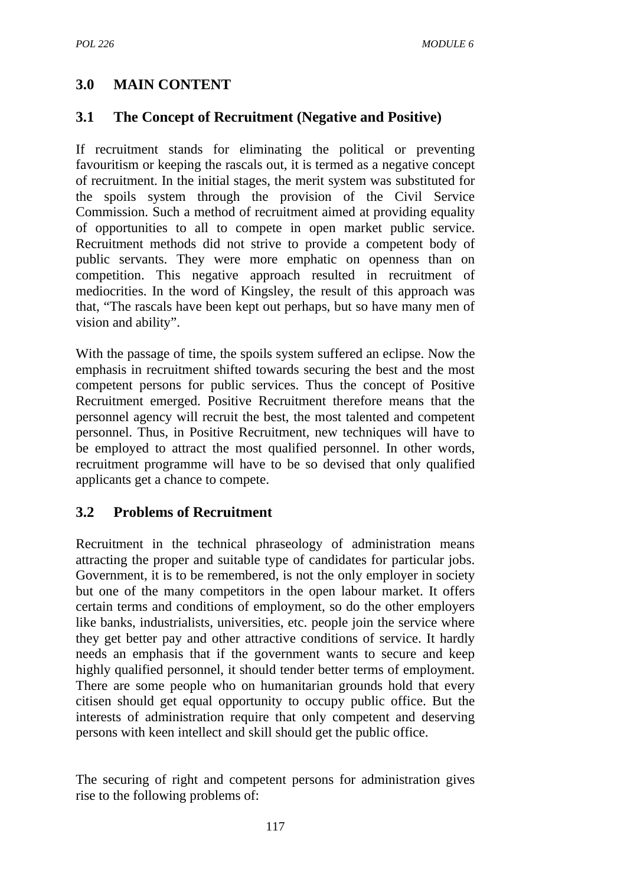# **3.0 MAIN CONTENT**

## **3.1 The Concept of Recruitment (Negative and Positive)**

If recruitment stands for eliminating the political or preventing favouritism or keeping the rascals out, it is termed as a negative concept of recruitment. In the initial stages, the merit system was substituted for the spoils system through the provision of the Civil Service Commission. Such a method of recruitment aimed at providing equality of opportunities to all to compete in open market public service. Recruitment methods did not strive to provide a competent body of public servants. They were more emphatic on openness than on competition. This negative approach resulted in recruitment of mediocrities. In the word of Kingsley, the result of this approach was that, "The rascals have been kept out perhaps, but so have many men of vision and ability".

With the passage of time, the spoils system suffered an eclipse. Now the emphasis in recruitment shifted towards securing the best and the most competent persons for public services. Thus the concept of Positive Recruitment emerged. Positive Recruitment therefore means that the personnel agency will recruit the best, the most talented and competent personnel. Thus, in Positive Recruitment, new techniques will have to be employed to attract the most qualified personnel. In other words, recruitment programme will have to be so devised that only qualified applicants get a chance to compete.

## **3.2 Problems of Recruitment**

Recruitment in the technical phraseology of administration means attracting the proper and suitable type of candidates for particular jobs. Government, it is to be remembered, is not the only employer in society but one of the many competitors in the open labour market. It offers certain terms and conditions of employment, so do the other employers like banks, industrialists, universities, etc. people join the service where they get better pay and other attractive conditions of service. It hardly needs an emphasis that if the government wants to secure and keep highly qualified personnel, it should tender better terms of employment. There are some people who on humanitarian grounds hold that every citisen should get equal opportunity to occupy public office. But the interests of administration require that only competent and deserving persons with keen intellect and skill should get the public office.

The securing of right and competent persons for administration gives rise to the following problems of: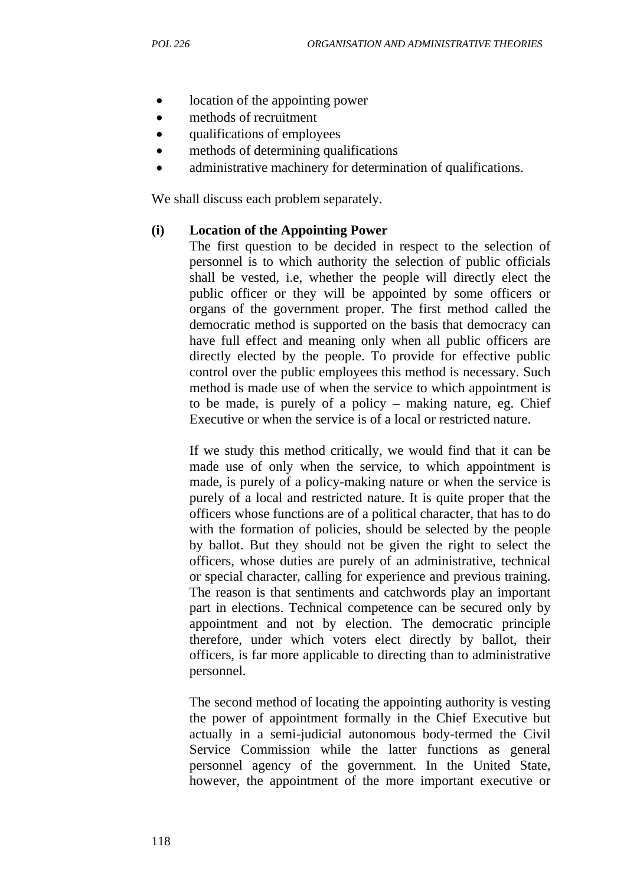- location of the appointing power
- methods of recruitment
- qualifications of employees
- methods of determining qualifications
- administrative machinery for determination of qualifications.

We shall discuss each problem separately.

#### **(i) Location of the Appointing Power**

The first question to be decided in respect to the selection of personnel is to which authority the selection of public officials shall be vested, i.e, whether the people will directly elect the public officer or they will be appointed by some officers or organs of the government proper. The first method called the democratic method is supported on the basis that democracy can have full effect and meaning only when all public officers are directly elected by the people. To provide for effective public control over the public employees this method is necessary. Such method is made use of when the service to which appointment is to be made, is purely of a policy – making nature, eg. Chief Executive or when the service is of a local or restricted nature.

If we study this method critically, we would find that it can be made use of only when the service, to which appointment is made, is purely of a policy-making nature or when the service is purely of a local and restricted nature. It is quite proper that the officers whose functions are of a political character, that has to do with the formation of policies, should be selected by the people by ballot. But they should not be given the right to select the officers, whose duties are purely of an administrative, technical or special character, calling for experience and previous training. The reason is that sentiments and catchwords play an important part in elections. Technical competence can be secured only by appointment and not by election. The democratic principle therefore, under which voters elect directly by ballot, their officers, is far more applicable to directing than to administrative personnel.

The second method of locating the appointing authority is vesting the power of appointment formally in the Chief Executive but actually in a semi-judicial autonomous body-termed the Civil Service Commission while the latter functions as general personnel agency of the government. In the United State, however, the appointment of the more important executive or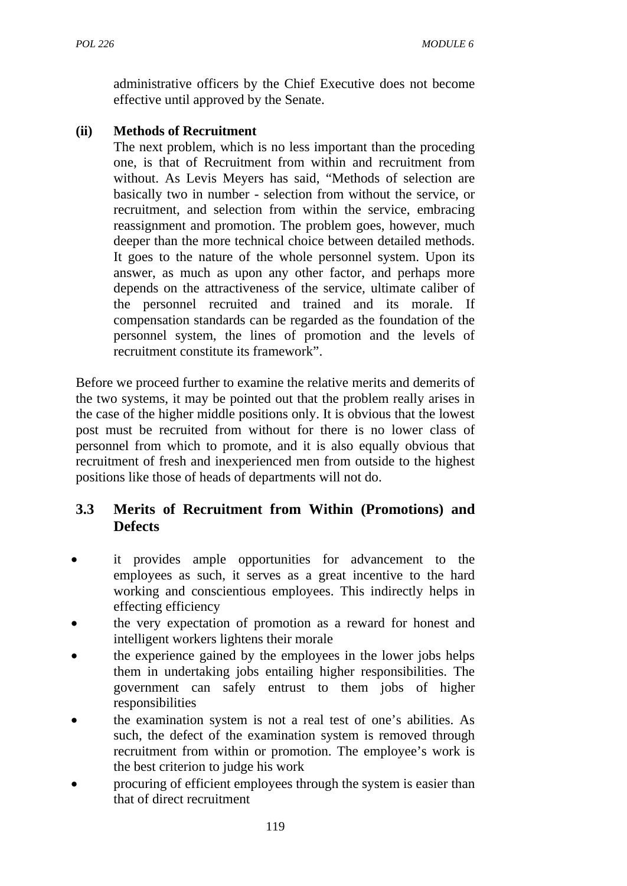administrative officers by the Chief Executive does not become effective until approved by the Senate.

## **(ii) Methods of Recruitment**

The next problem, which is no less important than the proceding one, is that of Recruitment from within and recruitment from without. As Levis Meyers has said, "Methods of selection are basically two in number - selection from without the service, or recruitment, and selection from within the service, embracing reassignment and promotion. The problem goes, however, much deeper than the more technical choice between detailed methods. It goes to the nature of the whole personnel system. Upon its answer, as much as upon any other factor, and perhaps more depends on the attractiveness of the service, ultimate caliber of the personnel recruited and trained and its morale. If compensation standards can be regarded as the foundation of the personnel system, the lines of promotion and the levels of recruitment constitute its framework".

Before we proceed further to examine the relative merits and demerits of the two systems, it may be pointed out that the problem really arises in the case of the higher middle positions only. It is obvious that the lowest post must be recruited from without for there is no lower class of personnel from which to promote, and it is also equally obvious that recruitment of fresh and inexperienced men from outside to the highest positions like those of heads of departments will not do.

## **3.3 Merits of Recruitment from Within (Promotions) and Defects**

- it provides ample opportunities for advancement to the employees as such, it serves as a great incentive to the hard working and conscientious employees. This indirectly helps in effecting efficiency
- the very expectation of promotion as a reward for honest and intelligent workers lightens their morale
- the experience gained by the employees in the lower jobs helps them in undertaking jobs entailing higher responsibilities. The government can safely entrust to them jobs of higher responsibilities
- the examination system is not a real test of one's abilities. As such, the defect of the examination system is removed through recruitment from within or promotion. The employee's work is the best criterion to judge his work
- procuring of efficient employees through the system is easier than that of direct recruitment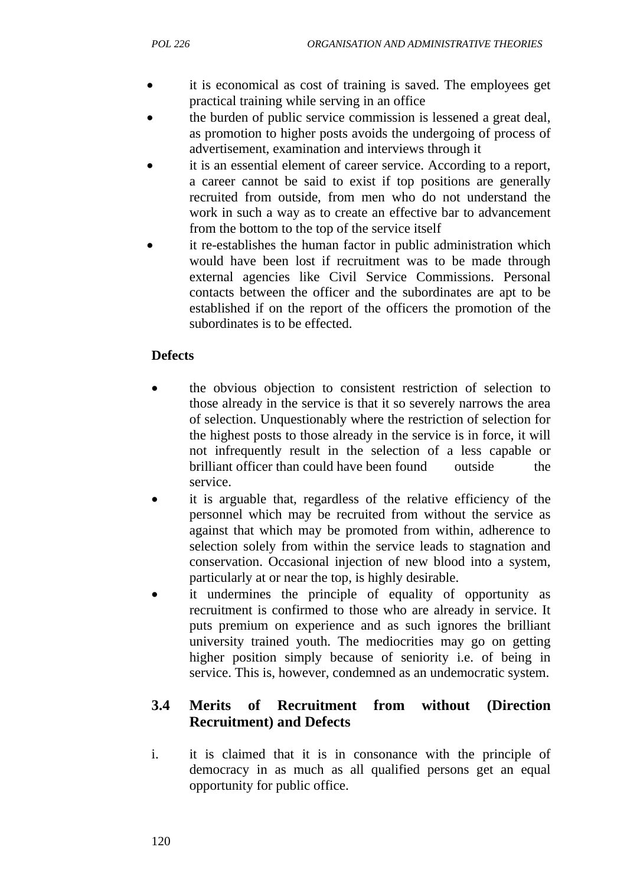- it is economical as cost of training is saved. The employees get practical training while serving in an office
- the burden of public service commission is lessened a great deal, as promotion to higher posts avoids the undergoing of process of advertisement, examination and interviews through it
- it is an essential element of career service. According to a report, a career cannot be said to exist if top positions are generally recruited from outside, from men who do not understand the work in such a way as to create an effective bar to advancement from the bottom to the top of the service itself
- it re-establishes the human factor in public administration which would have been lost if recruitment was to be made through external agencies like Civil Service Commissions. Personal contacts between the officer and the subordinates are apt to be established if on the report of the officers the promotion of the subordinates is to be effected.

## **Defects**

- the obvious objection to consistent restriction of selection to those already in the service is that it so severely narrows the area of selection. Unquestionably where the restriction of selection for the highest posts to those already in the service is in force, it will not infrequently result in the selection of a less capable or brilliant officer than could have been found outside the service.
- it is arguable that, regardless of the relative efficiency of the personnel which may be recruited from without the service as against that which may be promoted from within, adherence to selection solely from within the service leads to stagnation and conservation. Occasional injection of new blood into a system, particularly at or near the top, is highly desirable.
- it undermines the principle of equality of opportunity as recruitment is confirmed to those who are already in service. It puts premium on experience and as such ignores the brilliant university trained youth. The mediocrities may go on getting higher position simply because of seniority i.e. of being in service. This is, however, condemned as an undemocratic system.

# **3.4 Merits of Recruitment from without (Direction Recruitment) and Defects**

i. it is claimed that it is in consonance with the principle of democracy in as much as all qualified persons get an equal opportunity for public office.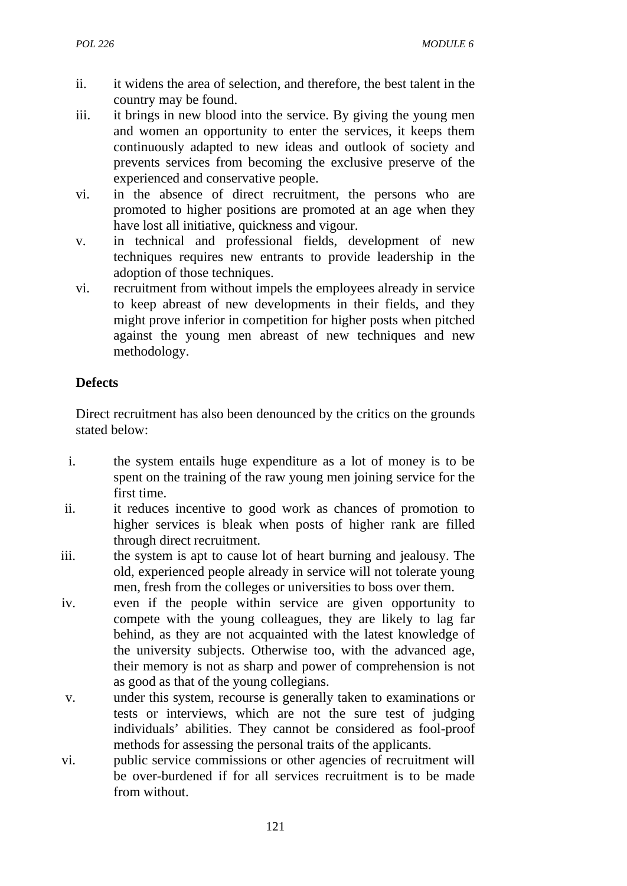- ii. it widens the area of selection, and therefore, the best talent in the country may be found.
- iii. it brings in new blood into the service. By giving the young men and women an opportunity to enter the services, it keeps them continuously adapted to new ideas and outlook of society and prevents services from becoming the exclusive preserve of the experienced and conservative people.
- vi. in the absence of direct recruitment, the persons who are promoted to higher positions are promoted at an age when they have lost all initiative, quickness and vigour.
- v. in technical and professional fields, development of new techniques requires new entrants to provide leadership in the adoption of those techniques.
- vi. recruitment from without impels the employees already in service to keep abreast of new developments in their fields, and they might prove inferior in competition for higher posts when pitched against the young men abreast of new techniques and new methodology.

## **Defects**

Direct recruitment has also been denounced by the critics on the grounds stated below:

- i. the system entails huge expenditure as a lot of money is to be spent on the training of the raw young men joining service for the first time.
- ii. it reduces incentive to good work as chances of promotion to higher services is bleak when posts of higher rank are filled through direct recruitment.
- iii. the system is apt to cause lot of heart burning and jealousy. The old, experienced people already in service will not tolerate young men, fresh from the colleges or universities to boss over them.
- iv. even if the people within service are given opportunity to compete with the young colleagues, they are likely to lag far behind, as they are not acquainted with the latest knowledge of the university subjects. Otherwise too, with the advanced age, their memory is not as sharp and power of comprehension is not as good as that of the young collegians.
- v. under this system, recourse is generally taken to examinations or tests or interviews, which are not the sure test of judging individuals' abilities. They cannot be considered as fool-proof methods for assessing the personal traits of the applicants.
- vi. public service commissions or other agencies of recruitment will be over-burdened if for all services recruitment is to be made from without.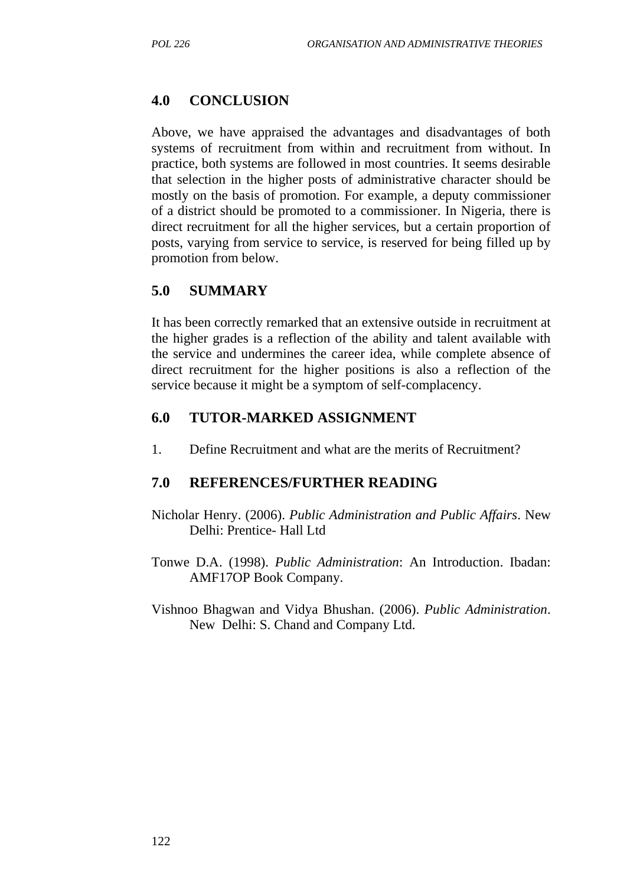## **4.0 CONCLUSION**

Above, we have appraised the advantages and disadvantages of both systems of recruitment from within and recruitment from without. In practice, both systems are followed in most countries. It seems desirable that selection in the higher posts of administrative character should be mostly on the basis of promotion. For example, a deputy commissioner of a district should be promoted to a commissioner. In Nigeria, there is direct recruitment for all the higher services, but a certain proportion of posts, varying from service to service, is reserved for being filled up by promotion from below.

## **5.0 SUMMARY**

It has been correctly remarked that an extensive outside in recruitment at the higher grades is a reflection of the ability and talent available with the service and undermines the career idea, while complete absence of direct recruitment for the higher positions is also a reflection of the service because it might be a symptom of self-complacency.

#### **6.0 TUTOR-MARKED ASSIGNMENT**

1. Define Recruitment and what are the merits of Recruitment?

#### **7.0 REFERENCES/FURTHER READING**

- Nicholar Henry. (2006). *Public Administration and Public Affairs*. New Delhi: Prentice- Hall Ltd
- Tonwe D.A. (1998). *Public Administration*: An Introduction. Ibadan: AMF17OP Book Company.
- Vishnoo Bhagwan and Vidya Bhushan. (2006). *Public Administration*. New Delhi: S. Chand and Company Ltd.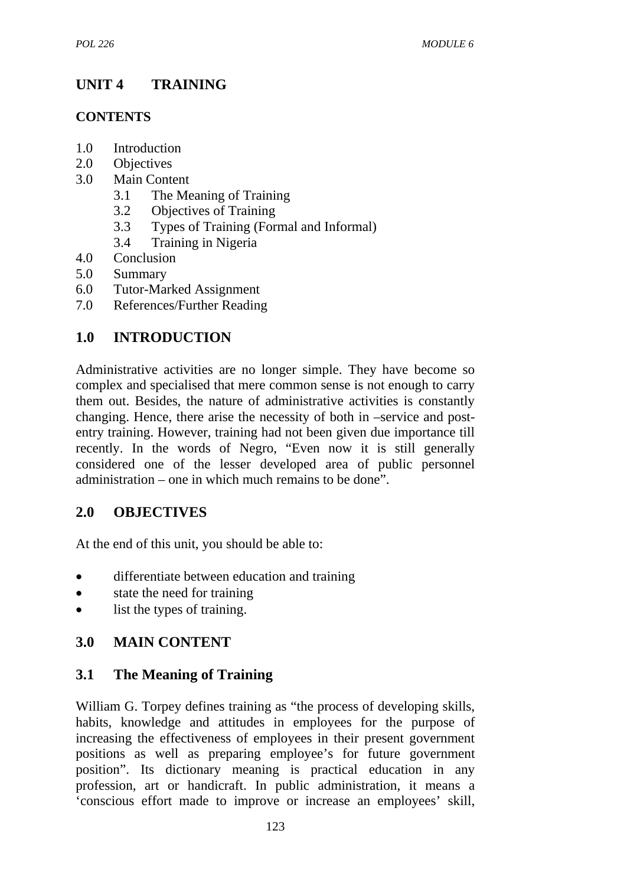# **UNIT 4 TRAINING**

## **CONTENTS**

- 1.0 Introduction
- 2.0 Objectives
- 3.0 Main Content
	- 3.1 The Meaning of Training
	- 3.2 Objectives of Training
	- 3.3 Types of Training (Formal and Informal)
	- 3.4 Training in Nigeria
- 4.0 Conclusion
- 5.0 Summary
- 6.0 Tutor-Marked Assignment
- 7.0 References/Further Reading

# **1.0 INTRODUCTION**

Administrative activities are no longer simple. They have become so complex and specialised that mere common sense is not enough to carry them out. Besides, the nature of administrative activities is constantly changing. Hence, there arise the necessity of both in –service and postentry training. However, training had not been given due importance till recently. In the words of Negro, "Even now it is still generally considered one of the lesser developed area of public personnel administration – one in which much remains to be done".

# **2.0 OBJECTIVES**

At the end of this unit, you should be able to:

- differentiate between education and training
- state the need for training
- list the types of training.

# **3.0 MAIN CONTENT**

# **3.1 The Meaning of Training**

William G. Torpey defines training as "the process of developing skills, habits, knowledge and attitudes in employees for the purpose of increasing the effectiveness of employees in their present government positions as well as preparing employee's for future government position". Its dictionary meaning is practical education in any profession, art or handicraft. In public administration, it means a 'conscious effort made to improve or increase an employees' skill,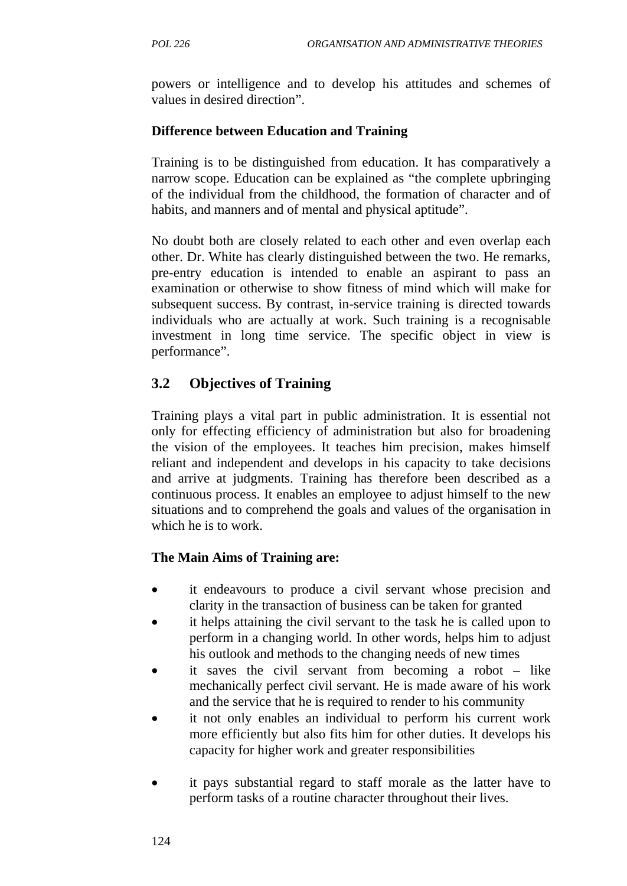powers or intelligence and to develop his attitudes and schemes of values in desired direction".

## **Difference between Education and Training**

Training is to be distinguished from education. It has comparatively a narrow scope. Education can be explained as "the complete upbringing of the individual from the childhood, the formation of character and of habits, and manners and of mental and physical aptitude".

No doubt both are closely related to each other and even overlap each other. Dr. White has clearly distinguished between the two. He remarks, pre-entry education is intended to enable an aspirant to pass an examination or otherwise to show fitness of mind which will make for subsequent success. By contrast, in-service training is directed towards individuals who are actually at work. Such training is a recognisable investment in long time service. The specific object in view is performance".

# **3.2 Objectives of Training**

Training plays a vital part in public administration. It is essential not only for effecting efficiency of administration but also for broadening the vision of the employees. It teaches him precision, makes himself reliant and independent and develops in his capacity to take decisions and arrive at judgments. Training has therefore been described as a continuous process. It enables an employee to adjust himself to the new situations and to comprehend the goals and values of the organisation in which he is to work.

## **The Main Aims of Training are:**

- it endeavours to produce a civil servant whose precision and clarity in the transaction of business can be taken for granted
- it helps attaining the civil servant to the task he is called upon to perform in a changing world. In other words, helps him to adjust his outlook and methods to the changing needs of new times
- it saves the civil servant from becoming a robot like mechanically perfect civil servant. He is made aware of his work and the service that he is required to render to his community
- it not only enables an individual to perform his current work more efficiently but also fits him for other duties. It develops his capacity for higher work and greater responsibilities
- it pays substantial regard to staff morale as the latter have to perform tasks of a routine character throughout their lives.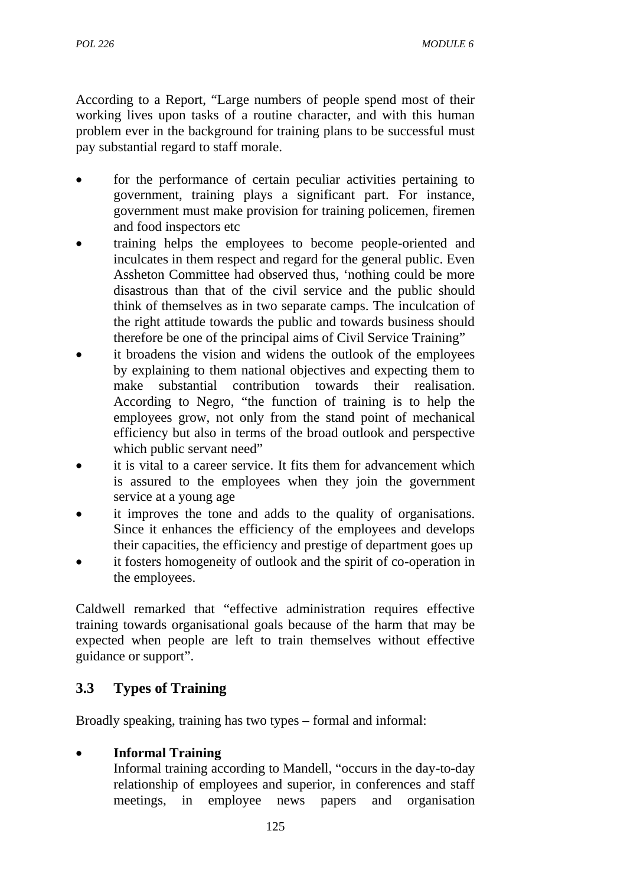According to a Report, "Large numbers of people spend most of their working lives upon tasks of a routine character, and with this human problem ever in the background for training plans to be successful must pay substantial regard to staff morale.

- for the performance of certain peculiar activities pertaining to government, training plays a significant part. For instance, government must make provision for training policemen, firemen and food inspectors etc
- training helps the employees to become people-oriented and inculcates in them respect and regard for the general public. Even Assheton Committee had observed thus, 'nothing could be more disastrous than that of the civil service and the public should think of themselves as in two separate camps. The inculcation of the right attitude towards the public and towards business should therefore be one of the principal aims of Civil Service Training"
- it broadens the vision and widens the outlook of the employees by explaining to them national objectives and expecting them to make substantial contribution towards their realisation. According to Negro, "the function of training is to help the employees grow, not only from the stand point of mechanical efficiency but also in terms of the broad outlook and perspective which public servant need"
- it is vital to a career service. It fits them for advancement which is assured to the employees when they join the government service at a young age
- it improves the tone and adds to the quality of organisations. Since it enhances the efficiency of the employees and develops their capacities, the efficiency and prestige of department goes up
- it fosters homogeneity of outlook and the spirit of co-operation in the employees.

Caldwell remarked that "effective administration requires effective training towards organisational goals because of the harm that may be expected when people are left to train themselves without effective guidance or support".

# **3.3 Types of Training**

Broadly speaking, training has two types – formal and informal:

## • **Informal Training**

Informal training according to Mandell, "occurs in the day-to-day relationship of employees and superior, in conferences and staff meetings, in employee news papers and organisation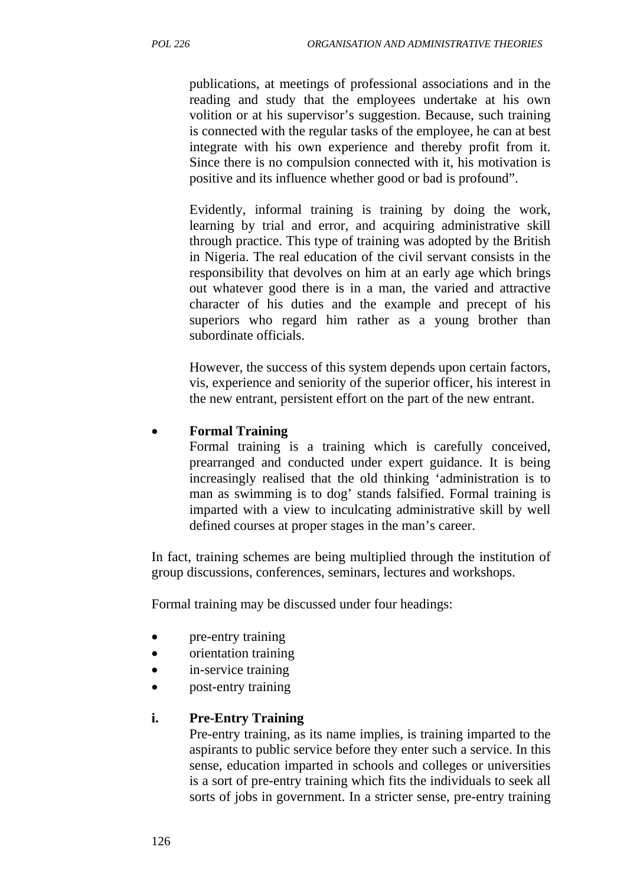publications, at meetings of professional associations and in the reading and study that the employees undertake at his own volition or at his supervisor's suggestion. Because, such training is connected with the regular tasks of the employee, he can at best integrate with his own experience and thereby profit from it. Since there is no compulsion connected with it, his motivation is positive and its influence whether good or bad is profound".

Evidently, informal training is training by doing the work, learning by trial and error, and acquiring administrative skill through practice. This type of training was adopted by the British in Nigeria. The real education of the civil servant consists in the responsibility that devolves on him at an early age which brings out whatever good there is in a man, the varied and attractive character of his duties and the example and precept of his superiors who regard him rather as a young brother than subordinate officials.

However, the success of this system depends upon certain factors, vis, experience and seniority of the superior officer, his interest in the new entrant, persistent effort on the part of the new entrant.

## • **Formal Training**

Formal training is a training which is carefully conceived, prearranged and conducted under expert guidance. It is being increasingly realised that the old thinking 'administration is to man as swimming is to dog' stands falsified. Formal training is imparted with a view to inculcating administrative skill by well defined courses at proper stages in the man's career.

In fact, training schemes are being multiplied through the institution of group discussions, conferences, seminars, lectures and workshops.

Formal training may be discussed under four headings:

- pre-entry training
- orientation training
- in-service training
- post-entry training

#### **i. Pre-Entry Training**

Pre-entry training, as its name implies, is training imparted to the aspirants to public service before they enter such a service. In this sense, education imparted in schools and colleges or universities is a sort of pre-entry training which fits the individuals to seek all sorts of jobs in government. In a stricter sense, pre-entry training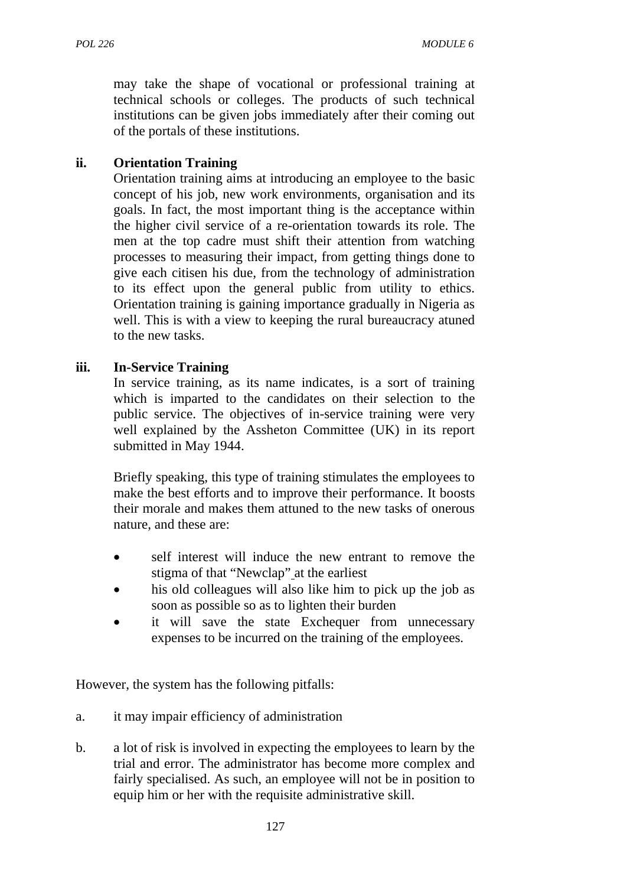may take the shape of vocational or professional training at technical schools or colleges. The products of such technical institutions can be given jobs immediately after their coming out of the portals of these institutions.

## **ii. Orientation Training**

Orientation training aims at introducing an employee to the basic concept of his job, new work environments, organisation and its goals. In fact, the most important thing is the acceptance within the higher civil service of a re-orientation towards its role. The men at the top cadre must shift their attention from watching processes to measuring their impact, from getting things done to give each citisen his due, from the technology of administration to its effect upon the general public from utility to ethics. Orientation training is gaining importance gradually in Nigeria as well. This is with a view to keeping the rural bureaucracy atuned to the new tasks.

#### **iii. In-Service Training**

In service training, as its name indicates, is a sort of training which is imparted to the candidates on their selection to the public service. The objectives of in-service training were very well explained by the Assheton Committee (UK) in its report submitted in May 1944.

Briefly speaking, this type of training stimulates the employees to make the best efforts and to improve their performance. It boosts their morale and makes them attuned to the new tasks of onerous nature, and these are:

- self interest will induce the new entrant to remove the stigma of that "Newclap" at the earliest
- his old colleagues will also like him to pick up the job as soon as possible so as to lighten their burden
- it will save the state Exchequer from unnecessary expenses to be incurred on the training of the employees.

However, the system has the following pitfalls:

- a. it may impair efficiency of administration
- b. a lot of risk is involved in expecting the employees to learn by the trial and error. The administrator has become more complex and fairly specialised. As such, an employee will not be in position to equip him or her with the requisite administrative skill.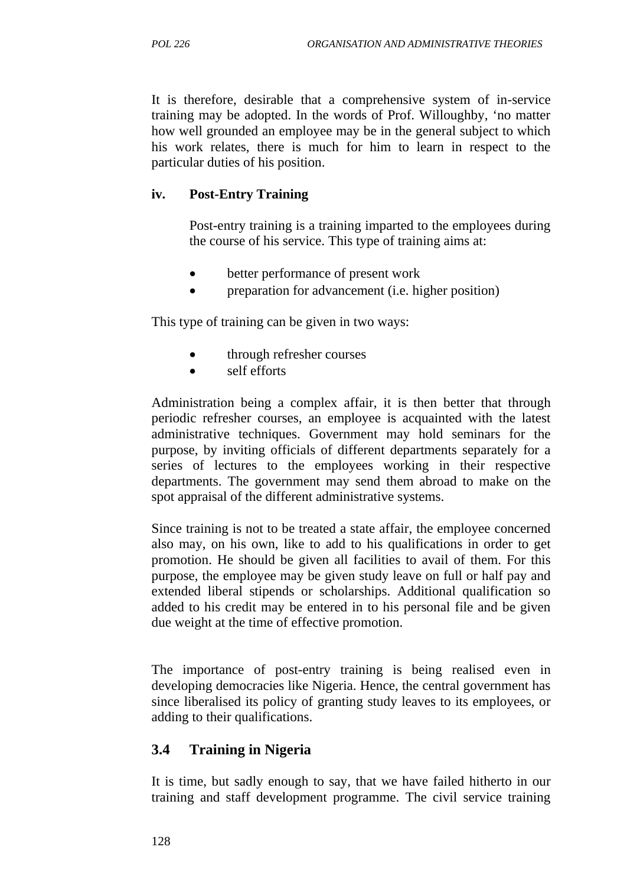It is therefore, desirable that a comprehensive system of in-service training may be adopted. In the words of Prof. Willoughby, 'no matter how well grounded an employee may be in the general subject to which his work relates, there is much for him to learn in respect to the particular duties of his position.

#### **iv. Post-Entry Training**

Post-entry training is a training imparted to the employees during the course of his service. This type of training aims at:

- better performance of present work
- preparation for advancement (i.e. higher position)

This type of training can be given in two ways:

- through refresher courses
- self efforts

Administration being a complex affair, it is then better that through periodic refresher courses, an employee is acquainted with the latest administrative techniques. Government may hold seminars for the purpose, by inviting officials of different departments separately for a series of lectures to the employees working in their respective departments. The government may send them abroad to make on the spot appraisal of the different administrative systems.

Since training is not to be treated a state affair, the employee concerned also may, on his own, like to add to his qualifications in order to get promotion. He should be given all facilities to avail of them. For this purpose, the employee may be given study leave on full or half pay and extended liberal stipends or scholarships. Additional qualification so added to his credit may be entered in to his personal file and be given due weight at the time of effective promotion.

The importance of post-entry training is being realised even in developing democracies like Nigeria. Hence, the central government has since liberalised its policy of granting study leaves to its employees, or adding to their qualifications.

#### **3.4 Training in Nigeria**

It is time, but sadly enough to say, that we have failed hitherto in our training and staff development programme. The civil service training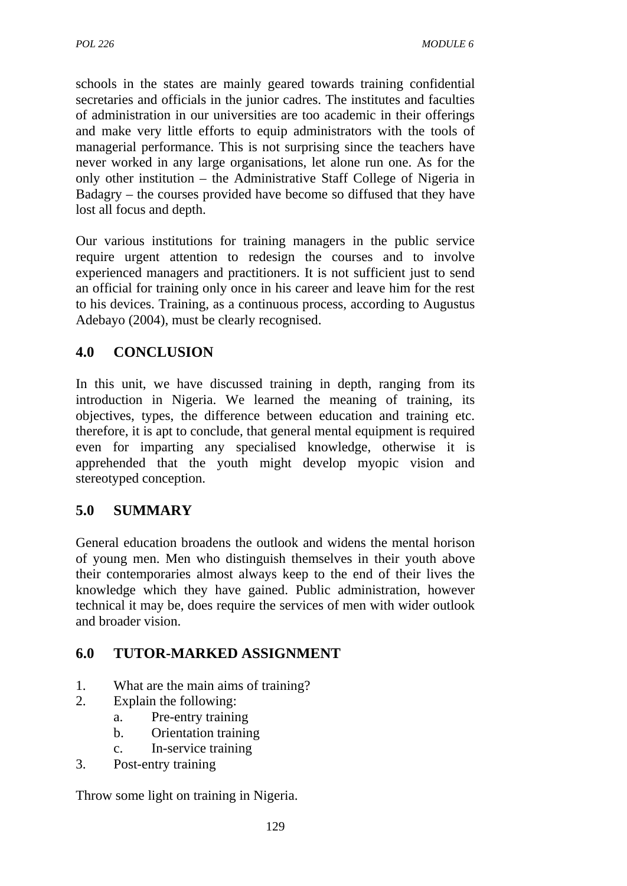schools in the states are mainly geared towards training confidential secretaries and officials in the junior cadres. The institutes and faculties of administration in our universities are too academic in their offerings and make very little efforts to equip administrators with the tools of managerial performance. This is not surprising since the teachers have never worked in any large organisations, let alone run one. As for the only other institution – the Administrative Staff College of Nigeria in Badagry – the courses provided have become so diffused that they have lost all focus and depth.

Our various institutions for training managers in the public service require urgent attention to redesign the courses and to involve experienced managers and practitioners. It is not sufficient just to send an official for training only once in his career and leave him for the rest to his devices. Training, as a continuous process, according to Augustus Adebayo (2004), must be clearly recognised.

# **4.0 CONCLUSION**

In this unit, we have discussed training in depth, ranging from its introduction in Nigeria. We learned the meaning of training, its objectives, types, the difference between education and training etc. therefore, it is apt to conclude, that general mental equipment is required even for imparting any specialised knowledge, otherwise it is apprehended that the youth might develop myopic vision and stereotyped conception.

# **5.0 SUMMARY**

General education broadens the outlook and widens the mental horison of young men. Men who distinguish themselves in their youth above their contemporaries almost always keep to the end of their lives the knowledge which they have gained. Public administration, however technical it may be, does require the services of men with wider outlook and broader vision.

# **6.0 TUTOR-MARKED ASSIGNMENT**

- 1. What are the main aims of training?
- 2. Explain the following:
	- a. Pre-entry training
	- b. Orientation training
	- c. In-service training
- 3. Post-entry training

Throw some light on training in Nigeria.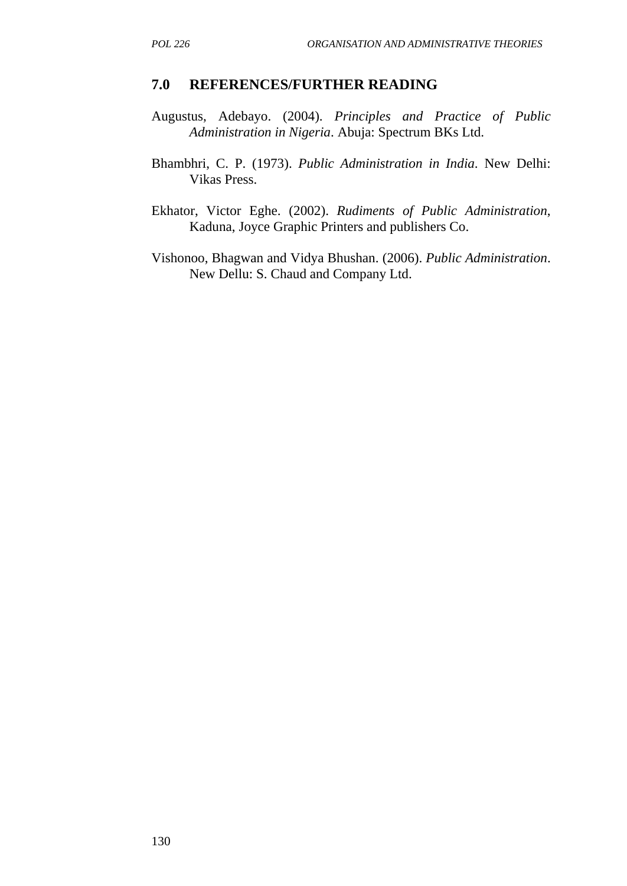#### **7.0 REFERENCES/FURTHER READING**

- Augustus, Adebayo. (2004). *Principles and Practice of Public Administration in Nigeria*. Abuja: Spectrum BKs Ltd.
- Bhambhri, C. P. (1973). *Public Administration in India*. New Delhi: Vikas Press.
- Ekhator, Victor Eghe. (2002). *Rudiments of Public Administration*, Kaduna, Joyce Graphic Printers and publishers Co.
- Vishonoo, Bhagwan and Vidya Bhushan. (2006). *Public Administration*. New Dellu: S. Chaud and Company Ltd.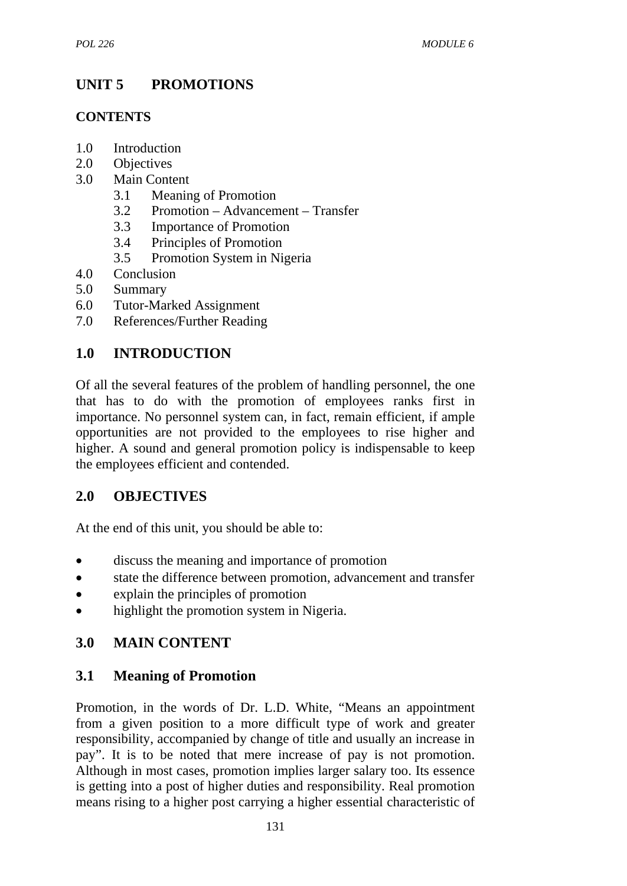# **UNIT 5 PROMOTIONS**

## **CONTENTS**

- 1.0 Introduction
- 2.0 Objectives
- 3.0 Main Content
	- 3.1 Meaning of Promotion
	- 3.2 Promotion Advancement Transfer
	- 3.3 Importance of Promotion
	- 3.4 Principles of Promotion
	- 3.5 Promotion System in Nigeria
- 4.0 Conclusion
- 5.0 Summary
- 6.0 Tutor-Marked Assignment
- 7.0 References/Further Reading

# **1.0 INTRODUCTION**

Of all the several features of the problem of handling personnel, the one that has to do with the promotion of employees ranks first in importance. No personnel system can, in fact, remain efficient, if ample opportunities are not provided to the employees to rise higher and higher. A sound and general promotion policy is indispensable to keep the employees efficient and contended.

# **2.0 OBJECTIVES**

At the end of this unit, you should be able to:

- discuss the meaning and importance of promotion
- state the difference between promotion, advancement and transfer
- explain the principles of promotion
- highlight the promotion system in Nigeria.

# **3.0 MAIN CONTENT**

# **3.1 Meaning of Promotion**

Promotion, in the words of Dr. L.D. White, "Means an appointment from a given position to a more difficult type of work and greater responsibility, accompanied by change of title and usually an increase in pay". It is to be noted that mere increase of pay is not promotion. Although in most cases, promotion implies larger salary too. Its essence is getting into a post of higher duties and responsibility. Real promotion means rising to a higher post carrying a higher essential characteristic of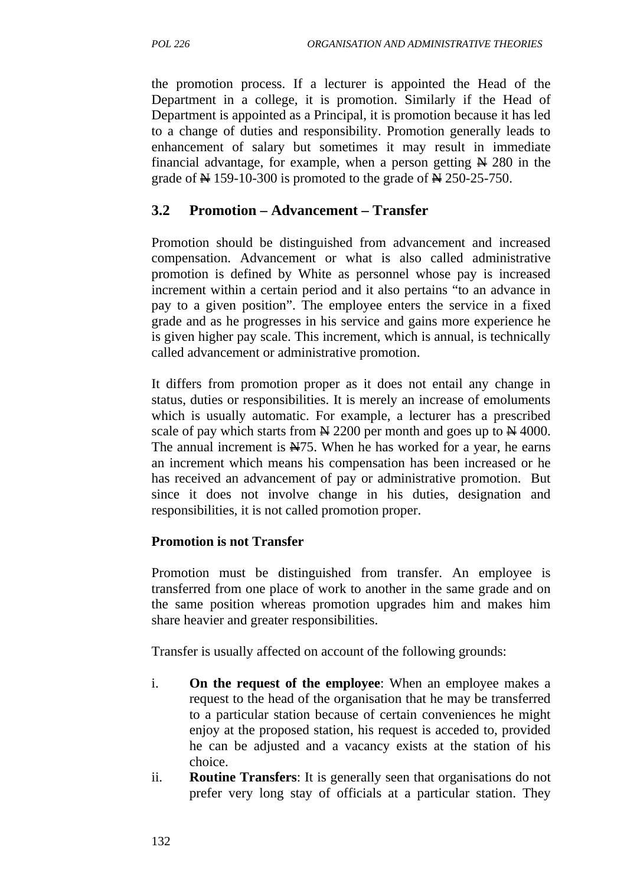the promotion process. If a lecturer is appointed the Head of the Department in a college, it is promotion. Similarly if the Head of Department is appointed as a Principal, it is promotion because it has led to a change of duties and responsibility. Promotion generally leads to enhancement of salary but sometimes it may result in immediate financial advantage, for example, when a person getting  $\cancel{N}$  280 in the grade of  $\cancel{\text{N}}$  159-10-300 is promoted to the grade of  $\cancel{\text{N}}$  250-25-750.

## **3.2 Promotion – Advancement – Transfer**

Promotion should be distinguished from advancement and increased compensation. Advancement or what is also called administrative promotion is defined by White as personnel whose pay is increased increment within a certain period and it also pertains "to an advance in pay to a given position". The employee enters the service in a fixed grade and as he progresses in his service and gains more experience he is given higher pay scale. This increment, which is annual, is technically called advancement or administrative promotion.

It differs from promotion proper as it does not entail any change in status, duties or responsibilities. It is merely an increase of emoluments which is usually automatic. For example, a lecturer has a prescribed scale of pay which starts from  $\cancel{\text{N}}$  2200 per month and goes up to  $\cancel{\text{N}}$  4000. The annual increment is  $\angle A75$ . When he has worked for a year, he earns an increment which means his compensation has been increased or he has received an advancement of pay or administrative promotion. But since it does not involve change in his duties, designation and responsibilities, it is not called promotion proper.

## **Promotion is not Transfer**

Promotion must be distinguished from transfer. An employee is transferred from one place of work to another in the same grade and on the same position whereas promotion upgrades him and makes him share heavier and greater responsibilities.

Transfer is usually affected on account of the following grounds:

- i. **On the request of the employee**: When an employee makes a request to the head of the organisation that he may be transferred to a particular station because of certain conveniences he might enjoy at the proposed station, his request is acceded to, provided he can be adjusted and a vacancy exists at the station of his choice.
- ii. **Routine Transfers**: It is generally seen that organisations do not prefer very long stay of officials at a particular station. They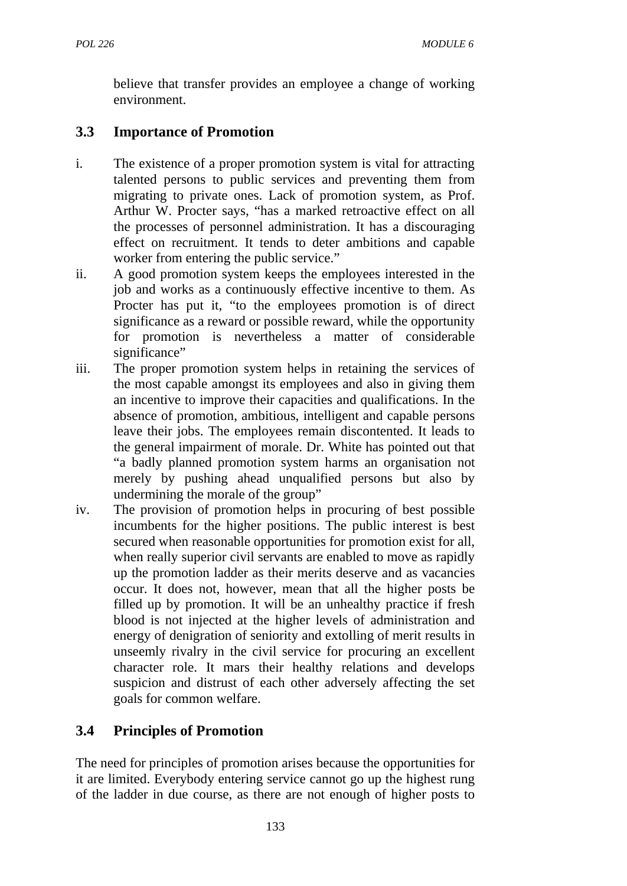believe that transfer provides an employee a change of working environment.

# **3.3 Importance of Promotion**

- i. The existence of a proper promotion system is vital for attracting talented persons to public services and preventing them from migrating to private ones. Lack of promotion system, as Prof. Arthur W. Procter says, "has a marked retroactive effect on all the processes of personnel administration. It has a discouraging effect on recruitment. It tends to deter ambitions and capable worker from entering the public service."
- ii. A good promotion system keeps the employees interested in the job and works as a continuously effective incentive to them. As Procter has put it, "to the employees promotion is of direct significance as a reward or possible reward, while the opportunity for promotion is nevertheless a matter of considerable significance"
- iii. The proper promotion system helps in retaining the services of the most capable amongst its employees and also in giving them an incentive to improve their capacities and qualifications. In the absence of promotion, ambitious, intelligent and capable persons leave their jobs. The employees remain discontented. It leads to the general impairment of morale. Dr. White has pointed out that "a badly planned promotion system harms an organisation not merely by pushing ahead unqualified persons but also by undermining the morale of the group"
- iv. The provision of promotion helps in procuring of best possible incumbents for the higher positions. The public interest is best secured when reasonable opportunities for promotion exist for all, when really superior civil servants are enabled to move as rapidly up the promotion ladder as their merits deserve and as vacancies occur. It does not, however, mean that all the higher posts be filled up by promotion. It will be an unhealthy practice if fresh blood is not injected at the higher levels of administration and energy of denigration of seniority and extolling of merit results in unseemly rivalry in the civil service for procuring an excellent character role. It mars their healthy relations and develops suspicion and distrust of each other adversely affecting the set goals for common welfare.

# **3.4 Principles of Promotion**

The need for principles of promotion arises because the opportunities for it are limited. Everybody entering service cannot go up the highest rung of the ladder in due course, as there are not enough of higher posts to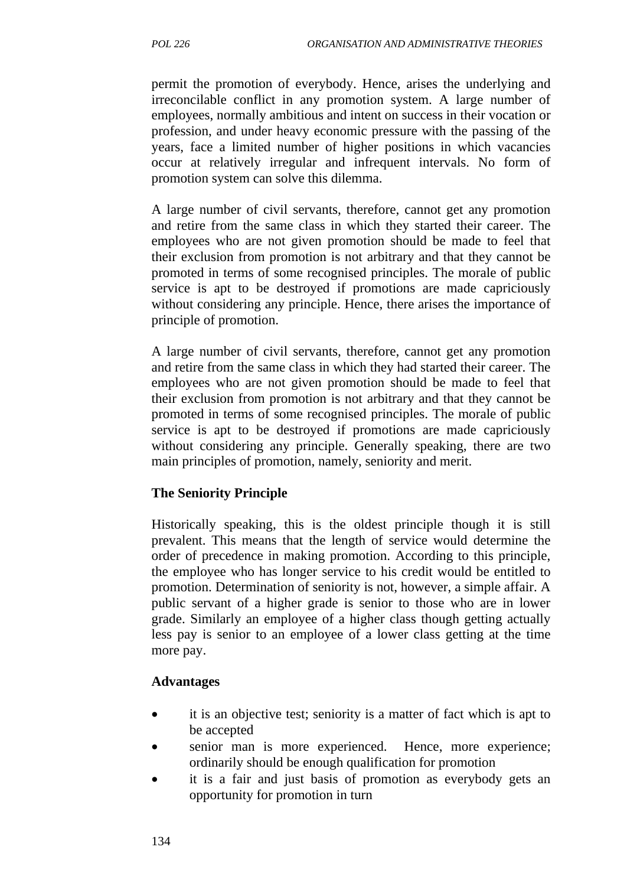permit the promotion of everybody. Hence, arises the underlying and irreconcilable conflict in any promotion system. A large number of employees, normally ambitious and intent on success in their vocation or profession, and under heavy economic pressure with the passing of the years, face a limited number of higher positions in which vacancies occur at relatively irregular and infrequent intervals. No form of promotion system can solve this dilemma.

A large number of civil servants, therefore, cannot get any promotion and retire from the same class in which they started their career. The employees who are not given promotion should be made to feel that their exclusion from promotion is not arbitrary and that they cannot be promoted in terms of some recognised principles. The morale of public service is apt to be destroyed if promotions are made capriciously without considering any principle. Hence, there arises the importance of principle of promotion.

A large number of civil servants, therefore, cannot get any promotion and retire from the same class in which they had started their career. The employees who are not given promotion should be made to feel that their exclusion from promotion is not arbitrary and that they cannot be promoted in terms of some recognised principles. The morale of public service is apt to be destroyed if promotions are made capriciously without considering any principle. Generally speaking, there are two main principles of promotion, namely, seniority and merit.

#### **The Seniority Principle**

Historically speaking, this is the oldest principle though it is still prevalent. This means that the length of service would determine the order of precedence in making promotion. According to this principle, the employee who has longer service to his credit would be entitled to promotion. Determination of seniority is not, however, a simple affair. A public servant of a higher grade is senior to those who are in lower grade. Similarly an employee of a higher class though getting actually less pay is senior to an employee of a lower class getting at the time more pay.

#### **Advantages**

- it is an objective test; seniority is a matter of fact which is apt to be accepted
- senior man is more experienced. Hence, more experience; ordinarily should be enough qualification for promotion
- it is a fair and just basis of promotion as everybody gets an opportunity for promotion in turn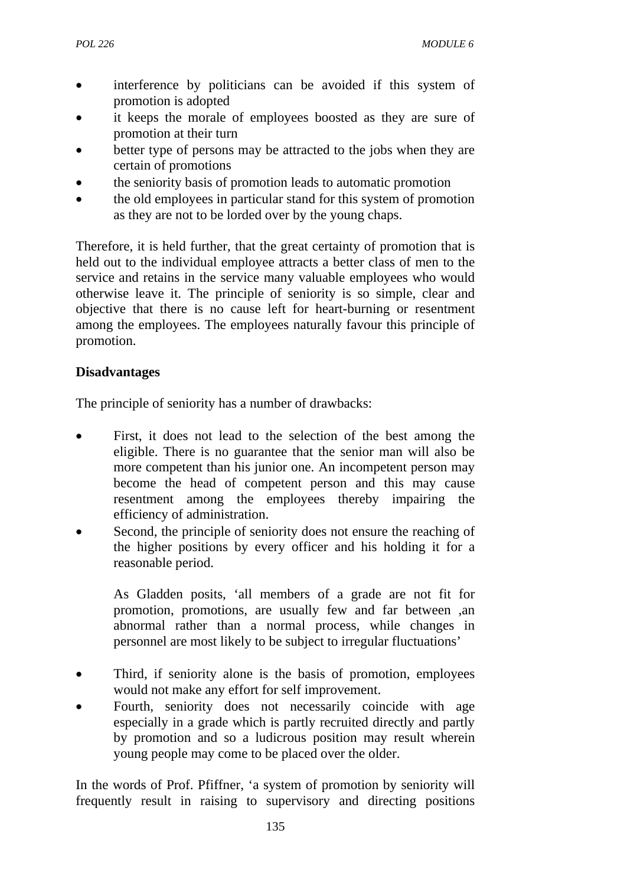- interference by politicians can be avoided if this system of promotion is adopted
- it keeps the morale of employees boosted as they are sure of promotion at their turn
- better type of persons may be attracted to the jobs when they are certain of promotions
- the seniority basis of promotion leads to automatic promotion
- the old employees in particular stand for this system of promotion as they are not to be lorded over by the young chaps.

Therefore, it is held further, that the great certainty of promotion that is held out to the individual employee attracts a better class of men to the service and retains in the service many valuable employees who would otherwise leave it. The principle of seniority is so simple, clear and objective that there is no cause left for heart-burning or resentment among the employees. The employees naturally favour this principle of promotion.

## **Disadvantages**

The principle of seniority has a number of drawbacks:

- First, it does not lead to the selection of the best among the eligible. There is no guarantee that the senior man will also be more competent than his junior one. An incompetent person may become the head of competent person and this may cause resentment among the employees thereby impairing the efficiency of administration.
- Second, the principle of seniority does not ensure the reaching of the higher positions by every officer and his holding it for a reasonable period.

As Gladden posits, 'all members of a grade are not fit for promotion, promotions, are usually few and far between ,an abnormal rather than a normal process, while changes in personnel are most likely to be subject to irregular fluctuations'

- Third, if seniority alone is the basis of promotion, employees would not make any effort for self improvement.
- Fourth, seniority does not necessarily coincide with age especially in a grade which is partly recruited directly and partly by promotion and so a ludicrous position may result wherein young people may come to be placed over the older.

In the words of Prof. Pfiffner, 'a system of promotion by seniority will frequently result in raising to supervisory and directing positions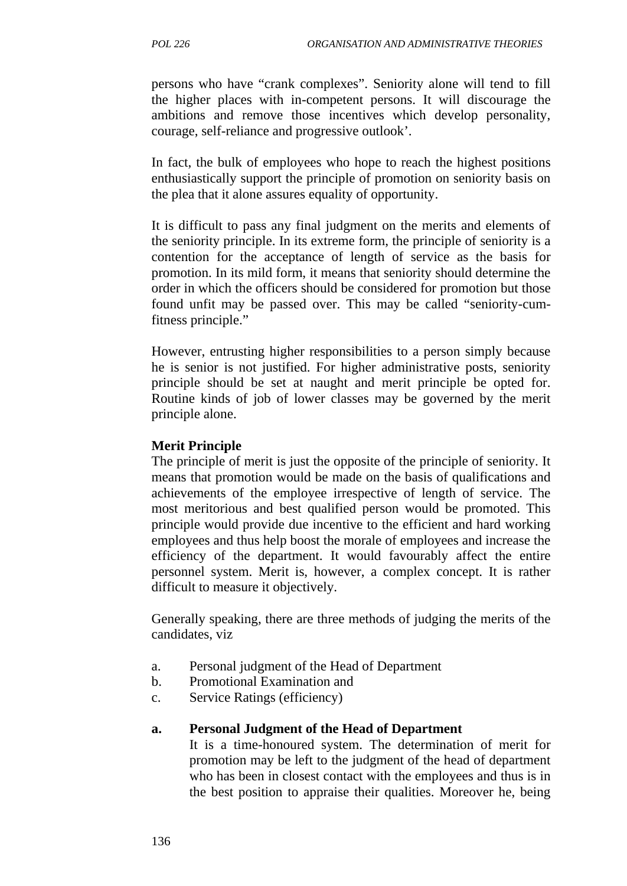persons who have "crank complexes". Seniority alone will tend to fill the higher places with in-competent persons. It will discourage the ambitions and remove those incentives which develop personality, courage, self-reliance and progressive outlook'.

In fact, the bulk of employees who hope to reach the highest positions enthusiastically support the principle of promotion on seniority basis on the plea that it alone assures equality of opportunity.

It is difficult to pass any final judgment on the merits and elements of the seniority principle. In its extreme form, the principle of seniority is a contention for the acceptance of length of service as the basis for promotion. In its mild form, it means that seniority should determine the order in which the officers should be considered for promotion but those found unfit may be passed over. This may be called "seniority-cumfitness principle."

However, entrusting higher responsibilities to a person simply because he is senior is not justified. For higher administrative posts, seniority principle should be set at naught and merit principle be opted for. Routine kinds of job of lower classes may be governed by the merit principle alone.

#### **Merit Principle**

The principle of merit is just the opposite of the principle of seniority. It means that promotion would be made on the basis of qualifications and achievements of the employee irrespective of length of service. The most meritorious and best qualified person would be promoted. This principle would provide due incentive to the efficient and hard working employees and thus help boost the morale of employees and increase the efficiency of the department. It would favourably affect the entire personnel system. Merit is, however, a complex concept. It is rather difficult to measure it objectively.

Generally speaking, there are three methods of judging the merits of the candidates, viz

- a. Personal judgment of the Head of Department
- b. Promotional Examination and
- c. Service Ratings (efficiency)

#### **a. Personal Judgment of the Head of Department**

It is a time-honoured system. The determination of merit for promotion may be left to the judgment of the head of department who has been in closest contact with the employees and thus is in the best position to appraise their qualities. Moreover he, being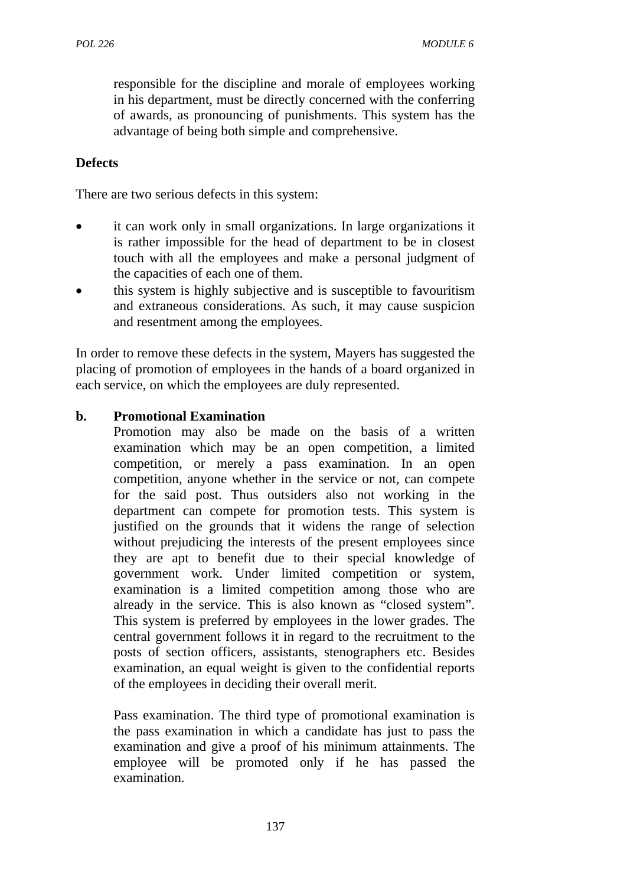responsible for the discipline and morale of employees working in his department, must be directly concerned with the conferring of awards, as pronouncing of punishments. This system has the advantage of being both simple and comprehensive.

#### **Defects**

There are two serious defects in this system:

- it can work only in small organizations. In large organizations it is rather impossible for the head of department to be in closest touch with all the employees and make a personal judgment of the capacities of each one of them.
- this system is highly subjective and is susceptible to favouritism and extraneous considerations. As such, it may cause suspicion and resentment among the employees.

In order to remove these defects in the system, Mayers has suggested the placing of promotion of employees in the hands of a board organized in each service, on which the employees are duly represented.

#### **b. Promotional Examination**

Promotion may also be made on the basis of a written examination which may be an open competition, a limited competition, or merely a pass examination. In an open competition, anyone whether in the service or not, can compete for the said post. Thus outsiders also not working in the department can compete for promotion tests. This system is justified on the grounds that it widens the range of selection without prejudicing the interests of the present employees since they are apt to benefit due to their special knowledge of government work. Under limited competition or system, examination is a limited competition among those who are already in the service. This is also known as "closed system". This system is preferred by employees in the lower grades. The central government follows it in regard to the recruitment to the posts of section officers, assistants, stenographers etc. Besides examination, an equal weight is given to the confidential reports of the employees in deciding their overall merit.

Pass examination. The third type of promotional examination is the pass examination in which a candidate has just to pass the examination and give a proof of his minimum attainments. The employee will be promoted only if he has passed the examination.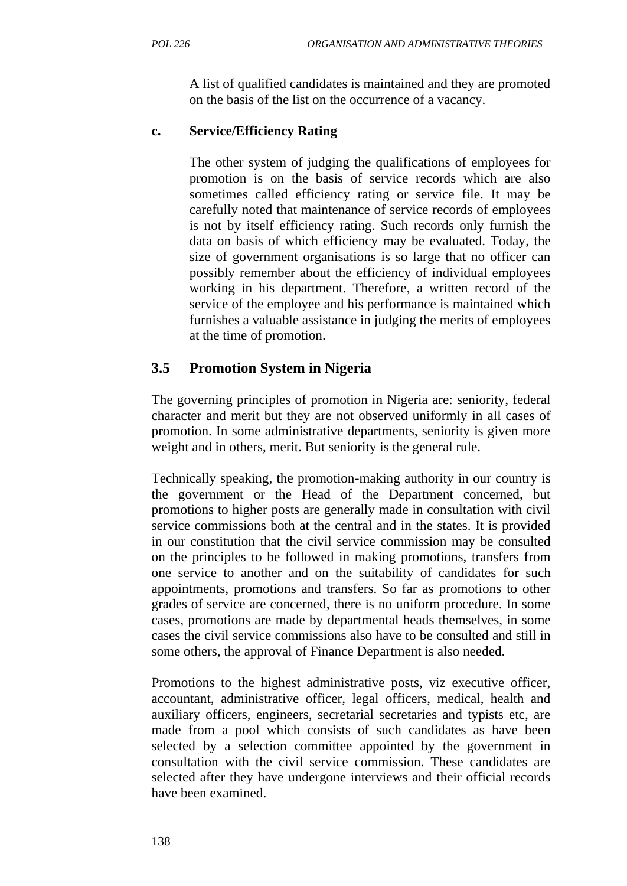A list of qualified candidates is maintained and they are promoted on the basis of the list on the occurrence of a vacancy.

## **c. Service/Efficiency Rating**

The other system of judging the qualifications of employees for promotion is on the basis of service records which are also sometimes called efficiency rating or service file. It may be carefully noted that maintenance of service records of employees is not by itself efficiency rating. Such records only furnish the data on basis of which efficiency may be evaluated. Today, the size of government organisations is so large that no officer can possibly remember about the efficiency of individual employees working in his department. Therefore, a written record of the service of the employee and his performance is maintained which furnishes a valuable assistance in judging the merits of employees at the time of promotion.

# **3.5 Promotion System in Nigeria**

The governing principles of promotion in Nigeria are: seniority, federal character and merit but they are not observed uniformly in all cases of promotion. In some administrative departments, seniority is given more weight and in others, merit. But seniority is the general rule.

Technically speaking, the promotion-making authority in our country is the government or the Head of the Department concerned, but promotions to higher posts are generally made in consultation with civil service commissions both at the central and in the states. It is provided in our constitution that the civil service commission may be consulted on the principles to be followed in making promotions, transfers from one service to another and on the suitability of candidates for such appointments, promotions and transfers. So far as promotions to other grades of service are concerned, there is no uniform procedure. In some cases, promotions are made by departmental heads themselves, in some cases the civil service commissions also have to be consulted and still in some others, the approval of Finance Department is also needed.

Promotions to the highest administrative posts, viz executive officer, accountant, administrative officer, legal officers, medical, health and auxiliary officers, engineers, secretarial secretaries and typists etc, are made from a pool which consists of such candidates as have been selected by a selection committee appointed by the government in consultation with the civil service commission. These candidates are selected after they have undergone interviews and their official records have been examined.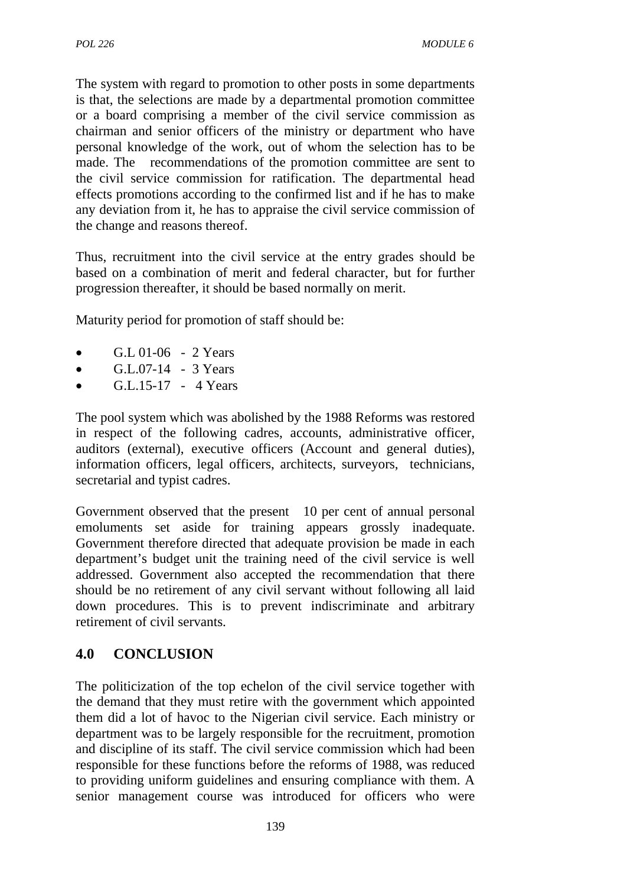The system with regard to promotion to other posts in some departments is that, the selections are made by a departmental promotion committee or a board comprising a member of the civil service commission as chairman and senior officers of the ministry or department who have personal knowledge of the work, out of whom the selection has to be made. The recommendations of the promotion committee are sent to the civil service commission for ratification. The departmental head effects promotions according to the confirmed list and if he has to make any deviation from it, he has to appraise the civil service commission of the change and reasons thereof.

Thus, recruitment into the civil service at the entry grades should be based on a combination of merit and federal character, but for further progression thereafter, it should be based normally on merit.

Maturity period for promotion of staff should be:

- $GL(01-06 2 \text{ Years})$
- $G.L.07-14$  3 Years
- $G.L.15-17 4 \text{ Years}$

The pool system which was abolished by the 1988 Reforms was restored in respect of the following cadres, accounts, administrative officer, auditors (external), executive officers (Account and general duties), information officers, legal officers, architects, surveyors, technicians, secretarial and typist cadres.

Government observed that the present 10 per cent of annual personal emoluments set aside for training appears grossly inadequate. Government therefore directed that adequate provision be made in each department's budget unit the training need of the civil service is well addressed. Government also accepted the recommendation that there should be no retirement of any civil servant without following all laid down procedures. This is to prevent indiscriminate and arbitrary retirement of civil servants.

# **4.0 CONCLUSION**

The politicization of the top echelon of the civil service together with the demand that they must retire with the government which appointed them did a lot of havoc to the Nigerian civil service. Each ministry or department was to be largely responsible for the recruitment, promotion and discipline of its staff. The civil service commission which had been responsible for these functions before the reforms of 1988, was reduced to providing uniform guidelines and ensuring compliance with them. A senior management course was introduced for officers who were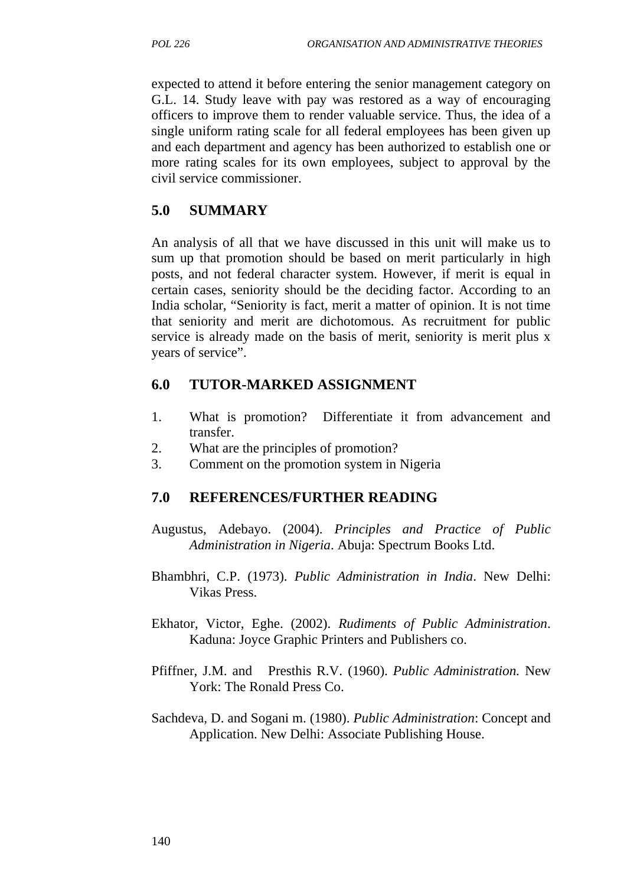expected to attend it before entering the senior management category on G.L. 14. Study leave with pay was restored as a way of encouraging officers to improve them to render valuable service. Thus, the idea of a single uniform rating scale for all federal employees has been given up and each department and agency has been authorized to establish one or more rating scales for its own employees, subject to approval by the civil service commissioner.

## **5.0 SUMMARY**

An analysis of all that we have discussed in this unit will make us to sum up that promotion should be based on merit particularly in high posts, and not federal character system. However, if merit is equal in certain cases, seniority should be the deciding factor. According to an India scholar, "Seniority is fact, merit a matter of opinion. It is not time that seniority and merit are dichotomous. As recruitment for public service is already made on the basis of merit, seniority is merit plus x years of service".

## **6.0 TUTOR-MARKED ASSIGNMENT**

- 1. What is promotion? Differentiate it from advancement and transfer.
- 2. What are the principles of promotion?
- 3. Comment on the promotion system in Nigeria

#### **7.0 REFERENCES/FURTHER READING**

- Augustus, Adebayo. (2004). *Principles and Practice of Public Administration in Nigeria*. Abuja: Spectrum Books Ltd.
- Bhambhri, C.P. (1973). *Public Administration in India*. New Delhi: Vikas Press.
- Ekhator, Victor, Eghe. (2002). *Rudiments of Public Administration*. Kaduna: Joyce Graphic Printers and Publishers co.
- Pfiffner, J.M. and Presthis R.V. (1960). *Public Administration.* New York: The Ronald Press Co.
- Sachdeva, D. and Sogani m. (1980). *Public Administration*: Concept and Application. New Delhi: Associate Publishing House.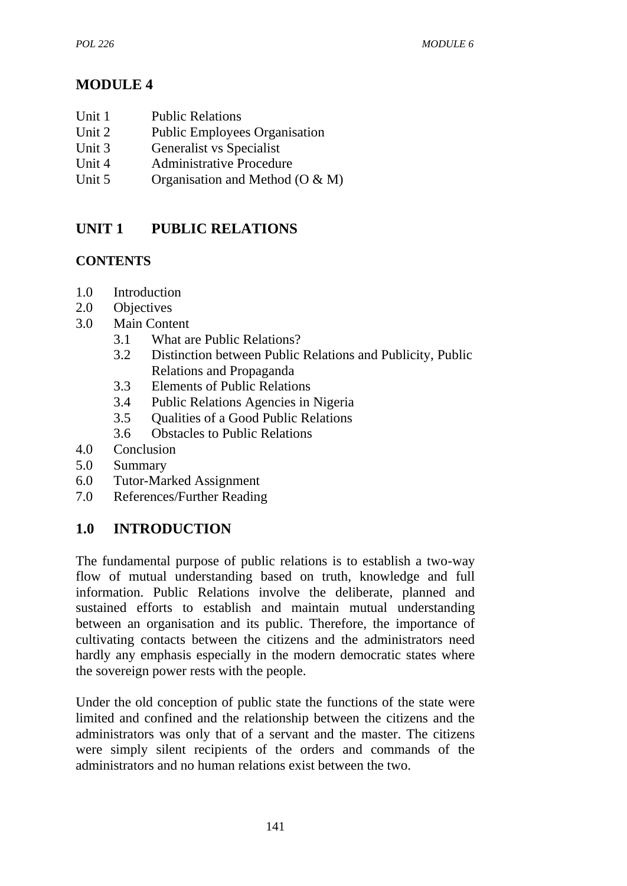# **MODULE 4**

- Unit 1 Public Relations
- Unit 2 Public Employees Organisation
- Unit 3 Generalist vs Specialist
- Unit 4 Administrative Procedure
- Unit 5 Organisation and Method (O & M)

# **UNIT 1 PUBLIC RELATIONS**

## **CONTENTS**

- 1.0 Introduction
- 2.0 Objectives
- 3.0 Main Content
	- 3.1 What are Public Relations?
	- 3.2 Distinction between Public Relations and Publicity, Public Relations and Propaganda
	- 3.3 Elements of Public Relations
	- 3.4 Public Relations Agencies in Nigeria
	- 3.5 Qualities of a Good Public Relations
	- 3.6 Obstacles to Public Relations
- 4.0 Conclusion
- 5.0 Summary
- 6.0 Tutor-Marked Assignment
- 7.0 References/Further Reading

# **1.0 INTRODUCTION**

The fundamental purpose of public relations is to establish a two-way flow of mutual understanding based on truth, knowledge and full information. Public Relations involve the deliberate, planned and sustained efforts to establish and maintain mutual understanding between an organisation and its public. Therefore, the importance of cultivating contacts between the citizens and the administrators need hardly any emphasis especially in the modern democratic states where the sovereign power rests with the people.

Under the old conception of public state the functions of the state were limited and confined and the relationship between the citizens and the administrators was only that of a servant and the master. The citizens were simply silent recipients of the orders and commands of the administrators and no human relations exist between the two.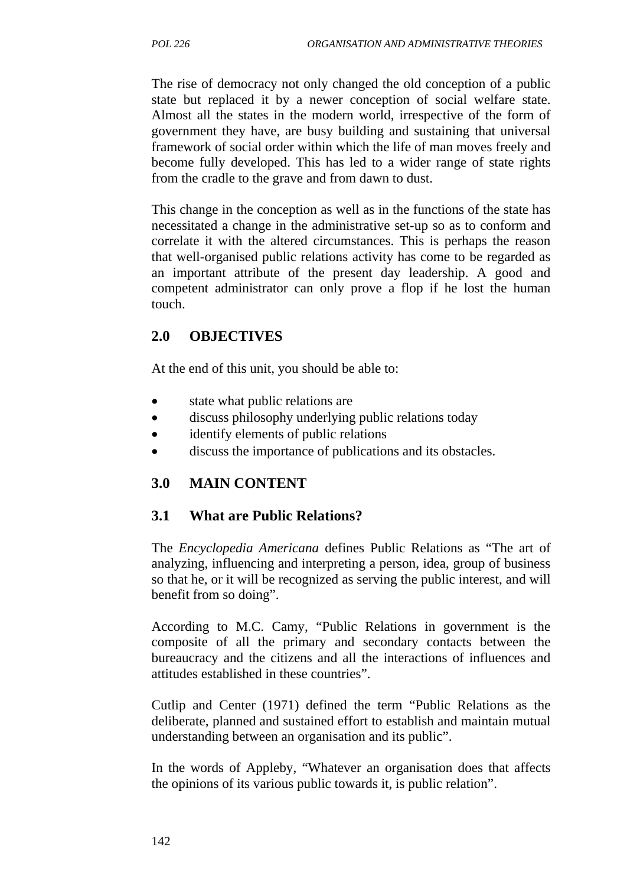The rise of democracy not only changed the old conception of a public state but replaced it by a newer conception of social welfare state. Almost all the states in the modern world, irrespective of the form of government they have, are busy building and sustaining that universal framework of social order within which the life of man moves freely and become fully developed. This has led to a wider range of state rights from the cradle to the grave and from dawn to dust.

This change in the conception as well as in the functions of the state has necessitated a change in the administrative set-up so as to conform and correlate it with the altered circumstances. This is perhaps the reason that well-organised public relations activity has come to be regarded as an important attribute of the present day leadership. A good and competent administrator can only prove a flop if he lost the human touch.

## **2.0 OBJECTIVES**

At the end of this unit, you should be able to:

- state what public relations are
- discuss philosophy underlying public relations today
- identify elements of public relations
- discuss the importance of publications and its obstacles.

# **3.0 MAIN CONTENT**

## **3.1 What are Public Relations?**

The *Encyclopedia Americana* defines Public Relations as "The art of analyzing, influencing and interpreting a person, idea, group of business so that he, or it will be recognized as serving the public interest, and will benefit from so doing".

According to M.C. Camy, "Public Relations in government is the composite of all the primary and secondary contacts between the bureaucracy and the citizens and all the interactions of influences and attitudes established in these countries".

Cutlip and Center (1971) defined the term "Public Relations as the deliberate, planned and sustained effort to establish and maintain mutual understanding between an organisation and its public".

In the words of Appleby, "Whatever an organisation does that affects the opinions of its various public towards it, is public relation".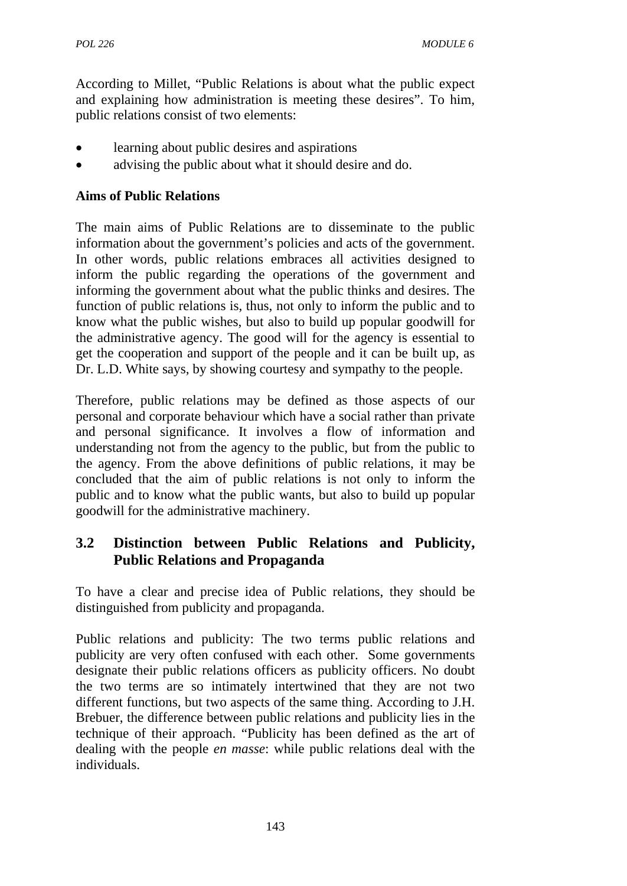According to Millet, "Public Relations is about what the public expect and explaining how administration is meeting these desires". To him, public relations consist of two elements:

- learning about public desires and aspirations
- advising the public about what it should desire and do.

#### **Aims of Public Relations**

The main aims of Public Relations are to disseminate to the public information about the government's policies and acts of the government. In other words, public relations embraces all activities designed to inform the public regarding the operations of the government and informing the government about what the public thinks and desires. The function of public relations is, thus, not only to inform the public and to know what the public wishes, but also to build up popular goodwill for the administrative agency. The good will for the agency is essential to get the cooperation and support of the people and it can be built up, as Dr. L.D. White says, by showing courtesy and sympathy to the people.

Therefore, public relations may be defined as those aspects of our personal and corporate behaviour which have a social rather than private and personal significance. It involves a flow of information and understanding not from the agency to the public, but from the public to the agency. From the above definitions of public relations, it may be concluded that the aim of public relations is not only to inform the public and to know what the public wants, but also to build up popular goodwill for the administrative machinery.

# **3.2 Distinction between Public Relations and Publicity, Public Relations and Propaganda**

To have a clear and precise idea of Public relations, they should be distinguished from publicity and propaganda.

Public relations and publicity: The two terms public relations and publicity are very often confused with each other. Some governments designate their public relations officers as publicity officers. No doubt the two terms are so intimately intertwined that they are not two different functions, but two aspects of the same thing. According to J.H. Brebuer, the difference between public relations and publicity lies in the technique of their approach. "Publicity has been defined as the art of dealing with the people *en masse*: while public relations deal with the individuals.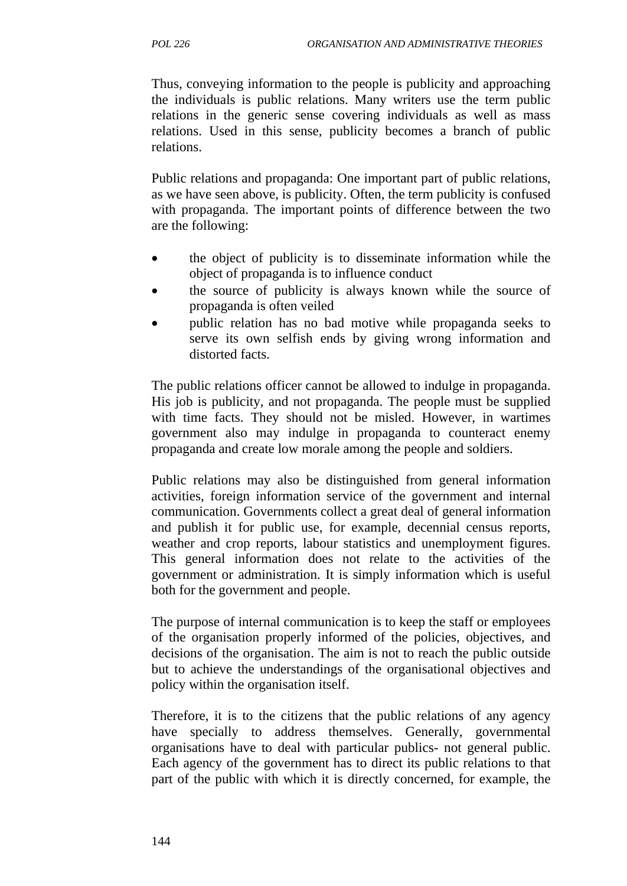Thus, conveying information to the people is publicity and approaching the individuals is public relations. Many writers use the term public relations in the generic sense covering individuals as well as mass relations. Used in this sense, publicity becomes a branch of public relations.

Public relations and propaganda: One important part of public relations, as we have seen above, is publicity. Often, the term publicity is confused with propaganda. The important points of difference between the two are the following:

- the object of publicity is to disseminate information while the object of propaganda is to influence conduct
- the source of publicity is always known while the source of propaganda is often veiled
- public relation has no bad motive while propaganda seeks to serve its own selfish ends by giving wrong information and distorted facts.

The public relations officer cannot be allowed to indulge in propaganda. His job is publicity, and not propaganda. The people must be supplied with time facts. They should not be misled. However, in wartimes government also may indulge in propaganda to counteract enemy propaganda and create low morale among the people and soldiers.

Public relations may also be distinguished from general information activities, foreign information service of the government and internal communication. Governments collect a great deal of general information and publish it for public use, for example, decennial census reports, weather and crop reports, labour statistics and unemployment figures. This general information does not relate to the activities of the government or administration. It is simply information which is useful both for the government and people.

The purpose of internal communication is to keep the staff or employees of the organisation properly informed of the policies, objectives, and decisions of the organisation. The aim is not to reach the public outside but to achieve the understandings of the organisational objectives and policy within the organisation itself.

Therefore, it is to the citizens that the public relations of any agency have specially to address themselves. Generally, governmental organisations have to deal with particular publics- not general public. Each agency of the government has to direct its public relations to that part of the public with which it is directly concerned, for example, the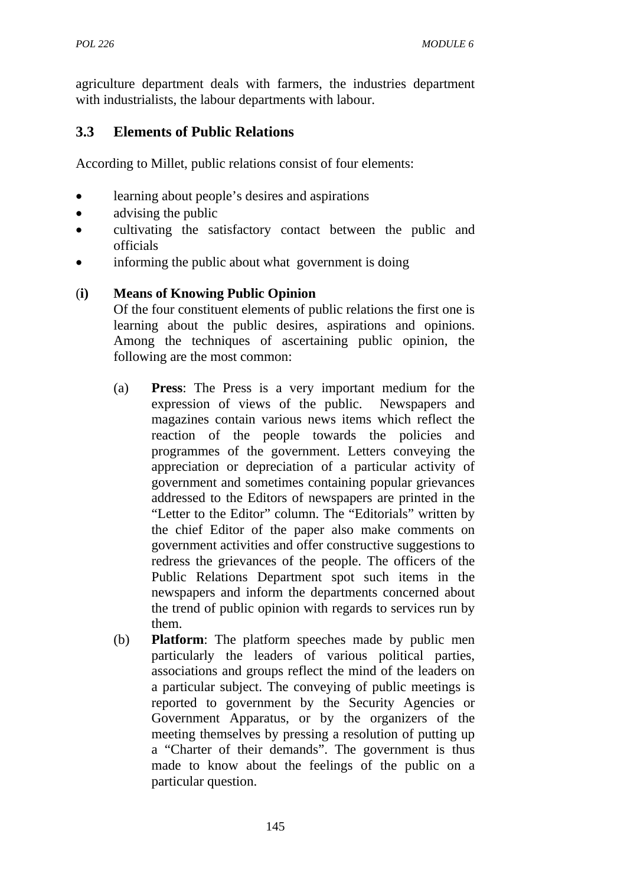agriculture department deals with farmers, the industries department with industrialists, the labour departments with labour.

## **3.3 Elements of Public Relations**

According to Millet, public relations consist of four elements:

- learning about people's desires and aspirations
- advising the public
- cultivating the satisfactory contact between the public and officials
- informing the public about what government is doing

### (**i) Means of Knowing Public Opinion**

Of the four constituent elements of public relations the first one is learning about the public desires, aspirations and opinions. Among the techniques of ascertaining public opinion, the following are the most common:

- (a) **Press**: The Press is a very important medium for the expression of views of the public. Newspapers and magazines contain various news items which reflect the reaction of the people towards the policies and programmes of the government. Letters conveying the appreciation or depreciation of a particular activity of government and sometimes containing popular grievances addressed to the Editors of newspapers are printed in the "Letter to the Editor" column. The "Editorials" written by the chief Editor of the paper also make comments on government activities and offer constructive suggestions to redress the grievances of the people. The officers of the Public Relations Department spot such items in the newspapers and inform the departments concerned about the trend of public opinion with regards to services run by them.
- (b) **Platform**: The platform speeches made by public men particularly the leaders of various political parties, associations and groups reflect the mind of the leaders on a particular subject. The conveying of public meetings is reported to government by the Security Agencies or Government Apparatus, or by the organizers of the meeting themselves by pressing a resolution of putting up a "Charter of their demands". The government is thus made to know about the feelings of the public on a particular question.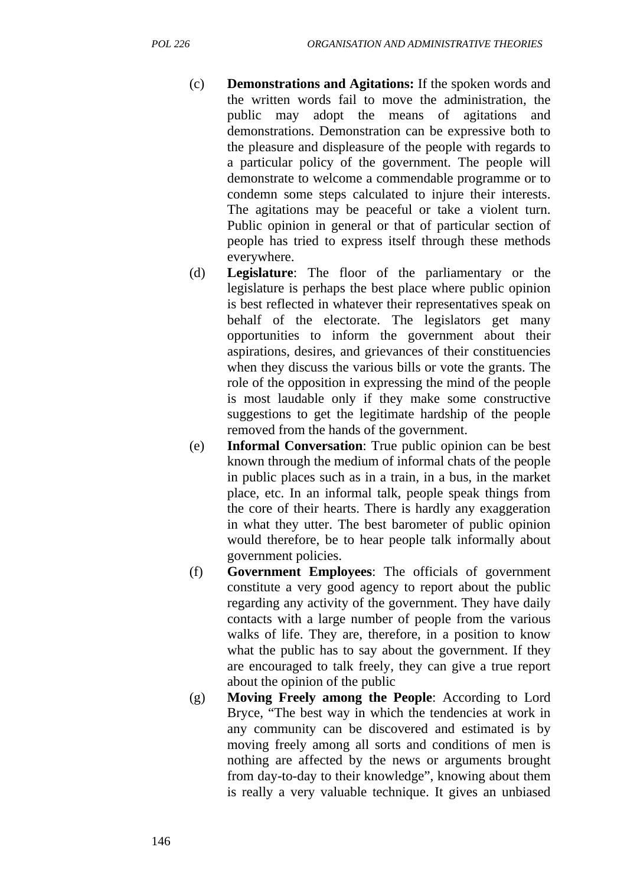- (c) **Demonstrations and Agitations:** If the spoken words and the written words fail to move the administration, the public may adopt the means of agitations and demonstrations. Demonstration can be expressive both to the pleasure and displeasure of the people with regards to a particular policy of the government. The people will demonstrate to welcome a commendable programme or to condemn some steps calculated to injure their interests. The agitations may be peaceful or take a violent turn. Public opinion in general or that of particular section of people has tried to express itself through these methods everywhere.
- (d) **Legislature**: The floor of the parliamentary or the legislature is perhaps the best place where public opinion is best reflected in whatever their representatives speak on behalf of the electorate. The legislators get many opportunities to inform the government about their aspirations, desires, and grievances of their constituencies when they discuss the various bills or vote the grants. The role of the opposition in expressing the mind of the people is most laudable only if they make some constructive suggestions to get the legitimate hardship of the people removed from the hands of the government.
- (e) **Informal Conversation**: True public opinion can be best known through the medium of informal chats of the people in public places such as in a train, in a bus, in the market place, etc. In an informal talk, people speak things from the core of their hearts. There is hardly any exaggeration in what they utter. The best barometer of public opinion would therefore, be to hear people talk informally about government policies.
- (f) **Government Employees**: The officials of government constitute a very good agency to report about the public regarding any activity of the government. They have daily contacts with a large number of people from the various walks of life. They are, therefore, in a position to know what the public has to say about the government. If they are encouraged to talk freely, they can give a true report about the opinion of the public
- (g) **Moving Freely among the People**: According to Lord Bryce, "The best way in which the tendencies at work in any community can be discovered and estimated is by moving freely among all sorts and conditions of men is nothing are affected by the news or arguments brought from day-to-day to their knowledge", knowing about them is really a very valuable technique. It gives an unbiased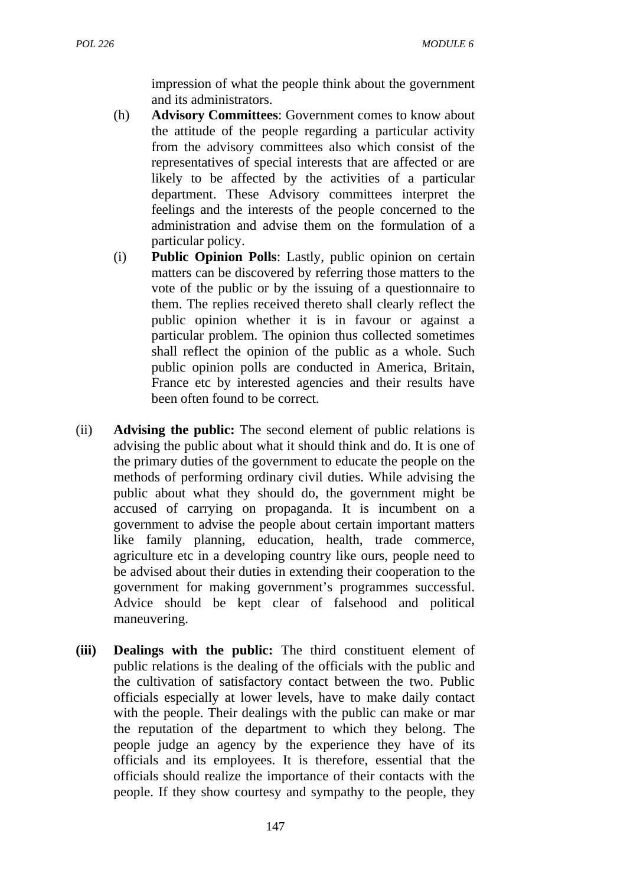impression of what the people think about the government and its administrators.

- (h) **Advisory Committees**: Government comes to know about the attitude of the people regarding a particular activity from the advisory committees also which consist of the representatives of special interests that are affected or are likely to be affected by the activities of a particular department. These Advisory committees interpret the feelings and the interests of the people concerned to the administration and advise them on the formulation of a particular policy.
- (i) **Public Opinion Polls**: Lastly, public opinion on certain matters can be discovered by referring those matters to the vote of the public or by the issuing of a questionnaire to them. The replies received thereto shall clearly reflect the public opinion whether it is in favour or against a particular problem. The opinion thus collected sometimes shall reflect the opinion of the public as a whole. Such public opinion polls are conducted in America, Britain, France etc by interested agencies and their results have been often found to be correct.
- (ii) **Advising the public:** The second element of public relations is advising the public about what it should think and do. It is one of the primary duties of the government to educate the people on the methods of performing ordinary civil duties. While advising the public about what they should do, the government might be accused of carrying on propaganda. It is incumbent on a government to advise the people about certain important matters like family planning, education, health, trade commerce, agriculture etc in a developing country like ours, people need to be advised about their duties in extending their cooperation to the government for making government's programmes successful. Advice should be kept clear of falsehood and political maneuvering.
- **(iii) Dealings with the public:** The third constituent element of public relations is the dealing of the officials with the public and the cultivation of satisfactory contact between the two. Public officials especially at lower levels, have to make daily contact with the people. Their dealings with the public can make or mar the reputation of the department to which they belong. The people judge an agency by the experience they have of its officials and its employees. It is therefore, essential that the officials should realize the importance of their contacts with the people. If they show courtesy and sympathy to the people, they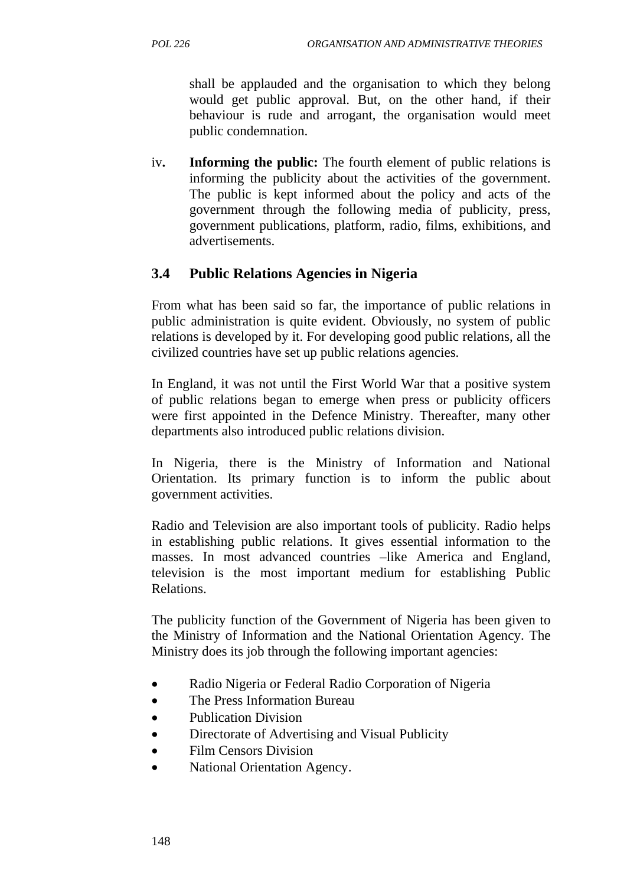shall be applauded and the organisation to which they belong would get public approval. But, on the other hand, if their behaviour is rude and arrogant, the organisation would meet public condemnation.

iv**. Informing the public:** The fourth element of public relations is informing the publicity about the activities of the government. The public is kept informed about the policy and acts of the government through the following media of publicity, press, government publications, platform, radio, films, exhibitions, and advertisements.

## **3.4 Public Relations Agencies in Nigeria**

From what has been said so far, the importance of public relations in public administration is quite evident. Obviously, no system of public relations is developed by it. For developing good public relations, all the civilized countries have set up public relations agencies.

In England, it was not until the First World War that a positive system of public relations began to emerge when press or publicity officers were first appointed in the Defence Ministry. Thereafter, many other departments also introduced public relations division.

In Nigeria, there is the Ministry of Information and National Orientation. Its primary function is to inform the public about government activities.

Radio and Television are also important tools of publicity. Radio helps in establishing public relations. It gives essential information to the masses. In most advanced countries –like America and England, television is the most important medium for establishing Public Relations.

The publicity function of the Government of Nigeria has been given to the Ministry of Information and the National Orientation Agency. The Ministry does its job through the following important agencies:

- Radio Nigeria or Federal Radio Corporation of Nigeria
- The Press Information Bureau
- Publication Division
- Directorate of Advertising and Visual Publicity
- Film Censors Division
- National Orientation Agency.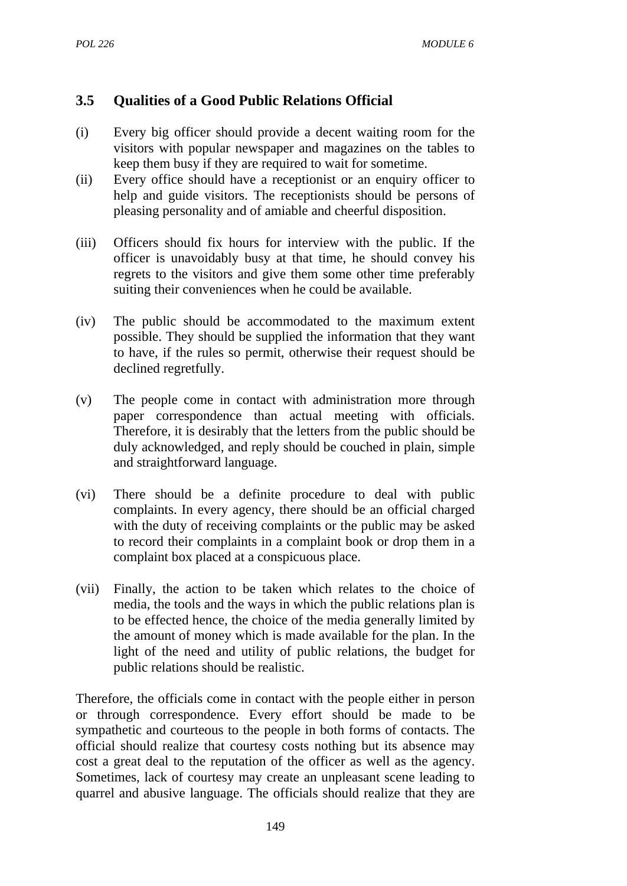# **3.5 Qualities of a Good Public Relations Official**

- (i) Every big officer should provide a decent waiting room for the visitors with popular newspaper and magazines on the tables to keep them busy if they are required to wait for sometime.
- (ii) Every office should have a receptionist or an enquiry officer to help and guide visitors. The receptionists should be persons of pleasing personality and of amiable and cheerful disposition.
- (iii) Officers should fix hours for interview with the public. If the officer is unavoidably busy at that time, he should convey his regrets to the visitors and give them some other time preferably suiting their conveniences when he could be available.
- (iv) The public should be accommodated to the maximum extent possible. They should be supplied the information that they want to have, if the rules so permit, otherwise their request should be declined regretfully.
- (v) The people come in contact with administration more through paper correspondence than actual meeting with officials. Therefore, it is desirably that the letters from the public should be duly acknowledged, and reply should be couched in plain, simple and straightforward language.
- (vi) There should be a definite procedure to deal with public complaints. In every agency, there should be an official charged with the duty of receiving complaints or the public may be asked to record their complaints in a complaint book or drop them in a complaint box placed at a conspicuous place.
- (vii) Finally, the action to be taken which relates to the choice of media, the tools and the ways in which the public relations plan is to be effected hence, the choice of the media generally limited by the amount of money which is made available for the plan. In the light of the need and utility of public relations, the budget for public relations should be realistic.

Therefore, the officials come in contact with the people either in person or through correspondence. Every effort should be made to be sympathetic and courteous to the people in both forms of contacts. The official should realize that courtesy costs nothing but its absence may cost a great deal to the reputation of the officer as well as the agency. Sometimes, lack of courtesy may create an unpleasant scene leading to quarrel and abusive language. The officials should realize that they are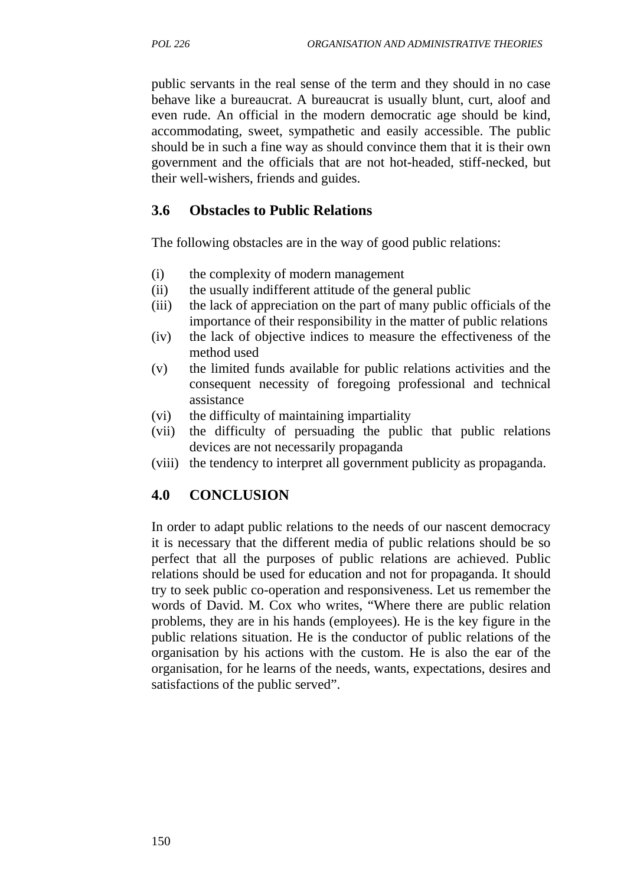public servants in the real sense of the term and they should in no case behave like a bureaucrat. A bureaucrat is usually blunt, curt, aloof and even rude. An official in the modern democratic age should be kind, accommodating, sweet, sympathetic and easily accessible. The public should be in such a fine way as should convince them that it is their own government and the officials that are not hot-headed, stiff-necked, but their well-wishers, friends and guides.

## **3.6 Obstacles to Public Relations**

The following obstacles are in the way of good public relations:

- (i) the complexity of modern management
- (ii) the usually indifferent attitude of the general public
- (iii) the lack of appreciation on the part of many public officials of the importance of their responsibility in the matter of public relations
- (iv) the lack of objective indices to measure the effectiveness of the method used
- (v) the limited funds available for public relations activities and the consequent necessity of foregoing professional and technical assistance
- (vi) the difficulty of maintaining impartiality
- (vii) the difficulty of persuading the public that public relations devices are not necessarily propaganda
- (viii) the tendency to interpret all government publicity as propaganda.

## **4.0 CONCLUSION**

In order to adapt public relations to the needs of our nascent democracy it is necessary that the different media of public relations should be so perfect that all the purposes of public relations are achieved. Public relations should be used for education and not for propaganda. It should try to seek public co-operation and responsiveness. Let us remember the words of David. M. Cox who writes, "Where there are public relation problems, they are in his hands (employees). He is the key figure in the public relations situation. He is the conductor of public relations of the organisation by his actions with the custom. He is also the ear of the organisation, for he learns of the needs, wants, expectations, desires and satisfactions of the public served".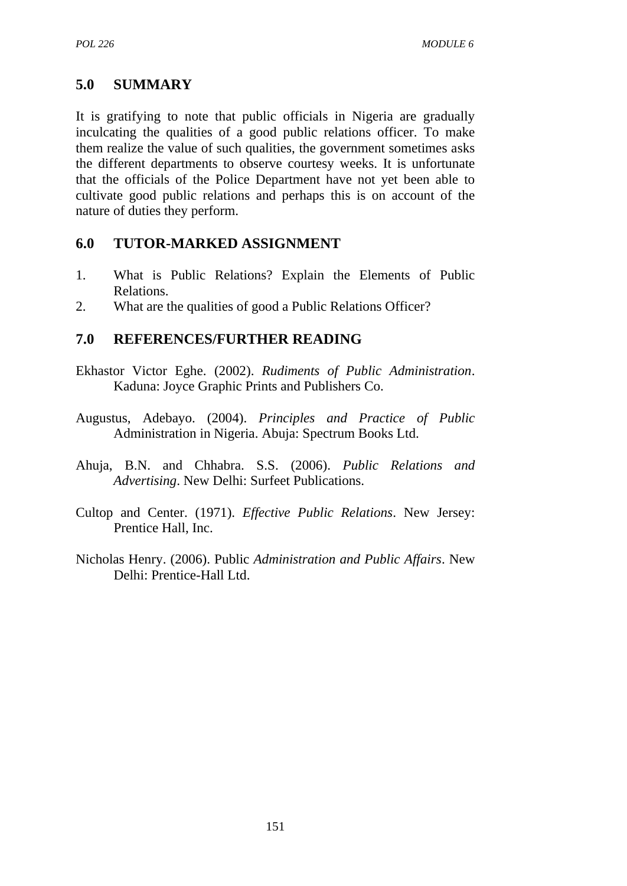## **5.0 SUMMARY**

It is gratifying to note that public officials in Nigeria are gradually inculcating the qualities of a good public relations officer. To make them realize the value of such qualities, the government sometimes asks the different departments to observe courtesy weeks. It is unfortunate that the officials of the Police Department have not yet been able to cultivate good public relations and perhaps this is on account of the nature of duties they perform.

### **6.0 TUTOR-MARKED ASSIGNMENT**

- 1. What is Public Relations? Explain the Elements of Public Relations.
- 2. What are the qualities of good a Public Relations Officer?

### **7.0 REFERENCES/FURTHER READING**

- Ekhastor Victor Eghe. (2002). *Rudiments of Public Administration*. Kaduna: Joyce Graphic Prints and Publishers Co.
- Augustus, Adebayo. (2004). *Principles and Practice of Public* Administration in Nigeria. Abuja: Spectrum Books Ltd.
- Ahuja, B.N. and Chhabra. S.S. (2006). *Public Relations and Advertising*. New Delhi: Surfeet Publications.
- Cultop and Center. (1971). *Effective Public Relations*. New Jersey: Prentice Hall, Inc.
- Nicholas Henry. (2006). Public *Administration and Public Affairs*. New Delhi: Prentice-Hall Ltd.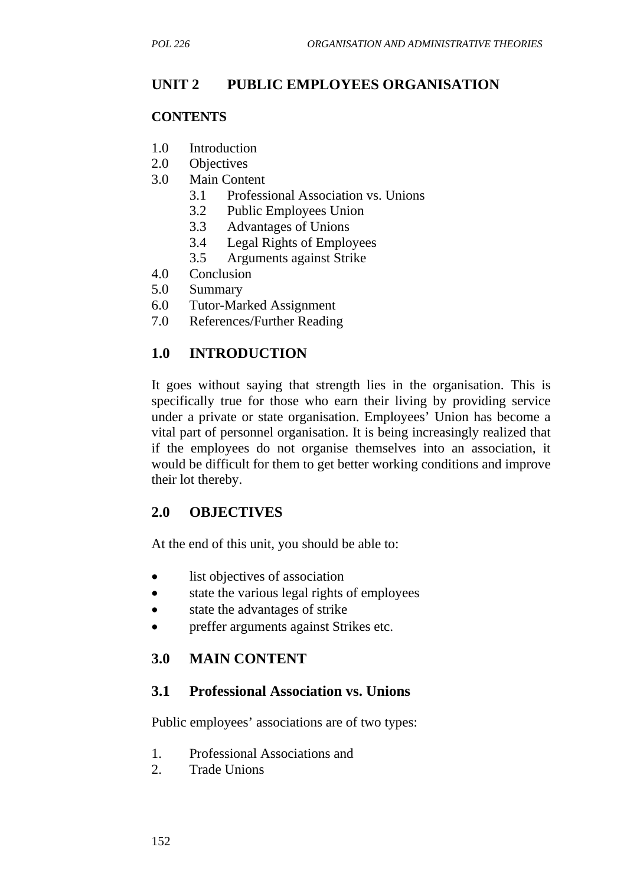## **UNIT 2 PUBLIC EMPLOYEES ORGANISATION**

#### **CONTENTS**

- 1.0 Introduction
- 2.0 Objectives
- 3.0 Main Content
	- 3.1 Professional Association vs. Unions
	- 3.2 Public Employees Union
	- 3.3 Advantages of Unions
	- 3.4 Legal Rights of Employees
	- 3.5 Arguments against Strike
- 4.0 Conclusion
- 5.0 Summary
- 6.0 Tutor-Marked Assignment
- 7.0 References/Further Reading

### **1.0 INTRODUCTION**

It goes without saying that strength lies in the organisation. This is specifically true for those who earn their living by providing service under a private or state organisation. Employees' Union has become a vital part of personnel organisation. It is being increasingly realized that if the employees do not organise themselves into an association, it would be difficult for them to get better working conditions and improve their lot thereby.

#### **2.0 OBJECTIVES**

At the end of this unit, you should be able to:

- list objectives of association
- state the various legal rights of employees
- state the advantages of strike
- preffer arguments against Strikes etc.

#### **3.0 MAIN CONTENT**

#### **3.1 Professional Association vs. Unions**

Public employees' associations are of two types:

- 1. Professional Associations and
- 2. Trade Unions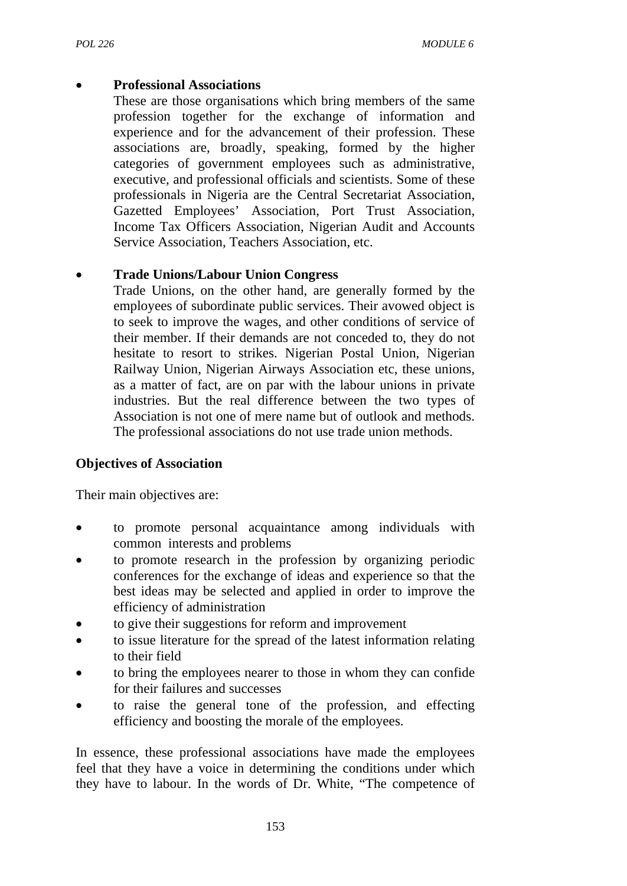### • **Professional Associations**

These are those organisations which bring members of the same profession together for the exchange of information and experience and for the advancement of their profession. These associations are, broadly, speaking, formed by the higher categories of government employees such as administrative, executive, and professional officials and scientists. Some of these professionals in Nigeria are the Central Secretariat Association, Gazetted Employees' Association, Port Trust Association, Income Tax Officers Association, Nigerian Audit and Accounts Service Association, Teachers Association, etc.

## • **Trade Unions/Labour Union Congress**

Trade Unions, on the other hand, are generally formed by the employees of subordinate public services. Their avowed object is to seek to improve the wages, and other conditions of service of their member. If their demands are not conceded to, they do not hesitate to resort to strikes. Nigerian Postal Union, Nigerian Railway Union, Nigerian Airways Association etc, these unions, as a matter of fact, are on par with the labour unions in private industries. But the real difference between the two types of Association is not one of mere name but of outlook and methods. The professional associations do not use trade union methods.

## **Objectives of Association**

Their main objectives are:

- to promote personal acquaintance among individuals with common interests and problems
- to promote research in the profession by organizing periodic conferences for the exchange of ideas and experience so that the best ideas may be selected and applied in order to improve the efficiency of administration
- to give their suggestions for reform and improvement
- to issue literature for the spread of the latest information relating to their field
- to bring the employees nearer to those in whom they can confide for their failures and successes
- to raise the general tone of the profession, and effecting efficiency and boosting the morale of the employees.

In essence, these professional associations have made the employees feel that they have a voice in determining the conditions under which they have to labour. In the words of Dr. White, "The competence of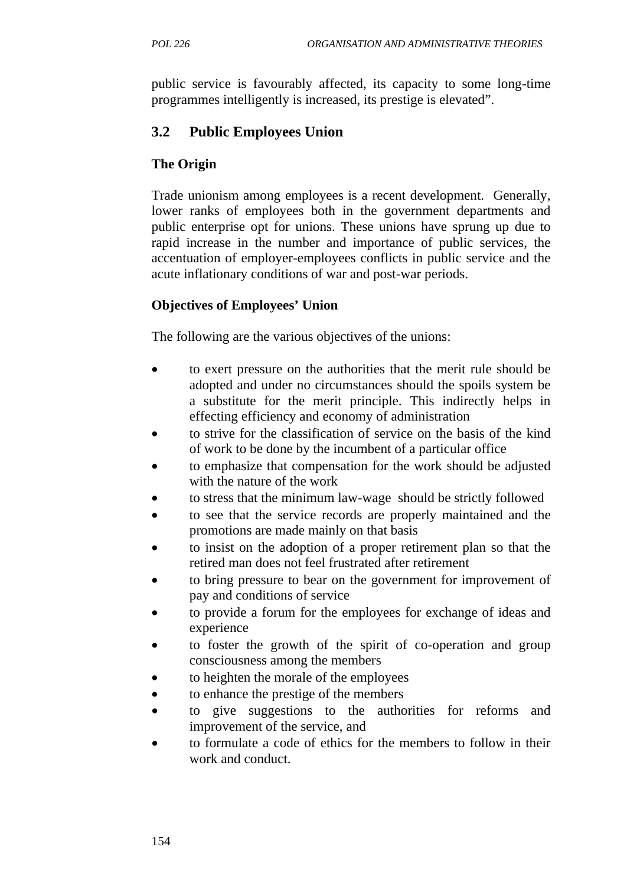public service is favourably affected, its capacity to some long-time programmes intelligently is increased, its prestige is elevated".

## **3.2 Public Employees Union**

#### **The Origin**

Trade unionism among employees is a recent development. Generally, lower ranks of employees both in the government departments and public enterprise opt for unions. These unions have sprung up due to rapid increase in the number and importance of public services, the accentuation of employer-employees conflicts in public service and the acute inflationary conditions of war and post-war periods.

### **Objectives of Employees' Union**

The following are the various objectives of the unions:

- to exert pressure on the authorities that the merit rule should be adopted and under no circumstances should the spoils system be a substitute for the merit principle. This indirectly helps in effecting efficiency and economy of administration
- to strive for the classification of service on the basis of the kind of work to be done by the incumbent of a particular office
- to emphasize that compensation for the work should be adjusted with the nature of the work
- to stress that the minimum law-wage should be strictly followed
- to see that the service records are properly maintained and the promotions are made mainly on that basis
- to insist on the adoption of a proper retirement plan so that the retired man does not feel frustrated after retirement
- to bring pressure to bear on the government for improvement of pay and conditions of service
- to provide a forum for the employees for exchange of ideas and experience
- to foster the growth of the spirit of co-operation and group consciousness among the members
- to heighten the morale of the employees
- to enhance the prestige of the members
- to give suggestions to the authorities for reforms and improvement of the service, and
- to formulate a code of ethics for the members to follow in their work and conduct.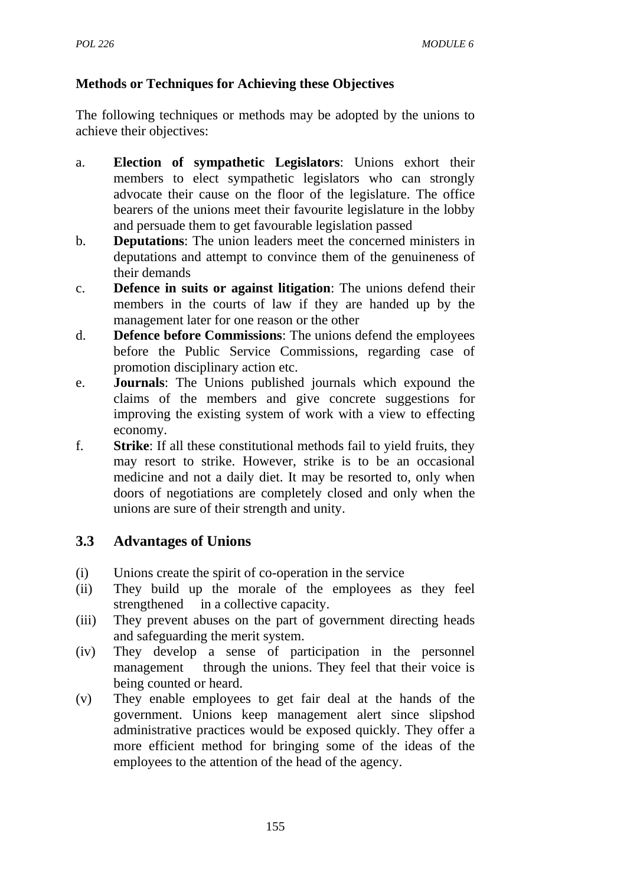## **Methods or Techniques for Achieving these Objectives**

The following techniques or methods may be adopted by the unions to achieve their objectives:

- a. **Election of sympathetic Legislators**: Unions exhort their members to elect sympathetic legislators who can strongly advocate their cause on the floor of the legislature. The office bearers of the unions meet their favourite legislature in the lobby and persuade them to get favourable legislation passed
- b. **Deputations**: The union leaders meet the concerned ministers in deputations and attempt to convince them of the genuineness of their demands
- c. **Defence in suits or against litigation**: The unions defend their members in the courts of law if they are handed up by the management later for one reason or the other
- d. **Defence before Commissions**: The unions defend the employees before the Public Service Commissions, regarding case of promotion disciplinary action etc.
- e. **Journals**: The Unions published journals which expound the claims of the members and give concrete suggestions for improving the existing system of work with a view to effecting economy.
- f. **Strike**: If all these constitutional methods fail to yield fruits, they may resort to strike. However, strike is to be an occasional medicine and not a daily diet. It may be resorted to, only when doors of negotiations are completely closed and only when the unions are sure of their strength and unity.

# **3.3 Advantages of Unions**

- (i) Unions create the spirit of co-operation in the service
- (ii) They build up the morale of the employees as they feel strengthened in a collective capacity.
- (iii) They prevent abuses on the part of government directing heads and safeguarding the merit system.
- (iv) They develop a sense of participation in the personnel management through the unions. They feel that their voice is being counted or heard.
- (v) They enable employees to get fair deal at the hands of the government. Unions keep management alert since slipshod administrative practices would be exposed quickly. They offer a more efficient method for bringing some of the ideas of the employees to the attention of the head of the agency.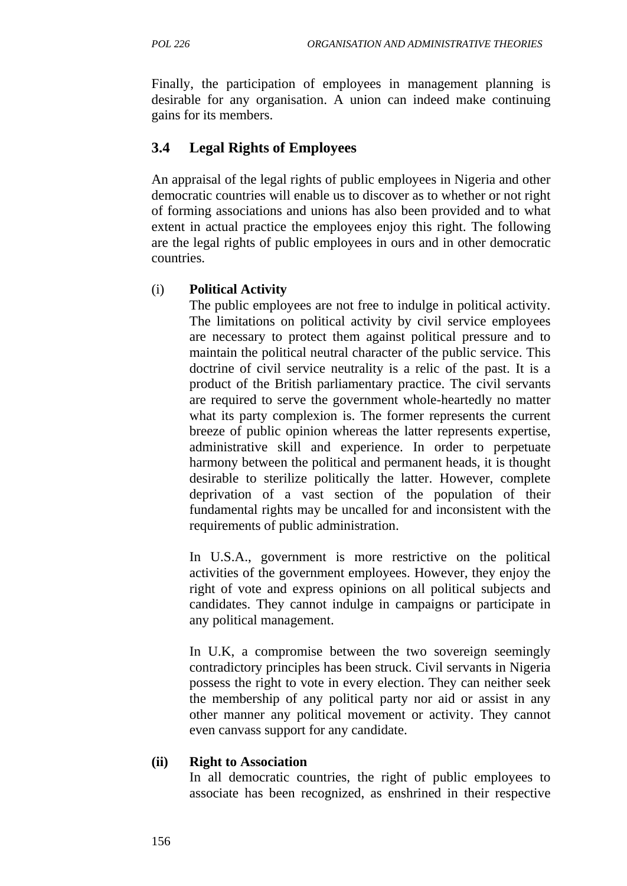Finally, the participation of employees in management planning is desirable for any organisation. A union can indeed make continuing gains for its members.

## **3.4 Legal Rights of Employees**

An appraisal of the legal rights of public employees in Nigeria and other democratic countries will enable us to discover as to whether or not right of forming associations and unions has also been provided and to what extent in actual practice the employees enjoy this right. The following are the legal rights of public employees in ours and in other democratic countries.

### (i) **Political Activity**

The public employees are not free to indulge in political activity. The limitations on political activity by civil service employees are necessary to protect them against political pressure and to maintain the political neutral character of the public service. This doctrine of civil service neutrality is a relic of the past. It is a product of the British parliamentary practice. The civil servants are required to serve the government whole-heartedly no matter what its party complexion is. The former represents the current breeze of public opinion whereas the latter represents expertise, administrative skill and experience. In order to perpetuate harmony between the political and permanent heads, it is thought desirable to sterilize politically the latter. However, complete deprivation of a vast section of the population of their fundamental rights may be uncalled for and inconsistent with the requirements of public administration.

In U.S.A., government is more restrictive on the political activities of the government employees. However, they enjoy the right of vote and express opinions on all political subjects and candidates. They cannot indulge in campaigns or participate in any political management.

In U.K, a compromise between the two sovereign seemingly contradictory principles has been struck. Civil servants in Nigeria possess the right to vote in every election. They can neither seek the membership of any political party nor aid or assist in any other manner any political movement or activity. They cannot even canvass support for any candidate.

#### **(ii) Right to Association**

In all democratic countries, the right of public employees to associate has been recognized, as enshrined in their respective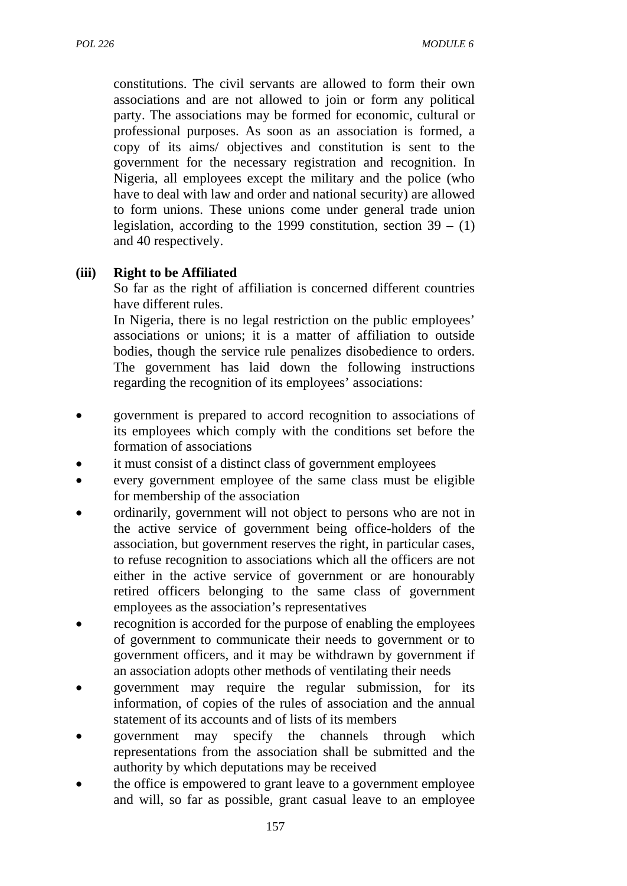constitutions. The civil servants are allowed to form their own associations and are not allowed to join or form any political party. The associations may be formed for economic, cultural or professional purposes. As soon as an association is formed, a copy of its aims/ objectives and constitution is sent to the government for the necessary registration and recognition. In Nigeria, all employees except the military and the police (who have to deal with law and order and national security) are allowed to form unions. These unions come under general trade union legislation, according to the 1999 constitution, section  $39 - (1)$ and 40 respectively.

#### **(iii) Right to be Affiliated**

So far as the right of affiliation is concerned different countries have different rules.

In Nigeria, there is no legal restriction on the public employees' associations or unions; it is a matter of affiliation to outside bodies, though the service rule penalizes disobedience to orders. The government has laid down the following instructions regarding the recognition of its employees' associations:

- government is prepared to accord recognition to associations of its employees which comply with the conditions set before the formation of associations
- it must consist of a distinct class of government employees
- every government employee of the same class must be eligible for membership of the association
- ordinarily, government will not object to persons who are not in the active service of government being office-holders of the association, but government reserves the right, in particular cases, to refuse recognition to associations which all the officers are not either in the active service of government or are honourably retired officers belonging to the same class of government employees as the association's representatives
- recognition is accorded for the purpose of enabling the employees of government to communicate their needs to government or to government officers, and it may be withdrawn by government if an association adopts other methods of ventilating their needs
- government may require the regular submission, for its information, of copies of the rules of association and the annual statement of its accounts and of lists of its members
- government may specify the channels through which representations from the association shall be submitted and the authority by which deputations may be received
- the office is empowered to grant leave to a government employee and will, so far as possible, grant casual leave to an employee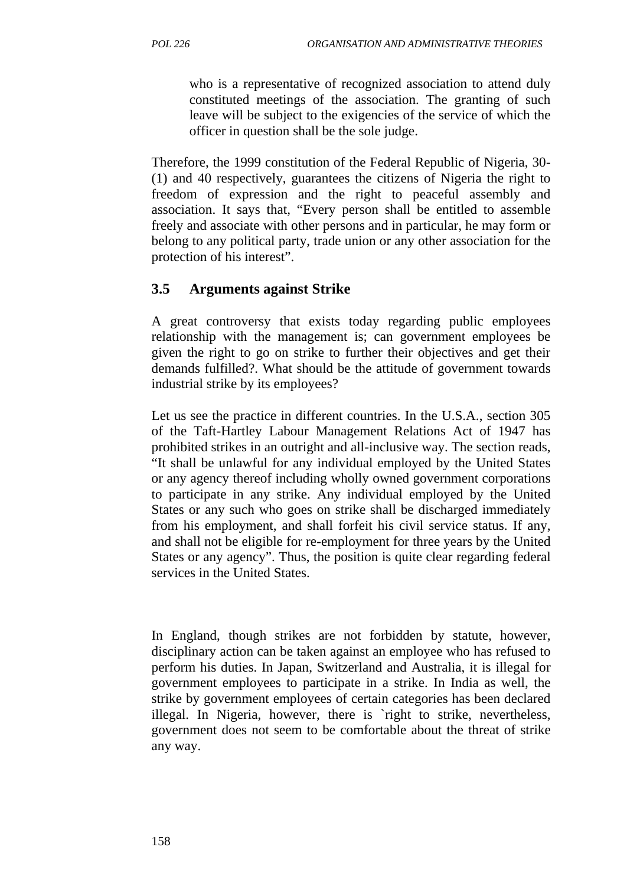who is a representative of recognized association to attend duly constituted meetings of the association. The granting of such leave will be subject to the exigencies of the service of which the officer in question shall be the sole judge.

Therefore, the 1999 constitution of the Federal Republic of Nigeria, 30- (1) and 40 respectively, guarantees the citizens of Nigeria the right to freedom of expression and the right to peaceful assembly and association. It says that, "Every person shall be entitled to assemble freely and associate with other persons and in particular, he may form or belong to any political party, trade union or any other association for the protection of his interest".

## **3.5 Arguments against Strike**

A great controversy that exists today regarding public employees relationship with the management is; can government employees be given the right to go on strike to further their objectives and get their demands fulfilled?. What should be the attitude of government towards industrial strike by its employees?

Let us see the practice in different countries. In the U.S.A., section 305 of the Taft-Hartley Labour Management Relations Act of 1947 has prohibited strikes in an outright and all-inclusive way. The section reads, "It shall be unlawful for any individual employed by the United States or any agency thereof including wholly owned government corporations to participate in any strike. Any individual employed by the United States or any such who goes on strike shall be discharged immediately from his employment, and shall forfeit his civil service status. If any, and shall not be eligible for re-employment for three years by the United States or any agency". Thus, the position is quite clear regarding federal services in the United States.

In England, though strikes are not forbidden by statute, however, disciplinary action can be taken against an employee who has refused to perform his duties. In Japan, Switzerland and Australia, it is illegal for government employees to participate in a strike. In India as well, the strike by government employees of certain categories has been declared illegal. In Nigeria, however, there is `right to strike, nevertheless, government does not seem to be comfortable about the threat of strike any way.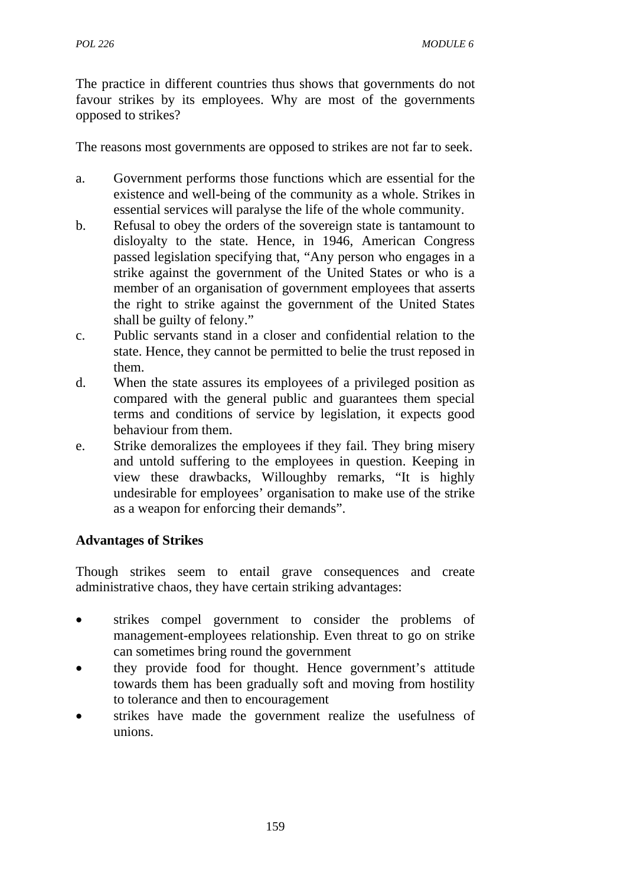The practice in different countries thus shows that governments do not favour strikes by its employees. Why are most of the governments opposed to strikes?

The reasons most governments are opposed to strikes are not far to seek.

- a. Government performs those functions which are essential for the existence and well-being of the community as a whole. Strikes in essential services will paralyse the life of the whole community.
- b. Refusal to obey the orders of the sovereign state is tantamount to disloyalty to the state. Hence, in 1946, American Congress passed legislation specifying that, "Any person who engages in a strike against the government of the United States or who is a member of an organisation of government employees that asserts the right to strike against the government of the United States shall be guilty of felony."
- c. Public servants stand in a closer and confidential relation to the state. Hence, they cannot be permitted to belie the trust reposed in them.
- d. When the state assures its employees of a privileged position as compared with the general public and guarantees them special terms and conditions of service by legislation, it expects good behaviour from them.
- e. Strike demoralizes the employees if they fail. They bring misery and untold suffering to the employees in question. Keeping in view these drawbacks, Willoughby remarks, "It is highly undesirable for employees' organisation to make use of the strike as a weapon for enforcing their demands".

## **Advantages of Strikes**

Though strikes seem to entail grave consequences and create administrative chaos, they have certain striking advantages:

- strikes compel government to consider the problems of management-employees relationship. Even threat to go on strike can sometimes bring round the government
- they provide food for thought. Hence government's attitude towards them has been gradually soft and moving from hostility to tolerance and then to encouragement
- strikes have made the government realize the usefulness of unions.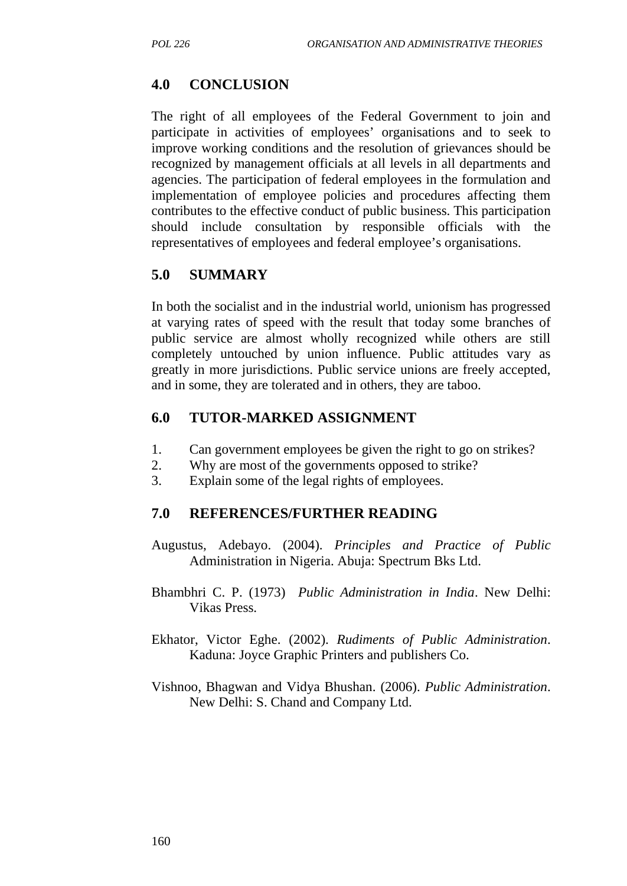### **4.0 CONCLUSION**

The right of all employees of the Federal Government to join and participate in activities of employees' organisations and to seek to improve working conditions and the resolution of grievances should be recognized by management officials at all levels in all departments and agencies. The participation of federal employees in the formulation and implementation of employee policies and procedures affecting them contributes to the effective conduct of public business. This participation should include consultation by responsible officials with the representatives of employees and federal employee's organisations.

### **5.0 SUMMARY**

In both the socialist and in the industrial world, unionism has progressed at varying rates of speed with the result that today some branches of public service are almost wholly recognized while others are still completely untouched by union influence. Public attitudes vary as greatly in more jurisdictions. Public service unions are freely accepted, and in some, they are tolerated and in others, they are taboo.

#### **6.0 TUTOR-MARKED ASSIGNMENT**

- 1. Can government employees be given the right to go on strikes?
- 2. Why are most of the governments opposed to strike?
- 3. Explain some of the legal rights of employees.

#### **7.0 REFERENCES/FURTHER READING**

- Augustus, Adebayo. (2004). *Principles and Practice of Public* Administration in Nigeria. Abuja: Spectrum Bks Ltd.
- Bhambhri C. P. (1973) *Public Administration in India*. New Delhi: Vikas Press.
- Ekhator, Victor Eghe. (2002). *Rudiments of Public Administration*. Kaduna: Joyce Graphic Printers and publishers Co.
- Vishnoo, Bhagwan and Vidya Bhushan. (2006). *Public Administration*. New Delhi: S. Chand and Company Ltd.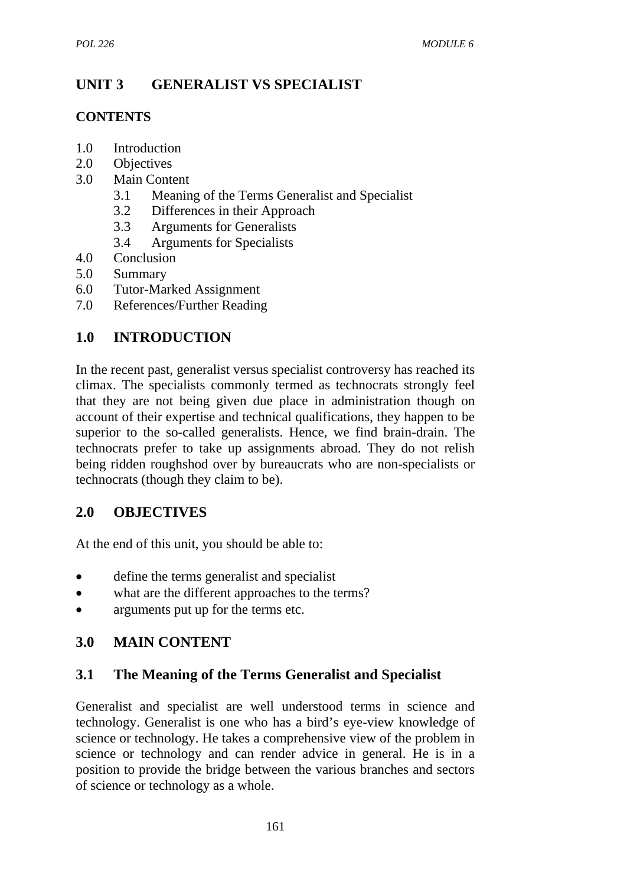# **UNIT 3 GENERALIST VS SPECIALIST**

#### **CONTENTS**

- 1.0 Introduction
- 2.0 Objectives
- 3.0 Main Content
	- 3.1 Meaning of the Terms Generalist and Specialist
	- 3.2 Differences in their Approach
	- 3.3 Arguments for Generalists
	- 3.4 Arguments for Specialists
- 4.0 Conclusion
- 5.0 Summary
- 6.0 Tutor-Marked Assignment
- 7.0 References/Further Reading

# **1.0 INTRODUCTION**

In the recent past, generalist versus specialist controversy has reached its climax. The specialists commonly termed as technocrats strongly feel that they are not being given due place in administration though on account of their expertise and technical qualifications, they happen to be superior to the so-called generalists. Hence, we find brain-drain. The technocrats prefer to take up assignments abroad. They do not relish being ridden roughshod over by bureaucrats who are non-specialists or technocrats (though they claim to be).

## **2.0 OBJECTIVES**

At the end of this unit, you should be able to:

- define the terms generalist and specialist
- what are the different approaches to the terms?
- arguments put up for the terms etc.

# **3.0 MAIN CONTENT**

## **3.1 The Meaning of the Terms Generalist and Specialist**

Generalist and specialist are well understood terms in science and technology. Generalist is one who has a bird's eye-view knowledge of science or technology. He takes a comprehensive view of the problem in science or technology and can render advice in general. He is in a position to provide the bridge between the various branches and sectors of science or technology as a whole.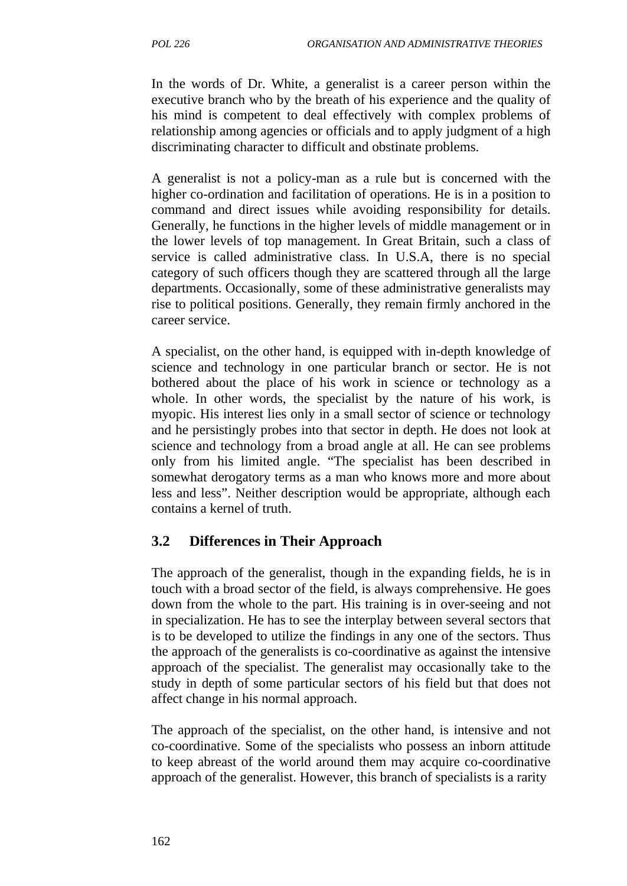In the words of Dr. White, a generalist is a career person within the executive branch who by the breath of his experience and the quality of his mind is competent to deal effectively with complex problems of relationship among agencies or officials and to apply judgment of a high discriminating character to difficult and obstinate problems.

A generalist is not a policy-man as a rule but is concerned with the higher co-ordination and facilitation of operations. He is in a position to command and direct issues while avoiding responsibility for details. Generally, he functions in the higher levels of middle management or in the lower levels of top management. In Great Britain, such a class of service is called administrative class. In U.S.A, there is no special category of such officers though they are scattered through all the large departments. Occasionally, some of these administrative generalists may rise to political positions. Generally, they remain firmly anchored in the career service.

A specialist, on the other hand, is equipped with in-depth knowledge of science and technology in one particular branch or sector. He is not bothered about the place of his work in science or technology as a whole. In other words, the specialist by the nature of his work, is myopic. His interest lies only in a small sector of science or technology and he persistingly probes into that sector in depth. He does not look at science and technology from a broad angle at all. He can see problems only from his limited angle. "The specialist has been described in somewhat derogatory terms as a man who knows more and more about less and less". Neither description would be appropriate, although each contains a kernel of truth.

## **3.2 Differences in Their Approach**

The approach of the generalist, though in the expanding fields, he is in touch with a broad sector of the field, is always comprehensive. He goes down from the whole to the part. His training is in over-seeing and not in specialization. He has to see the interplay between several sectors that is to be developed to utilize the findings in any one of the sectors. Thus the approach of the generalists is co-coordinative as against the intensive approach of the specialist. The generalist may occasionally take to the study in depth of some particular sectors of his field but that does not affect change in his normal approach.

The approach of the specialist, on the other hand, is intensive and not co-coordinative. Some of the specialists who possess an inborn attitude to keep abreast of the world around them may acquire co-coordinative approach of the generalist. However, this branch of specialists is a rarity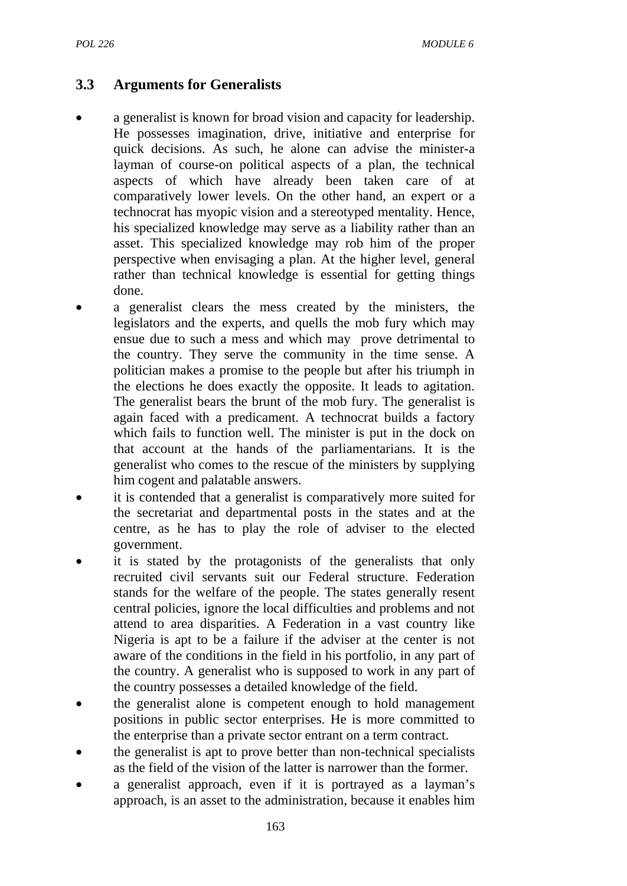# **3.3 Arguments for Generalists**

- a generalist is known for broad vision and capacity for leadership. He possesses imagination, drive, initiative and enterprise for quick decisions. As such, he alone can advise the minister-a layman of course-on political aspects of a plan, the technical aspects of which have already been taken care of at comparatively lower levels. On the other hand, an expert or a technocrat has myopic vision and a stereotyped mentality. Hence, his specialized knowledge may serve as a liability rather than an asset. This specialized knowledge may rob him of the proper perspective when envisaging a plan. At the higher level, general rather than technical knowledge is essential for getting things done.
- a generalist clears the mess created by the ministers, the legislators and the experts, and quells the mob fury which may ensue due to such a mess and which may prove detrimental to the country. They serve the community in the time sense. A politician makes a promise to the people but after his triumph in the elections he does exactly the opposite. It leads to agitation. The generalist bears the brunt of the mob fury. The generalist is again faced with a predicament. A technocrat builds a factory which fails to function well. The minister is put in the dock on that account at the hands of the parliamentarians. It is the generalist who comes to the rescue of the ministers by supplying him cogent and palatable answers.
- it is contended that a generalist is comparatively more suited for the secretariat and departmental posts in the states and at the centre, as he has to play the role of adviser to the elected government.
- it is stated by the protagonists of the generalists that only recruited civil servants suit our Federal structure. Federation stands for the welfare of the people. The states generally resent central policies, ignore the local difficulties and problems and not attend to area disparities. A Federation in a vast country like Nigeria is apt to be a failure if the adviser at the center is not aware of the conditions in the field in his portfolio, in any part of the country. A generalist who is supposed to work in any part of the country possesses a detailed knowledge of the field.
- the generalist alone is competent enough to hold management positions in public sector enterprises. He is more committed to the enterprise than a private sector entrant on a term contract.
- the generalist is apt to prove better than non-technical specialists as the field of the vision of the latter is narrower than the former.
- a generalist approach, even if it is portrayed as a layman's approach, is an asset to the administration, because it enables him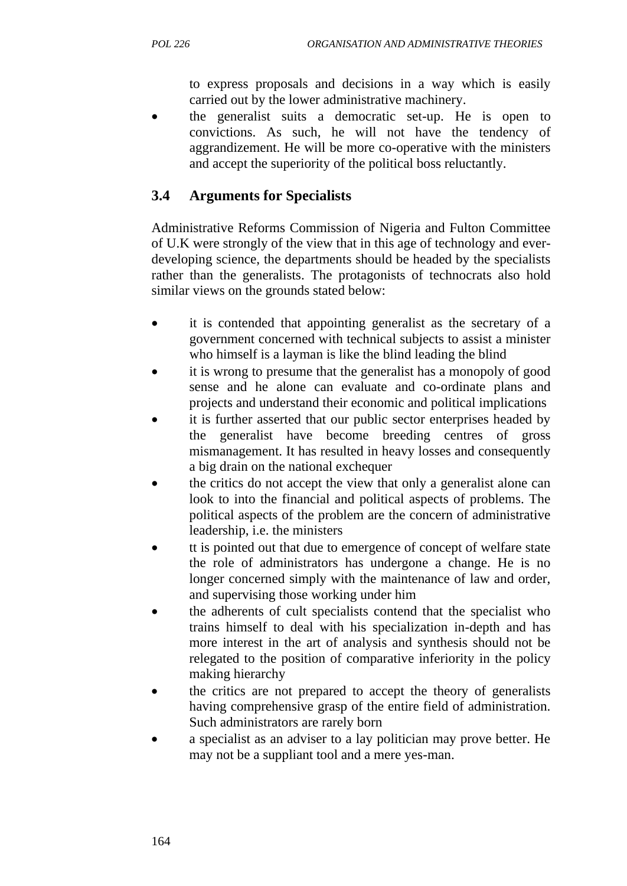to express proposals and decisions in a way which is easily carried out by the lower administrative machinery.

• the generalist suits a democratic set-up. He is open to convictions. As such, he will not have the tendency of aggrandizement. He will be more co-operative with the ministers and accept the superiority of the political boss reluctantly.

# **3.4 Arguments for Specialists**

Administrative Reforms Commission of Nigeria and Fulton Committee of U.K were strongly of the view that in this age of technology and everdeveloping science, the departments should be headed by the specialists rather than the generalists. The protagonists of technocrats also hold similar views on the grounds stated below:

- it is contended that appointing generalist as the secretary of a government concerned with technical subjects to assist a minister who himself is a layman is like the blind leading the blind
- it is wrong to presume that the generalist has a monopoly of good sense and he alone can evaluate and co-ordinate plans and projects and understand their economic and political implications
- it is further asserted that our public sector enterprises headed by the generalist have become breeding centres of gross mismanagement. It has resulted in heavy losses and consequently a big drain on the national exchequer
- the critics do not accept the view that only a generalist alone can look to into the financial and political aspects of problems. The political aspects of the problem are the concern of administrative leadership, i.e. the ministers
- tt is pointed out that due to emergence of concept of welfare state the role of administrators has undergone a change. He is no longer concerned simply with the maintenance of law and order, and supervising those working under him
- the adherents of cult specialists contend that the specialist who trains himself to deal with his specialization in-depth and has more interest in the art of analysis and synthesis should not be relegated to the position of comparative inferiority in the policy making hierarchy
- the critics are not prepared to accept the theory of generalists having comprehensive grasp of the entire field of administration. Such administrators are rarely born
- a specialist as an adviser to a lay politician may prove better. He may not be a suppliant tool and a mere yes-man.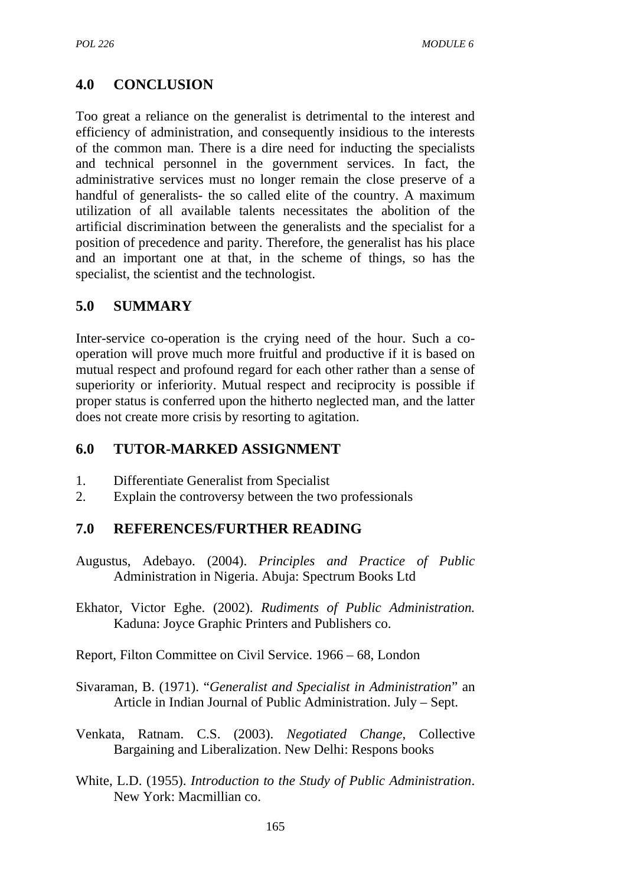# **4.0 CONCLUSION**

Too great a reliance on the generalist is detrimental to the interest and efficiency of administration, and consequently insidious to the interests of the common man. There is a dire need for inducting the specialists and technical personnel in the government services. In fact, the administrative services must no longer remain the close preserve of a handful of generalists- the so called elite of the country. A maximum utilization of all available talents necessitates the abolition of the artificial discrimination between the generalists and the specialist for a position of precedence and parity. Therefore, the generalist has his place and an important one at that, in the scheme of things, so has the specialist, the scientist and the technologist.

### **5.0 SUMMARY**

Inter-service co-operation is the crying need of the hour. Such a cooperation will prove much more fruitful and productive if it is based on mutual respect and profound regard for each other rather than a sense of superiority or inferiority. Mutual respect and reciprocity is possible if proper status is conferred upon the hitherto neglected man, and the latter does not create more crisis by resorting to agitation.

#### **6.0 TUTOR-MARKED ASSIGNMENT**

- 1. Differentiate Generalist from Specialist
- 2. Explain the controversy between the two professionals

#### **7.0 REFERENCES/FURTHER READING**

- Augustus, Adebayo. (2004). *Principles and Practice of Public* Administration in Nigeria. Abuja: Spectrum Books Ltd
- Ekhator, Victor Eghe. (2002). *Rudiments of Public Administration.* Kaduna: Joyce Graphic Printers and Publishers co.
- Report, Filton Committee on Civil Service. 1966 68, London
- Sivaraman, B. (1971). "*Generalist and Specialist in Administration*" an Article in Indian Journal of Public Administration. July – Sept.
- Venkata, Ratnam. C.S. (2003). *Negotiated Change*, Collective Bargaining and Liberalization. New Delhi: Respons books
- White, L.D. (1955). *Introduction to the Study of Public Administration*. New York: Macmillian co.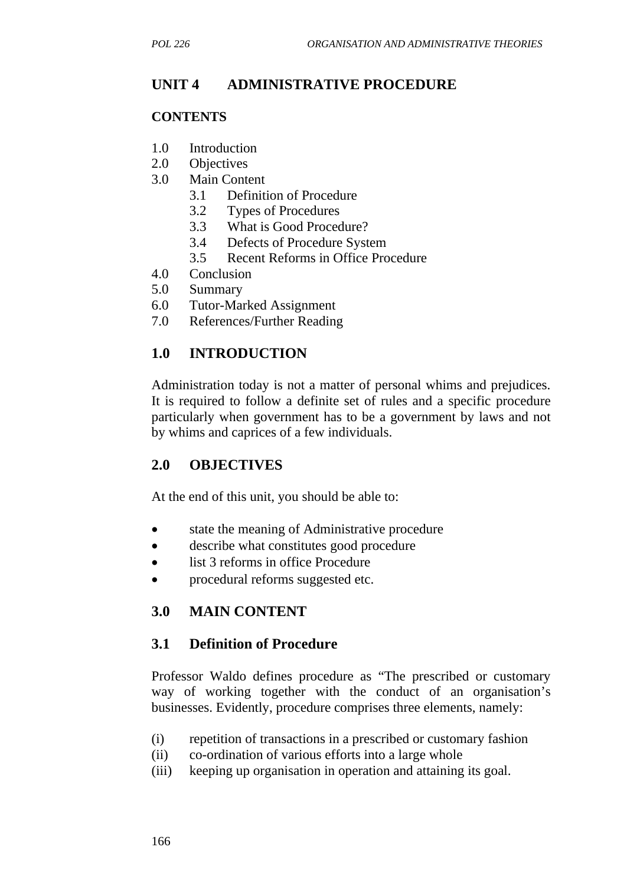## **UNIT 4 ADMINISTRATIVE PROCEDURE**

#### **CONTENTS**

- 1.0 Introduction
- 2.0 Objectives
- 3.0 Main Content
	- 3.1 Definition of Procedure
	- 3.2 Types of Procedures
	- 3.3 What is Good Procedure?
	- 3.4 Defects of Procedure System
	- 3.5 Recent Reforms in Office Procedure
- 4.0 Conclusion
- 5.0 Summary
- 6.0 Tutor-Marked Assignment
- 7.0 References/Further Reading

### **1.0 INTRODUCTION**

Administration today is not a matter of personal whims and prejudices. It is required to follow a definite set of rules and a specific procedure particularly when government has to be a government by laws and not by whims and caprices of a few individuals.

#### **2.0 OBJECTIVES**

At the end of this unit, you should be able to:

- state the meaning of Administrative procedure
- describe what constitutes good procedure
- list 3 reforms in office Procedure
- procedural reforms suggested etc.

## **3.0 MAIN CONTENT**

#### **3.1 Definition of Procedure**

Professor Waldo defines procedure as "The prescribed or customary way of working together with the conduct of an organisation's businesses. Evidently, procedure comprises three elements, namely:

- (i) repetition of transactions in a prescribed or customary fashion
- (ii) co-ordination of various efforts into a large whole
- (iii) keeping up organisation in operation and attaining its goal.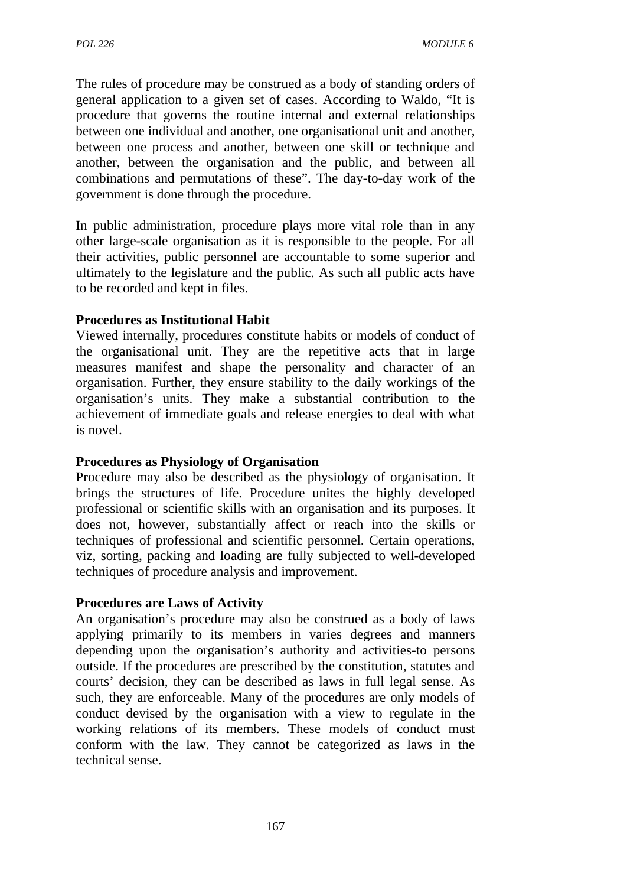The rules of procedure may be construed as a body of standing orders of general application to a given set of cases. According to Waldo, "It is procedure that governs the routine internal and external relationships between one individual and another, one organisational unit and another, between one process and another, between one skill or technique and another, between the organisation and the public, and between all combinations and permutations of these". The day-to-day work of the government is done through the procedure.

In public administration, procedure plays more vital role than in any other large-scale organisation as it is responsible to the people. For all their activities, public personnel are accountable to some superior and ultimately to the legislature and the public. As such all public acts have to be recorded and kept in files.

### **Procedures as Institutional Habit**

Viewed internally, procedures constitute habits or models of conduct of the organisational unit. They are the repetitive acts that in large measures manifest and shape the personality and character of an organisation. Further, they ensure stability to the daily workings of the organisation's units. They make a substantial contribution to the achievement of immediate goals and release energies to deal with what is novel.

#### **Procedures as Physiology of Organisation**

Procedure may also be described as the physiology of organisation. It brings the structures of life. Procedure unites the highly developed professional or scientific skills with an organisation and its purposes. It does not, however, substantially affect or reach into the skills or techniques of professional and scientific personnel. Certain operations, viz, sorting, packing and loading are fully subjected to well-developed techniques of procedure analysis and improvement.

## **Procedures are Laws of Activity**

An organisation's procedure may also be construed as a body of laws applying primarily to its members in varies degrees and manners depending upon the organisation's authority and activities-to persons outside. If the procedures are prescribed by the constitution, statutes and courts' decision, they can be described as laws in full legal sense. As such, they are enforceable. Many of the procedures are only models of conduct devised by the organisation with a view to regulate in the working relations of its members. These models of conduct must conform with the law. They cannot be categorized as laws in the technical sense.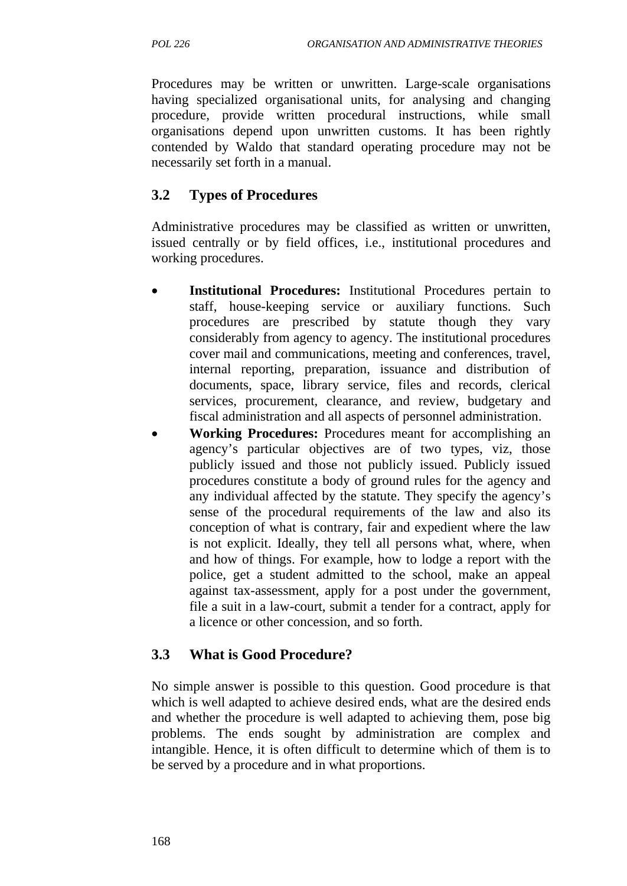Procedures may be written or unwritten. Large-scale organisations having specialized organisational units, for analysing and changing procedure, provide written procedural instructions, while small organisations depend upon unwritten customs. It has been rightly contended by Waldo that standard operating procedure may not be necessarily set forth in a manual.

# **3.2 Types of Procedures**

Administrative procedures may be classified as written or unwritten, issued centrally or by field offices, i.e., institutional procedures and working procedures.

- **Institutional Procedures:** Institutional Procedures pertain to staff, house-keeping service or auxiliary functions. Such procedures are prescribed by statute though they vary considerably from agency to agency. The institutional procedures cover mail and communications, meeting and conferences, travel, internal reporting, preparation, issuance and distribution of documents, space, library service, files and records, clerical services, procurement, clearance, and review, budgetary and fiscal administration and all aspects of personnel administration.
- **Working Procedures:** Procedures meant for accomplishing an agency's particular objectives are of two types, viz, those publicly issued and those not publicly issued. Publicly issued procedures constitute a body of ground rules for the agency and any individual affected by the statute. They specify the agency's sense of the procedural requirements of the law and also its conception of what is contrary, fair and expedient where the law is not explicit. Ideally, they tell all persons what, where, when and how of things. For example, how to lodge a report with the police, get a student admitted to the school, make an appeal against tax-assessment, apply for a post under the government, file a suit in a law-court, submit a tender for a contract, apply for a licence or other concession, and so forth.

# **3.3 What is Good Procedure?**

No simple answer is possible to this question. Good procedure is that which is well adapted to achieve desired ends, what are the desired ends and whether the procedure is well adapted to achieving them, pose big problems. The ends sought by administration are complex and intangible. Hence, it is often difficult to determine which of them is to be served by a procedure and in what proportions.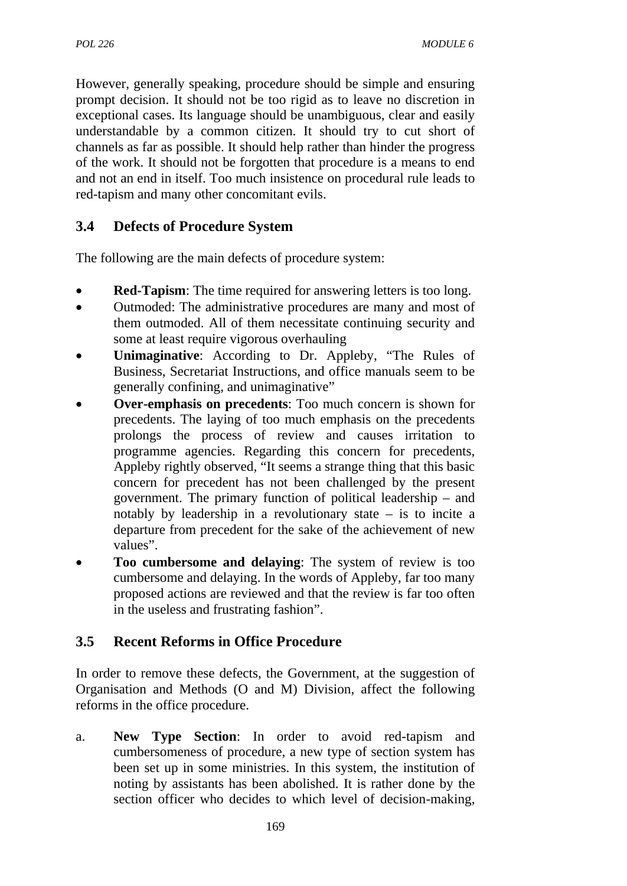However, generally speaking, procedure should be simple and ensuring prompt decision. It should not be too rigid as to leave no discretion in exceptional cases. Its language should be unambiguous, clear and easily understandable by a common citizen. It should try to cut short of channels as far as possible. It should help rather than hinder the progress of the work. It should not be forgotten that procedure is a means to end and not an end in itself. Too much insistence on procedural rule leads to red-tapism and many other concomitant evils.

# **3.4 Defects of Procedure System**

The following are the main defects of procedure system:

- **Red-Tapism**: The time required for answering letters is too long.
- Outmoded: The administrative procedures are many and most of them outmoded. All of them necessitate continuing security and some at least require vigorous overhauling
- **Unimaginative**: According to Dr. Appleby, "The Rules of Business, Secretariat Instructions, and office manuals seem to be generally confining, and unimaginative"
- **Over-emphasis on precedents**: Too much concern is shown for precedents. The laying of too much emphasis on the precedents prolongs the process of review and causes irritation to programme agencies. Regarding this concern for precedents, Appleby rightly observed, "It seems a strange thing that this basic concern for precedent has not been challenged by the present government. The primary function of political leadership – and notably by leadership in a revolutionary state – is to incite a departure from precedent for the sake of the achievement of new values".
- **Too cumbersome and delaying**: The system of review is too cumbersome and delaying. In the words of Appleby, far too many proposed actions are reviewed and that the review is far too often in the useless and frustrating fashion".

# **3.5 Recent Reforms in Office Procedure**

In order to remove these defects, the Government, at the suggestion of Organisation and Methods (O and M) Division, affect the following reforms in the office procedure.

a. **New Type Section**: In order to avoid red-tapism and cumbersomeness of procedure, a new type of section system has been set up in some ministries. In this system, the institution of noting by assistants has been abolished. It is rather done by the section officer who decides to which level of decision-making,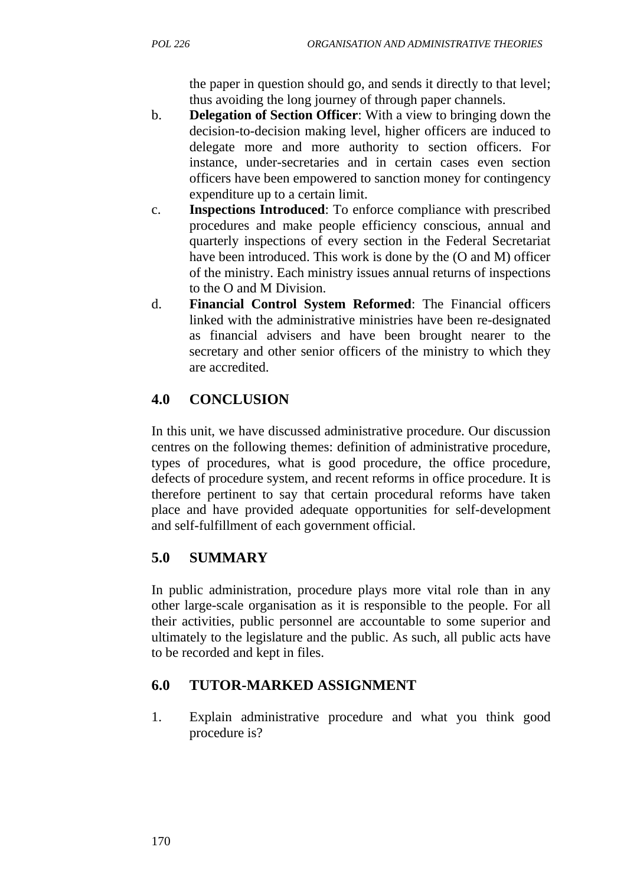the paper in question should go, and sends it directly to that level; thus avoiding the long journey of through paper channels.

- b. **Delegation of Section Officer**: With a view to bringing down the decision-to-decision making level, higher officers are induced to delegate more and more authority to section officers. For instance, under-secretaries and in certain cases even section officers have been empowered to sanction money for contingency expenditure up to a certain limit.
- c. **Inspections Introduced**: To enforce compliance with prescribed procedures and make people efficiency conscious, annual and quarterly inspections of every section in the Federal Secretariat have been introduced. This work is done by the  $(O \text{ and } M)$  officer of the ministry. Each ministry issues annual returns of inspections to the O and M Division.
- d. **Financial Control System Reformed**: The Financial officers linked with the administrative ministries have been re-designated as financial advisers and have been brought nearer to the secretary and other senior officers of the ministry to which they are accredited.

# **4.0 CONCLUSION**

In this unit, we have discussed administrative procedure. Our discussion centres on the following themes: definition of administrative procedure, types of procedures, what is good procedure, the office procedure, defects of procedure system, and recent reforms in office procedure. It is therefore pertinent to say that certain procedural reforms have taken place and have provided adequate opportunities for self-development and self-fulfillment of each government official.

# **5.0 SUMMARY**

In public administration, procedure plays more vital role than in any other large-scale organisation as it is responsible to the people. For all their activities, public personnel are accountable to some superior and ultimately to the legislature and the public. As such, all public acts have to be recorded and kept in files.

# **6.0 TUTOR-MARKED ASSIGNMENT**

1. Explain administrative procedure and what you think good procedure is?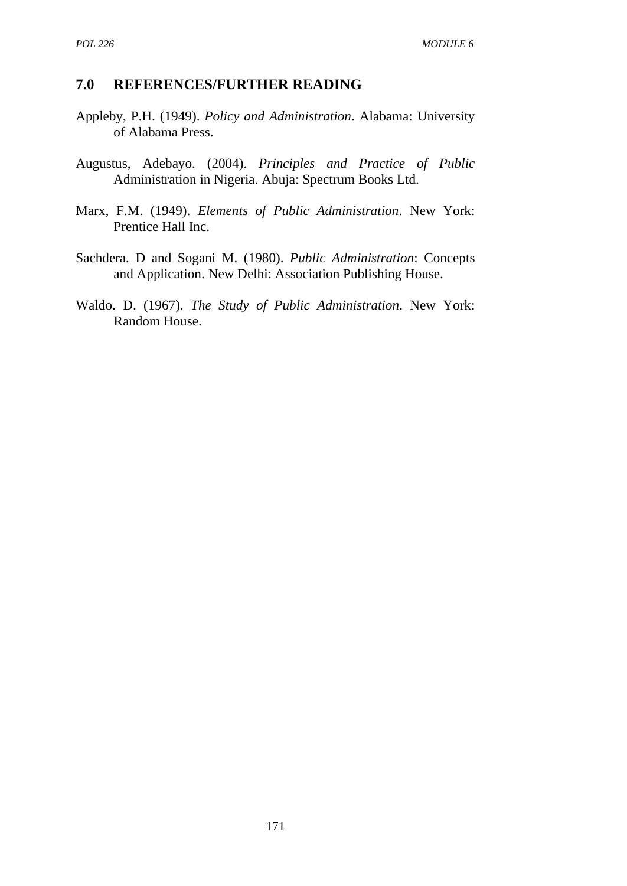#### **7.0 REFERENCES/FURTHER READING**

- Appleby, P.H. (1949). *Policy and Administration*. Alabama: University of Alabama Press.
- Augustus, Adebayo. (2004). *Principles and Practice of Public* Administration in Nigeria. Abuja: Spectrum Books Ltd.
- Marx, F.M. (1949). *Elements of Public Administration*. New York: Prentice Hall Inc.
- Sachdera. D and Sogani M. (1980). *Public Administration*: Concepts and Application. New Delhi: Association Publishing House.
- Waldo. D. (1967). *The Study of Public Administration*. New York: Random House.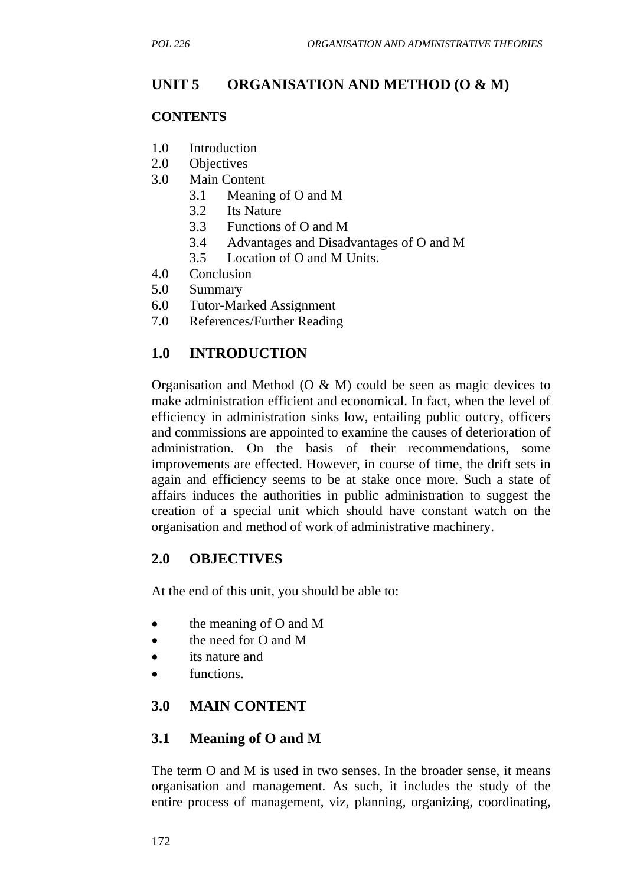## **UNIT 5 ORGANISATION AND METHOD (O & M)**

#### **CONTENTS**

- 1.0 Introduction
- 2.0 Objectives
- 3.0 Main Content
	- 3.1 Meaning of O and M
	- 3.2 Its Nature
	- 3.3 Functions of O and M
	- 3.4 Advantages and Disadvantages of O and M
	- 3.5 Location of O and M Units.
- 4.0 Conclusion
- 5.0 Summary
- 6.0 Tutor-Marked Assignment
- 7.0 References/Further Reading

### **1.0 INTRODUCTION**

Organisation and Method (O & M) could be seen as magic devices to make administration efficient and economical. In fact, when the level of efficiency in administration sinks low, entailing public outcry, officers and commissions are appointed to examine the causes of deterioration of administration. On the basis of their recommendations, some improvements are effected. However, in course of time, the drift sets in again and efficiency seems to be at stake once more. Such a state of affairs induces the authorities in public administration to suggest the creation of a special unit which should have constant watch on the organisation and method of work of administrative machinery.

#### **2.0 OBJECTIVES**

At the end of this unit, you should be able to:

- the meaning of O and M
- the need for O and M
- its nature and
- functions.

## **3.0 MAIN CONTENT**

#### **3.1 Meaning of O and M**

The term O and M is used in two senses. In the broader sense, it means organisation and management. As such, it includes the study of the entire process of management, viz, planning, organizing, coordinating,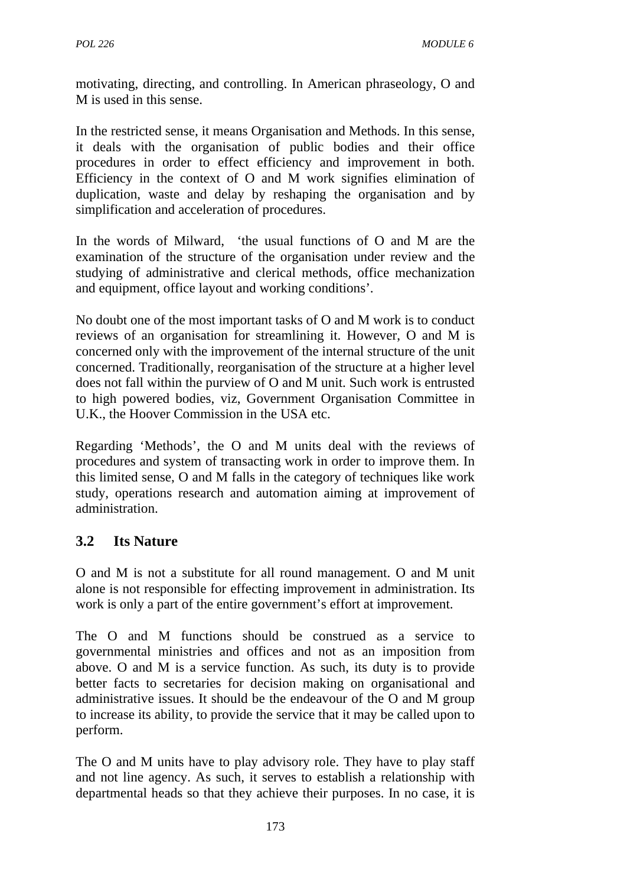motivating, directing, and controlling. In American phraseology, O and M is used in this sense.

In the restricted sense, it means Organisation and Methods. In this sense, it deals with the organisation of public bodies and their office procedures in order to effect efficiency and improvement in both. Efficiency in the context of O and M work signifies elimination of duplication, waste and delay by reshaping the organisation and by simplification and acceleration of procedures.

In the words of Milward, 'the usual functions of O and M are the examination of the structure of the organisation under review and the studying of administrative and clerical methods, office mechanization and equipment, office layout and working conditions'.

No doubt one of the most important tasks of O and M work is to conduct reviews of an organisation for streamlining it. However, O and M is concerned only with the improvement of the internal structure of the unit concerned. Traditionally, reorganisation of the structure at a higher level does not fall within the purview of O and M unit. Such work is entrusted to high powered bodies, viz, Government Organisation Committee in U.K., the Hoover Commission in the USA etc.

Regarding 'Methods', the O and M units deal with the reviews of procedures and system of transacting work in order to improve them. In this limited sense, O and M falls in the category of techniques like work study, operations research and automation aiming at improvement of administration.

# **3.2 Its Nature**

O and M is not a substitute for all round management. O and M unit alone is not responsible for effecting improvement in administration. Its work is only a part of the entire government's effort at improvement.

The O and M functions should be construed as a service to governmental ministries and offices and not as an imposition from above. O and M is a service function. As such, its duty is to provide better facts to secretaries for decision making on organisational and administrative issues. It should be the endeavour of the O and M group to increase its ability, to provide the service that it may be called upon to perform.

The O and M units have to play advisory role. They have to play staff and not line agency. As such, it serves to establish a relationship with departmental heads so that they achieve their purposes. In no case, it is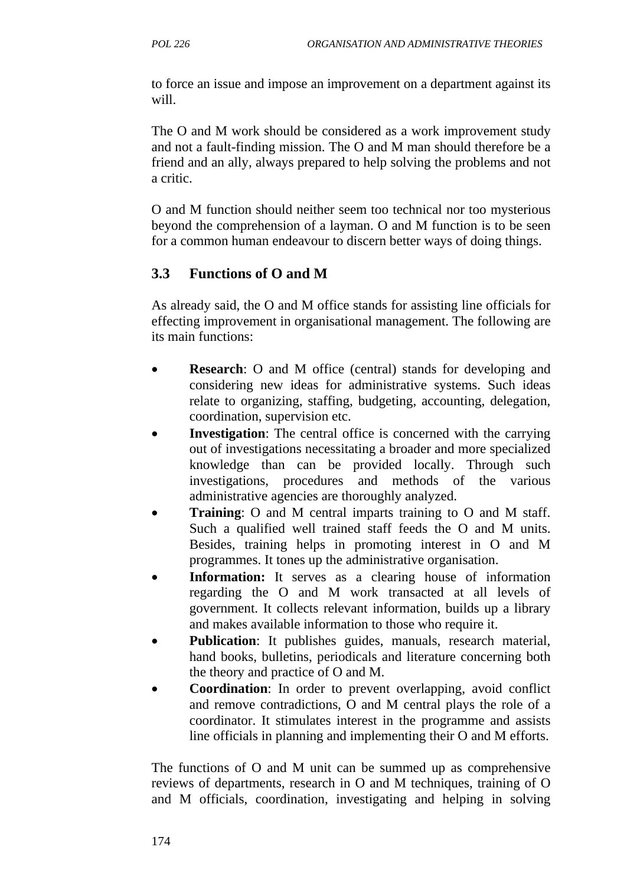to force an issue and impose an improvement on a department against its will.

The O and M work should be considered as a work improvement study and not a fault-finding mission. The O and M man should therefore be a friend and an ally, always prepared to help solving the problems and not a critic.

O and M function should neither seem too technical nor too mysterious beyond the comprehension of a layman. O and M function is to be seen for a common human endeavour to discern better ways of doing things.

## **3.3 Functions of O and M**

As already said, the O and M office stands for assisting line officials for effecting improvement in organisational management. The following are its main functions:

- **Research**: O and M office (central) stands for developing and considering new ideas for administrative systems. Such ideas relate to organizing, staffing, budgeting, accounting, delegation, coordination, supervision etc.
- **Investigation**: The central office is concerned with the carrying out of investigations necessitating a broader and more specialized knowledge than can be provided locally. Through such investigations, procedures and methods of the various administrative agencies are thoroughly analyzed.
- **Training**: O and M central imparts training to O and M staff. Such a qualified well trained staff feeds the O and M units. Besides, training helps in promoting interest in O and M programmes. It tones up the administrative organisation.
- **Information:** It serves as a clearing house of information regarding the O and M work transacted at all levels of government. It collects relevant information, builds up a library and makes available information to those who require it.
- **Publication**: It publishes guides, manuals, research material, hand books, bulletins, periodicals and literature concerning both the theory and practice of O and M.
- **Coordination**: In order to prevent overlapping, avoid conflict and remove contradictions, O and M central plays the role of a coordinator. It stimulates interest in the programme and assists line officials in planning and implementing their O and M efforts.

The functions of O and M unit can be summed up as comprehensive reviews of departments, research in O and M techniques, training of O and M officials, coordination, investigating and helping in solving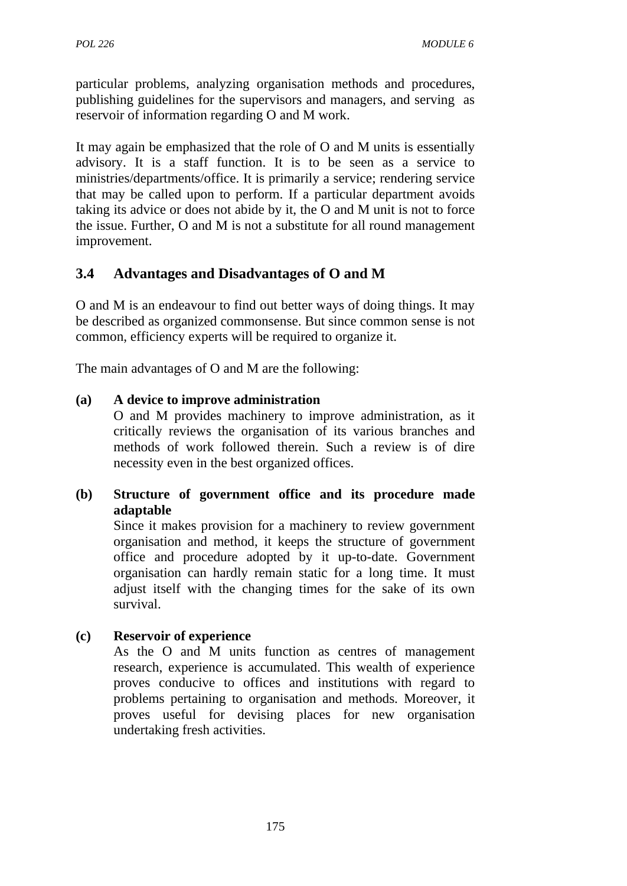particular problems, analyzing organisation methods and procedures, publishing guidelines for the supervisors and managers, and serving as reservoir of information regarding O and M work.

It may again be emphasized that the role of O and M units is essentially advisory. It is a staff function. It is to be seen as a service to ministries/departments/office. It is primarily a service; rendering service that may be called upon to perform. If a particular department avoids taking its advice or does not abide by it, the O and M unit is not to force the issue. Further, O and M is not a substitute for all round management improvement.

## **3.4 Advantages and Disadvantages of O and M**

O and M is an endeavour to find out better ways of doing things. It may be described as organized commonsense. But since common sense is not common, efficiency experts will be required to organize it.

The main advantages of O and M are the following:

#### **(a) A device to improve administration**

O and M provides machinery to improve administration, as it critically reviews the organisation of its various branches and methods of work followed therein. Such a review is of dire necessity even in the best organized offices.

**(b) Structure of government office and its procedure made adaptable**

Since it makes provision for a machinery to review government organisation and method, it keeps the structure of government office and procedure adopted by it up-to-date. Government organisation can hardly remain static for a long time. It must adjust itself with the changing times for the sake of its own survival.

**(c) Reservoir of experience**

As the O and M units function as centres of management research, experience is accumulated. This wealth of experience proves conducive to offices and institutions with regard to problems pertaining to organisation and methods. Moreover, it proves useful for devising places for new organisation undertaking fresh activities.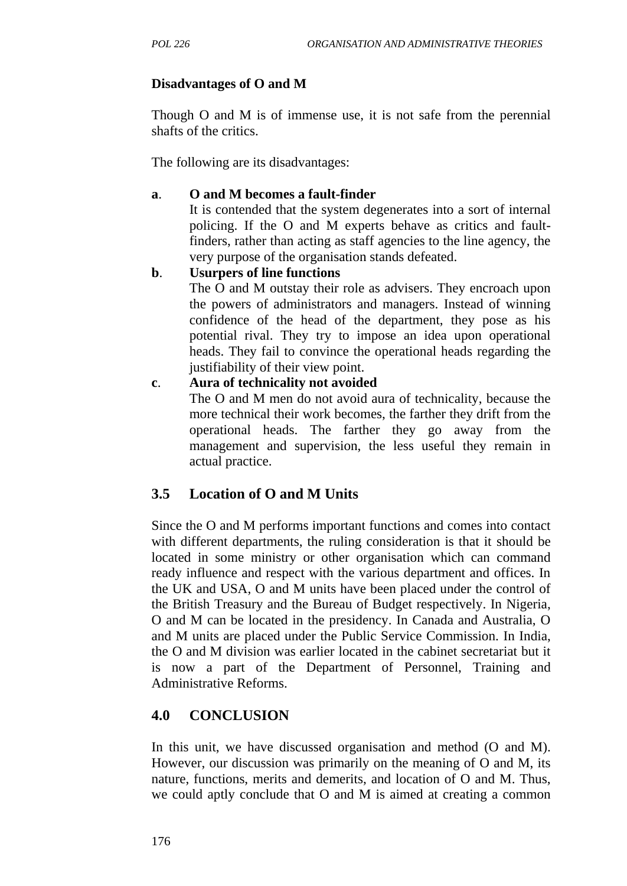## **Disadvantages of O and M**

Though O and M is of immense use, it is not safe from the perennial shafts of the critics.

The following are its disadvantages:

### **a**. **O and M becomes a fault-finder**

It is contended that the system degenerates into a sort of internal policing. If the O and M experts behave as critics and faultfinders, rather than acting as staff agencies to the line agency, the very purpose of the organisation stands defeated.

### **b**. **Usurpers of line functions**

The O and M outstay their role as advisers. They encroach upon the powers of administrators and managers. Instead of winning confidence of the head of the department, they pose as his potential rival. They try to impose an idea upon operational heads. They fail to convince the operational heads regarding the justifiability of their view point.

### **c**. **Aura of technicality not avoided**

The O and M men do not avoid aura of technicality, because the more technical their work becomes, the farther they drift from the operational heads. The farther they go away from the management and supervision, the less useful they remain in actual practice.

## **3.5 Location of O and M Units**

Since the O and M performs important functions and comes into contact with different departments, the ruling consideration is that it should be located in some ministry or other organisation which can command ready influence and respect with the various department and offices. In the UK and USA, O and M units have been placed under the control of the British Treasury and the Bureau of Budget respectively. In Nigeria, O and M can be located in the presidency. In Canada and Australia, O and M units are placed under the Public Service Commission. In India, the O and M division was earlier located in the cabinet secretariat but it is now a part of the Department of Personnel, Training and Administrative Reforms.

# **4.0 CONCLUSION**

In this unit, we have discussed organisation and method (O and M). However, our discussion was primarily on the meaning of O and M, its nature, functions, merits and demerits, and location of O and M. Thus, we could aptly conclude that O and M is aimed at creating a common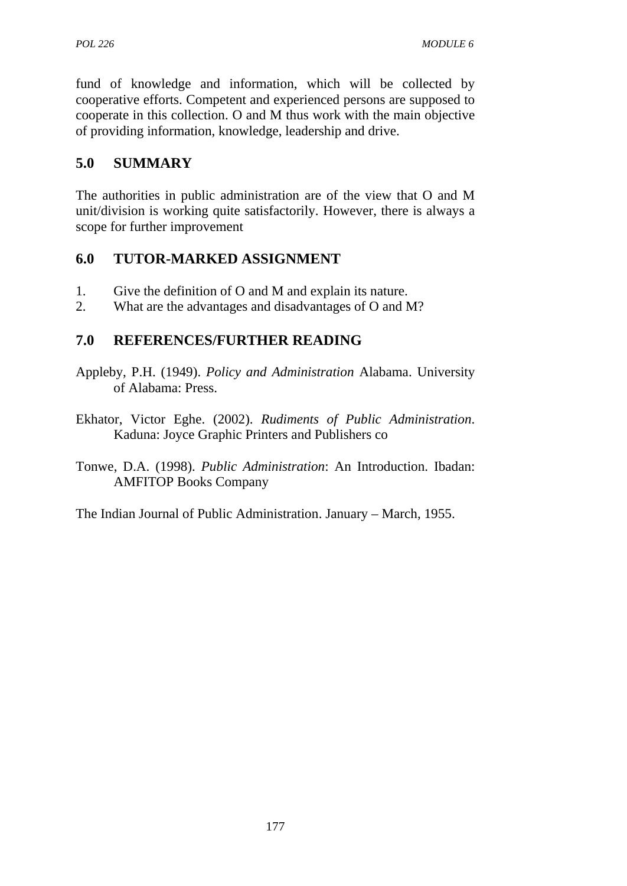fund of knowledge and information, which will be collected by cooperative efforts. Competent and experienced persons are supposed to cooperate in this collection. O and M thus work with the main objective of providing information, knowledge, leadership and drive.

# **5.0 SUMMARY**

The authorities in public administration are of the view that O and M unit/division is working quite satisfactorily. However, there is always a scope for further improvement

## **6.0 TUTOR-MARKED ASSIGNMENT**

- 1. Give the definition of O and M and explain its nature.
- 2. What are the advantages and disadvantages of O and M?

## **7.0 REFERENCES/FURTHER READING**

- Appleby, P.H. (1949). *Policy and Administration* Alabama. University of Alabama: Press.
- Ekhator, Victor Eghe. (2002). *Rudiments of Public Administration*. Kaduna: Joyce Graphic Printers and Publishers co
- Tonwe, D.A. (1998). *Public Administration*: An Introduction. Ibadan: AMFITOP Books Company

The Indian Journal of Public Administration. January – March, 1955.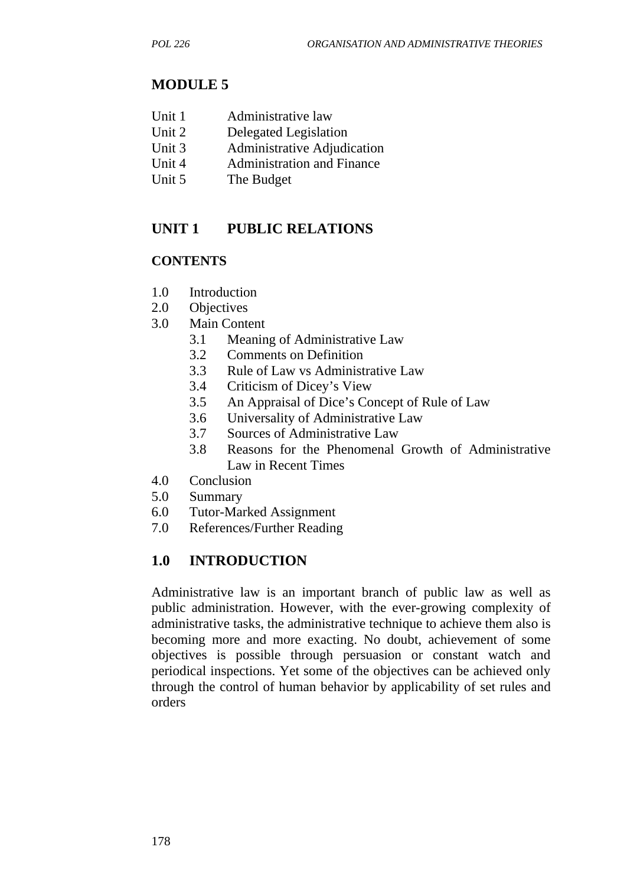## **MODULE 5**

- Unit 2 Delegated Legislation
- Unit 3 Administrative Adjudication
- Unit 4 Administration and Finance
- Unit 5 The Budget

# **UNIT 1 PUBLIC RELATIONS**

## **CONTENTS**

- 1.0 Introduction
- 2.0 Objectives
- 3.0 Main Content
	- 3.1 Meaning of Administrative Law
	- 3.2 Comments on Definition
	- 3.3 Rule of Law vs Administrative Law
	- 3.4 Criticism of Dicey's View
	- 3.5 An Appraisal of Dice's Concept of Rule of Law
	- 3.6 Universality of Administrative Law
	- 3.7 Sources of Administrative Law
	- 3.8 Reasons for the Phenomenal Growth of Administrative Law in Recent Times
- 4.0 Conclusion
- 5.0 Summary
- 6.0 Tutor-Marked Assignment
- 7.0 References/Further Reading

# **1.0 INTRODUCTION**

Administrative law is an important branch of public law as well as public administration. However, with the ever-growing complexity of administrative tasks, the administrative technique to achieve them also is becoming more and more exacting. No doubt, achievement of some objectives is possible through persuasion or constant watch and periodical inspections. Yet some of the objectives can be achieved only through the control of human behavior by applicability of set rules and orders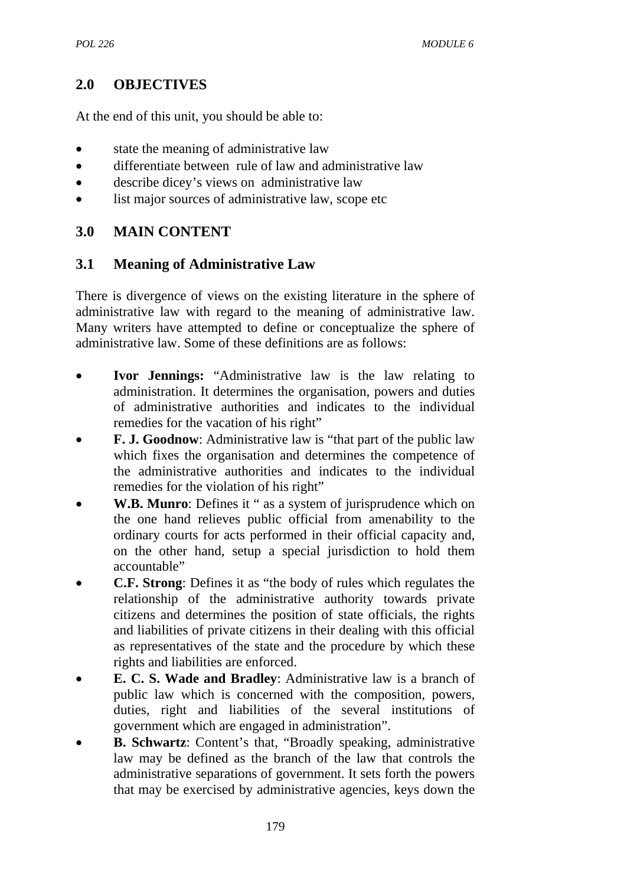# **2.0 OBJECTIVES**

At the end of this unit, you should be able to:

- state the meaning of administrative law
- differentiate between rule of law and administrative law
- describe dicey's views on administrative law
- list major sources of administrative law, scope etc

# **3.0 MAIN CONTENT**

## **3.1 Meaning of Administrative Law**

There is divergence of views on the existing literature in the sphere of administrative law with regard to the meaning of administrative law. Many writers have attempted to define or conceptualize the sphere of administrative law. Some of these definitions are as follows:

- **Ivor Jennings:** "Administrative law is the law relating to administration. It determines the organisation, powers and duties of administrative authorities and indicates to the individual remedies for the vacation of his right"
- **F. J. Goodnow:** Administrative law is "that part of the public law which fixes the organisation and determines the competence of the administrative authorities and indicates to the individual remedies for the violation of his right"
- **W.B. Munro**: Defines it " as a system of jurisprudence which on the one hand relieves public official from amenability to the ordinary courts for acts performed in their official capacity and, on the other hand, setup a special jurisdiction to hold them accountable"
- **C.F. Strong**: Defines it as "the body of rules which regulates the relationship of the administrative authority towards private citizens and determines the position of state officials, the rights and liabilities of private citizens in their dealing with this official as representatives of the state and the procedure by which these rights and liabilities are enforced.
- **E. C. S. Wade and Bradley**: Administrative law is a branch of public law which is concerned with the composition, powers, duties, right and liabilities of the several institutions of government which are engaged in administration".
- **B. Schwartz**: Content's that, "Broadly speaking, administrative law may be defined as the branch of the law that controls the administrative separations of government. It sets forth the powers that may be exercised by administrative agencies, keys down the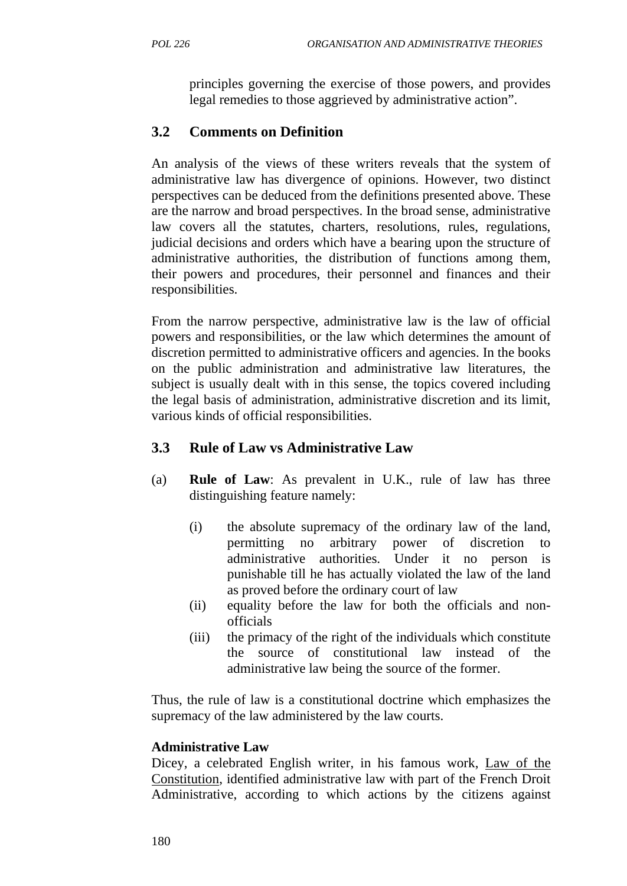principles governing the exercise of those powers, and provides legal remedies to those aggrieved by administrative action".

# **3.2 Comments on Definition**

An analysis of the views of these writers reveals that the system of administrative law has divergence of opinions. However, two distinct perspectives can be deduced from the definitions presented above. These are the narrow and broad perspectives. In the broad sense, administrative law covers all the statutes, charters, resolutions, rules, regulations, judicial decisions and orders which have a bearing upon the structure of administrative authorities, the distribution of functions among them, their powers and procedures, their personnel and finances and their responsibilities.

From the narrow perspective, administrative law is the law of official powers and responsibilities, or the law which determines the amount of discretion permitted to administrative officers and agencies. In the books on the public administration and administrative law literatures, the subject is usually dealt with in this sense, the topics covered including the legal basis of administration, administrative discretion and its limit, various kinds of official responsibilities.

# **3.3 Rule of Law vs Administrative Law**

- (a) **Rule of Law**: As prevalent in U.K., rule of law has three distinguishing feature namely:
	- (i) the absolute supremacy of the ordinary law of the land, permitting no arbitrary power of discretion to administrative authorities. Under it no person is punishable till he has actually violated the law of the land as proved before the ordinary court of law
	- (ii) equality before the law for both the officials and nonofficials
	- (iii) the primacy of the right of the individuals which constitute the source of constitutional law instead of the administrative law being the source of the former.

Thus, the rule of law is a constitutional doctrine which emphasizes the supremacy of the law administered by the law courts.

## **Administrative Law**

Dicey, a celebrated English writer, in his famous work, Law of the Constitution, identified administrative law with part of the French Droit Administrative, according to which actions by the citizens against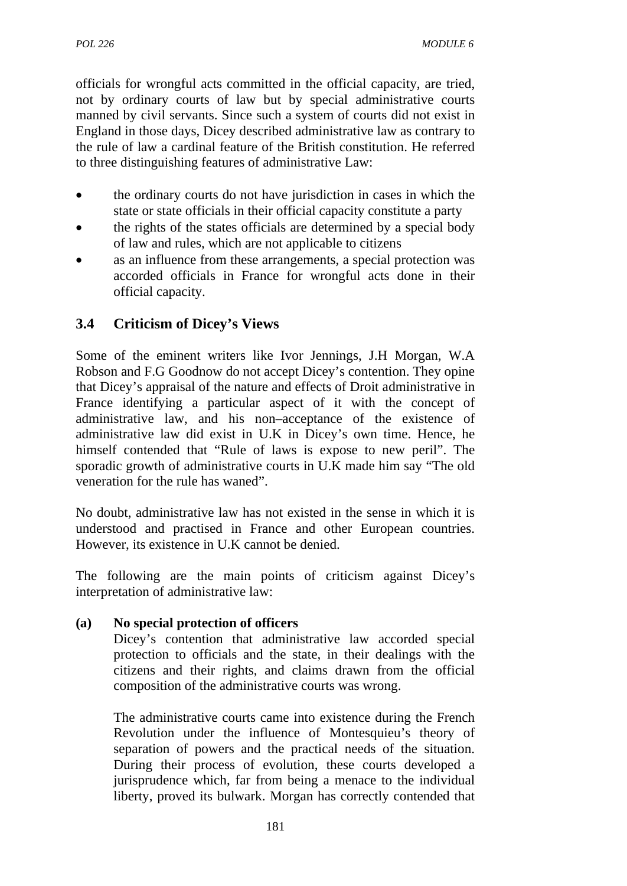officials for wrongful acts committed in the official capacity, are tried, not by ordinary courts of law but by special administrative courts manned by civil servants. Since such a system of courts did not exist in England in those days, Dicey described administrative law as contrary to the rule of law a cardinal feature of the British constitution. He referred to three distinguishing features of administrative Law:

- the ordinary courts do not have jurisdiction in cases in which the state or state officials in their official capacity constitute a party
- the rights of the states officials are determined by a special body of law and rules, which are not applicable to citizens
- as an influence from these arrangements, a special protection was accorded officials in France for wrongful acts done in their official capacity.

# **3.4 Criticism of Dicey's Views**

Some of the eminent writers like Ivor Jennings, J.H Morgan, W.A Robson and F.G Goodnow do not accept Dicey's contention. They opine that Dicey's appraisal of the nature and effects of Droit administrative in France identifying a particular aspect of it with the concept of administrative law, and his non–acceptance of the existence of administrative law did exist in U.K in Dicey's own time. Hence, he himself contended that "Rule of laws is expose to new peril". The sporadic growth of administrative courts in U.K made him say "The old veneration for the rule has waned".

No doubt, administrative law has not existed in the sense in which it is understood and practised in France and other European countries. However, its existence in U.K cannot be denied.

The following are the main points of criticism against Dicey's interpretation of administrative law:

## **(a) No special protection of officers**

Dicey's contention that administrative law accorded special protection to officials and the state, in their dealings with the citizens and their rights, and claims drawn from the official composition of the administrative courts was wrong.

The administrative courts came into existence during the French Revolution under the influence of Montesquieu's theory of separation of powers and the practical needs of the situation. During their process of evolution, these courts developed a jurisprudence which, far from being a menace to the individual liberty, proved its bulwark. Morgan has correctly contended that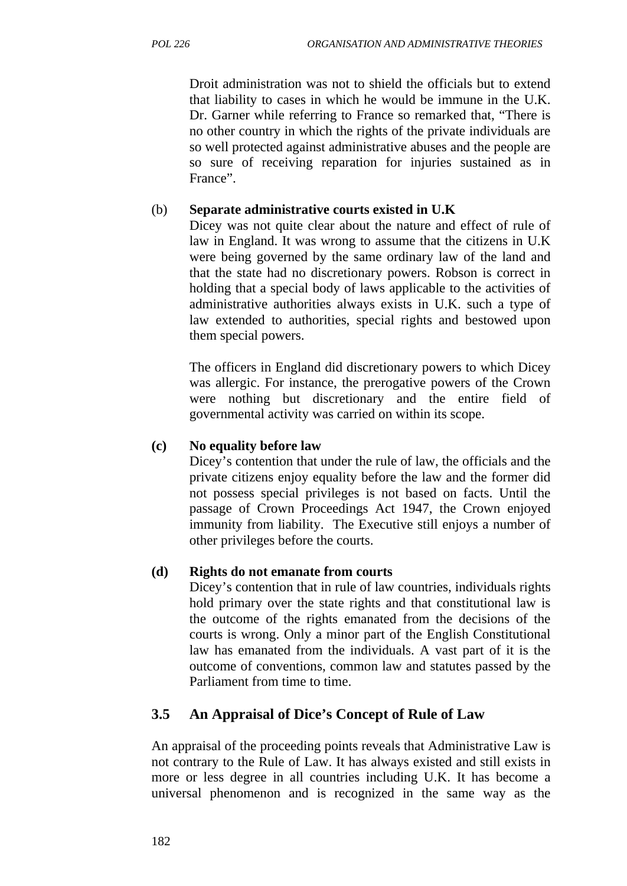Droit administration was not to shield the officials but to extend that liability to cases in which he would be immune in the U.K. Dr. Garner while referring to France so remarked that, "There is no other country in which the rights of the private individuals are so well protected against administrative abuses and the people are so sure of receiving reparation for injuries sustained as in France".

# (b) **Separate administrative courts existed in U.K**

Dicey was not quite clear about the nature and effect of rule of law in England. It was wrong to assume that the citizens in U.K were being governed by the same ordinary law of the land and that the state had no discretionary powers. Robson is correct in holding that a special body of laws applicable to the activities of administrative authorities always exists in U.K. such a type of law extended to authorities, special rights and bestowed upon them special powers.

The officers in England did discretionary powers to which Dicey was allergic. For instance, the prerogative powers of the Crown were nothing but discretionary and the entire field of governmental activity was carried on within its scope.

# **(c) No equality before law**

Dicey's contention that under the rule of law, the officials and the private citizens enjoy equality before the law and the former did not possess special privileges is not based on facts. Until the passage of Crown Proceedings Act 1947, the Crown enjoyed immunity from liability. The Executive still enjoys a number of other privileges before the courts.

# **(d) Rights do not emanate from courts**

Dicey's contention that in rule of law countries, individuals rights hold primary over the state rights and that constitutional law is the outcome of the rights emanated from the decisions of the courts is wrong. Only a minor part of the English Constitutional law has emanated from the individuals. A vast part of it is the outcome of conventions, common law and statutes passed by the Parliament from time to time.

# **3.5 An Appraisal of Dice's Concept of Rule of Law**

An appraisal of the proceeding points reveals that Administrative Law is not contrary to the Rule of Law. It has always existed and still exists in more or less degree in all countries including U.K. It has become a universal phenomenon and is recognized in the same way as the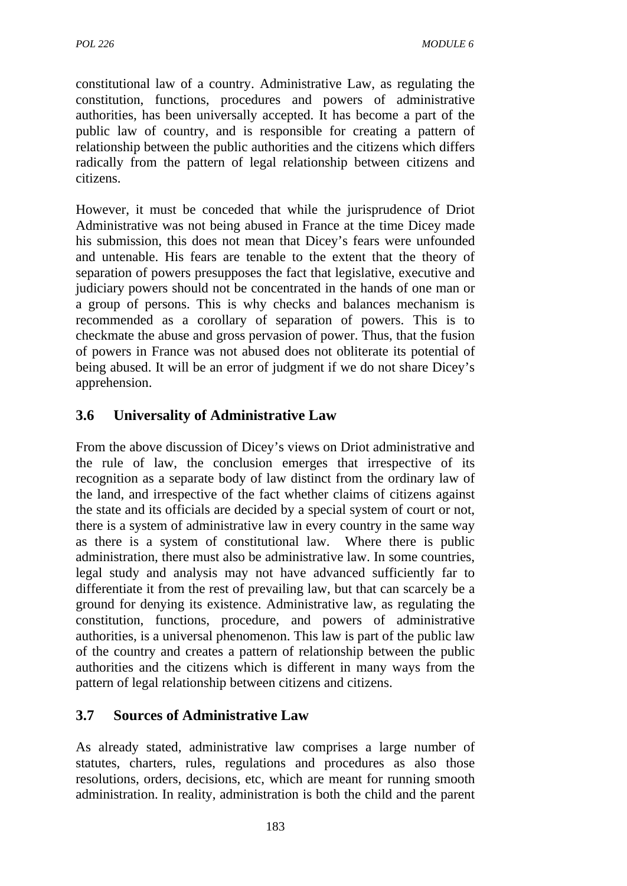constitutional law of a country. Administrative Law, as regulating the constitution, functions, procedures and powers of administrative authorities, has been universally accepted. It has become a part of the public law of country, and is responsible for creating a pattern of relationship between the public authorities and the citizens which differs radically from the pattern of legal relationship between citizens and citizens.

However, it must be conceded that while the jurisprudence of Driot Administrative was not being abused in France at the time Dicey made his submission, this does not mean that Dicey's fears were unfounded and untenable. His fears are tenable to the extent that the theory of separation of powers presupposes the fact that legislative, executive and judiciary powers should not be concentrated in the hands of one man or a group of persons. This is why checks and balances mechanism is recommended as a corollary of separation of powers. This is to checkmate the abuse and gross pervasion of power. Thus, that the fusion of powers in France was not abused does not obliterate its potential of being abused. It will be an error of judgment if we do not share Dicey's apprehension.

# **3.6 Universality of Administrative Law**

From the above discussion of Dicey's views on Driot administrative and the rule of law, the conclusion emerges that irrespective of its recognition as a separate body of law distinct from the ordinary law of the land, and irrespective of the fact whether claims of citizens against the state and its officials are decided by a special system of court or not, there is a system of administrative law in every country in the same way as there is a system of constitutional law. Where there is public administration, there must also be administrative law. In some countries, legal study and analysis may not have advanced sufficiently far to differentiate it from the rest of prevailing law, but that can scarcely be a ground for denying its existence. Administrative law, as regulating the constitution, functions, procedure, and powers of administrative authorities, is a universal phenomenon. This law is part of the public law of the country and creates a pattern of relationship between the public authorities and the citizens which is different in many ways from the pattern of legal relationship between citizens and citizens.

# **3.7 Sources of Administrative Law**

As already stated, administrative law comprises a large number of statutes, charters, rules, regulations and procedures as also those resolutions, orders, decisions, etc, which are meant for running smooth administration. In reality, administration is both the child and the parent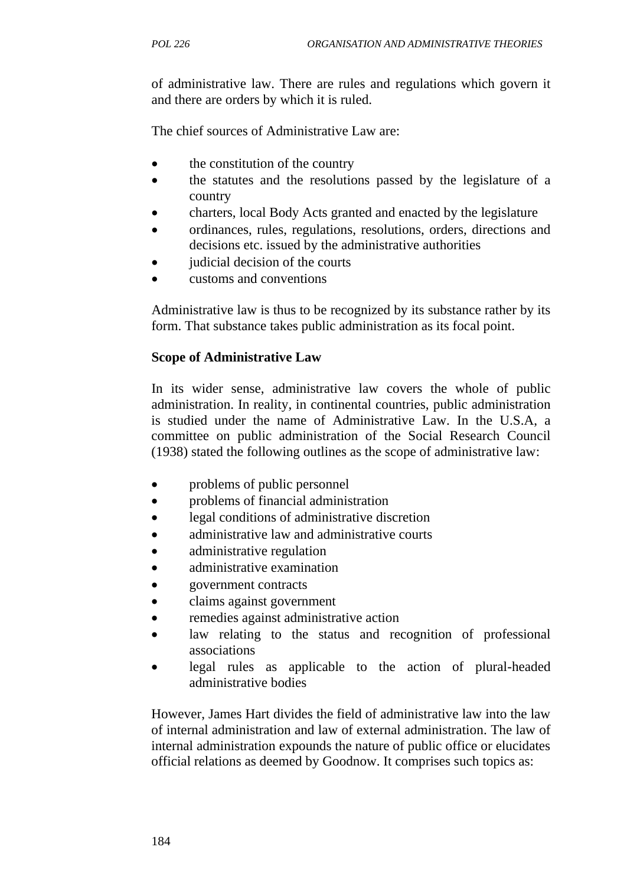of administrative law. There are rules and regulations which govern it and there are orders by which it is ruled.

The chief sources of Administrative Law are:

- the constitution of the country
- the statutes and the resolutions passed by the legislature of a country
- charters, local Body Acts granted and enacted by the legislature
- ordinances, rules, regulations, resolutions, orders, directions and decisions etc. issued by the administrative authorities
- judicial decision of the courts
- customs and conventions

Administrative law is thus to be recognized by its substance rather by its form. That substance takes public administration as its focal point.

### **Scope of Administrative Law**

In its wider sense, administrative law covers the whole of public administration. In reality, in continental countries, public administration is studied under the name of Administrative Law. In the U.S.A, a committee on public administration of the Social Research Council (1938) stated the following outlines as the scope of administrative law:

- problems of public personnel
- problems of financial administration
- legal conditions of administrative discretion
- administrative law and administrative courts
- administrative regulation
- administrative examination
- government contracts
- claims against government
- remedies against administrative action
- law relating to the status and recognition of professional associations
- legal rules as applicable to the action of plural-headed administrative bodies

However, James Hart divides the field of administrative law into the law of internal administration and law of external administration. The law of internal administration expounds the nature of public office or elucidates official relations as deemed by Goodnow. It comprises such topics as: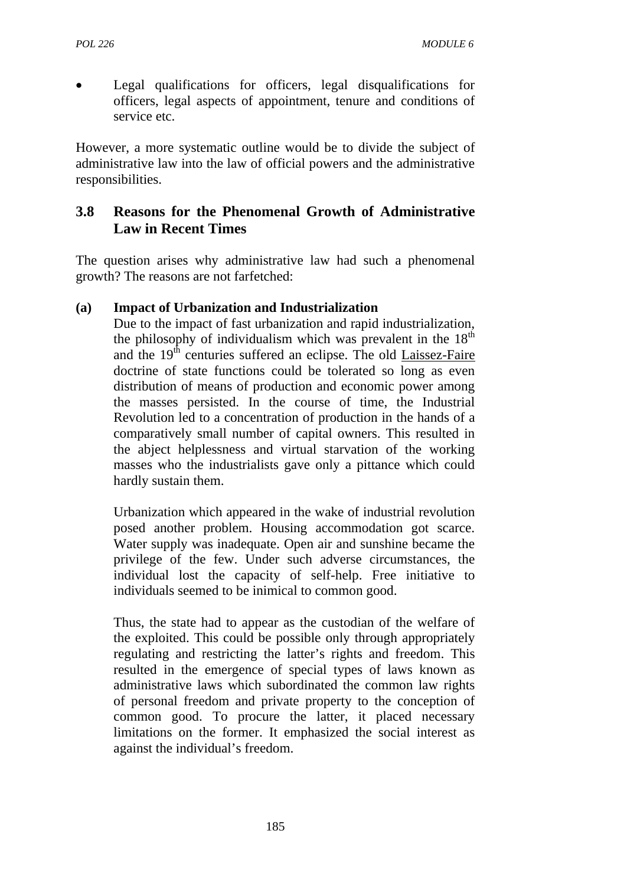Legal qualifications for officers, legal disqualifications for officers, legal aspects of appointment, tenure and conditions of service etc.

However, a more systematic outline would be to divide the subject of administrative law into the law of official powers and the administrative responsibilities.

# **3.8 Reasons for the Phenomenal Growth of Administrative Law in Recent Times**

The question arises why administrative law had such a phenomenal growth? The reasons are not farfetched:

### **(a) Impact of Urbanization and Industrialization**

Due to the impact of fast urbanization and rapid industrialization, the philosophy of individualism which was prevalent in the  $18<sup>th</sup>$ and the 19<sup>th</sup> centuries suffered an eclipse. The old Laissez-Faire doctrine of state functions could be tolerated so long as even distribution of means of production and economic power among the masses persisted. In the course of time, the Industrial Revolution led to a concentration of production in the hands of a comparatively small number of capital owners. This resulted in the abject helplessness and virtual starvation of the working masses who the industrialists gave only a pittance which could hardly sustain them.

Urbanization which appeared in the wake of industrial revolution posed another problem. Housing accommodation got scarce. Water supply was inadequate. Open air and sunshine became the privilege of the few. Under such adverse circumstances, the individual lost the capacity of self-help. Free initiative to individuals seemed to be inimical to common good.

Thus, the state had to appear as the custodian of the welfare of the exploited. This could be possible only through appropriately regulating and restricting the latter's rights and freedom. This resulted in the emergence of special types of laws known as administrative laws which subordinated the common law rights of personal freedom and private property to the conception of common good. To procure the latter, it placed necessary limitations on the former. It emphasized the social interest as against the individual's freedom.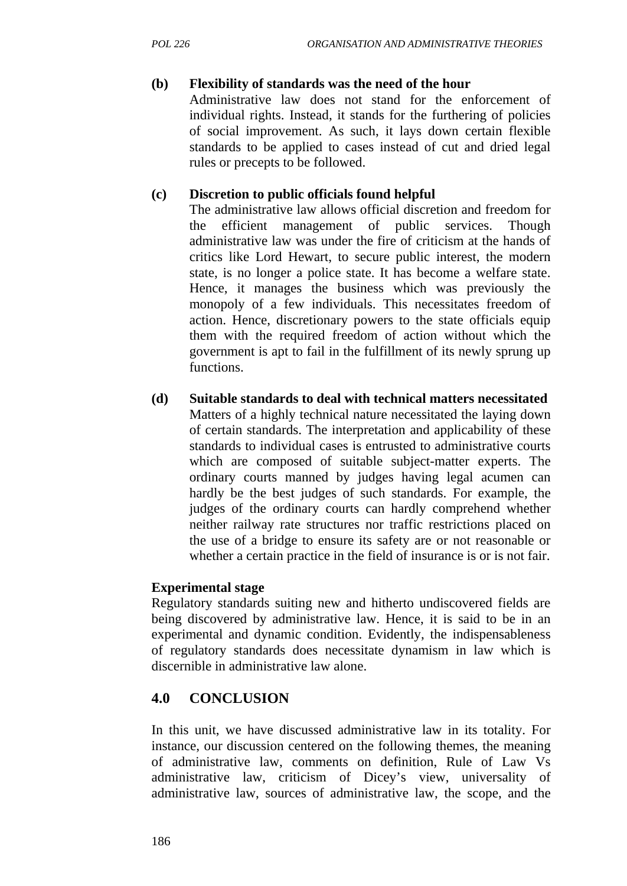## **(b) Flexibility of standards was the need of the hour**

Administrative law does not stand for the enforcement of individual rights. Instead, it stands for the furthering of policies of social improvement. As such, it lays down certain flexible standards to be applied to cases instead of cut and dried legal rules or precepts to be followed.

### **(c) Discretion to public officials found helpful**

The administrative law allows official discretion and freedom for the efficient management of public services. Though administrative law was under the fire of criticism at the hands of critics like Lord Hewart, to secure public interest, the modern state, is no longer a police state. It has become a welfare state. Hence, it manages the business which was previously the monopoly of a few individuals. This necessitates freedom of action. Hence, discretionary powers to the state officials equip them with the required freedom of action without which the government is apt to fail in the fulfillment of its newly sprung up functions.

**(d) Suitable standards to deal with technical matters necessitated** Matters of a highly technical nature necessitated the laying down of certain standards. The interpretation and applicability of these standards to individual cases is entrusted to administrative courts which are composed of suitable subject-matter experts. The ordinary courts manned by judges having legal acumen can hardly be the best judges of such standards. For example, the judges of the ordinary courts can hardly comprehend whether neither railway rate structures nor traffic restrictions placed on the use of a bridge to ensure its safety are or not reasonable or whether a certain practice in the field of insurance is or is not fair.

## **Experimental stage**

Regulatory standards suiting new and hitherto undiscovered fields are being discovered by administrative law. Hence, it is said to be in an experimental and dynamic condition. Evidently, the indispensableness of regulatory standards does necessitate dynamism in law which is discernible in administrative law alone.

# **4.0 CONCLUSION**

In this unit, we have discussed administrative law in its totality. For instance, our discussion centered on the following themes, the meaning of administrative law, comments on definition, Rule of Law Vs administrative law, criticism of Dicey's view, universality of administrative law, sources of administrative law, the scope, and the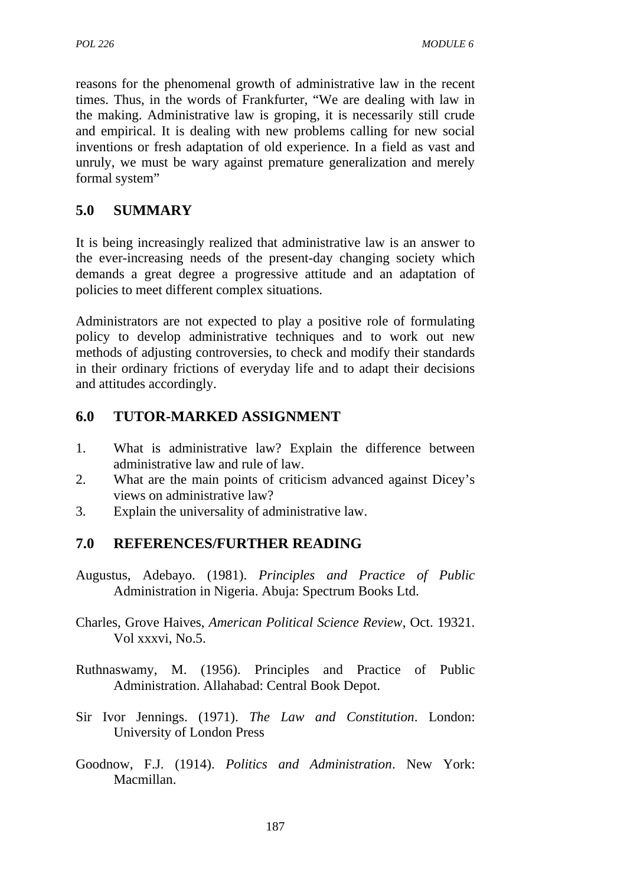reasons for the phenomenal growth of administrative law in the recent times. Thus, in the words of Frankfurter, "We are dealing with law in the making. Administrative law is groping, it is necessarily still crude and empirical. It is dealing with new problems calling for new social inventions or fresh adaptation of old experience. In a field as vast and unruly, we must be wary against premature generalization and merely formal system"

# **5.0 SUMMARY**

It is being increasingly realized that administrative law is an answer to the ever-increasing needs of the present-day changing society which demands a great degree a progressive attitude and an adaptation of policies to meet different complex situations.

Administrators are not expected to play a positive role of formulating policy to develop administrative techniques and to work out new methods of adjusting controversies, to check and modify their standards in their ordinary frictions of everyday life and to adapt their decisions and attitudes accordingly.

# **6.0 TUTOR-MARKED ASSIGNMENT**

- 1. What is administrative law? Explain the difference between administrative law and rule of law.
- 2. What are the main points of criticism advanced against Dicey's views on administrative law?
- 3. Explain the universality of administrative law.

## **7.0 REFERENCES/FURTHER READING**

Augustus, Adebayo. (1981). *Principles and Practice of Public* Administration in Nigeria. Abuja: Spectrum Books Ltd.

Charles, Grove Haives, *American Political Science Review*, Oct. 19321. Vol xxxvi, No.5.

- Ruthnaswamy, M. (1956). Principles and Practice of Public Administration. Allahabad: Central Book Depot.
- Sir Ivor Jennings. (1971). *The Law and Constitution*. London: University of London Press
- Goodnow, F.J. (1914). *Politics and Administration*. New York: Macmillan.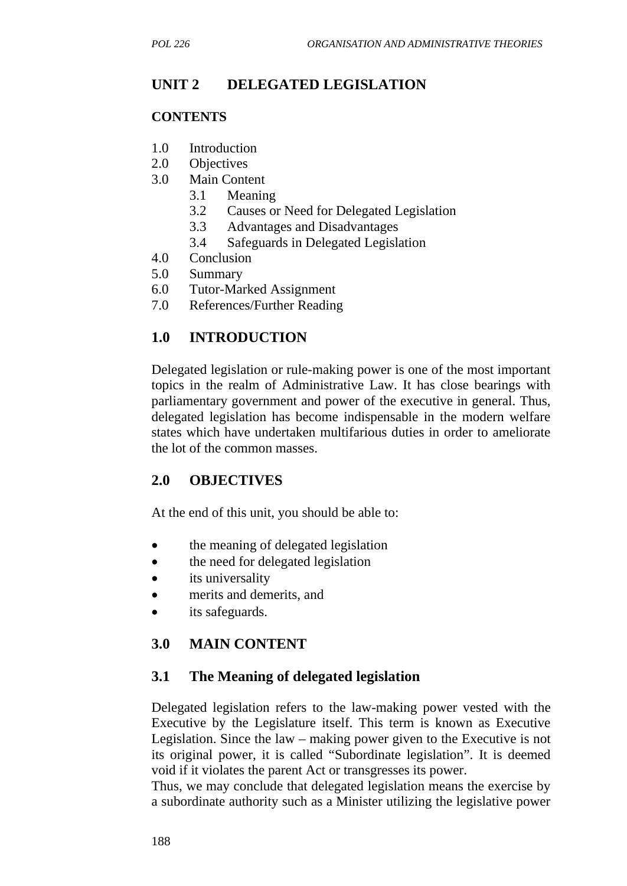# **UNIT 2 DELEGATED LEGISLATION**

#### **CONTENTS**

- 1.0 Introduction
- 2.0 Objectives
- 3.0 Main Content
	- 3.1 Meaning
	- 3.2 Causes or Need for Delegated Legislation
	- 3.3 Advantages and Disadvantages
	- 3.4 Safeguards in Delegated Legislation
- 4.0 Conclusion
- 5.0 Summary
- 6.0 Tutor-Marked Assignment
- 7.0 References/Further Reading

## **1.0 INTRODUCTION**

Delegated legislation or rule-making power is one of the most important topics in the realm of Administrative Law. It has close bearings with parliamentary government and power of the executive in general. Thus, delegated legislation has become indispensable in the modern welfare states which have undertaken multifarious duties in order to ameliorate the lot of the common masses.

## **2.0 OBJECTIVES**

At the end of this unit, you should be able to:

- the meaning of delegated legislation
- the need for delegated legislation
- its universality
- merits and demerits, and
- its safeguards.

### **3.0 MAIN CONTENT**

### **3.1 The Meaning of delegated legislation**

Delegated legislation refers to the law-making power vested with the Executive by the Legislature itself. This term is known as Executive Legislation. Since the law – making power given to the Executive is not its original power, it is called "Subordinate legislation". It is deemed void if it violates the parent Act or transgresses its power.

Thus, we may conclude that delegated legislation means the exercise by a subordinate authority such as a Minister utilizing the legislative power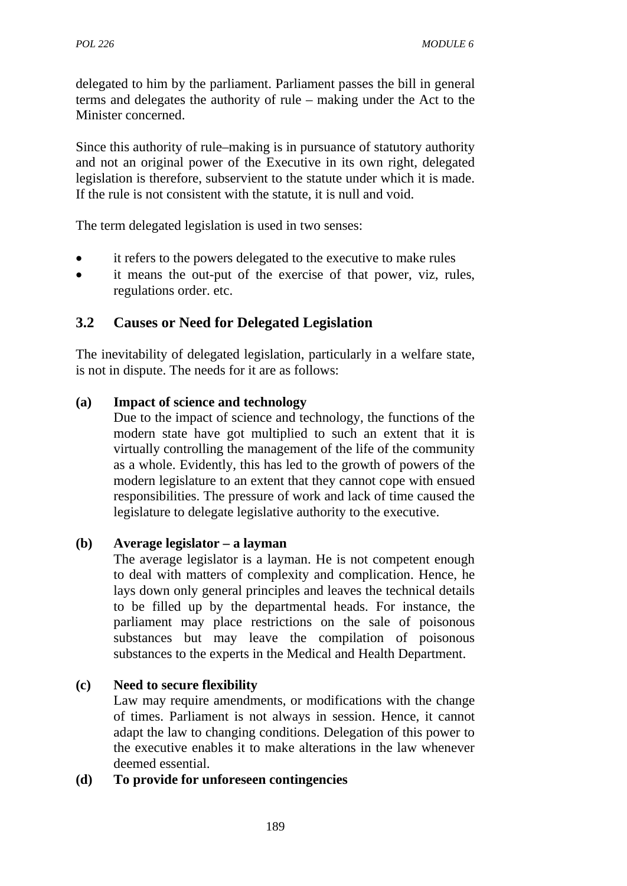delegated to him by the parliament. Parliament passes the bill in general terms and delegates the authority of rule – making under the Act to the Minister concerned.

Since this authority of rule–making is in pursuance of statutory authority and not an original power of the Executive in its own right, delegated legislation is therefore, subservient to the statute under which it is made. If the rule is not consistent with the statute, it is null and void.

The term delegated legislation is used in two senses:

- it refers to the powers delegated to the executive to make rules
- it means the out-put of the exercise of that power, viz, rules, regulations order. etc.

# **3.2 Causes or Need for Delegated Legislation**

The inevitability of delegated legislation, particularly in a welfare state, is not in dispute. The needs for it are as follows:

### **(a) Impact of science and technology**

Due to the impact of science and technology, the functions of the modern state have got multiplied to such an extent that it is virtually controlling the management of the life of the community as a whole. Evidently, this has led to the growth of powers of the modern legislature to an extent that they cannot cope with ensued responsibilities. The pressure of work and lack of time caused the legislature to delegate legislative authority to the executive.

### **(b) Average legislator – a layman**

The average legislator is a layman. He is not competent enough to deal with matters of complexity and complication. Hence, he lays down only general principles and leaves the technical details to be filled up by the departmental heads. For instance, the parliament may place restrictions on the sale of poisonous substances but may leave the compilation of poisonous substances to the experts in the Medical and Health Department.

### **(c) Need to secure flexibility**

Law may require amendments, or modifications with the change of times. Parliament is not always in session. Hence, it cannot adapt the law to changing conditions. Delegation of this power to the executive enables it to make alterations in the law whenever deemed essential.

### **(d) To provide for unforeseen contingencies**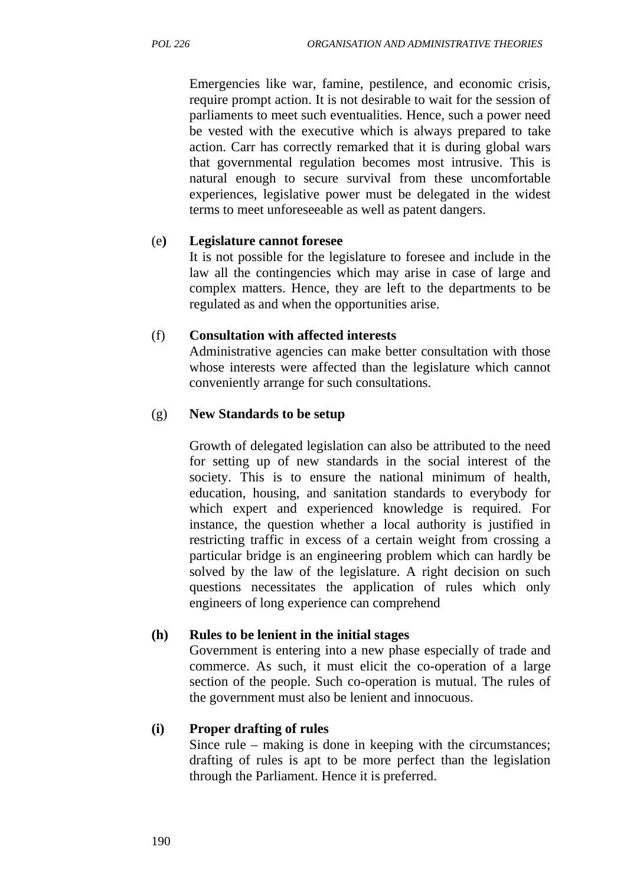Emergencies like war, famine, pestilence, and economic crisis, require prompt action. It is not desirable to wait for the session of parliaments to meet such eventualities. Hence, such a power need be vested with the executive which is always prepared to take action. Carr has correctly remarked that it is during global wars that governmental regulation becomes most intrusive. This is natural enough to secure survival from these uncomfortable experiences, legislative power must be delegated in the widest terms to meet unforeseeable as well as patent dangers.

### (e**) Legislature cannot foresee**

It is not possible for the legislature to foresee and include in the law all the contingencies which may arise in case of large and complex matters. Hence, they are left to the departments to be regulated as and when the opportunities arise.

### (f) **Consultation with affected interests**

Administrative agencies can make better consultation with those whose interests were affected than the legislature which cannot conveniently arrange for such consultations.

### (g) **New Standards to be setup**

Growth of delegated legislation can also be attributed to the need for setting up of new standards in the social interest of the society. This is to ensure the national minimum of health, education, housing, and sanitation standards to everybody for which expert and experienced knowledge is required. For instance, the question whether a local authority is justified in restricting traffic in excess of a certain weight from crossing a particular bridge is an engineering problem which can hardly be solved by the law of the legislature. A right decision on such questions necessitates the application of rules which only engineers of long experience can comprehend

### **(h) Rules to be lenient in the initial stages**

Government is entering into a new phase especially of trade and commerce. As such, it must elicit the co-operation of a large section of the people. Such co-operation is mutual. The rules of the government must also be lenient and innocuous.

### **(i) Proper drafting of rules**

Since rule – making is done in keeping with the circumstances; drafting of rules is apt to be more perfect than the legislation through the Parliament. Hence it is preferred.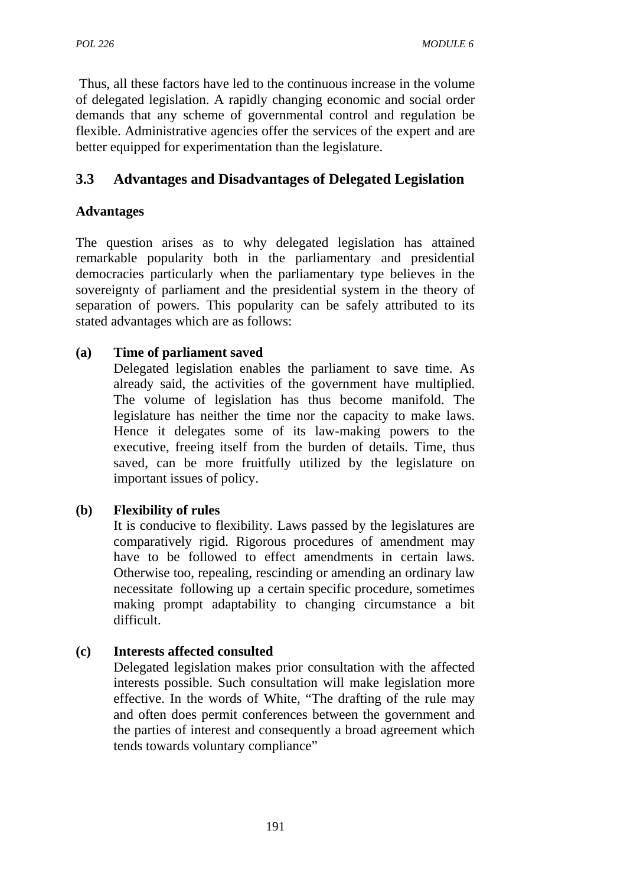Thus, all these factors have led to the continuous increase in the volume of delegated legislation. A rapidly changing economic and social order demands that any scheme of governmental control and regulation be flexible. Administrative agencies offer the services of the expert and are better equipped for experimentation than the legislature.

# **3.3 Advantages and Disadvantages of Delegated Legislation**

# **Advantages**

The question arises as to why delegated legislation has attained remarkable popularity both in the parliamentary and presidential democracies particularly when the parliamentary type believes in the sovereignty of parliament and the presidential system in the theory of separation of powers. This popularity can be safely attributed to its stated advantages which are as follows:

## **(a) Time of parliament saved**

Delegated legislation enables the parliament to save time. As already said, the activities of the government have multiplied. The volume of legislation has thus become manifold. The legislature has neither the time nor the capacity to make laws. Hence it delegates some of its law-making powers to the executive, freeing itself from the burden of details. Time, thus saved, can be more fruitfully utilized by the legislature on important issues of policy.

## **(b) Flexibility of rules**

It is conducive to flexibility. Laws passed by the legislatures are comparatively rigid. Rigorous procedures of amendment may have to be followed to effect amendments in certain laws. Otherwise too, repealing, rescinding or amending an ordinary law necessitate following up a certain specific procedure, sometimes making prompt adaptability to changing circumstance a bit difficult.

## **(c) Interests affected consulted**

Delegated legislation makes prior consultation with the affected interests possible. Such consultation will make legislation more effective. In the words of White, "The drafting of the rule may and often does permit conferences between the government and the parties of interest and consequently a broad agreement which tends towards voluntary compliance"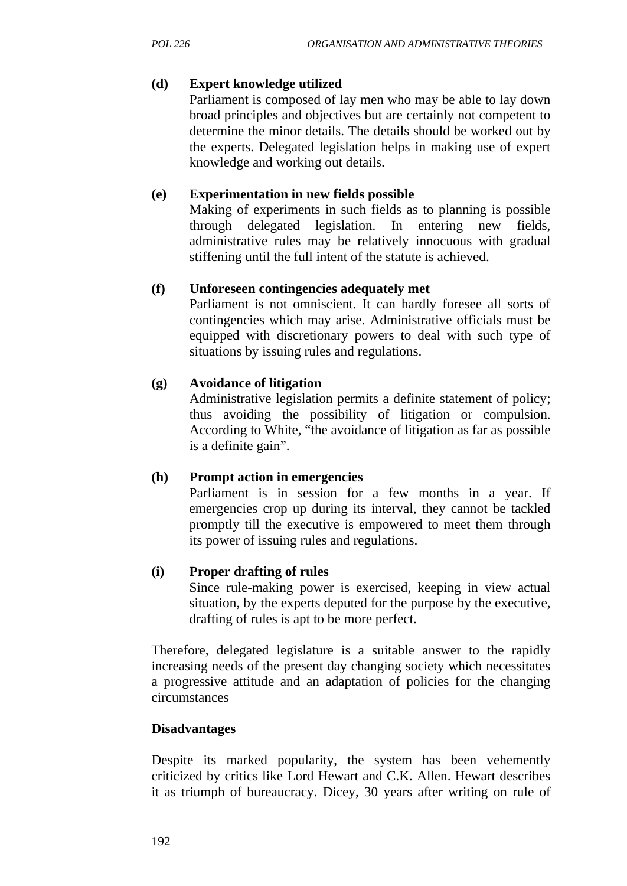### **(d) Expert knowledge utilized**

Parliament is composed of lay men who may be able to lay down broad principles and objectives but are certainly not competent to determine the minor details. The details should be worked out by the experts. Delegated legislation helps in making use of expert knowledge and working out details.

### **(e) Experimentation in new fields possible**

Making of experiments in such fields as to planning is possible through delegated legislation. In entering new fields, administrative rules may be relatively innocuous with gradual stiffening until the full intent of the statute is achieved.

### **(f) Unforeseen contingencies adequately met**

Parliament is not omniscient. It can hardly foresee all sorts of contingencies which may arise. Administrative officials must be equipped with discretionary powers to deal with such type of situations by issuing rules and regulations.

### **(g) Avoidance of litigation**

Administrative legislation permits a definite statement of policy; thus avoiding the possibility of litigation or compulsion. According to White, "the avoidance of litigation as far as possible is a definite gain".

### **(h) Prompt action in emergencies**

Parliament is in session for a few months in a year. If emergencies crop up during its interval, they cannot be tackled promptly till the executive is empowered to meet them through its power of issuing rules and regulations.

### **(i) Proper drafting of rules**

Since rule-making power is exercised, keeping in view actual situation, by the experts deputed for the purpose by the executive, drafting of rules is apt to be more perfect.

Therefore, delegated legislature is a suitable answer to the rapidly increasing needs of the present day changing society which necessitates a progressive attitude and an adaptation of policies for the changing circumstances

### **Disadvantages**

Despite its marked popularity, the system has been vehemently criticized by critics like Lord Hewart and C.K. Allen. Hewart describes it as triumph of bureaucracy. Dicey, 30 years after writing on rule of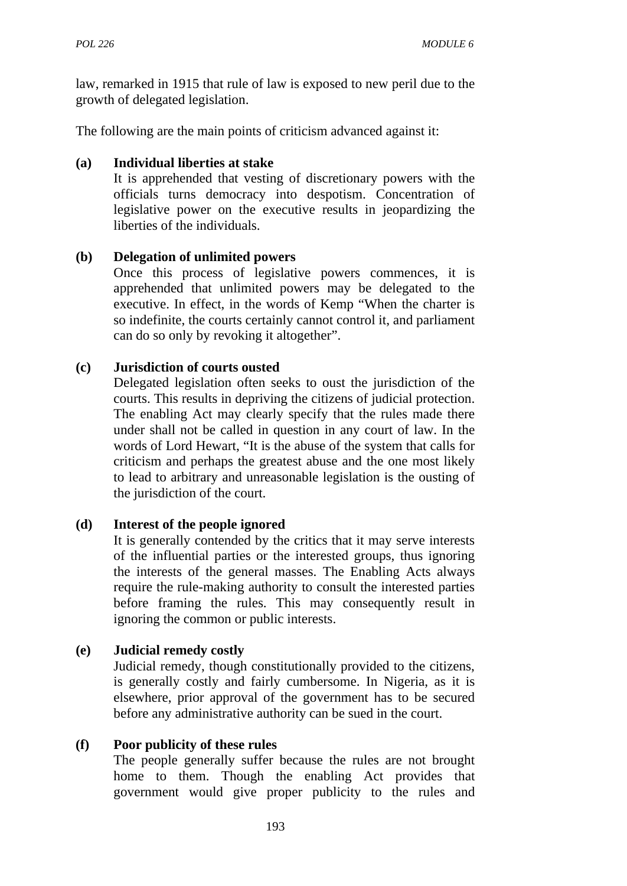law, remarked in 1915 that rule of law is exposed to new peril due to the growth of delegated legislation.

The following are the main points of criticism advanced against it:

### **(a) Individual liberties at stake**

It is apprehended that vesting of discretionary powers with the officials turns democracy into despotism. Concentration of legislative power on the executive results in jeopardizing the liberties of the individuals.

### **(b) Delegation of unlimited powers**

Once this process of legislative powers commences, it is apprehended that unlimited powers may be delegated to the executive. In effect, in the words of Kemp "When the charter is so indefinite, the courts certainly cannot control it, and parliament can do so only by revoking it altogether".

### **(c) Jurisdiction of courts ousted**

Delegated legislation often seeks to oust the jurisdiction of the courts. This results in depriving the citizens of judicial protection. The enabling Act may clearly specify that the rules made there under shall not be called in question in any court of law. In the words of Lord Hewart, "It is the abuse of the system that calls for criticism and perhaps the greatest abuse and the one most likely to lead to arbitrary and unreasonable legislation is the ousting of the jurisdiction of the court.

### **(d) Interest of the people ignored**

It is generally contended by the critics that it may serve interests of the influential parties or the interested groups, thus ignoring the interests of the general masses. The Enabling Acts always require the rule-making authority to consult the interested parties before framing the rules. This may consequently result in ignoring the common or public interests.

### **(e) Judicial remedy costly**

Judicial remedy, though constitutionally provided to the citizens, is generally costly and fairly cumbersome. In Nigeria, as it is elsewhere, prior approval of the government has to be secured before any administrative authority can be sued in the court.

### **(f) Poor publicity of these rules**

The people generally suffer because the rules are not brought home to them. Though the enabling Act provides that government would give proper publicity to the rules and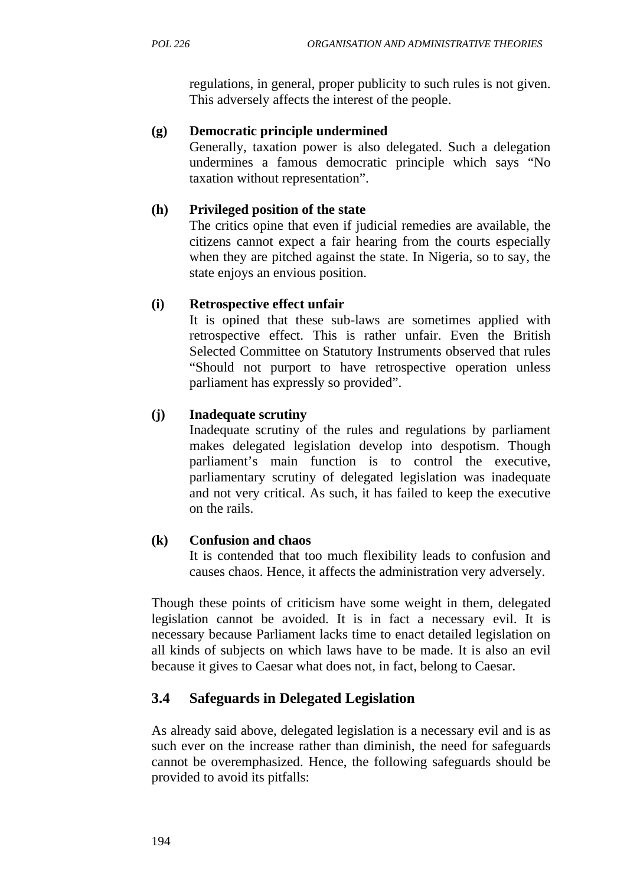regulations, in general, proper publicity to such rules is not given. This adversely affects the interest of the people.

## **(g) Democratic principle undermined**

Generally, taxation power is also delegated. Such a delegation undermines a famous democratic principle which says "No taxation without representation".

# **(h) Privileged position of the state**

The critics opine that even if judicial remedies are available, the citizens cannot expect a fair hearing from the courts especially when they are pitched against the state. In Nigeria, so to say, the state enjoys an envious position.

# **(i) Retrospective effect unfair**

It is opined that these sub-laws are sometimes applied with retrospective effect. This is rather unfair. Even the British Selected Committee on Statutory Instruments observed that rules "Should not purport to have retrospective operation unless parliament has expressly so provided".

# **(j) Inadequate scrutiny**

Inadequate scrutiny of the rules and regulations by parliament makes delegated legislation develop into despotism. Though parliament's main function is to control the executive, parliamentary scrutiny of delegated legislation was inadequate and not very critical. As such, it has failed to keep the executive on the rails.

## **(k) Confusion and chaos**

It is contended that too much flexibility leads to confusion and causes chaos. Hence, it affects the administration very adversely.

Though these points of criticism have some weight in them, delegated legislation cannot be avoided. It is in fact a necessary evil. It is necessary because Parliament lacks time to enact detailed legislation on all kinds of subjects on which laws have to be made. It is also an evil because it gives to Caesar what does not, in fact, belong to Caesar.

# **3.4 Safeguards in Delegated Legislation**

As already said above, delegated legislation is a necessary evil and is as such ever on the increase rather than diminish, the need for safeguards cannot be overemphasized. Hence, the following safeguards should be provided to avoid its pitfalls: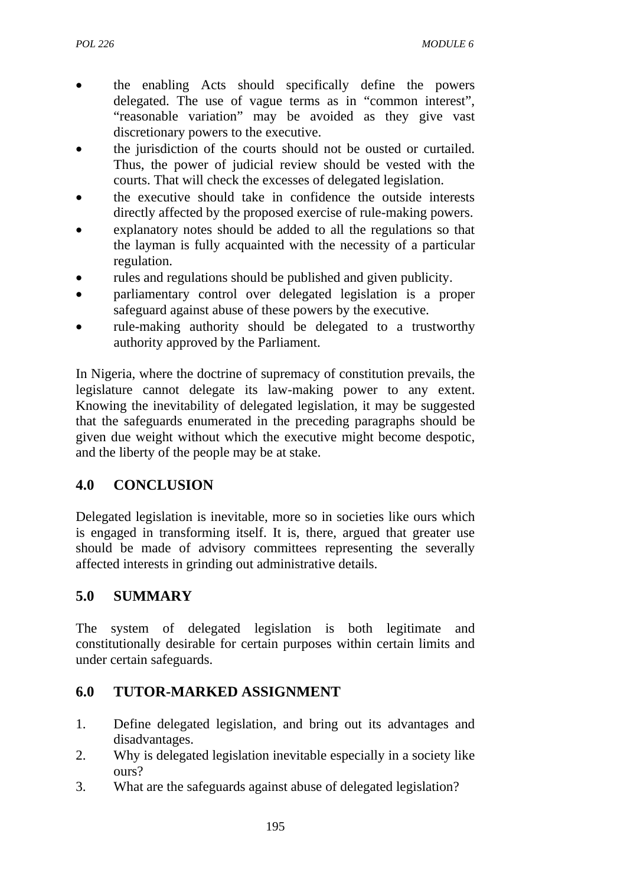- the enabling Acts should specifically define the powers delegated. The use of vague terms as in "common interest", "reasonable variation" may be avoided as they give vast discretionary powers to the executive.
- the jurisdiction of the courts should not be ousted or curtailed. Thus, the power of judicial review should be vested with the courts. That will check the excesses of delegated legislation.
- the executive should take in confidence the outside interests directly affected by the proposed exercise of rule-making powers.
- explanatory notes should be added to all the regulations so that the layman is fully acquainted with the necessity of a particular regulation.
- rules and regulations should be published and given publicity.
- parliamentary control over delegated legislation is a proper safeguard against abuse of these powers by the executive.
- rule-making authority should be delegated to a trustworthy authority approved by the Parliament.

In Nigeria, where the doctrine of supremacy of constitution prevails, the legislature cannot delegate its law-making power to any extent. Knowing the inevitability of delegated legislation, it may be suggested that the safeguards enumerated in the preceding paragraphs should be given due weight without which the executive might become despotic, and the liberty of the people may be at stake.

# **4.0 CONCLUSION**

Delegated legislation is inevitable, more so in societies like ours which is engaged in transforming itself. It is, there, argued that greater use should be made of advisory committees representing the severally affected interests in grinding out administrative details.

# **5.0 SUMMARY**

The system of delegated legislation is both legitimate and constitutionally desirable for certain purposes within certain limits and under certain safeguards.

# **6.0 TUTOR-MARKED ASSIGNMENT**

- 1. Define delegated legislation, and bring out its advantages and disadvantages.
- 2. Why is delegated legislation inevitable especially in a society like ours?
- 3. What are the safeguards against abuse of delegated legislation?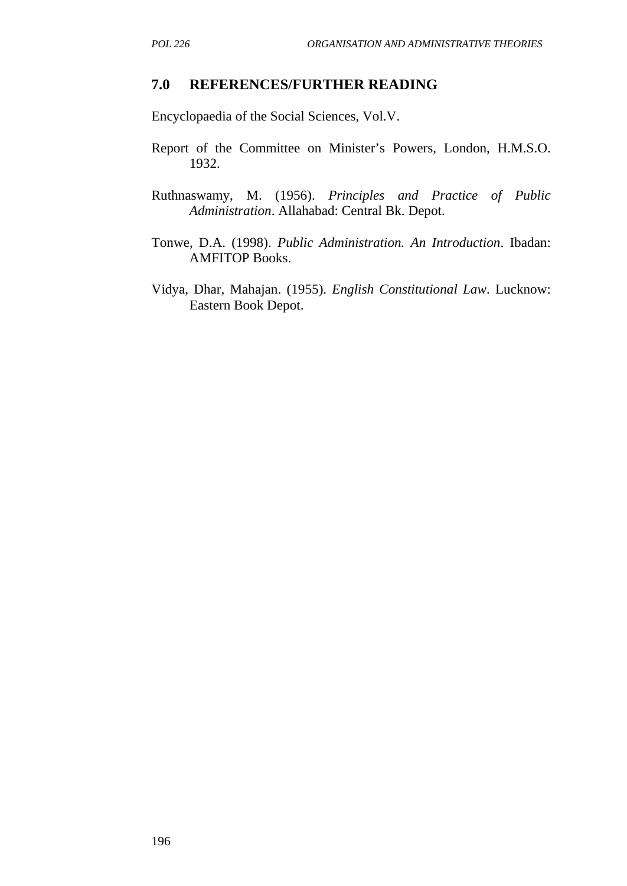#### **7.0 REFERENCES/FURTHER READING**

Encyclopaedia of the Social Sciences, Vol.V.

- Report of the Committee on Minister's Powers, London, H.M.S.O. 1932.
- Ruthnaswamy, M. (1956). *Principles and Practice of Public Administration*. Allahabad: Central Bk. Depot.
- Tonwe, D.A. (1998). *Public Administration. An Introduction*. Ibadan: AMFITOP Books.
- Vidya, Dhar, Mahajan. (1955). *English Constitutional Law*. Lucknow: Eastern Book Depot.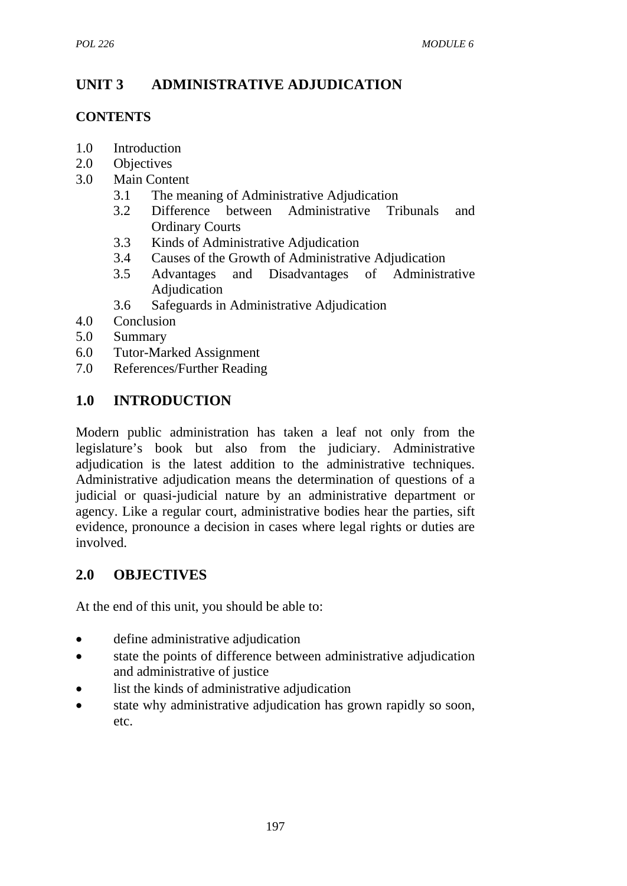# **UNIT 3 ADMINISTRATIVE ADJUDICATION**

# **CONTENTS**

- 1.0 Introduction
- 2.0 Objectives
- 3.0 Main Content
	- 3.1 The meaning of Administrative Adjudication
	- 3.2 Difference between Administrative Tribunals and Ordinary Courts
	- 3.3 Kinds of Administrative Adjudication
	- 3.4 Causes of the Growth of Administrative Adjudication
	- 3.5 Advantages and Disadvantages of Administrative Adjudication
	- 3.6 Safeguards in Administrative Adjudication
- 4.0 Conclusion
- 5.0 Summary
- 6.0 Tutor-Marked Assignment
- 7.0 References/Further Reading

# **1.0 INTRODUCTION**

Modern public administration has taken a leaf not only from the legislature's book but also from the judiciary. Administrative adjudication is the latest addition to the administrative techniques. Administrative adjudication means the determination of questions of a judicial or quasi-judicial nature by an administrative department or agency. Like a regular court, administrative bodies hear the parties, sift evidence, pronounce a decision in cases where legal rights or duties are involved.

# **2.0 OBJECTIVES**

At the end of this unit, you should be able to:

- define administrative adjudication
- state the points of difference between administrative adjudication and administrative of justice
- list the kinds of administrative adjudication
- state why administrative adjudication has grown rapidly so soon, etc.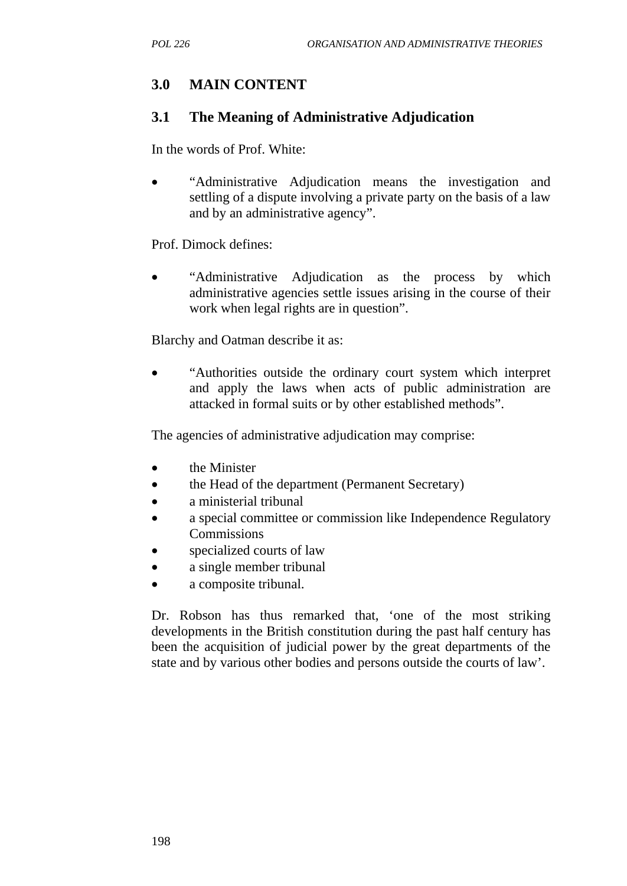# **3.0 MAIN CONTENT**

### **3.1 The Meaning of Administrative Adjudication**

In the words of Prof. White:

• "Administrative Adjudication means the investigation and settling of a dispute involving a private party on the basis of a law and by an administrative agency".

Prof. Dimock defines:

• "Administrative Adjudication as the process by which administrative agencies settle issues arising in the course of their work when legal rights are in question".

Blarchy and Oatman describe it as:

• "Authorities outside the ordinary court system which interpret and apply the laws when acts of public administration are attacked in formal suits or by other established methods".

The agencies of administrative adjudication may comprise:

- the Minister
- the Head of the department (Permanent Secretary)
- a ministerial tribunal
- a special committee or commission like Independence Regulatory **Commissions**
- specialized courts of law
- a single member tribunal
- a composite tribunal.

Dr. Robson has thus remarked that, 'one of the most striking developments in the British constitution during the past half century has been the acquisition of judicial power by the great departments of the state and by various other bodies and persons outside the courts of law'.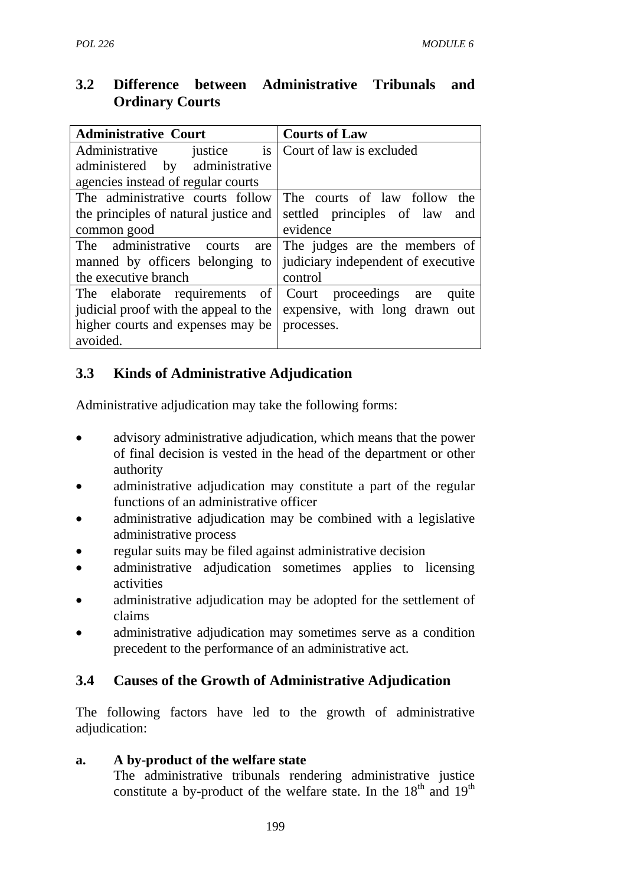# **3.2 Difference between Administrative Tribunals and Ordinary Courts**

| <b>Administrative Court</b>                                          | <b>Courts of Law</b>               |
|----------------------------------------------------------------------|------------------------------------|
| is<br>Administrative justice                                         | Court of law is excluded           |
| administered by administrative                                       |                                    |
| agencies instead of regular courts                                   |                                    |
| The administrative courts follow                                     | The courts of law follow<br>the    |
| the principles of natural justice and                                | settled principles of law<br>and   |
| common good                                                          | evidence                           |
| The administrative courts<br>are                                     | The judges are the members of      |
| manned by officers belonging to                                      | judiciary independent of executive |
| the executive branch                                                 | control                            |
| The elaborate requirements of Court proceedings are                  | quite                              |
| judicial proof with the appeal to the expensive, with long drawn out |                                    |
| higher courts and expenses may be                                    | processes.                         |
| avoided.                                                             |                                    |

# **3.3 Kinds of Administrative Adjudication**

Administrative adjudication may take the following forms:

- advisory administrative adjudication, which means that the power of final decision is vested in the head of the department or other authority
- administrative adjudication may constitute a part of the regular functions of an administrative officer
- administrative adjudication may be combined with a legislative administrative process
- regular suits may be filed against administrative decision
- administrative adjudication sometimes applies to licensing activities
- administrative adjudication may be adopted for the settlement of claims
- administrative adjudication may sometimes serve as a condition precedent to the performance of an administrative act.

# **3.4 Causes of the Growth of Administrative Adjudication**

The following factors have led to the growth of administrative adjudication:

## **a. A by-product of the welfare state**

The administrative tribunals rendering administrative justice constitute a by-product of the welfare state. In the  $18<sup>th</sup>$  and  $19<sup>th</sup>$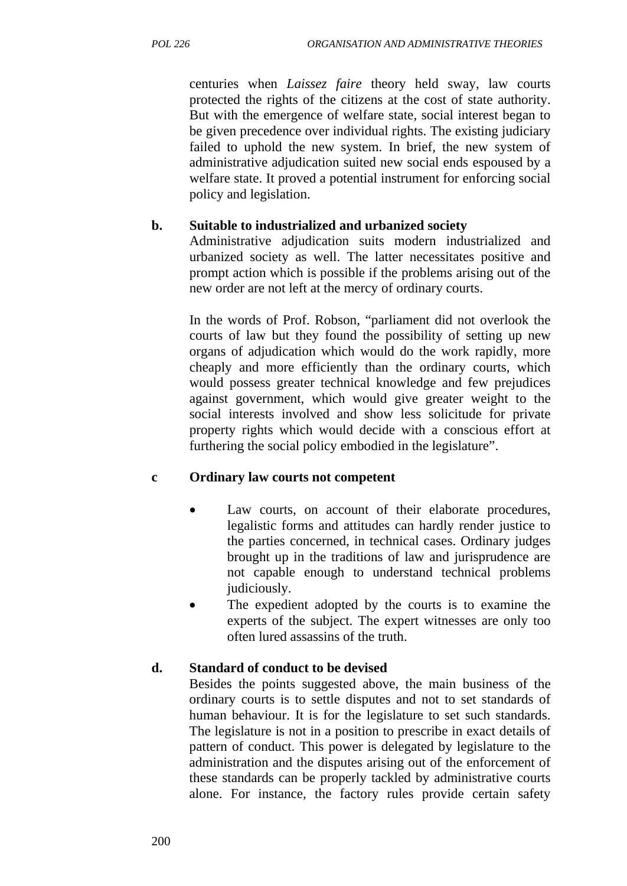centuries when *Laissez faire* theory held sway, law courts protected the rights of the citizens at the cost of state authority. But with the emergence of welfare state, social interest began to be given precedence over individual rights. The existing judiciary failed to uphold the new system. In brief, the new system of administrative adjudication suited new social ends espoused by a welfare state. It proved a potential instrument for enforcing social policy and legislation.

### **b. Suitable to industrialized and urbanized society**

Administrative adjudication suits modern industrialized and urbanized society as well. The latter necessitates positive and prompt action which is possible if the problems arising out of the new order are not left at the mercy of ordinary courts.

In the words of Prof. Robson, "parliament did not overlook the courts of law but they found the possibility of setting up new organs of adjudication which would do the work rapidly, more cheaply and more efficiently than the ordinary courts, which would possess greater technical knowledge and few prejudices against government, which would give greater weight to the social interests involved and show less solicitude for private property rights which would decide with a conscious effort at furthering the social policy embodied in the legislature".

## **c Ordinary law courts not competent**

- Law courts, on account of their elaborate procedures, legalistic forms and attitudes can hardly render justice to the parties concerned, in technical cases. Ordinary judges brought up in the traditions of law and jurisprudence are not capable enough to understand technical problems judiciously.
- The expedient adopted by the courts is to examine the experts of the subject. The expert witnesses are only too often lured assassins of the truth.

## **d. Standard of conduct to be devised**

Besides the points suggested above, the main business of the ordinary courts is to settle disputes and not to set standards of human behaviour. It is for the legislature to set such standards. The legislature is not in a position to prescribe in exact details of pattern of conduct. This power is delegated by legislature to the administration and the disputes arising out of the enforcement of these standards can be properly tackled by administrative courts alone. For instance, the factory rules provide certain safety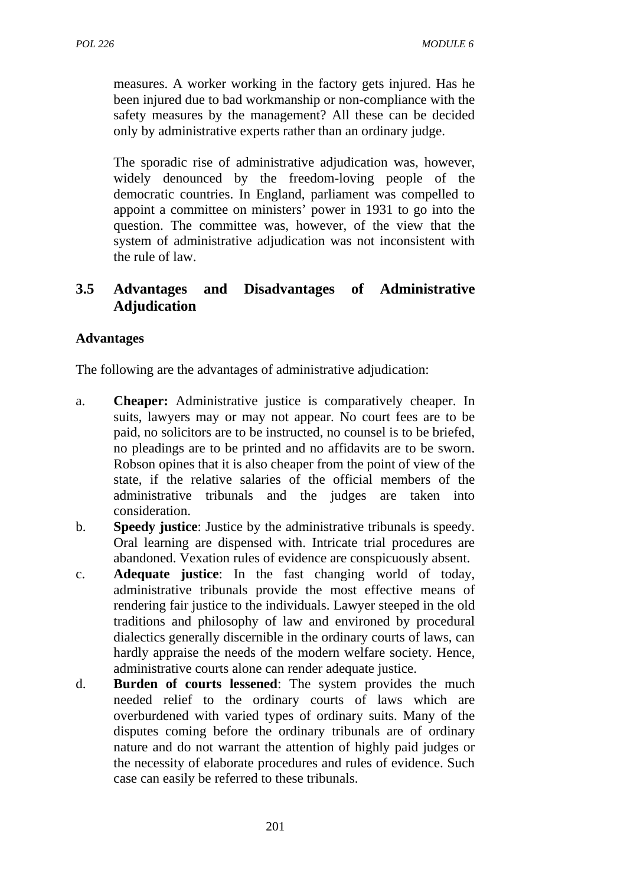measures. A worker working in the factory gets injured. Has he been injured due to bad workmanship or non-compliance with the safety measures by the management? All these can be decided only by administrative experts rather than an ordinary judge.

The sporadic rise of administrative adjudication was, however, widely denounced by the freedom-loving people of the democratic countries. In England, parliament was compelled to appoint a committee on ministers' power in 1931 to go into the question. The committee was, however, of the view that the system of administrative adjudication was not inconsistent with the rule of law.

## **3.5 Advantages and Disadvantages of Administrative Adjudication**

### **Advantages**

The following are the advantages of administrative adjudication:

- a. **Cheaper:** Administrative justice is comparatively cheaper. In suits, lawyers may or may not appear. No court fees are to be paid, no solicitors are to be instructed, no counsel is to be briefed, no pleadings are to be printed and no affidavits are to be sworn. Robson opines that it is also cheaper from the point of view of the state, if the relative salaries of the official members of the administrative tribunals and the judges are taken into consideration.
- b. **Speedy justice**: Justice by the administrative tribunals is speedy. Oral learning are dispensed with. Intricate trial procedures are abandoned. Vexation rules of evidence are conspicuously absent.
- c. **Adequate justice**: In the fast changing world of today, administrative tribunals provide the most effective means of rendering fair justice to the individuals. Lawyer steeped in the old traditions and philosophy of law and environed by procedural dialectics generally discernible in the ordinary courts of laws, can hardly appraise the needs of the modern welfare society. Hence, administrative courts alone can render adequate justice.
- d. **Burden of courts lessened**: The system provides the much needed relief to the ordinary courts of laws which are overburdened with varied types of ordinary suits. Many of the disputes coming before the ordinary tribunals are of ordinary nature and do not warrant the attention of highly paid judges or the necessity of elaborate procedures and rules of evidence. Such case can easily be referred to these tribunals.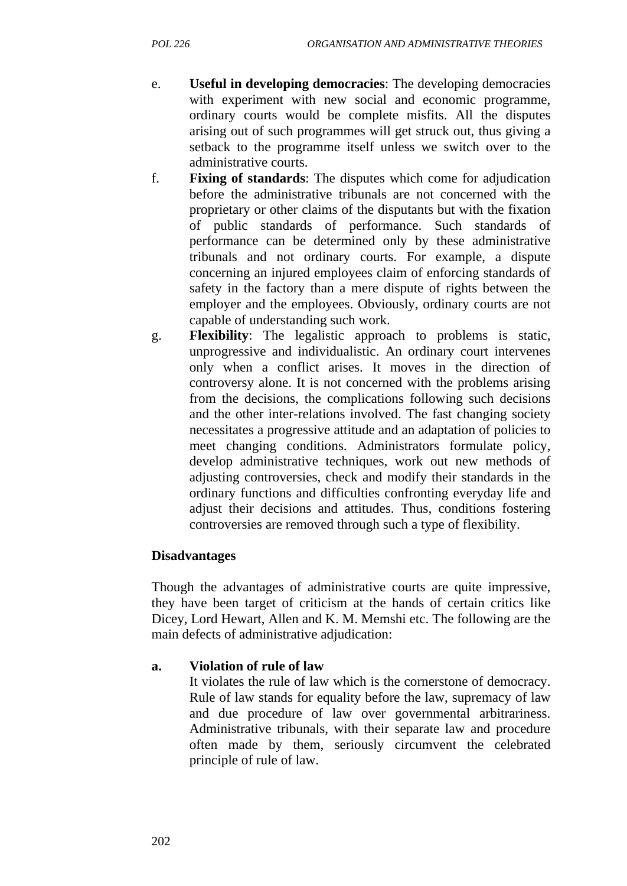- e. **Useful in developing democracies**: The developing democracies with experiment with new social and economic programme, ordinary courts would be complete misfits. All the disputes arising out of such programmes will get struck out, thus giving a setback to the programme itself unless we switch over to the administrative courts.
- f. **Fixing of standards**: The disputes which come for adjudication before the administrative tribunals are not concerned with the proprietary or other claims of the disputants but with the fixation of public standards of performance. Such standards of performance can be determined only by these administrative tribunals and not ordinary courts. For example, a dispute concerning an injured employees claim of enforcing standards of safety in the factory than a mere dispute of rights between the employer and the employees. Obviously, ordinary courts are not capable of understanding such work.
- g. **Flexibility**: The legalistic approach to problems is static, unprogressive and individualistic. An ordinary court intervenes only when a conflict arises. It moves in the direction of controversy alone. It is not concerned with the problems arising from the decisions, the complications following such decisions and the other inter-relations involved. The fast changing society necessitates a progressive attitude and an adaptation of policies to meet changing conditions. Administrators formulate policy, develop administrative techniques, work out new methods of adjusting controversies, check and modify their standards in the ordinary functions and difficulties confronting everyday life and adjust their decisions and attitudes. Thus, conditions fostering controversies are removed through such a type of flexibility.

### **Disadvantages**

Though the advantages of administrative courts are quite impressive, they have been target of criticism at the hands of certain critics like Dicey, Lord Hewart, Allen and K. M. Memshi etc. The following are the main defects of administrative adjudication:

### **a. Violation of rule of law**

It violates the rule of law which is the cornerstone of democracy. Rule of law stands for equality before the law, supremacy of law and due procedure of law over governmental arbitrariness. Administrative tribunals, with their separate law and procedure often made by them, seriously circumvent the celebrated principle of rule of law.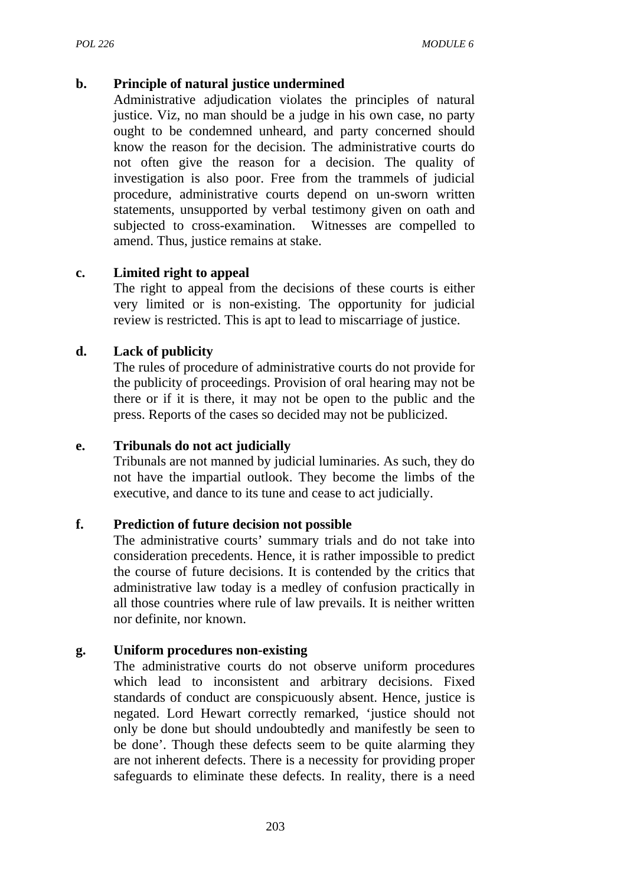#### **b. Principle of natural justice undermined**

Administrative adjudication violates the principles of natural justice. Viz, no man should be a judge in his own case, no party ought to be condemned unheard, and party concerned should know the reason for the decision. The administrative courts do not often give the reason for a decision. The quality of investigation is also poor. Free from the trammels of judicial procedure, administrative courts depend on un-sworn written statements, unsupported by verbal testimony given on oath and subjected to cross-examination. Witnesses are compelled to amend. Thus, justice remains at stake.

#### **c. Limited right to appeal**

The right to appeal from the decisions of these courts is either very limited or is non-existing. The opportunity for judicial review is restricted. This is apt to lead to miscarriage of justice.

#### **d. Lack of publicity**

The rules of procedure of administrative courts do not provide for the publicity of proceedings. Provision of oral hearing may not be there or if it is there, it may not be open to the public and the press. Reports of the cases so decided may not be publicized.

#### **e. Tribunals do not act judicially**

Tribunals are not manned by judicial luminaries. As such, they do not have the impartial outlook. They become the limbs of the executive, and dance to its tune and cease to act judicially.

#### **f. Prediction of future decision not possible**

The administrative courts' summary trials and do not take into consideration precedents. Hence, it is rather impossible to predict the course of future decisions. It is contended by the critics that administrative law today is a medley of confusion practically in all those countries where rule of law prevails. It is neither written nor definite, nor known.

#### **g. Uniform procedures non-existing**

The administrative courts do not observe uniform procedures which lead to inconsistent and arbitrary decisions. Fixed standards of conduct are conspicuously absent. Hence, justice is negated. Lord Hewart correctly remarked, 'justice should not only be done but should undoubtedly and manifestly be seen to be done'. Though these defects seem to be quite alarming they are not inherent defects. There is a necessity for providing proper safeguards to eliminate these defects. In reality, there is a need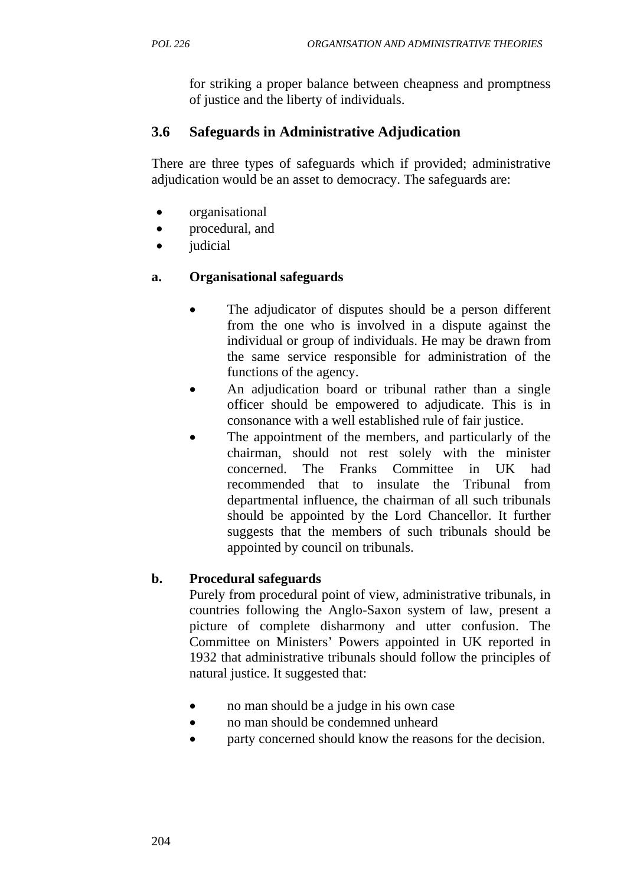for striking a proper balance between cheapness and promptness of justice and the liberty of individuals.

# **3.6 Safeguards in Administrative Adjudication**

There are three types of safeguards which if provided; administrative adjudication would be an asset to democracy. The safeguards are:

- organisational
- procedural, and
- *judicial*

## **a. Organisational safeguards**

- The adjudicator of disputes should be a person different from the one who is involved in a dispute against the individual or group of individuals. He may be drawn from the same service responsible for administration of the functions of the agency.
- An adjudication board or tribunal rather than a single officer should be empowered to adjudicate. This is in consonance with a well established rule of fair justice.
- The appointment of the members, and particularly of the chairman, should not rest solely with the minister concerned. The Franks Committee in UK had recommended that to insulate the Tribunal from departmental influence, the chairman of all such tribunals should be appointed by the Lord Chancellor. It further suggests that the members of such tribunals should be appointed by council on tribunals.

## **b. Procedural safeguards**

Purely from procedural point of view, administrative tribunals, in countries following the Anglo-Saxon system of law, present a picture of complete disharmony and utter confusion. The Committee on Ministers' Powers appointed in UK reported in 1932 that administrative tribunals should follow the principles of natural justice. It suggested that:

- no man should be a judge in his own case
- no man should be condemned unheard
- party concerned should know the reasons for the decision.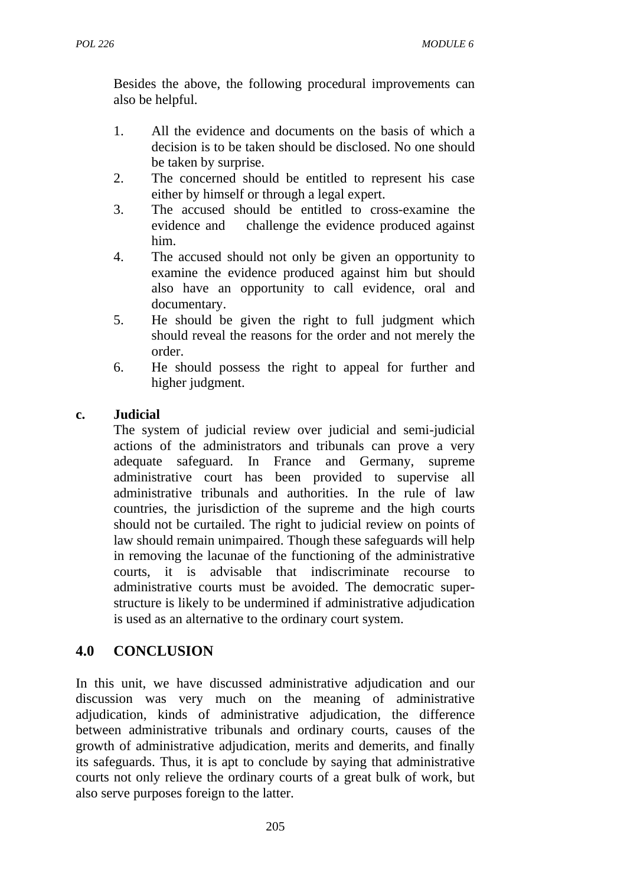Besides the above, the following procedural improvements can also be helpful.

- 1. All the evidence and documents on the basis of which a decision is to be taken should be disclosed. No one should be taken by surprise.
- 2. The concerned should be entitled to represent his case either by himself or through a legal expert.
- 3. The accused should be entitled to cross-examine the evidence and challenge the evidence produced against him.
- 4. The accused should not only be given an opportunity to examine the evidence produced against him but should also have an opportunity to call evidence, oral and documentary.
- 5. He should be given the right to full judgment which should reveal the reasons for the order and not merely the order.
- 6. He should possess the right to appeal for further and higher judgment.

#### **c. Judicial**

The system of judicial review over judicial and semi-judicial actions of the administrators and tribunals can prove a very adequate safeguard. In France and Germany, supreme administrative court has been provided to supervise all administrative tribunals and authorities. In the rule of law countries, the jurisdiction of the supreme and the high courts should not be curtailed. The right to judicial review on points of law should remain unimpaired. Though these safeguards will help in removing the lacunae of the functioning of the administrative courts, it is advisable that indiscriminate recourse to administrative courts must be avoided. The democratic superstructure is likely to be undermined if administrative adjudication is used as an alternative to the ordinary court system.

## **4.0 CONCLUSION**

In this unit, we have discussed administrative adjudication and our discussion was very much on the meaning of administrative adjudication, kinds of administrative adjudication, the difference between administrative tribunals and ordinary courts, causes of the growth of administrative adjudication, merits and demerits, and finally its safeguards. Thus, it is apt to conclude by saying that administrative courts not only relieve the ordinary courts of a great bulk of work, but also serve purposes foreign to the latter.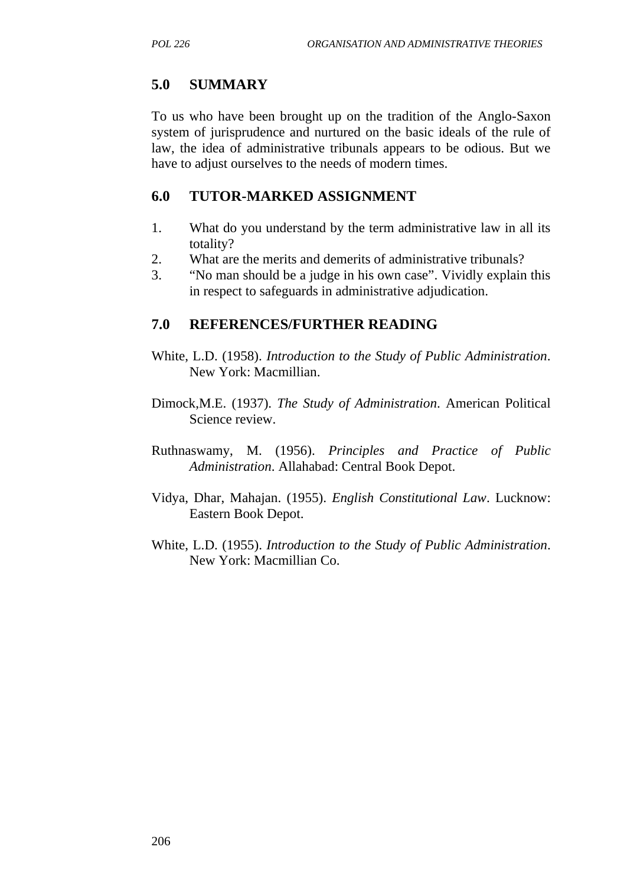### **5.0 SUMMARY**

To us who have been brought up on the tradition of the Anglo-Saxon system of jurisprudence and nurtured on the basic ideals of the rule of law, the idea of administrative tribunals appears to be odious. But we have to adjust ourselves to the needs of modern times.

### **6.0 TUTOR-MARKED ASSIGNMENT**

- 1. What do you understand by the term administrative law in all its totality?
- 2. What are the merits and demerits of administrative tribunals?
- 3. "No man should be a judge in his own case". Vividly explain this in respect to safeguards in administrative adjudication.

### **7.0 REFERENCES/FURTHER READING**

- White, L.D. (1958). *Introduction to the Study of Public Administration*. New York: Macmillian.
- Dimock,M.E. (1937). *The Study of Administration*. American Political Science review.
- Ruthnaswamy, M. (1956). *Principles and Practice of Public Administration*. Allahabad: Central Book Depot.
- Vidya, Dhar, Mahajan. (1955). *English Constitutional Law*. Lucknow: Eastern Book Depot.
- White, L.D. (1955). *Introduction to the Study of Public Administration*. New York: Macmillian Co.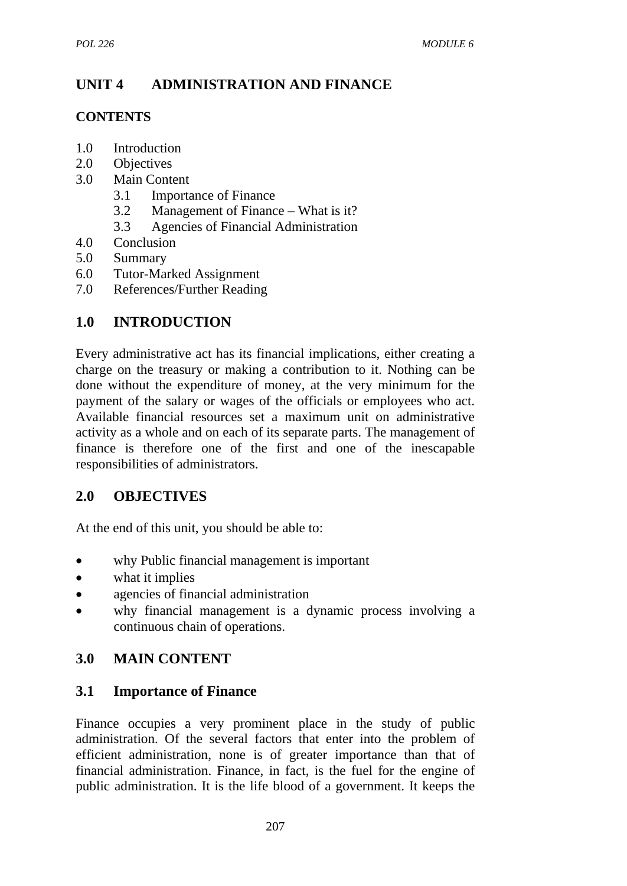# **UNIT 4 ADMINISTRATION AND FINANCE**

### **CONTENTS**

- 1.0 Introduction
- 2.0 Objectives
- 3.0 Main Content
	- 3.1 Importance of Finance
	- 3.2 Management of Finance What is it?
	- 3.3 Agencies of Financial Administration
- 4.0 Conclusion
- 5.0 Summary
- 6.0 Tutor-Marked Assignment
- 7.0 References/Further Reading

# **1.0 INTRODUCTION**

Every administrative act has its financial implications, either creating a charge on the treasury or making a contribution to it. Nothing can be done without the expenditure of money, at the very minimum for the payment of the salary or wages of the officials or employees who act. Available financial resources set a maximum unit on administrative activity as a whole and on each of its separate parts. The management of finance is therefore one of the first and one of the inescapable responsibilities of administrators.

# **2.0 OBJECTIVES**

At the end of this unit, you should be able to:

- why Public financial management is important
- what it implies
- agencies of financial administration
- why financial management is a dynamic process involving a continuous chain of operations.

## **3.0 MAIN CONTENT**

### **3.1 Importance of Finance**

Finance occupies a very prominent place in the study of public administration. Of the several factors that enter into the problem of efficient administration, none is of greater importance than that of financial administration. Finance, in fact, is the fuel for the engine of public administration. It is the life blood of a government. It keeps the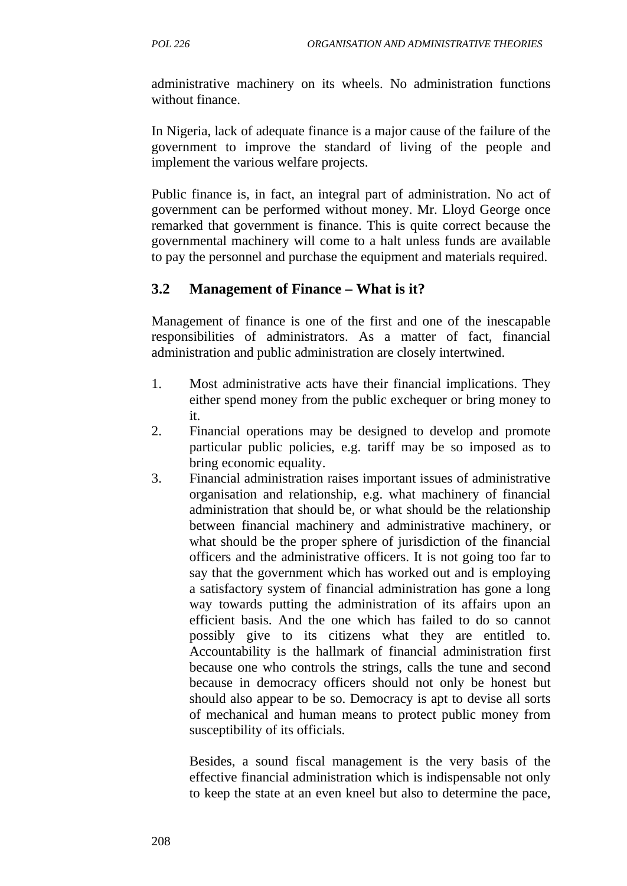administrative machinery on its wheels. No administration functions without finance.

In Nigeria, lack of adequate finance is a major cause of the failure of the government to improve the standard of living of the people and implement the various welfare projects.

Public finance is, in fact, an integral part of administration. No act of government can be performed without money. Mr. Lloyd George once remarked that government is finance. This is quite correct because the governmental machinery will come to a halt unless funds are available to pay the personnel and purchase the equipment and materials required.

# **3.2 Management of Finance – What is it?**

Management of finance is one of the first and one of the inescapable responsibilities of administrators. As a matter of fact, financial administration and public administration are closely intertwined.

- 1. Most administrative acts have their financial implications. They either spend money from the public exchequer or bring money to it.
- 2. Financial operations may be designed to develop and promote particular public policies, e.g. tariff may be so imposed as to bring economic equality.
- 3. Financial administration raises important issues of administrative organisation and relationship, e.g. what machinery of financial administration that should be, or what should be the relationship between financial machinery and administrative machinery, or what should be the proper sphere of jurisdiction of the financial officers and the administrative officers. It is not going too far to say that the government which has worked out and is employing a satisfactory system of financial administration has gone a long way towards putting the administration of its affairs upon an efficient basis. And the one which has failed to do so cannot possibly give to its citizens what they are entitled to. Accountability is the hallmark of financial administration first because one who controls the strings, calls the tune and second because in democracy officers should not only be honest but should also appear to be so. Democracy is apt to devise all sorts of mechanical and human means to protect public money from susceptibility of its officials.

Besides, a sound fiscal management is the very basis of the effective financial administration which is indispensable not only to keep the state at an even kneel but also to determine the pace,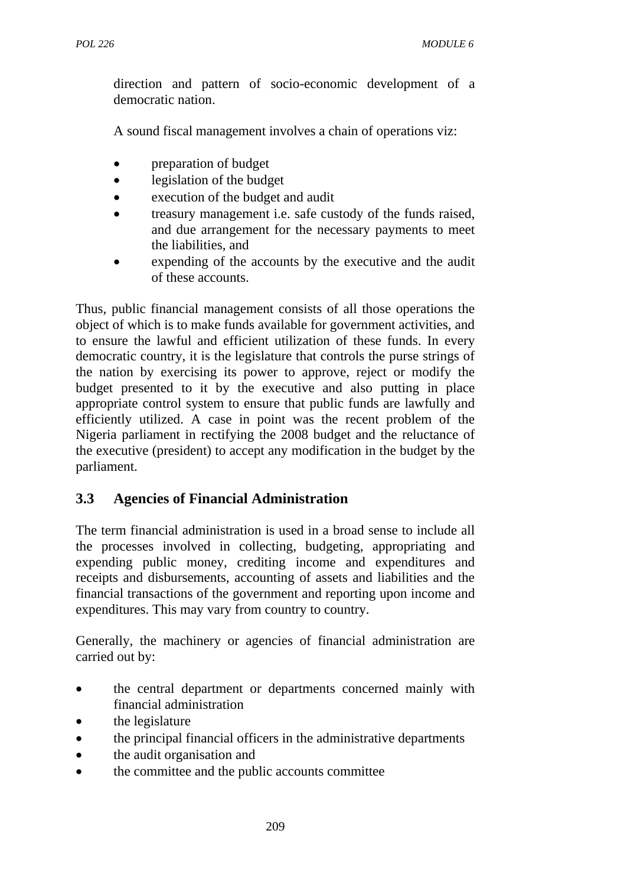direction and pattern of socio-economic development of a democratic nation.

A sound fiscal management involves a chain of operations viz:

- preparation of budget
- legislation of the budget
- execution of the budget and audit
- treasury management i.e. safe custody of the funds raised, and due arrangement for the necessary payments to meet the liabilities, and
- expending of the accounts by the executive and the audit of these accounts.

Thus, public financial management consists of all those operations the object of which is to make funds available for government activities, and to ensure the lawful and efficient utilization of these funds. In every democratic country, it is the legislature that controls the purse strings of the nation by exercising its power to approve, reject or modify the budget presented to it by the executive and also putting in place appropriate control system to ensure that public funds are lawfully and efficiently utilized. A case in point was the recent problem of the Nigeria parliament in rectifying the 2008 budget and the reluctance of the executive (president) to accept any modification in the budget by the parliament.

# **3.3 Agencies of Financial Administration**

The term financial administration is used in a broad sense to include all the processes involved in collecting, budgeting, appropriating and expending public money, crediting income and expenditures and receipts and disbursements, accounting of assets and liabilities and the financial transactions of the government and reporting upon income and expenditures. This may vary from country to country.

Generally, the machinery or agencies of financial administration are carried out by:

- the central department or departments concerned mainly with financial administration
- the legislature
- the principal financial officers in the administrative departments
- the audit organisation and
- the committee and the public accounts committee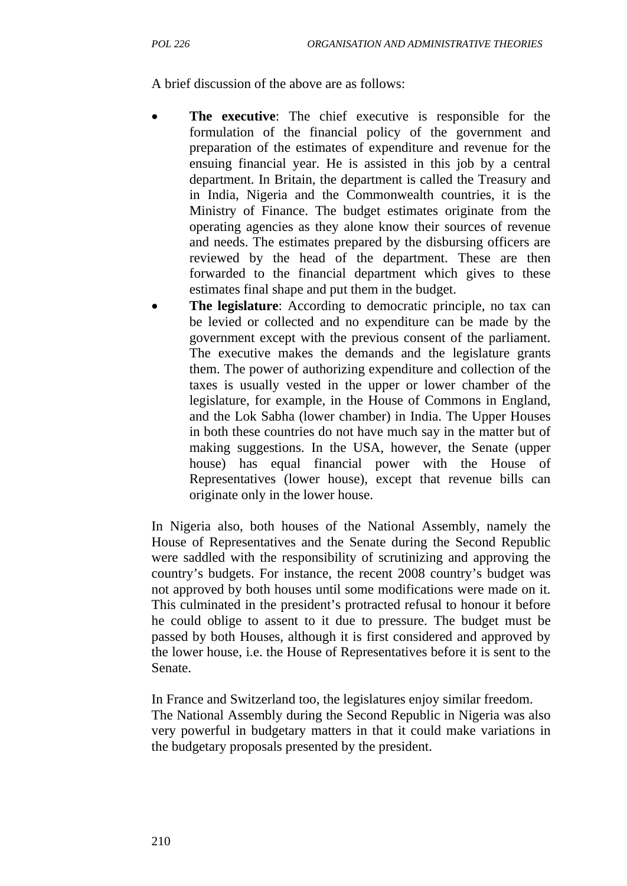A brief discussion of the above are as follows:

- **The executive:** The chief executive is responsible for the formulation of the financial policy of the government and preparation of the estimates of expenditure and revenue for the ensuing financial year. He is assisted in this job by a central department. In Britain, the department is called the Treasury and in India, Nigeria and the Commonwealth countries, it is the Ministry of Finance. The budget estimates originate from the operating agencies as they alone know their sources of revenue and needs. The estimates prepared by the disbursing officers are reviewed by the head of the department. These are then forwarded to the financial department which gives to these estimates final shape and put them in the budget.
- **The legislature**: According to democratic principle, no tax can be levied or collected and no expenditure can be made by the government except with the previous consent of the parliament. The executive makes the demands and the legislature grants them. The power of authorizing expenditure and collection of the taxes is usually vested in the upper or lower chamber of the legislature, for example, in the House of Commons in England, and the Lok Sabha (lower chamber) in India. The Upper Houses in both these countries do not have much say in the matter but of making suggestions. In the USA, however, the Senate (upper house) has equal financial power with the House of Representatives (lower house), except that revenue bills can originate only in the lower house.

In Nigeria also, both houses of the National Assembly, namely the House of Representatives and the Senate during the Second Republic were saddled with the responsibility of scrutinizing and approving the country's budgets. For instance, the recent 2008 country's budget was not approved by both houses until some modifications were made on it. This culminated in the president's protracted refusal to honour it before he could oblige to assent to it due to pressure. The budget must be passed by both Houses, although it is first considered and approved by the lower house, i.e. the House of Representatives before it is sent to the Senate.

In France and Switzerland too, the legislatures enjoy similar freedom. The National Assembly during the Second Republic in Nigeria was also very powerful in budgetary matters in that it could make variations in the budgetary proposals presented by the president.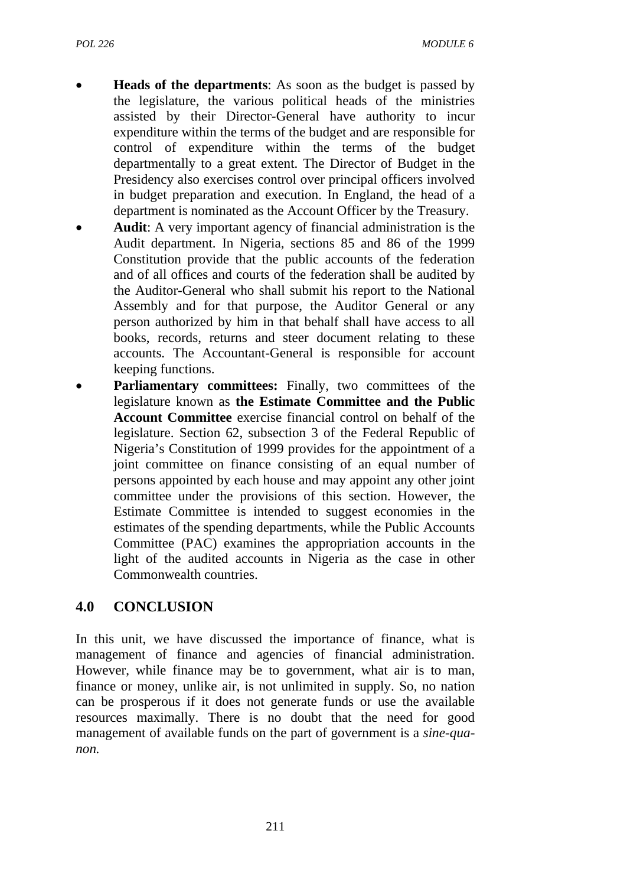- **Heads of the departments:** As soon as the budget is passed by the legislature, the various political heads of the ministries assisted by their Director-General have authority to incur expenditure within the terms of the budget and are responsible for control of expenditure within the terms of the budget departmentally to a great extent. The Director of Budget in the Presidency also exercises control over principal officers involved in budget preparation and execution. In England, the head of a department is nominated as the Account Officer by the Treasury.
- **Audit**: A very important agency of financial administration is the Audit department. In Nigeria, sections 85 and 86 of the 1999 Constitution provide that the public accounts of the federation and of all offices and courts of the federation shall be audited by the Auditor-General who shall submit his report to the National Assembly and for that purpose, the Auditor General or any person authorized by him in that behalf shall have access to all books, records, returns and steer document relating to these accounts. The Accountant-General is responsible for account keeping functions.
- **Parliamentary committees:** Finally, two committees of the legislature known as **the Estimate Committee and the Public Account Committee** exercise financial control on behalf of the legislature. Section 62, subsection 3 of the Federal Republic of Nigeria's Constitution of 1999 provides for the appointment of a joint committee on finance consisting of an equal number of persons appointed by each house and may appoint any other joint committee under the provisions of this section. However, the Estimate Committee is intended to suggest economies in the estimates of the spending departments, while the Public Accounts Committee (PAC) examines the appropriation accounts in the light of the audited accounts in Nigeria as the case in other Commonwealth countries.

## **4.0 CONCLUSION**

In this unit, we have discussed the importance of finance, what is management of finance and agencies of financial administration. However, while finance may be to government, what air is to man, finance or money, unlike air, is not unlimited in supply. So, no nation can be prosperous if it does not generate funds or use the available resources maximally. There is no doubt that the need for good management of available funds on the part of government is a *sine-quanon.*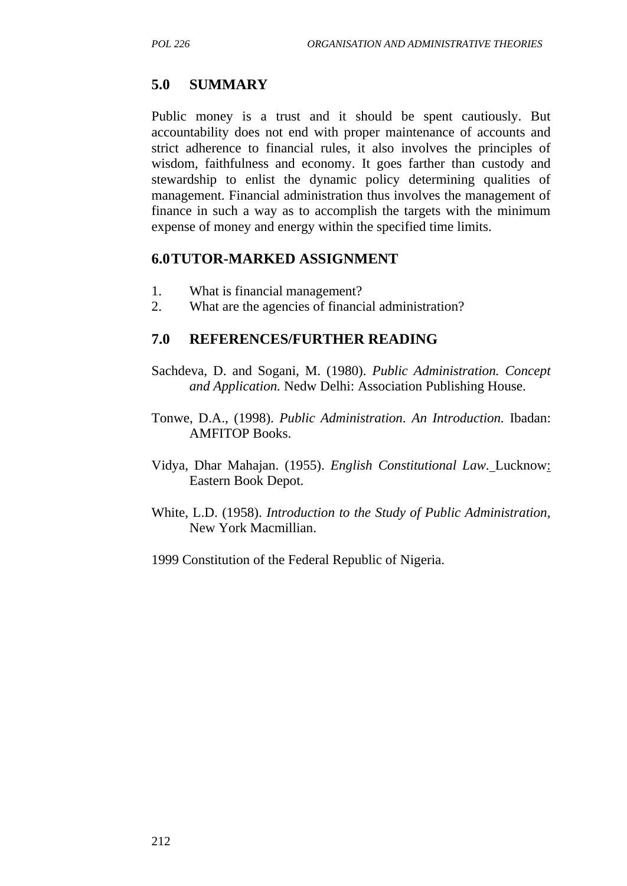### **5.0 SUMMARY**

Public money is a trust and it should be spent cautiously. But accountability does not end with proper maintenance of accounts and strict adherence to financial rules, it also involves the principles of wisdom, faithfulness and economy. It goes farther than custody and stewardship to enlist the dynamic policy determining qualities of management. Financial administration thus involves the management of finance in such a way as to accomplish the targets with the minimum expense of money and energy within the specified time limits.

#### **6.0TUTOR-MARKED ASSIGNMENT**

- 1. What is financial management?
- 2. What are the agencies of financial administration?

### **7.0 REFERENCES/FURTHER READING**

- Sachdeva, D. and Sogani, M. (1980). *Public Administration. Concept and Application.* Nedw Delhi: Association Publishing House.
- Tonwe, D.A., (1998). *Public Administration. An Introduction.* Ibadan: AMFITOP Books.
- Vidya, Dhar Mahajan. (1955). *English Constitutional Law.* Lucknow: Eastern Book Depot.
- White, L.D. (1958). *Introduction to the Study of Public Administration,* New York Macmillian.
- 1999 Constitution of the Federal Republic of Nigeria.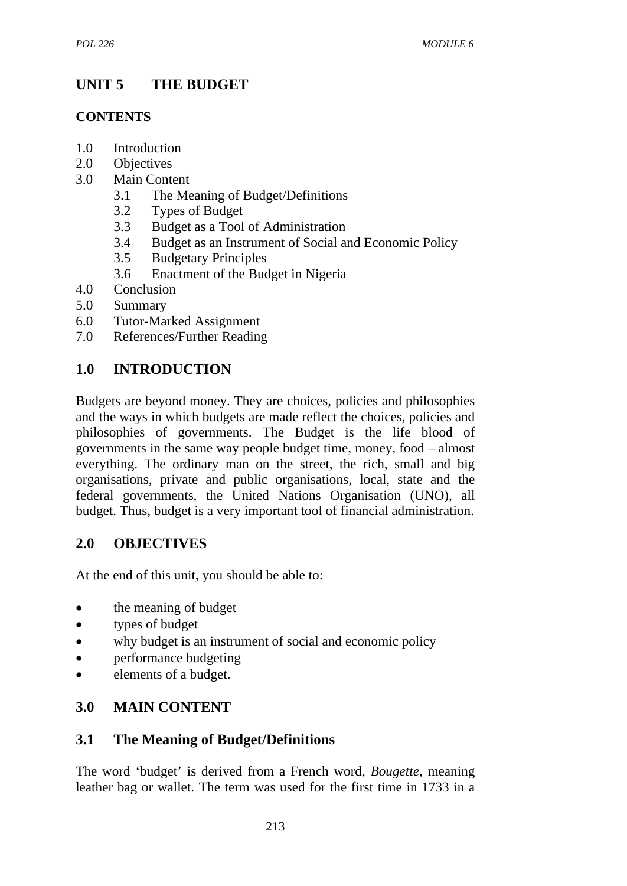# **UNIT 5 THE BUDGET**

## **CONTENTS**

- 1.0 Introduction
- 2.0 Objectives
- 3.0 Main Content
	- 3.1 The Meaning of Budget/Definitions
	- 3.2 Types of Budget
	- 3.3 Budget as a Tool of Administration
	- 3.4 Budget as an Instrument of Social and Economic Policy
	- 3.5 Budgetary Principles
	- 3.6 Enactment of the Budget in Nigeria
- 4.0 Conclusion
- 5.0 Summary
- 6.0 Tutor-Marked Assignment
- 7.0 References/Further Reading

# **1.0 INTRODUCTION**

Budgets are beyond money. They are choices, policies and philosophies and the ways in which budgets are made reflect the choices, policies and philosophies of governments. The Budget is the life blood of governments in the same way people budget time, money, food – almost everything. The ordinary man on the street, the rich, small and big organisations, private and public organisations, local, state and the federal governments, the United Nations Organisation (UNO), all budget. Thus, budget is a very important tool of financial administration.

# **2.0 OBJECTIVES**

At the end of this unit, you should be able to:

- the meaning of budget
- types of budget
- why budget is an instrument of social and economic policy
- performance budgeting
- elements of a budget.

# **3.0 MAIN CONTENT**

# **3.1 The Meaning of Budget/Definitions**

The word 'budget' is derived from a French word, *Bougette,* meaning leather bag or wallet. The term was used for the first time in 1733 in a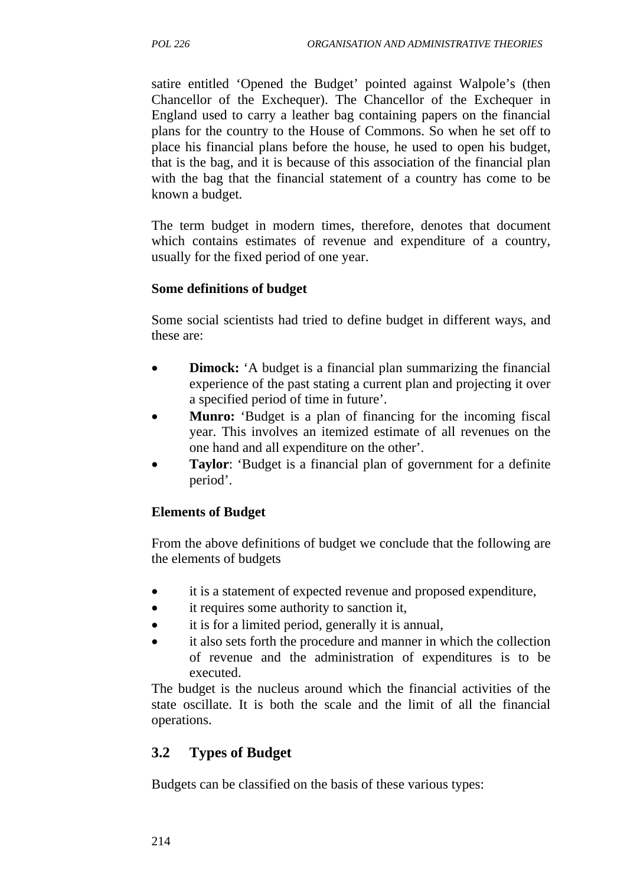satire entitled 'Opened the Budget' pointed against Walpole's (then Chancellor of the Exchequer). The Chancellor of the Exchequer in England used to carry a leather bag containing papers on the financial plans for the country to the House of Commons. So when he set off to place his financial plans before the house, he used to open his budget, that is the bag, and it is because of this association of the financial plan with the bag that the financial statement of a country has come to be known a budget.

The term budget in modern times, therefore, denotes that document which contains estimates of revenue and expenditure of a country, usually for the fixed period of one year.

### **Some definitions of budget**

Some social scientists had tried to define budget in different ways, and these are:

- **Dimock:** 'A budget is a financial plan summarizing the financial experience of the past stating a current plan and projecting it over a specified period of time in future'.
- **Munro:** 'Budget is a plan of financing for the incoming fiscal year. This involves an itemized estimate of all revenues on the one hand and all expenditure on the other'.
- **Taylor:** 'Budget is a financial plan of government for a definite period'.

### **Elements of Budget**

From the above definitions of budget we conclude that the following are the elements of budgets

- it is a statement of expected revenue and proposed expenditure,
- it requires some authority to sanction it,
- it is for a limited period, generally it is annual,
- it also sets forth the procedure and manner in which the collection of revenue and the administration of expenditures is to be executed.

The budget is the nucleus around which the financial activities of the state oscillate. It is both the scale and the limit of all the financial operations.

# **3.2 Types of Budget**

Budgets can be classified on the basis of these various types: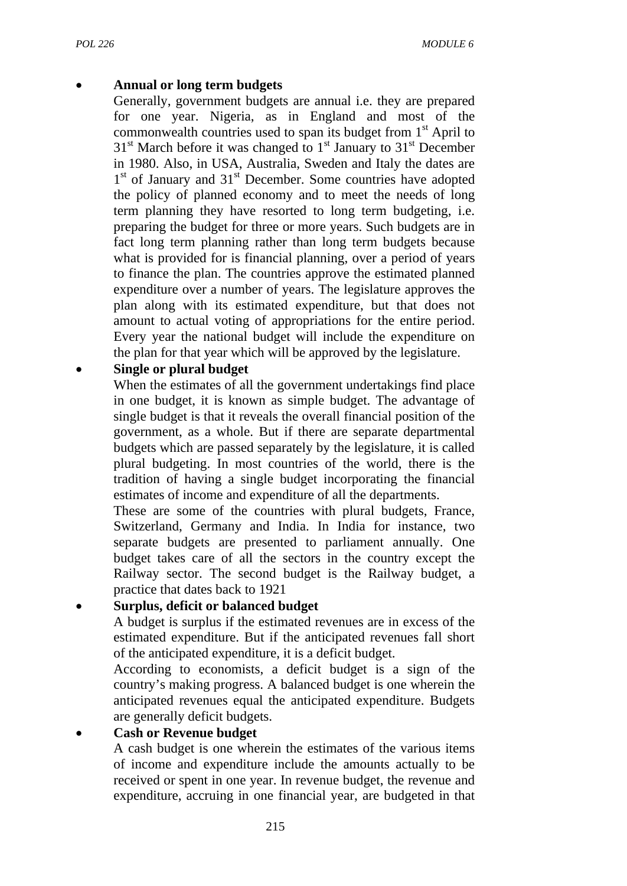### • **Annual or long term budgets**

Generally, government budgets are annual i.e. they are prepared for one year. Nigeria, as in England and most of the commonwealth countries used to span its budget from  $1<sup>st</sup>$  April to  $31<sup>st</sup>$  March before it was changed to  $1<sup>st</sup>$  January to  $31<sup>st</sup>$  December in 1980. Also, in USA, Australia, Sweden and Italy the dates are 1<sup>st</sup> of January and 31<sup>st</sup> December. Some countries have adopted the policy of planned economy and to meet the needs of long term planning they have resorted to long term budgeting, i.e. preparing the budget for three or more years. Such budgets are in fact long term planning rather than long term budgets because what is provided for is financial planning, over a period of years to finance the plan. The countries approve the estimated planned expenditure over a number of years. The legislature approves the plan along with its estimated expenditure, but that does not amount to actual voting of appropriations for the entire period. Every year the national budget will include the expenditure on the plan for that year which will be approved by the legislature.

### • **Single or plural budget**

When the estimates of all the government undertakings find place in one budget, it is known as simple budget. The advantage of single budget is that it reveals the overall financial position of the government, as a whole. But if there are separate departmental budgets which are passed separately by the legislature, it is called plural budgeting. In most countries of the world, there is the tradition of having a single budget incorporating the financial estimates of income and expenditure of all the departments.

These are some of the countries with plural budgets, France, Switzerland, Germany and India. In India for instance, two separate budgets are presented to parliament annually. One budget takes care of all the sectors in the country except the Railway sector. The second budget is the Railway budget, a practice that dates back to 1921

## • **Surplus, deficit or balanced budget**

A budget is surplus if the estimated revenues are in excess of the estimated expenditure. But if the anticipated revenues fall short of the anticipated expenditure, it is a deficit budget.

According to economists, a deficit budget is a sign of the country's making progress. A balanced budget is one wherein the anticipated revenues equal the anticipated expenditure. Budgets are generally deficit budgets.

### • **Cash or Revenue budget**

A cash budget is one wherein the estimates of the various items of income and expenditure include the amounts actually to be received or spent in one year. In revenue budget, the revenue and expenditure, accruing in one financial year, are budgeted in that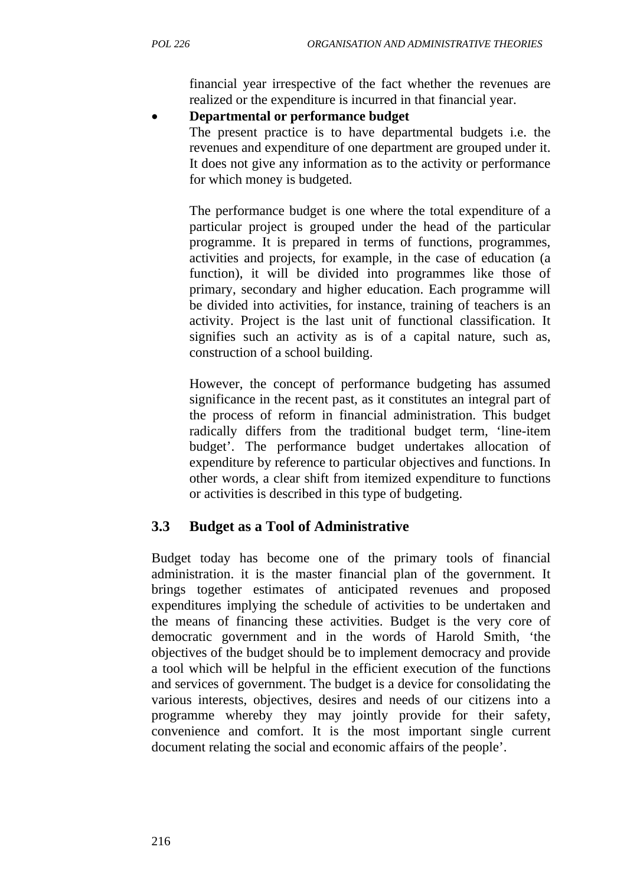financial year irrespective of the fact whether the revenues are realized or the expenditure is incurred in that financial year.

#### • **Departmental or performance budget**

The present practice is to have departmental budgets i.e. the revenues and expenditure of one department are grouped under it. It does not give any information as to the activity or performance for which money is budgeted.

The performance budget is one where the total expenditure of a particular project is grouped under the head of the particular programme. It is prepared in terms of functions, programmes, activities and projects, for example, in the case of education (a function), it will be divided into programmes like those of primary, secondary and higher education. Each programme will be divided into activities, for instance, training of teachers is an activity. Project is the last unit of functional classification. It signifies such an activity as is of a capital nature, such as, construction of a school building.

However, the concept of performance budgeting has assumed significance in the recent past, as it constitutes an integral part of the process of reform in financial administration. This budget radically differs from the traditional budget term, 'line-item budget'. The performance budget undertakes allocation of expenditure by reference to particular objectives and functions. In other words, a clear shift from itemized expenditure to functions or activities is described in this type of budgeting.

## **3.3 Budget as a Tool of Administrative**

Budget today has become one of the primary tools of financial administration. it is the master financial plan of the government. It brings together estimates of anticipated revenues and proposed expenditures implying the schedule of activities to be undertaken and the means of financing these activities. Budget is the very core of democratic government and in the words of Harold Smith, 'the objectives of the budget should be to implement democracy and provide a tool which will be helpful in the efficient execution of the functions and services of government. The budget is a device for consolidating the various interests, objectives, desires and needs of our citizens into a programme whereby they may jointly provide for their safety, convenience and comfort. It is the most important single current document relating the social and economic affairs of the people'.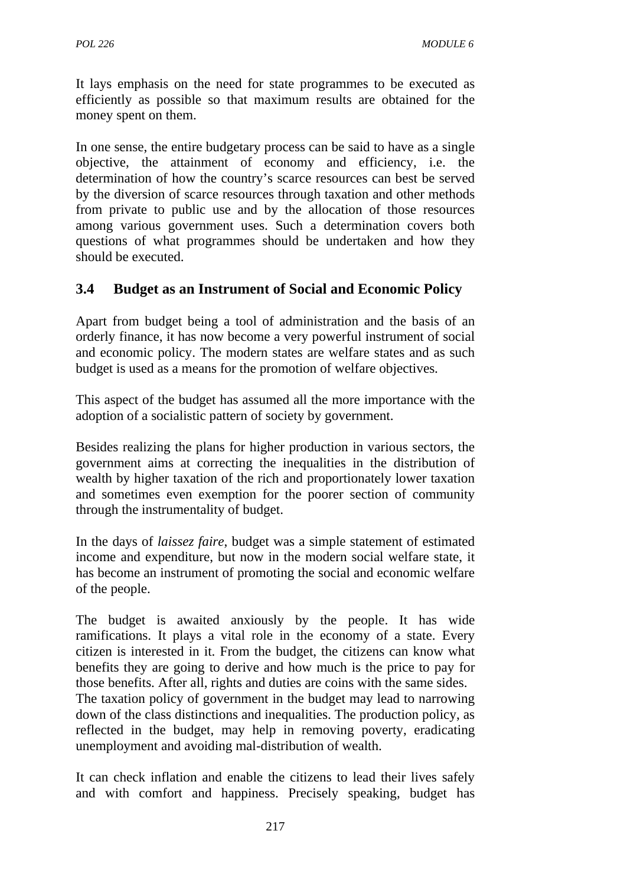It lays emphasis on the need for state programmes to be executed as efficiently as possible so that maximum results are obtained for the money spent on them.

In one sense, the entire budgetary process can be said to have as a single objective, the attainment of economy and efficiency, i.e. the determination of how the country's scarce resources can best be served by the diversion of scarce resources through taxation and other methods from private to public use and by the allocation of those resources among various government uses. Such a determination covers both questions of what programmes should be undertaken and how they should be executed.

## **3.4 Budget as an Instrument of Social and Economic Policy**

Apart from budget being a tool of administration and the basis of an orderly finance, it has now become a very powerful instrument of social and economic policy. The modern states are welfare states and as such budget is used as a means for the promotion of welfare objectives.

This aspect of the budget has assumed all the more importance with the adoption of a socialistic pattern of society by government.

Besides realizing the plans for higher production in various sectors, the government aims at correcting the inequalities in the distribution of wealth by higher taxation of the rich and proportionately lower taxation and sometimes even exemption for the poorer section of community through the instrumentality of budget.

In the days of *laissez faire*, budget was a simple statement of estimated income and expenditure, but now in the modern social welfare state, it has become an instrument of promoting the social and economic welfare of the people.

The budget is awaited anxiously by the people. It has wide ramifications. It plays a vital role in the economy of a state. Every citizen is interested in it. From the budget, the citizens can know what benefits they are going to derive and how much is the price to pay for those benefits. After all, rights and duties are coins with the same sides.

The taxation policy of government in the budget may lead to narrowing down of the class distinctions and inequalities. The production policy, as reflected in the budget, may help in removing poverty, eradicating unemployment and avoiding mal-distribution of wealth.

It can check inflation and enable the citizens to lead their lives safely and with comfort and happiness. Precisely speaking, budget has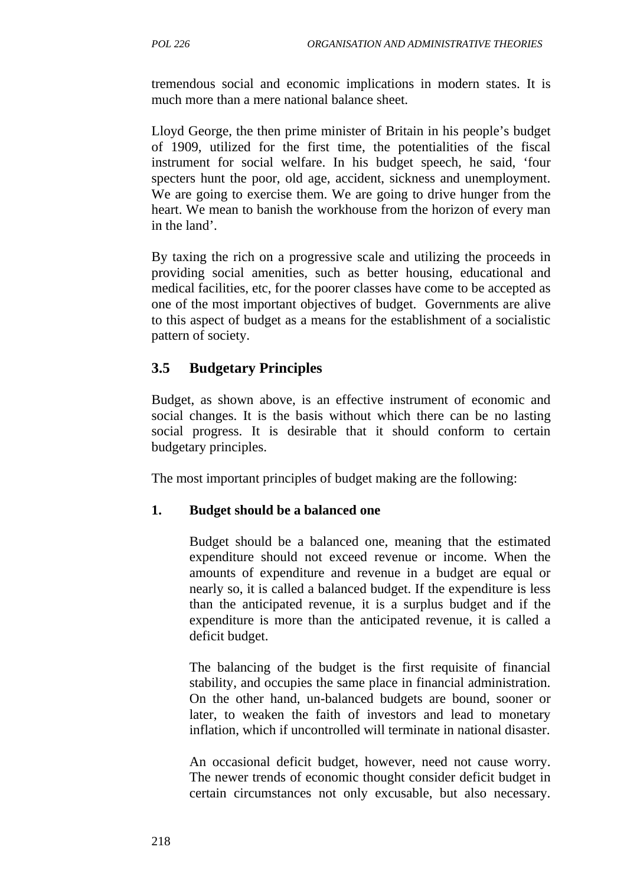tremendous social and economic implications in modern states. It is much more than a mere national balance sheet.

Lloyd George, the then prime minister of Britain in his people's budget of 1909, utilized for the first time, the potentialities of the fiscal instrument for social welfare. In his budget speech, he said, 'four specters hunt the poor, old age, accident, sickness and unemployment. We are going to exercise them. We are going to drive hunger from the heart. We mean to banish the workhouse from the horizon of every man in the land'.

By taxing the rich on a progressive scale and utilizing the proceeds in providing social amenities, such as better housing, educational and medical facilities, etc, for the poorer classes have come to be accepted as one of the most important objectives of budget. Governments are alive to this aspect of budget as a means for the establishment of a socialistic pattern of society.

## **3.5 Budgetary Principles**

Budget, as shown above, is an effective instrument of economic and social changes. It is the basis without which there can be no lasting social progress. It is desirable that it should conform to certain budgetary principles.

The most important principles of budget making are the following:

#### **1. Budget should be a balanced one**

Budget should be a balanced one, meaning that the estimated expenditure should not exceed revenue or income. When the amounts of expenditure and revenue in a budget are equal or nearly so, it is called a balanced budget. If the expenditure is less than the anticipated revenue, it is a surplus budget and if the expenditure is more than the anticipated revenue, it is called a deficit budget.

The balancing of the budget is the first requisite of financial stability, and occupies the same place in financial administration. On the other hand, un-balanced budgets are bound, sooner or later, to weaken the faith of investors and lead to monetary inflation, which if uncontrolled will terminate in national disaster.

An occasional deficit budget, however, need not cause worry. The newer trends of economic thought consider deficit budget in certain circumstances not only excusable, but also necessary.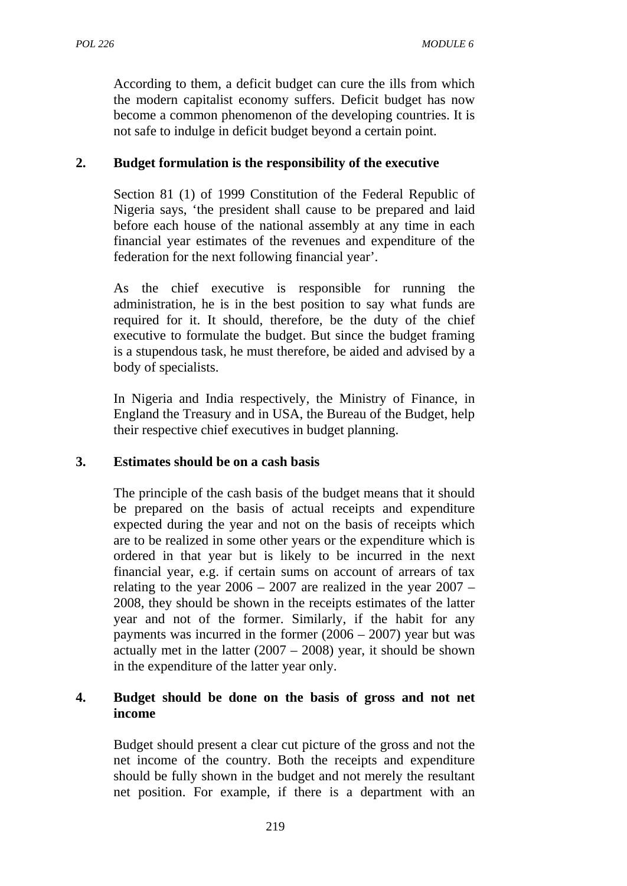According to them, a deficit budget can cure the ills from which the modern capitalist economy suffers. Deficit budget has now become a common phenomenon of the developing countries. It is not safe to indulge in deficit budget beyond a certain point.

#### **2. Budget formulation is the responsibility of the executive**

Section 81 (1) of 1999 Constitution of the Federal Republic of Nigeria says, 'the president shall cause to be prepared and laid before each house of the national assembly at any time in each financial year estimates of the revenues and expenditure of the federation for the next following financial year'.

As the chief executive is responsible for running the administration, he is in the best position to say what funds are required for it. It should, therefore, be the duty of the chief executive to formulate the budget. But since the budget framing is a stupendous task, he must therefore, be aided and advised by a body of specialists.

In Nigeria and India respectively, the Ministry of Finance, in England the Treasury and in USA, the Bureau of the Budget, help their respective chief executives in budget planning.

#### **3. Estimates should be on a cash basis**

The principle of the cash basis of the budget means that it should be prepared on the basis of actual receipts and expenditure expected during the year and not on the basis of receipts which are to be realized in some other years or the expenditure which is ordered in that year but is likely to be incurred in the next financial year, e.g. if certain sums on account of arrears of tax relating to the year  $2006 - 2007$  are realized in the year  $2007 -$ 2008, they should be shown in the receipts estimates of the latter year and not of the former. Similarly, if the habit for any payments was incurred in the former  $(2006 – 2007)$  year but was actually met in the latter  $(2007 – 2008)$  year, it should be shown in the expenditure of the latter year only.

#### **4. Budget should be done on the basis of gross and not net income**

Budget should present a clear cut picture of the gross and not the net income of the country. Both the receipts and expenditure should be fully shown in the budget and not merely the resultant net position. For example, if there is a department with an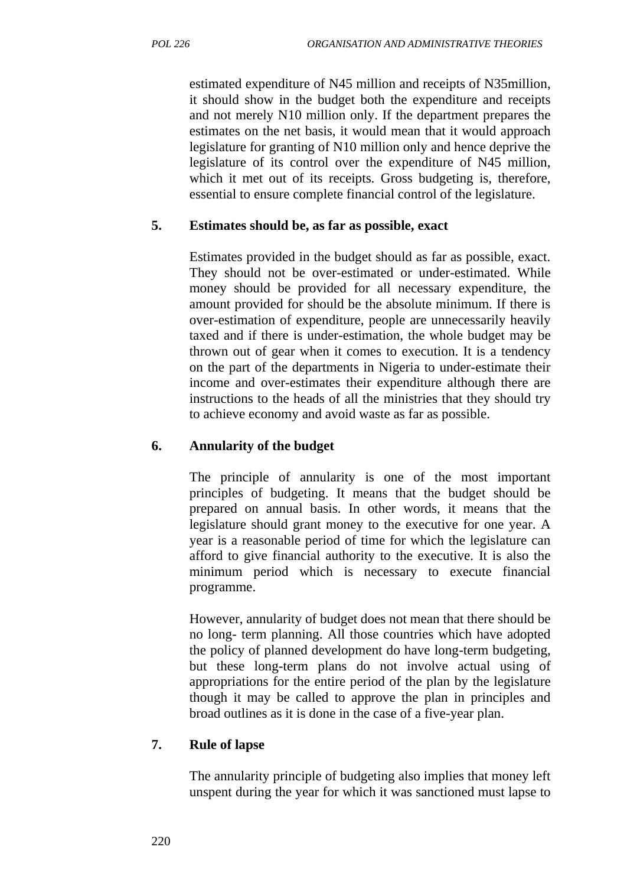estimated expenditure of N45 million and receipts of N35million, it should show in the budget both the expenditure and receipts and not merely N10 million only. If the department prepares the estimates on the net basis, it would mean that it would approach legislature for granting of N10 million only and hence deprive the legislature of its control over the expenditure of N45 million, which it met out of its receipts. Gross budgeting is, therefore, essential to ensure complete financial control of the legislature.

### **5. Estimates should be, as far as possible, exact**

Estimates provided in the budget should as far as possible, exact. They should not be over-estimated or under-estimated. While money should be provided for all necessary expenditure, the amount provided for should be the absolute minimum. If there is over-estimation of expenditure, people are unnecessarily heavily taxed and if there is under-estimation, the whole budget may be thrown out of gear when it comes to execution. It is a tendency on the part of the departments in Nigeria to under-estimate their income and over-estimates their expenditure although there are instructions to the heads of all the ministries that they should try to achieve economy and avoid waste as far as possible.

### **6. Annularity of the budget**

The principle of annularity is one of the most important principles of budgeting. It means that the budget should be prepared on annual basis. In other words, it means that the legislature should grant money to the executive for one year. A year is a reasonable period of time for which the legislature can afford to give financial authority to the executive. It is also the minimum period which is necessary to execute financial programme.

However, annularity of budget does not mean that there should be no long- term planning. All those countries which have adopted the policy of planned development do have long-term budgeting, but these long-term plans do not involve actual using of appropriations for the entire period of the plan by the legislature though it may be called to approve the plan in principles and broad outlines as it is done in the case of a five-year plan.

#### **7. Rule of lapse**

The annularity principle of budgeting also implies that money left unspent during the year for which it was sanctioned must lapse to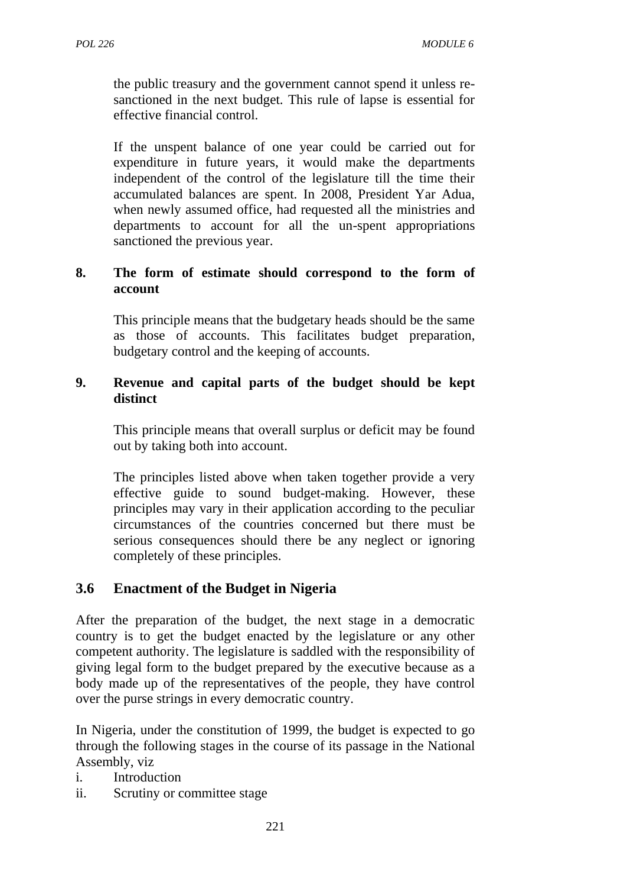the public treasury and the government cannot spend it unless resanctioned in the next budget. This rule of lapse is essential for effective financial control.

If the unspent balance of one year could be carried out for expenditure in future years, it would make the departments independent of the control of the legislature till the time their accumulated balances are spent. In 2008, President Yar Adua, when newly assumed office, had requested all the ministries and departments to account for all the un-spent appropriations sanctioned the previous year.

#### **8. The form of estimate should correspond to the form of account**

This principle means that the budgetary heads should be the same as those of accounts. This facilitates budget preparation, budgetary control and the keeping of accounts.

#### **9. Revenue and capital parts of the budget should be kept distinct**

This principle means that overall surplus or deficit may be found out by taking both into account.

The principles listed above when taken together provide a very effective guide to sound budget-making. However, these principles may vary in their application according to the peculiar circumstances of the countries concerned but there must be serious consequences should there be any neglect or ignoring completely of these principles.

### **3.6 Enactment of the Budget in Nigeria**

After the preparation of the budget, the next stage in a democratic country is to get the budget enacted by the legislature or any other competent authority. The legislature is saddled with the responsibility of giving legal form to the budget prepared by the executive because as a body made up of the representatives of the people, they have control over the purse strings in every democratic country.

In Nigeria, under the constitution of 1999, the budget is expected to go through the following stages in the course of its passage in the National Assembly, viz

- i. Introduction
- ii. Scrutiny or committee stage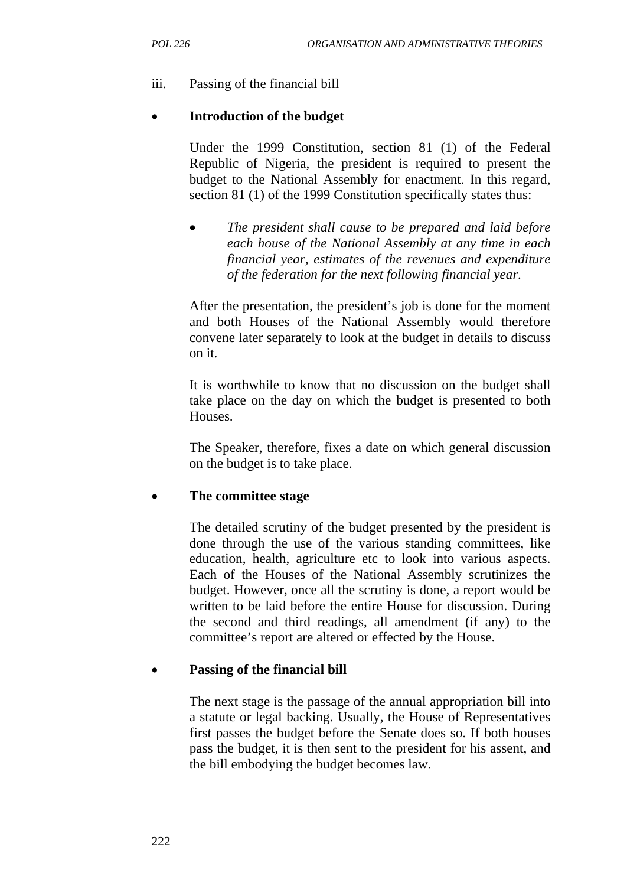### iii. Passing of the financial bill

#### • **Introduction of the budget**

Under the 1999 Constitution, section 81 (1) of the Federal Republic of Nigeria, the president is required to present the budget to the National Assembly for enactment. In this regard, section 81 (1) of the 1999 Constitution specifically states thus:

• *The president shall cause to be prepared and laid before each house of the National Assembly at any time in each financial year, estimates of the revenues and expenditure of the federation for the next following financial year.*

After the presentation, the president's job is done for the moment and both Houses of the National Assembly would therefore convene later separately to look at the budget in details to discuss on it.

It is worthwhile to know that no discussion on the budget shall take place on the day on which the budget is presented to both Houses.

The Speaker, therefore, fixes a date on which general discussion on the budget is to take place.

#### • **The committee stage**

The detailed scrutiny of the budget presented by the president is done through the use of the various standing committees, like education, health, agriculture etc to look into various aspects. Each of the Houses of the National Assembly scrutinizes the budget. However, once all the scrutiny is done, a report would be written to be laid before the entire House for discussion. During the second and third readings, all amendment (if any) to the committee's report are altered or effected by the House.

#### • **Passing of the financial bill**

The next stage is the passage of the annual appropriation bill into a statute or legal backing. Usually, the House of Representatives first passes the budget before the Senate does so. If both houses pass the budget, it is then sent to the president for his assent, and the bill embodying the budget becomes law.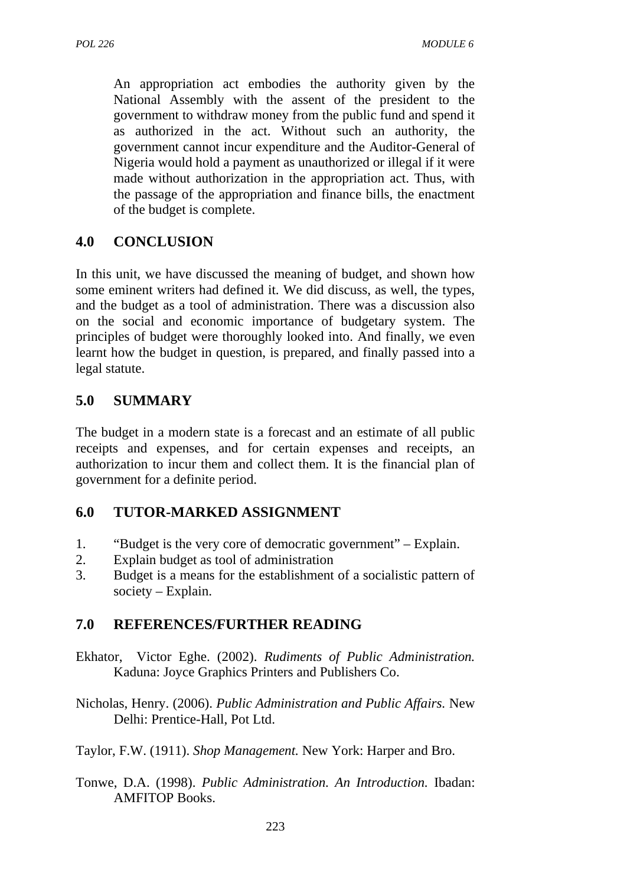An appropriation act embodies the authority given by the National Assembly with the assent of the president to the government to withdraw money from the public fund and spend it as authorized in the act. Without such an authority, the government cannot incur expenditure and the Auditor-General of Nigeria would hold a payment as unauthorized or illegal if it were made without authorization in the appropriation act. Thus, with the passage of the appropriation and finance bills, the enactment of the budget is complete.

### **4.0 CONCLUSION**

In this unit, we have discussed the meaning of budget, and shown how some eminent writers had defined it. We did discuss, as well, the types, and the budget as a tool of administration. There was a discussion also on the social and economic importance of budgetary system. The principles of budget were thoroughly looked into. And finally, we even learnt how the budget in question, is prepared, and finally passed into a legal statute.

### **5.0 SUMMARY**

The budget in a modern state is a forecast and an estimate of all public receipts and expenses, and for certain expenses and receipts, an authorization to incur them and collect them. It is the financial plan of government for a definite period.

### **6.0 TUTOR-MARKED ASSIGNMENT**

- 1. "Budget is the very core of democratic government" Explain.
- 2. Explain budget as tool of administration
- 3. Budget is a means for the establishment of a socialistic pattern of society – Explain.

- Ekhator, Victor Eghe. (2002). *Rudiments of Public Administration.* Kaduna: Joyce Graphics Printers and Publishers Co.
- Nicholas, Henry. (2006). *Public Administration and Public Affairs.* New Delhi: Prentice-Hall, Pot Ltd.
- Taylor, F.W. (1911). *Shop Management.* New York: Harper and Bro.
- Tonwe, D.A. (1998). *Public Administration. An Introduction.* Ibadan: AMFITOP Books.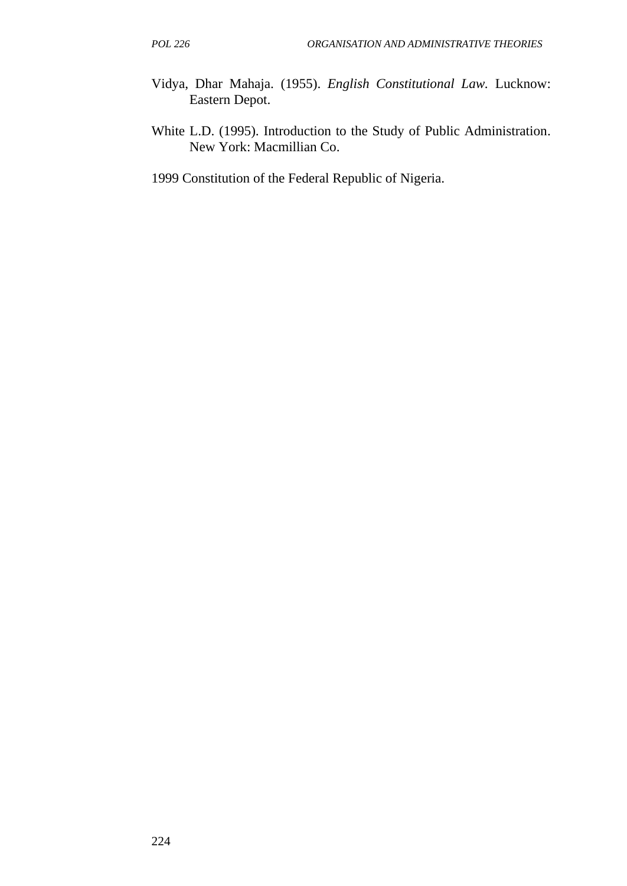- Vidya, Dhar Mahaja. (1955). *English Constitutional Law.* Lucknow: Eastern Depot.
- White L.D. (1995). Introduction to the Study of Public Administration. New York: Macmillian Co.
- 1999 Constitution of the Federal Republic of Nigeria.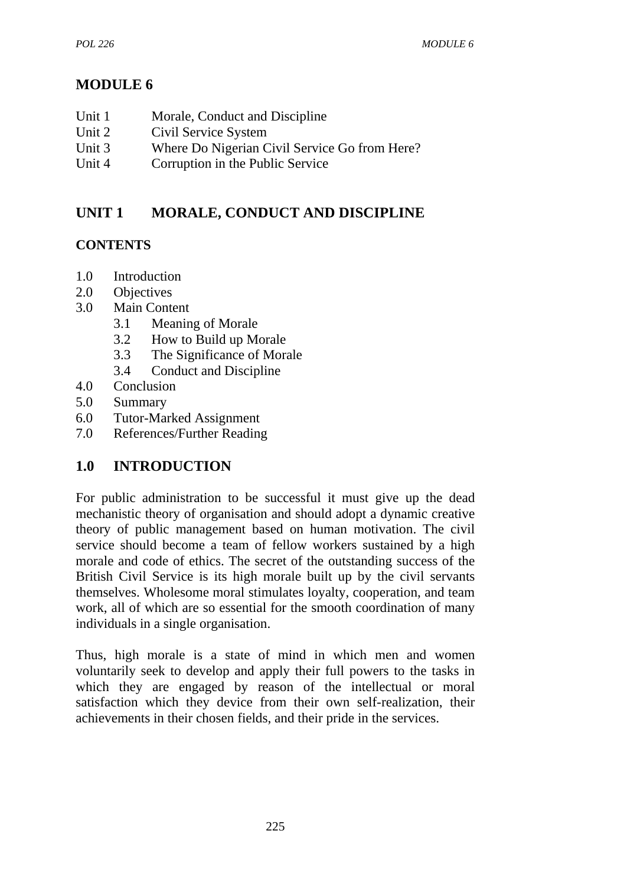# **MODULE 6**

| Unit 1 | Morale, Conduct and Discipline                |
|--------|-----------------------------------------------|
| Unit 2 | Civil Service System                          |
| Unit 3 | Where Do Nigerian Civil Service Go from Here? |
| Unit 4 | Corruption in the Public Service              |
|        |                                               |

# **UNIT 1 MORALE, CONDUCT AND DISCIPLINE**

### **CONTENTS**

- 1.0 Introduction
- 2.0 Objectives
- 3.0 Main Content
	- 3.1 Meaning of Morale
	- 3.2 How to Build up Morale
	- 3.3 The Significance of Morale
	- 3.4 Conduct and Discipline
- 4.0 Conclusion
- 5.0 Summary
- 6.0 Tutor-Marked Assignment
- 7.0 References/Further Reading

## **1.0 INTRODUCTION**

For public administration to be successful it must give up the dead mechanistic theory of organisation and should adopt a dynamic creative theory of public management based on human motivation. The civil service should become a team of fellow workers sustained by a high morale and code of ethics. The secret of the outstanding success of the British Civil Service is its high morale built up by the civil servants themselves. Wholesome moral stimulates loyalty, cooperation, and team work, all of which are so essential for the smooth coordination of many individuals in a single organisation.

Thus, high morale is a state of mind in which men and women voluntarily seek to develop and apply their full powers to the tasks in which they are engaged by reason of the intellectual or moral satisfaction which they device from their own self-realization, their achievements in their chosen fields, and their pride in the services.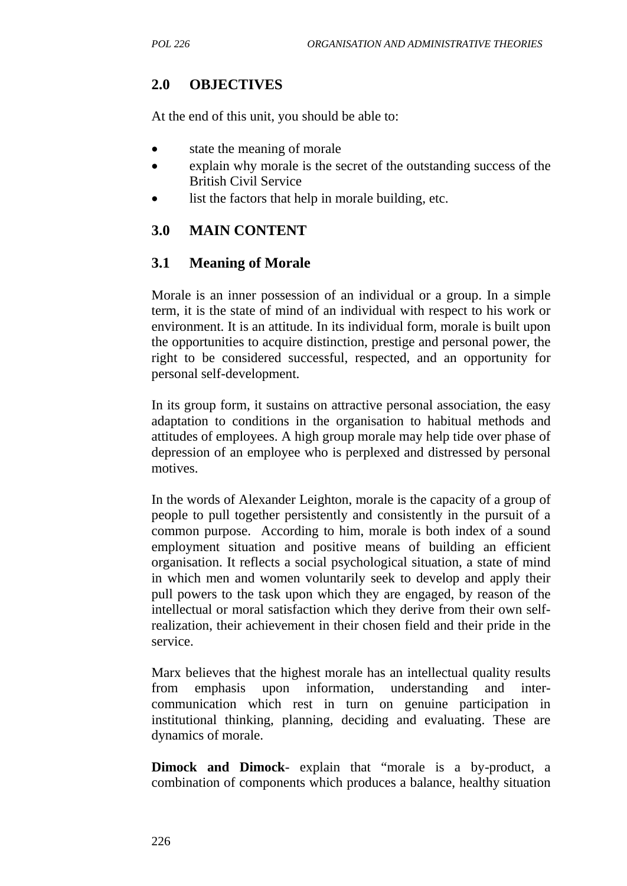### **2.0 OBJECTIVES**

At the end of this unit, you should be able to:

- state the meaning of morale
- explain why morale is the secret of the outstanding success of the British Civil Service
- list the factors that help in morale building, etc.

#### **3.0 MAIN CONTENT**

#### **3.1 Meaning of Morale**

Morale is an inner possession of an individual or a group. In a simple term, it is the state of mind of an individual with respect to his work or environment. It is an attitude. In its individual form, morale is built upon the opportunities to acquire distinction, prestige and personal power, the right to be considered successful, respected, and an opportunity for personal self-development.

In its group form, it sustains on attractive personal association, the easy adaptation to conditions in the organisation to habitual methods and attitudes of employees. A high group morale may help tide over phase of depression of an employee who is perplexed and distressed by personal motives.

In the words of Alexander Leighton, morale is the capacity of a group of people to pull together persistently and consistently in the pursuit of a common purpose. According to him, morale is both index of a sound employment situation and positive means of building an efficient organisation. It reflects a social psychological situation, a state of mind in which men and women voluntarily seek to develop and apply their pull powers to the task upon which they are engaged, by reason of the intellectual or moral satisfaction which they derive from their own selfrealization, their achievement in their chosen field and their pride in the service.

Marx believes that the highest morale has an intellectual quality results from emphasis upon information, understanding and intercommunication which rest in turn on genuine participation in institutional thinking, planning, deciding and evaluating. These are dynamics of morale.

**Dimock and Dimock**- explain that "morale is a by-product, a combination of components which produces a balance, healthy situation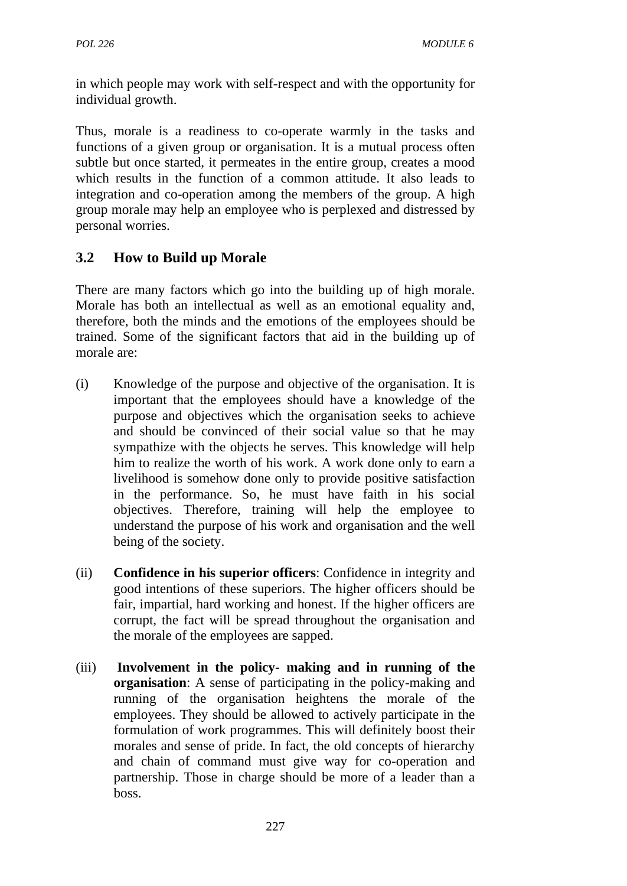in which people may work with self-respect and with the opportunity for individual growth.

Thus, morale is a readiness to co-operate warmly in the tasks and functions of a given group or organisation. It is a mutual process often subtle but once started, it permeates in the entire group, creates a mood which results in the function of a common attitude. It also leads to integration and co-operation among the members of the group. A high group morale may help an employee who is perplexed and distressed by personal worries.

# **3.2 How to Build up Morale**

There are many factors which go into the building up of high morale. Morale has both an intellectual as well as an emotional equality and, therefore, both the minds and the emotions of the employees should be trained. Some of the significant factors that aid in the building up of morale are:

- (i) Knowledge of the purpose and objective of the organisation. It is important that the employees should have a knowledge of the purpose and objectives which the organisation seeks to achieve and should be convinced of their social value so that he may sympathize with the objects he serves. This knowledge will help him to realize the worth of his work. A work done only to earn a livelihood is somehow done only to provide positive satisfaction in the performance. So, he must have faith in his social objectives. Therefore, training will help the employee to understand the purpose of his work and organisation and the well being of the society.
- (ii) **Confidence in his superior officers**: Confidence in integrity and good intentions of these superiors. The higher officers should be fair, impartial, hard working and honest. If the higher officers are corrupt, the fact will be spread throughout the organisation and the morale of the employees are sapped.
- (iii) **Involvement in the policy- making and in running of the organisation**: A sense of participating in the policy-making and running of the organisation heightens the morale of the employees. They should be allowed to actively participate in the formulation of work programmes. This will definitely boost their morales and sense of pride. In fact, the old concepts of hierarchy and chain of command must give way for co-operation and partnership. Those in charge should be more of a leader than a boss.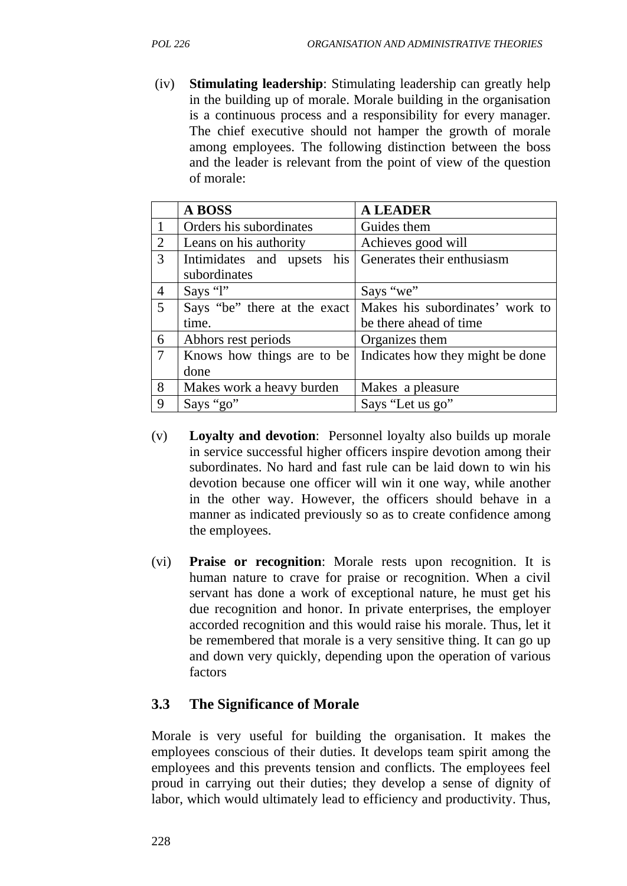(iv) **Stimulating leadership**: Stimulating leadership can greatly help in the building up of morale. Morale building in the organisation is a continuous process and a responsibility for every manager. The chief executive should not hamper the growth of morale among employees. The following distinction between the boss and the leader is relevant from the point of view of the question of morale:

|                | <b>A BOSS</b>                | <b>A LEADER</b>                  |
|----------------|------------------------------|----------------------------------|
|                | Orders his subordinates      | Guides them                      |
| $\overline{2}$ | Leans on his authority       | Achieves good will               |
| 3              | Intimidates and upsets his   | Generates their enthusiasm       |
|                | subordinates                 |                                  |
| $\overline{4}$ | Says "l"                     | Says "we"                        |
| 5              | Says "be" there at the exact | Makes his subordinates' work to  |
|                | time.                        | be there ahead of time           |
| 6              | Abhors rest periods          | Organizes them                   |
| 7              | Knows how things are to be   | Indicates how they might be done |
|                | done                         |                                  |
| 8              | Makes work a heavy burden    | Makes a pleasure                 |
| 9              | Says "go"                    | Says "Let us go"                 |

- (v) **Loyalty and devotion**: Personnel loyalty also builds up morale in service successful higher officers inspire devotion among their subordinates. No hard and fast rule can be laid down to win his devotion because one officer will win it one way, while another in the other way. However, the officers should behave in a manner as indicated previously so as to create confidence among the employees.
- (vi) **Praise or recognition**: Morale rests upon recognition. It is human nature to crave for praise or recognition. When a civil servant has done a work of exceptional nature, he must get his due recognition and honor. In private enterprises, the employer accorded recognition and this would raise his morale. Thus, let it be remembered that morale is a very sensitive thing. It can go up and down very quickly, depending upon the operation of various factors

## **3.3 The Significance of Morale**

Morale is very useful for building the organisation. It makes the employees conscious of their duties. It develops team spirit among the employees and this prevents tension and conflicts. The employees feel proud in carrying out their duties; they develop a sense of dignity of labor, which would ultimately lead to efficiency and productivity. Thus,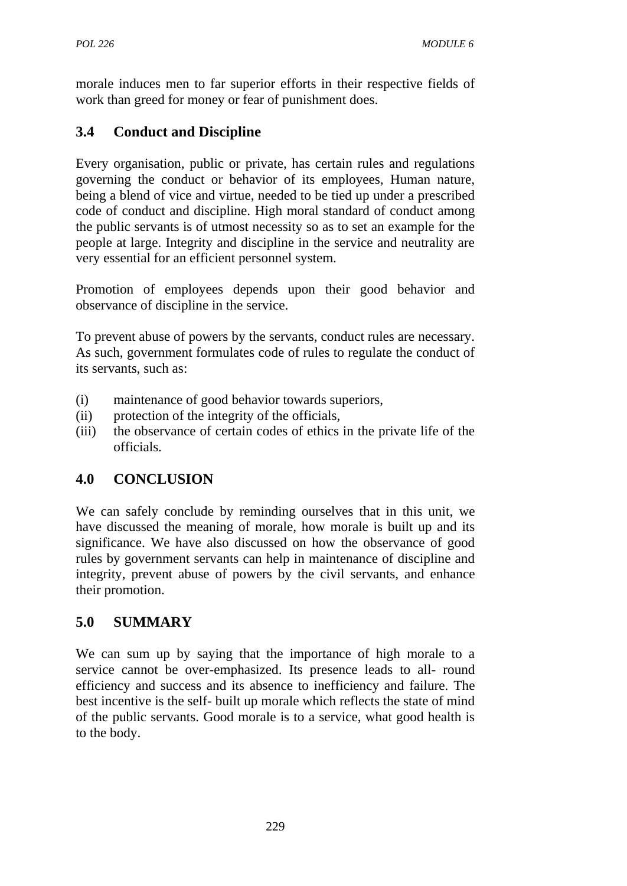morale induces men to far superior efforts in their respective fields of work than greed for money or fear of punishment does.

# **3.4 Conduct and Discipline**

Every organisation, public or private, has certain rules and regulations governing the conduct or behavior of its employees, Human nature, being a blend of vice and virtue, needed to be tied up under a prescribed code of conduct and discipline. High moral standard of conduct among the public servants is of utmost necessity so as to set an example for the people at large. Integrity and discipline in the service and neutrality are very essential for an efficient personnel system.

Promotion of employees depends upon their good behavior and observance of discipline in the service.

To prevent abuse of powers by the servants, conduct rules are necessary. As such, government formulates code of rules to regulate the conduct of its servants, such as:

- (i) maintenance of good behavior towards superiors,
- (ii) protection of the integrity of the officials,
- (iii) the observance of certain codes of ethics in the private life of the officials.

## **4.0 CONCLUSION**

We can safely conclude by reminding ourselves that in this unit, we have discussed the meaning of morale, how morale is built up and its significance. We have also discussed on how the observance of good rules by government servants can help in maintenance of discipline and integrity, prevent abuse of powers by the civil servants, and enhance their promotion.

## **5.0 SUMMARY**

We can sum up by saying that the importance of high morale to a service cannot be over-emphasized. Its presence leads to all- round efficiency and success and its absence to inefficiency and failure. The best incentive is the self- built up morale which reflects the state of mind of the public servants. Good morale is to a service, what good health is to the body.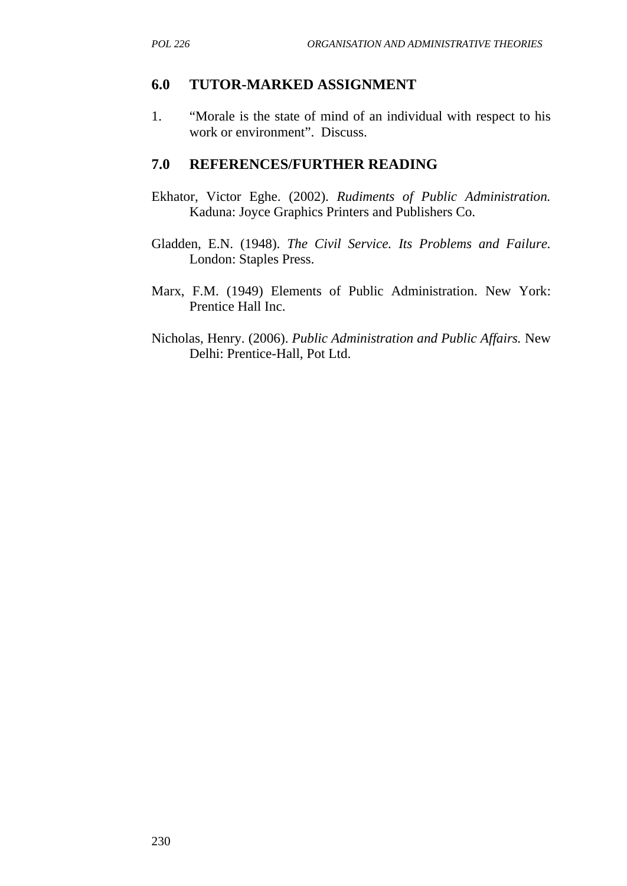#### **6.0 TUTOR-MARKED ASSIGNMENT**

1. "Morale is the state of mind of an individual with respect to his work or environment". Discuss.

- Ekhator, Victor Eghe. (2002). *Rudiments of Public Administration.* Kaduna: Joyce Graphics Printers and Publishers Co.
- Gladden, E.N. (1948). *The Civil Service. Its Problems and Failure.* London: Staples Press.
- Marx, F.M. (1949) Elements of Public Administration. New York: Prentice Hall Inc.
- Nicholas, Henry. (2006). *Public Administration and Public Affairs.* New Delhi: Prentice-Hall, Pot Ltd.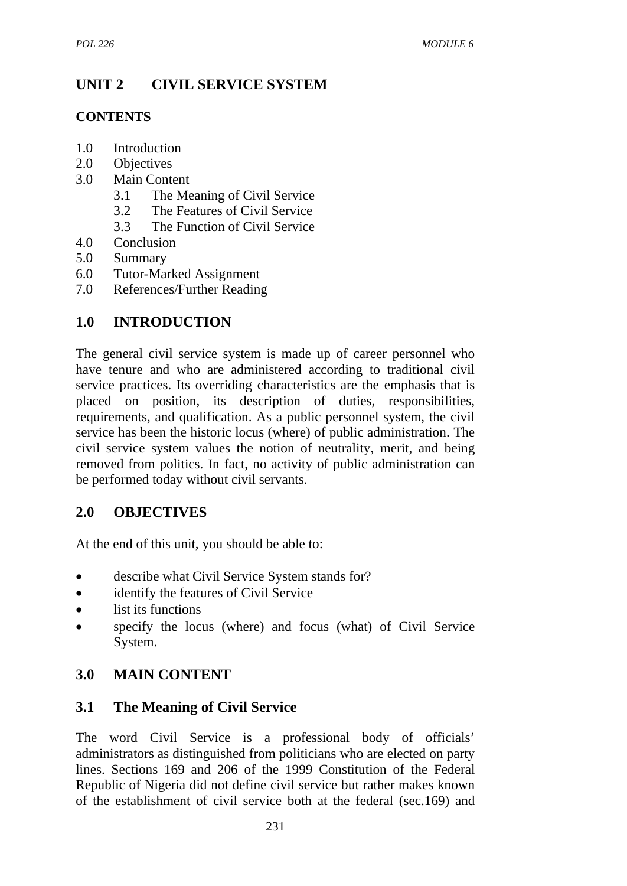# **UNIT 2 CIVIL SERVICE SYSTEM**

## **CONTENTS**

- 1.0 Introduction
- 2.0 Objectives
- 3.0 Main Content
	- 3.1 The Meaning of Civil Service
	- 3.2 The Features of Civil Service
	- 3.3 The Function of Civil Service
- 4.0 Conclusion
- 5.0 Summary
- 6.0 Tutor-Marked Assignment
- 7.0 References/Further Reading

# **1.0 INTRODUCTION**

The general civil service system is made up of career personnel who have tenure and who are administered according to traditional civil service practices. Its overriding characteristics are the emphasis that is placed on position, its description of duties, responsibilities, requirements, and qualification. As a public personnel system, the civil service has been the historic locus (where) of public administration. The civil service system values the notion of neutrality, merit, and being removed from politics. In fact, no activity of public administration can be performed today without civil servants.

## **2.0 OBJECTIVES**

At the end of this unit, you should be able to:

- describe what Civil Service System stands for?
- identify the features of Civil Service
- list its functions
- specify the locus (where) and focus (what) of Civil Service System.

# **3.0 MAIN CONTENT**

## **3.1 The Meaning of Civil Service**

The word Civil Service is a professional body of officials' administrators as distinguished from politicians who are elected on party lines. Sections 169 and 206 of the 1999 Constitution of the Federal Republic of Nigeria did not define civil service but rather makes known of the establishment of civil service both at the federal (sec.169) and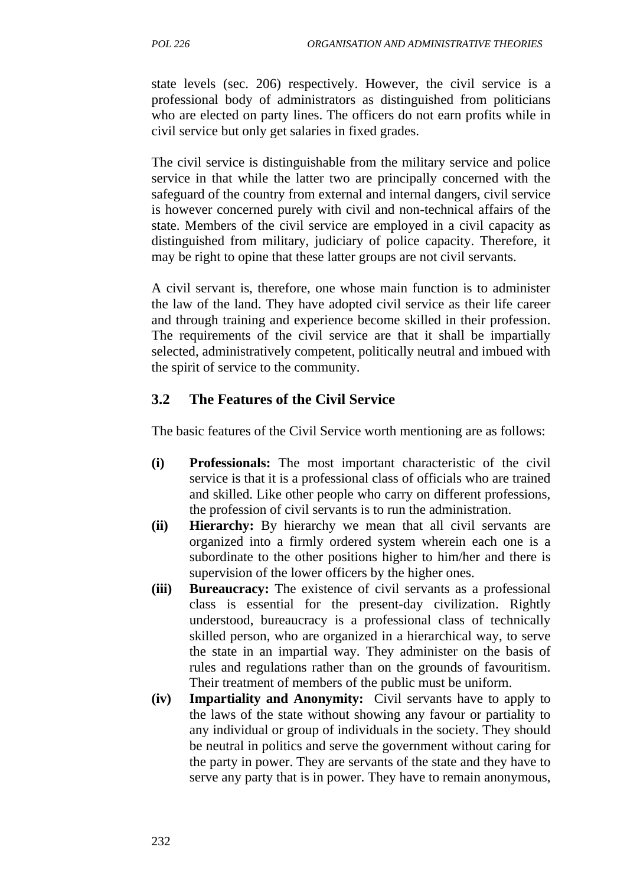state levels (sec. 206) respectively. However, the civil service is a professional body of administrators as distinguished from politicians who are elected on party lines. The officers do not earn profits while in civil service but only get salaries in fixed grades.

The civil service is distinguishable from the military service and police service in that while the latter two are principally concerned with the safeguard of the country from external and internal dangers, civil service is however concerned purely with civil and non-technical affairs of the state. Members of the civil service are employed in a civil capacity as distinguished from military, judiciary of police capacity. Therefore, it may be right to opine that these latter groups are not civil servants.

A civil servant is, therefore, one whose main function is to administer the law of the land. They have adopted civil service as their life career and through training and experience become skilled in their profession. The requirements of the civil service are that it shall be impartially selected, administratively competent, politically neutral and imbued with the spirit of service to the community.

### **3.2 The Features of the Civil Service**

The basic features of the Civil Service worth mentioning are as follows:

- **(i) Professionals:** The most important characteristic of the civil service is that it is a professional class of officials who are trained and skilled. Like other people who carry on different professions, the profession of civil servants is to run the administration.
- **(ii) Hierarchy:** By hierarchy we mean that all civil servants are organized into a firmly ordered system wherein each one is a subordinate to the other positions higher to him/her and there is supervision of the lower officers by the higher ones.
- **(iii) Bureaucracy:** The existence of civil servants as a professional class is essential for the present-day civilization. Rightly understood, bureaucracy is a professional class of technically skilled person, who are organized in a hierarchical way, to serve the state in an impartial way. They administer on the basis of rules and regulations rather than on the grounds of favouritism. Their treatment of members of the public must be uniform.
- **(iv) Impartiality and Anonymity:** Civil servants have to apply to the laws of the state without showing any favour or partiality to any individual or group of individuals in the society. They should be neutral in politics and serve the government without caring for the party in power. They are servants of the state and they have to serve any party that is in power. They have to remain anonymous,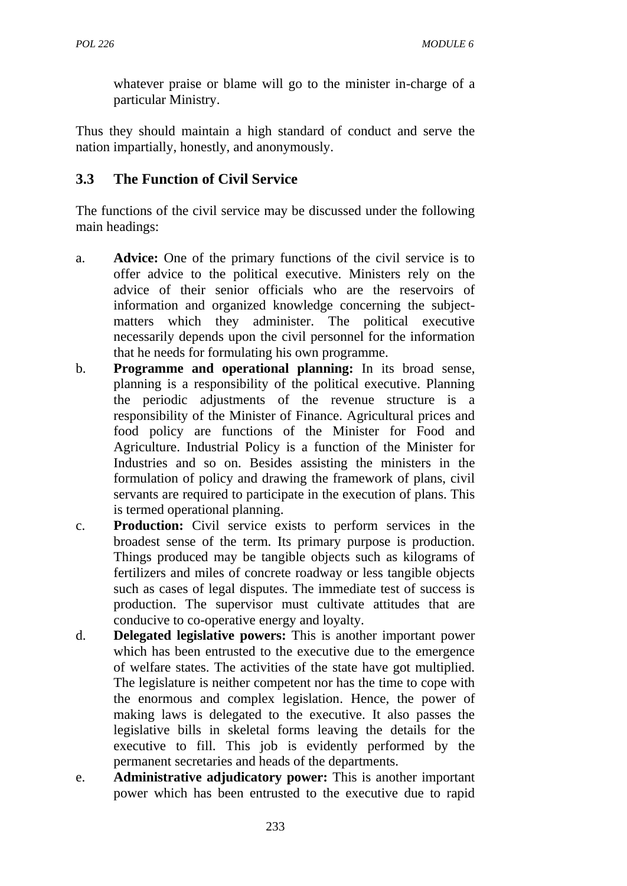whatever praise or blame will go to the minister in-charge of a particular Ministry.

Thus they should maintain a high standard of conduct and serve the nation impartially, honestly, and anonymously.

## **3.3 The Function of Civil Service**

The functions of the civil service may be discussed under the following main headings:

- a. **Advice:** One of the primary functions of the civil service is to offer advice to the political executive. Ministers rely on the advice of their senior officials who are the reservoirs of information and organized knowledge concerning the subjectmatters which they administer. The political executive necessarily depends upon the civil personnel for the information that he needs for formulating his own programme.
- b. **Programme and operational planning:** In its broad sense, planning is a responsibility of the political executive. Planning the periodic adjustments of the revenue structure is a responsibility of the Minister of Finance. Agricultural prices and food policy are functions of the Minister for Food and Agriculture. Industrial Policy is a function of the Minister for Industries and so on. Besides assisting the ministers in the formulation of policy and drawing the framework of plans, civil servants are required to participate in the execution of plans. This is termed operational planning.
- c. **Production:** Civil service exists to perform services in the broadest sense of the term. Its primary purpose is production. Things produced may be tangible objects such as kilograms of fertilizers and miles of concrete roadway or less tangible objects such as cases of legal disputes. The immediate test of success is production. The supervisor must cultivate attitudes that are conducive to co-operative energy and loyalty.
- d. **Delegated legislative powers:** This is another important power which has been entrusted to the executive due to the emergence of welfare states. The activities of the state have got multiplied. The legislature is neither competent nor has the time to cope with the enormous and complex legislation. Hence, the power of making laws is delegated to the executive. It also passes the legislative bills in skeletal forms leaving the details for the executive to fill. This job is evidently performed by the permanent secretaries and heads of the departments.
- e. **Administrative adjudicatory power:** This is another important power which has been entrusted to the executive due to rapid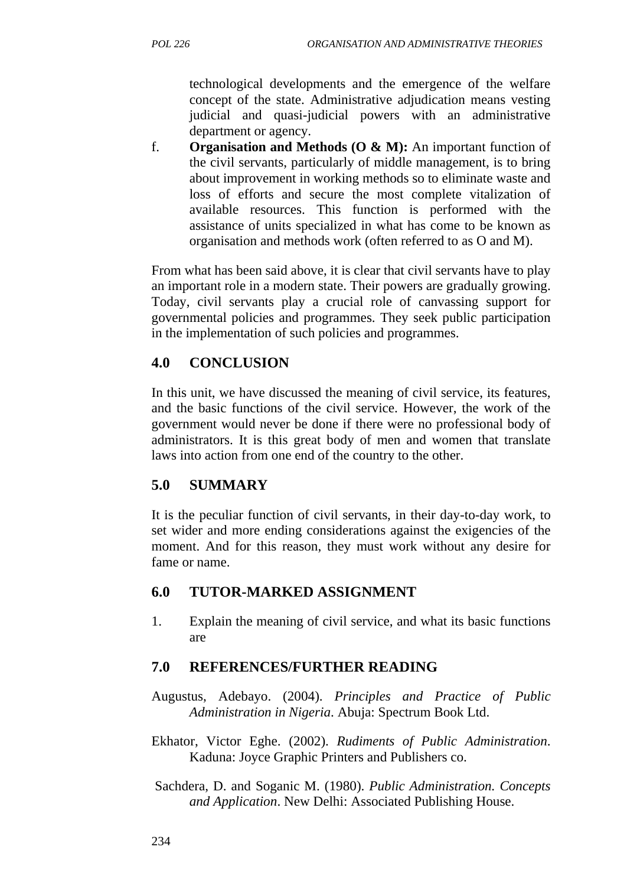technological developments and the emergence of the welfare concept of the state. Administrative adjudication means vesting judicial and quasi-judicial powers with an administrative department or agency.

f. **Organisation and Methods (O & M):** An important function of the civil servants, particularly of middle management, is to bring about improvement in working methods so to eliminate waste and loss of efforts and secure the most complete vitalization of available resources. This function is performed with the assistance of units specialized in what has come to be known as organisation and methods work (often referred to as O and M).

From what has been said above, it is clear that civil servants have to play an important role in a modern state. Their powers are gradually growing. Today, civil servants play a crucial role of canvassing support for governmental policies and programmes. They seek public participation in the implementation of such policies and programmes.

## **4.0 CONCLUSION**

In this unit, we have discussed the meaning of civil service, its features, and the basic functions of the civil service. However, the work of the government would never be done if there were no professional body of administrators. It is this great body of men and women that translate laws into action from one end of the country to the other.

## **5.0 SUMMARY**

It is the peculiar function of civil servants, in their day-to-day work, to set wider and more ending considerations against the exigencies of the moment. And for this reason, they must work without any desire for fame or name.

## **6.0 TUTOR-MARKED ASSIGNMENT**

1. Explain the meaning of civil service, and what its basic functions are

- Augustus, Adebayo. (2004). *Principles and Practice of Public Administration in Nigeria*. Abuja: Spectrum Book Ltd.
- Ekhator, Victor Eghe. (2002). *Rudiments of Public Administration*. Kaduna: Joyce Graphic Printers and Publishers co.
- Sachdera, D. and Soganic M. (1980). *Public Administration. Concepts and Application*. New Delhi: Associated Publishing House.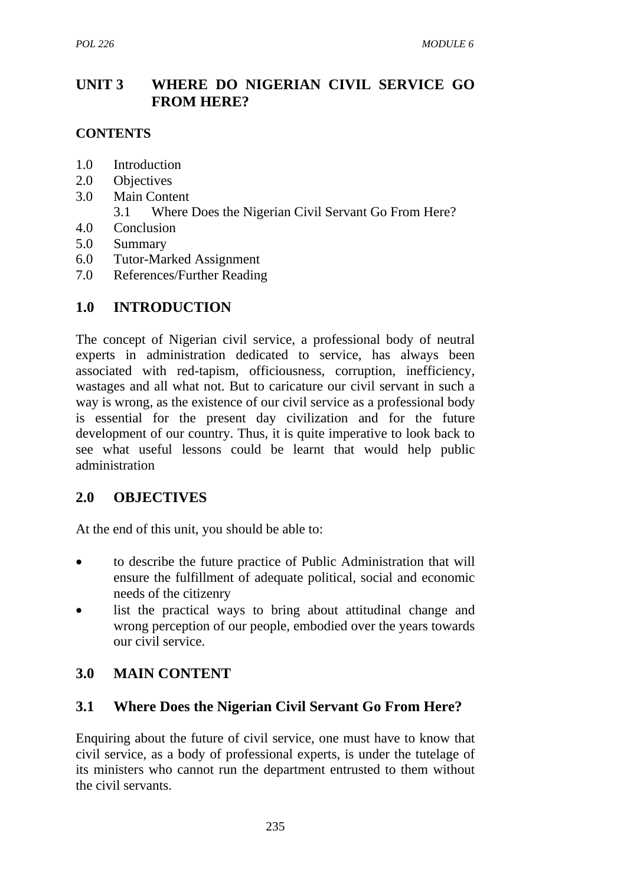## **UNIT 3 WHERE DO NIGERIAN CIVIL SERVICE GO FROM HERE?**

### **CONTENTS**

- 1.0 Introduction
- 2.0 Objectives
- 3.0 Main Content
	- 3.1 Where Does the Nigerian Civil Servant Go From Here?
- 4.0 Conclusion
- 5.0 Summary
- 6.0 Tutor-Marked Assignment
- 7.0 References/Further Reading

## **1.0 INTRODUCTION**

The concept of Nigerian civil service, a professional body of neutral experts in administration dedicated to service, has always been associated with red-tapism, officiousness, corruption, inefficiency, wastages and all what not. But to caricature our civil servant in such a way is wrong, as the existence of our civil service as a professional body is essential for the present day civilization and for the future development of our country. Thus, it is quite imperative to look back to see what useful lessons could be learnt that would help public administration

### **2.0 OBJECTIVES**

At the end of this unit, you should be able to:

- to describe the future practice of Public Administration that will ensure the fulfillment of adequate political, social and economic needs of the citizenry
- list the practical ways to bring about attitudinal change and wrong perception of our people, embodied over the years towards our civil service.

## **3.0 MAIN CONTENT**

### **3.1 Where Does the Nigerian Civil Servant Go From Here?**

Enquiring about the future of civil service, one must have to know that civil service, as a body of professional experts, is under the tutelage of its ministers who cannot run the department entrusted to them without the civil servants.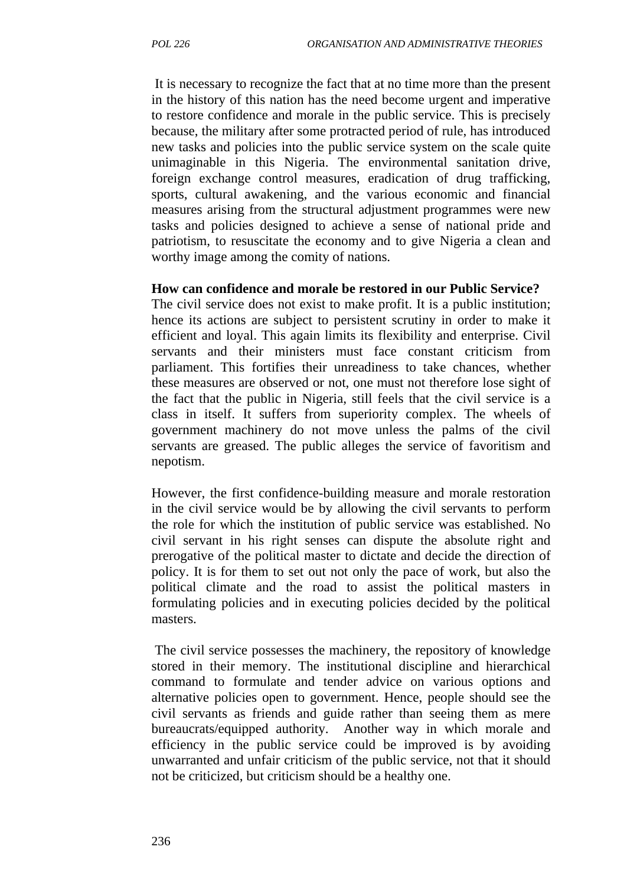It is necessary to recognize the fact that at no time more than the present in the history of this nation has the need become urgent and imperative to restore confidence and morale in the public service. This is precisely because, the military after some protracted period of rule, has introduced new tasks and policies into the public service system on the scale quite unimaginable in this Nigeria. The environmental sanitation drive, foreign exchange control measures, eradication of drug trafficking, sports, cultural awakening, and the various economic and financial measures arising from the structural adjustment programmes were new tasks and policies designed to achieve a sense of national pride and patriotism, to resuscitate the economy and to give Nigeria a clean and worthy image among the comity of nations.

#### **How can confidence and morale be restored in our Public Service?**

The civil service does not exist to make profit. It is a public institution; hence its actions are subject to persistent scrutiny in order to make it efficient and loyal. This again limits its flexibility and enterprise. Civil servants and their ministers must face constant criticism from parliament. This fortifies their unreadiness to take chances, whether these measures are observed or not, one must not therefore lose sight of the fact that the public in Nigeria, still feels that the civil service is a class in itself. It suffers from superiority complex. The wheels of government machinery do not move unless the palms of the civil servants are greased. The public alleges the service of favoritism and nepotism.

However, the first confidence-building measure and morale restoration in the civil service would be by allowing the civil servants to perform the role for which the institution of public service was established. No civil servant in his right senses can dispute the absolute right and prerogative of the political master to dictate and decide the direction of policy. It is for them to set out not only the pace of work, but also the political climate and the road to assist the political masters in formulating policies and in executing policies decided by the political masters.

The civil service possesses the machinery, the repository of knowledge stored in their memory. The institutional discipline and hierarchical command to formulate and tender advice on various options and alternative policies open to government. Hence, people should see the civil servants as friends and guide rather than seeing them as mere bureaucrats/equipped authority. Another way in which morale and efficiency in the public service could be improved is by avoiding unwarranted and unfair criticism of the public service, not that it should not be criticized, but criticism should be a healthy one.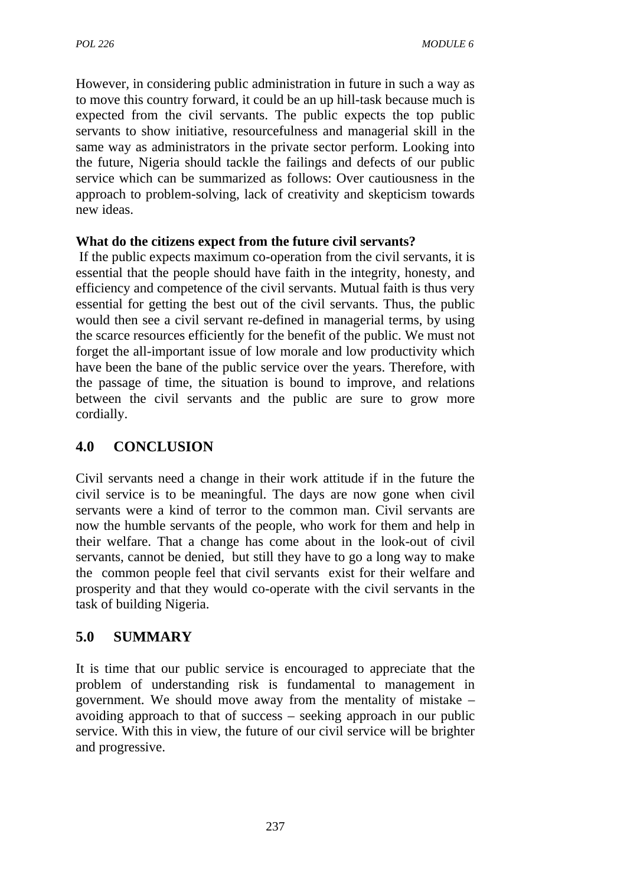However, in considering public administration in future in such a way as to move this country forward, it could be an up hill-task because much is expected from the civil servants. The public expects the top public servants to show initiative, resourcefulness and managerial skill in the same way as administrators in the private sector perform. Looking into the future, Nigeria should tackle the failings and defects of our public service which can be summarized as follows: Over cautiousness in the approach to problem-solving, lack of creativity and skepticism towards new ideas.

### **What do the citizens expect from the future civil servants?**

If the public expects maximum co-operation from the civil servants, it is essential that the people should have faith in the integrity, honesty, and efficiency and competence of the civil servants. Mutual faith is thus very essential for getting the best out of the civil servants. Thus, the public would then see a civil servant re-defined in managerial terms, by using the scarce resources efficiently for the benefit of the public. We must not forget the all-important issue of low morale and low productivity which have been the bane of the public service over the years. Therefore, with the passage of time, the situation is bound to improve, and relations between the civil servants and the public are sure to grow more cordially.

## **4.0 CONCLUSION**

Civil servants need a change in their work attitude if in the future the civil service is to be meaningful. The days are now gone when civil servants were a kind of terror to the common man. Civil servants are now the humble servants of the people, who work for them and help in their welfare. That a change has come about in the look-out of civil servants, cannot be denied, but still they have to go a long way to make the common people feel that civil servants exist for their welfare and prosperity and that they would co-operate with the civil servants in the task of building Nigeria.

### **5.0 SUMMARY**

It is time that our public service is encouraged to appreciate that the problem of understanding risk is fundamental to management in government. We should move away from the mentality of mistake – avoiding approach to that of success – seeking approach in our public service. With this in view, the future of our civil service will be brighter and progressive.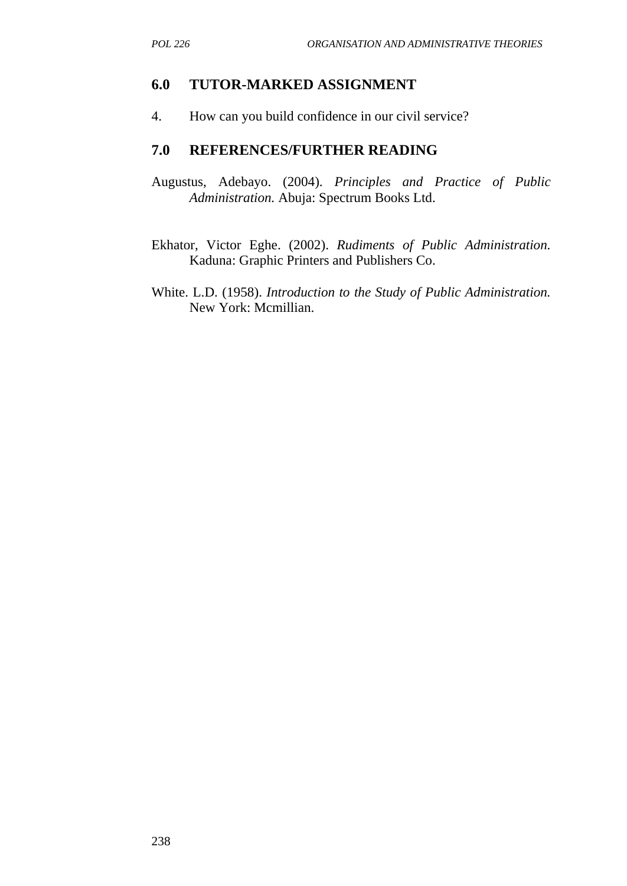#### **6.0 TUTOR-MARKED ASSIGNMENT**

4. How can you build confidence in our civil service?

- Augustus, Adebayo. (2004). *Principles and Practice of Public Administration.* Abuja: Spectrum Books Ltd.
- Ekhator, Victor Eghe. (2002). *Rudiments of Public Administration.* Kaduna: Graphic Printers and Publishers Co.
- White. L.D. (1958). *Introduction to the Study of Public Administration.* New York: Mcmillian.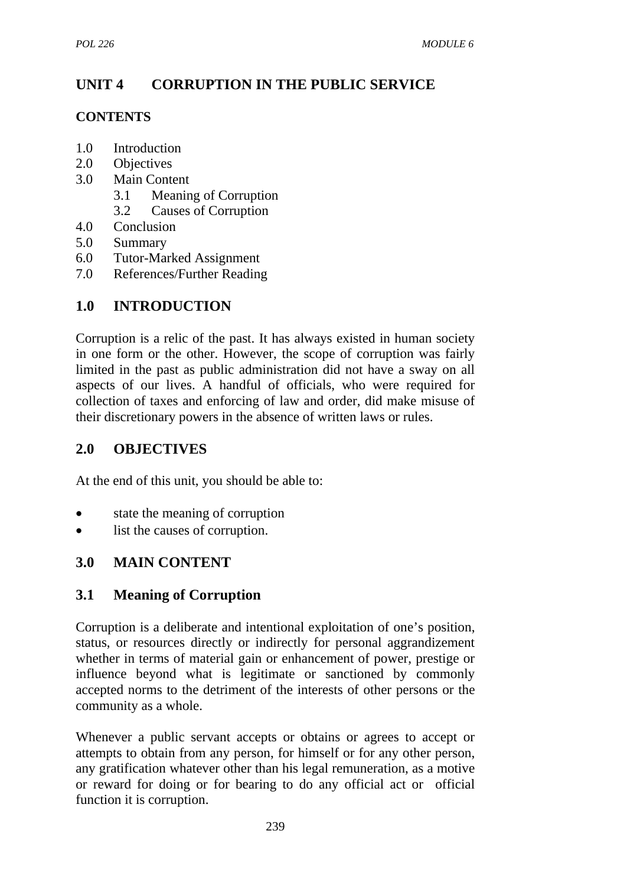# **UNIT 4 CORRUPTION IN THE PUBLIC SERVICE**

### **CONTENTS**

- 1.0 Introduction
- 2.0 Objectives
- 3.0 Main Content
	- 3.1 Meaning of Corruption
	- 3.2 Causes of Corruption
- 4.0 Conclusion
- 5.0 Summary
- 6.0 Tutor-Marked Assignment
- 7.0 References/Further Reading

# **1.0 INTRODUCTION**

Corruption is a relic of the past. It has always existed in human society in one form or the other. However, the scope of corruption was fairly limited in the past as public administration did not have a sway on all aspects of our lives. A handful of officials, who were required for collection of taxes and enforcing of law and order, did make misuse of their discretionary powers in the absence of written laws or rules.

# **2.0 OBJECTIVES**

At the end of this unit, you should be able to:

- state the meaning of corruption
- list the causes of corruption.

## **3.0 MAIN CONTENT**

## **3.1 Meaning of Corruption**

Corruption is a deliberate and intentional exploitation of one's position, status, or resources directly or indirectly for personal aggrandizement whether in terms of material gain or enhancement of power, prestige or influence beyond what is legitimate or sanctioned by commonly accepted norms to the detriment of the interests of other persons or the community as a whole.

Whenever a public servant accepts or obtains or agrees to accept or attempts to obtain from any person, for himself or for any other person, any gratification whatever other than his legal remuneration, as a motive or reward for doing or for bearing to do any official act or official function it is corruption.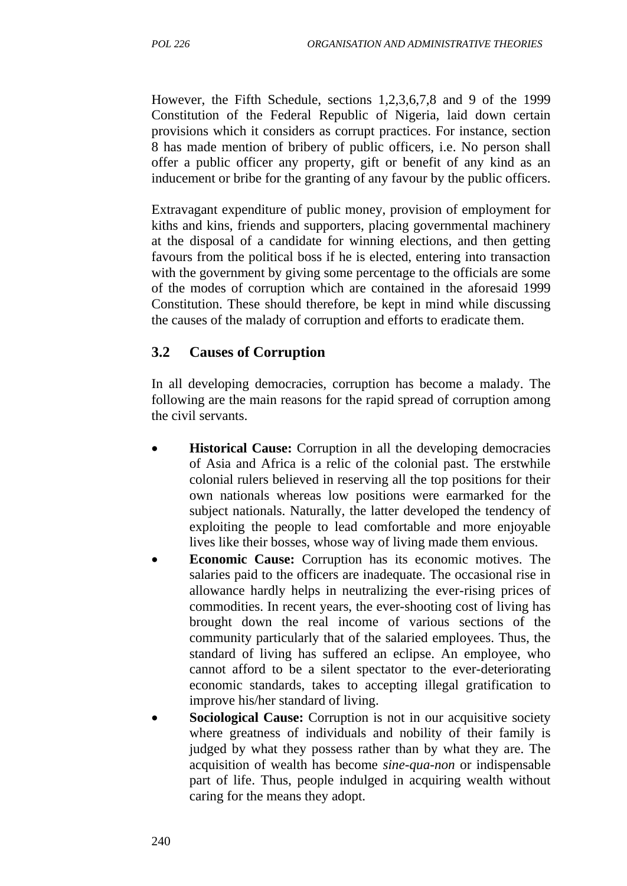However, the Fifth Schedule, sections 1,2,3,6,7,8 and 9 of the 1999 Constitution of the Federal Republic of Nigeria, laid down certain provisions which it considers as corrupt practices. For instance, section 8 has made mention of bribery of public officers, i.e. No person shall offer a public officer any property, gift or benefit of any kind as an inducement or bribe for the granting of any favour by the public officers.

Extravagant expenditure of public money, provision of employment for kiths and kins, friends and supporters, placing governmental machinery at the disposal of a candidate for winning elections, and then getting favours from the political boss if he is elected, entering into transaction with the government by giving some percentage to the officials are some of the modes of corruption which are contained in the aforesaid 1999 Constitution. These should therefore, be kept in mind while discussing the causes of the malady of corruption and efforts to eradicate them.

## **3.2 Causes of Corruption**

In all developing democracies, corruption has become a malady. The following are the main reasons for the rapid spread of corruption among the civil servants.

- **Historical Cause:** Corruption in all the developing democracies of Asia and Africa is a relic of the colonial past. The erstwhile colonial rulers believed in reserving all the top positions for their own nationals whereas low positions were earmarked for the subject nationals. Naturally, the latter developed the tendency of exploiting the people to lead comfortable and more enjoyable lives like their bosses, whose way of living made them envious.
- **Economic Cause:** Corruption has its economic motives. The salaries paid to the officers are inadequate. The occasional rise in allowance hardly helps in neutralizing the ever-rising prices of commodities. In recent years, the ever-shooting cost of living has brought down the real income of various sections of the community particularly that of the salaried employees. Thus, the standard of living has suffered an eclipse. An employee, who cannot afford to be a silent spectator to the ever-deteriorating economic standards, takes to accepting illegal gratification to improve his/her standard of living.
- **Sociological Cause:** Corruption is not in our acquisitive society where greatness of individuals and nobility of their family is judged by what they possess rather than by what they are. The acquisition of wealth has become *sine-qua-non* or indispensable part of life. Thus, people indulged in acquiring wealth without caring for the means they adopt.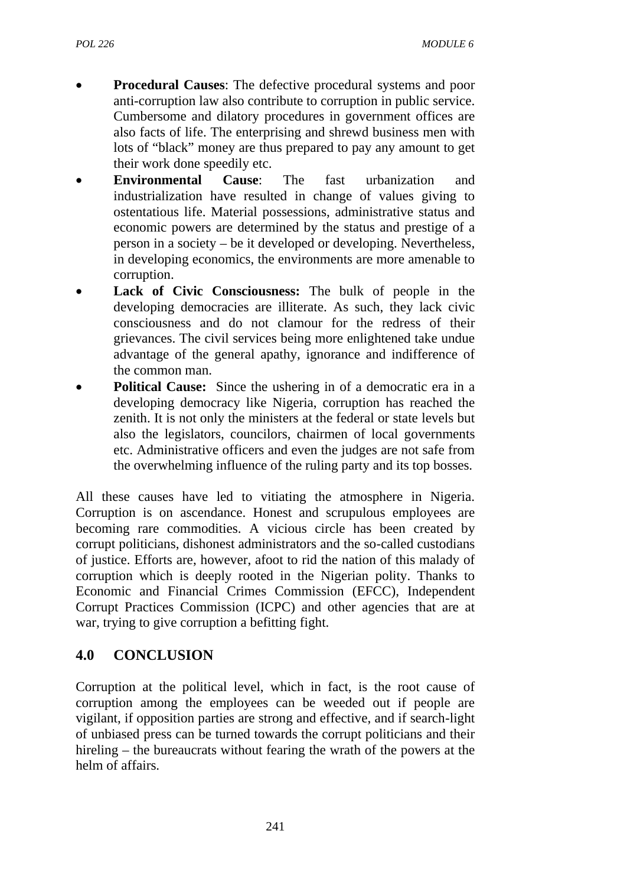- **Procedural Causes**: The defective procedural systems and poor anti-corruption law also contribute to corruption in public service. Cumbersome and dilatory procedures in government offices are also facts of life. The enterprising and shrewd business men with lots of "black" money are thus prepared to pay any amount to get their work done speedily etc.
- **Environmental Cause**: The fast urbanization and industrialization have resulted in change of values giving to ostentatious life. Material possessions, administrative status and economic powers are determined by the status and prestige of a person in a society – be it developed or developing. Nevertheless, in developing economics, the environments are more amenable to corruption.
- Lack of Civic Consciousness: The bulk of people in the developing democracies are illiterate. As such, they lack civic consciousness and do not clamour for the redress of their grievances. The civil services being more enlightened take undue advantage of the general apathy, ignorance and indifference of the common man.
- **Political Cause:** Since the ushering in of a democratic era in a developing democracy like Nigeria, corruption has reached the zenith. It is not only the ministers at the federal or state levels but also the legislators, councilors, chairmen of local governments etc. Administrative officers and even the judges are not safe from the overwhelming influence of the ruling party and its top bosses.

All these causes have led to vitiating the atmosphere in Nigeria. Corruption is on ascendance. Honest and scrupulous employees are becoming rare commodities. A vicious circle has been created by corrupt politicians, dishonest administrators and the so-called custodians of justice. Efforts are, however, afoot to rid the nation of this malady of corruption which is deeply rooted in the Nigerian polity. Thanks to Economic and Financial Crimes Commission (EFCC), Independent Corrupt Practices Commission (ICPC) and other agencies that are at war, trying to give corruption a befitting fight.

## **4.0 CONCLUSION**

Corruption at the political level, which in fact, is the root cause of corruption among the employees can be weeded out if people are vigilant, if opposition parties are strong and effective, and if search-light of unbiased press can be turned towards the corrupt politicians and their hireling – the bureaucrats without fearing the wrath of the powers at the helm of affairs.